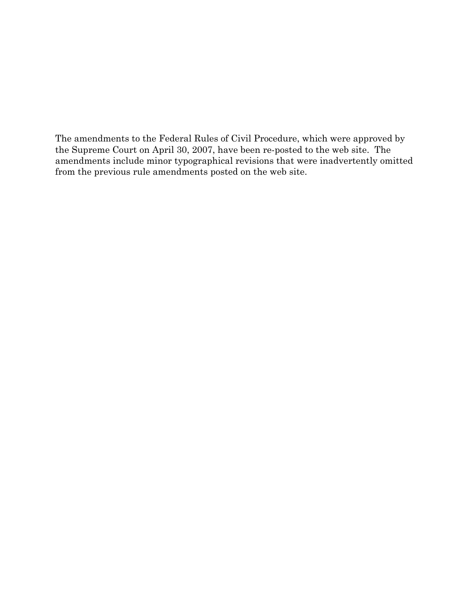The amendments to the Federal Rules of Civil Procedure, which were approved by the Supreme Court on April 30, 2007, have been re-posted to the web site. The amendments include minor typographical revisions that were inadvertently omitted from the previous rule amendments posted on the web site.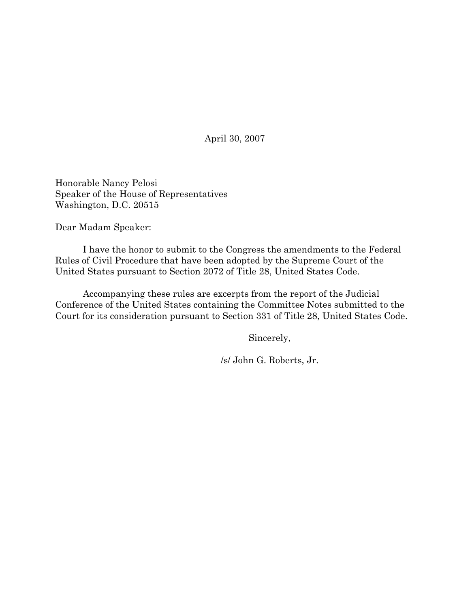April 30, 2007

Honorable Nancy Pelosi Speaker of the House of Representatives Washington, D.C. 20515

Dear Madam Speaker:

 I have the honor to submit to the Congress the amendments to the Federal Rules of Civil Procedure that have been adopted by the Supreme Court of the United States pursuant to Section 2072 of Title 28, United States Code.

 Accompanying these rules are excerpts from the report of the Judicial Conference of the United States containing the Committee Notes submitted to the Court for its consideration pursuant to Section 331 of Title 28, United States Code.

Sincerely,

/s/ John G. Roberts, Jr.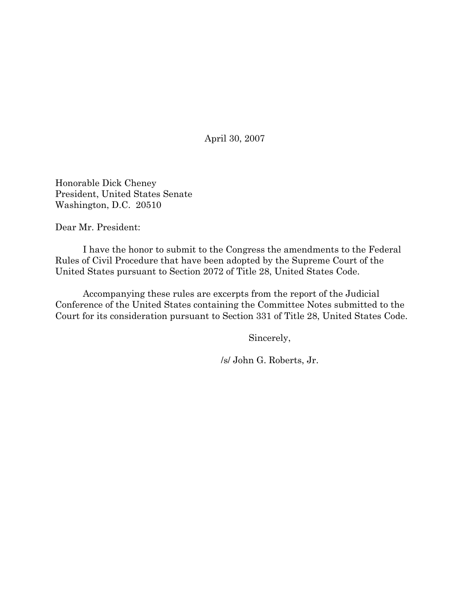April 30, 2007

Honorable Dick Cheney President, United States Senate Washington, D.C. 20510

Dear Mr. President:

 I have the honor to submit to the Congress the amendments to the Federal Rules of Civil Procedure that have been adopted by the Supreme Court of the United States pursuant to Section 2072 of Title 28, United States Code.

 Accompanying these rules are excerpts from the report of the Judicial Conference of the United States containing the Committee Notes submitted to the Court for its consideration pursuant to Section 331 of Title 28, United States Code.

Sincerely,

/s/ John G. Roberts, Jr.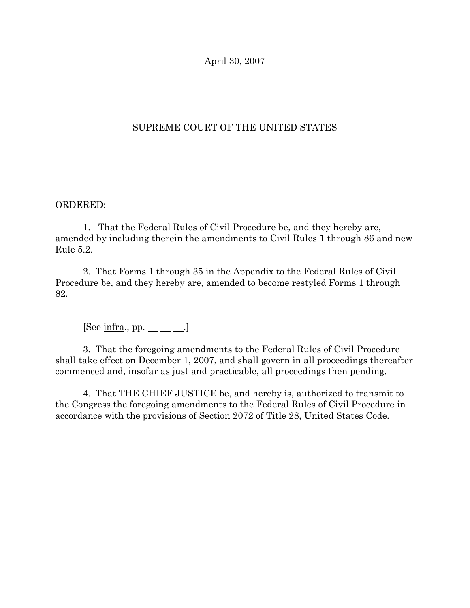April 30, 2007

# SUPREME COURT OF THE UNITED STATES

# ORDERED:

1. That the Federal Rules of Civil Procedure be, and they hereby are, amended by including therein the amendments to Civil Rules 1 through 86 and new Rule 5.2.

 2. That Forms 1 through 35 in the Appendix to the Federal Rules of Civil Procedure be, and they hereby are, amended to become restyled Forms 1 through 82.

 $[See infra., pp. __ __ __.]$ 

 3. That the foregoing amendments to the Federal Rules of Civil Procedure shall take effect on December 1, 2007, and shall govern in all proceedings thereafter commenced and, insofar as just and practicable, all proceedings then pending.

 4. That THE CHIEF JUSTICE be, and hereby is, authorized to transmit to the Congress the foregoing amendments to the Federal Rules of Civil Procedure in accordance with the provisions of Section 2072 of Title 28, United States Code.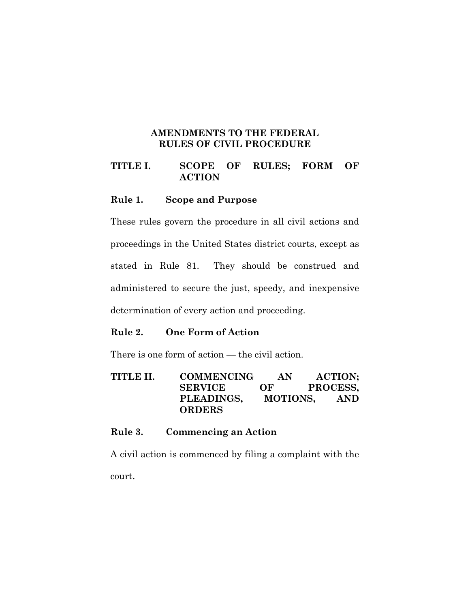# **AMENDMENTS TO THE FEDERAL RULES OF CIVIL PROCEDURE**

# **TITLE I. SCOPE OF RULES; FORM OF ACTION**

# **Rule 1. Scope and Purpose**

These rules govern the procedure in all civil actions and proceedings in the United States district courts, except as stated in Rule 81. They should be construed and administered to secure the just, speedy, and inexpensive determination of every action and proceeding.

# **Rule 2. One Form of Action**

There is one form of action — the civil action.

| TITLE II. | <b>COMMENCING</b> | AN                    | <b>ACTION:</b> |
|-----------|-------------------|-----------------------|----------------|
|           | <b>SERVICE</b>    | $\Omega$ <sub>F</sub> | PROCESS,       |
|           | PLEADINGS,        | <b>MOTIONS,</b>       | AND            |
|           | <b>ORDERS</b>     |                       |                |

# **Rule 3. Commencing an Action**

A civil action is commenced by filing a complaint with the court.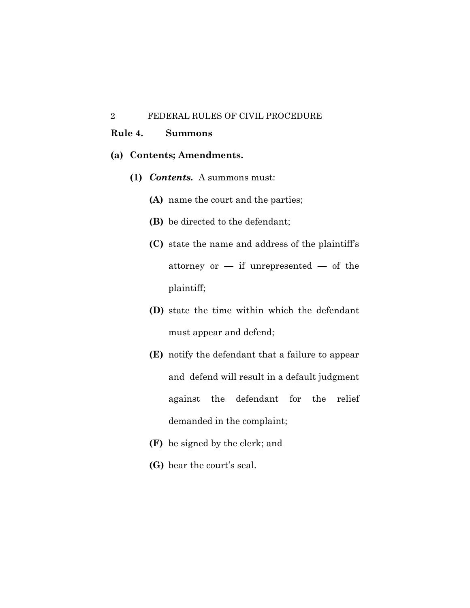#### **Rule 4. Summons**

# **(a) Contents; Amendments.**

- **(1)** *Contents.* A summons must:
	- **(A)** name the court and the parties;
	- **(B)** be directed to the defendant;
	- **(C)** state the name and address of the plaintiff's attorney or  $-$  if unrepresented  $-$  of the plaintiff;
	- **(D)** state the time within which the defendant must appear and defend;
	- **(E)** notify the defendant that a failure to appear and defend will result in a default judgment against the defendant for the relief demanded in the complaint;
	- **(F)** be signed by the clerk; and
	- **(G)** bear the court's seal.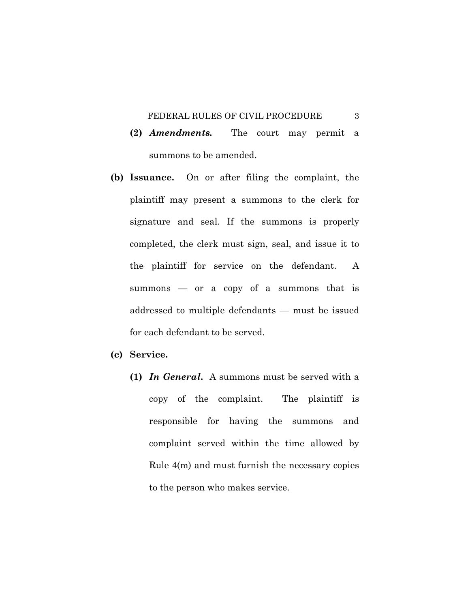- **(2)** *Amendments.* The court may permit a summons to be amended.
- **(b) Issuance.** On or after filing the complaint, the plaintiff may present a summons to the clerk for signature and seal. If the summons is properly completed, the clerk must sign, seal, and issue it to the plaintiff for service on the defendant. A summons — or a copy of a summons that is addressed to multiple defendants — must be issued for each defendant to be served.
- **(c) Service.** 
	- **(1)** *In General***.** A summons must be served with a copy of the complaint. The plaintiff is responsible for having the summons and complaint served within the time allowed by Rule 4(m) and must furnish the necessary copies to the person who makes service.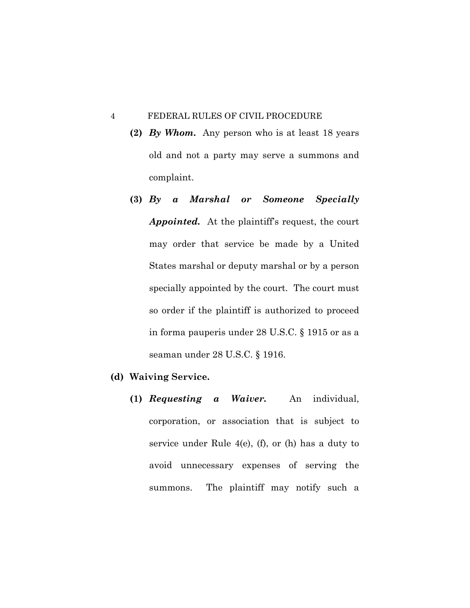- **(2)** *By Whom***.** Any person who is at least 18 years old and not a party may serve a summons and complaint.
- **(3)** *By a Marshal or Someone Specially Appointed.*At the plaintiff's request, the court may order that service be made by a United States marshal or deputy marshal or by a person specially appointed by the court. The court must so order if the plaintiff is authorized to proceed in forma pauperis under 28 U.S.C. § 1915 or as a seaman under 28 U.S.C. § 1916.
- **(d) Waiving Service.** 
	- **(1)** *Requesting a Waiver.* An individual, corporation, or association that is subject to service under Rule 4(e), (f), or (h) has a duty to avoid unnecessary expenses of serving the summons. The plaintiff may notify such a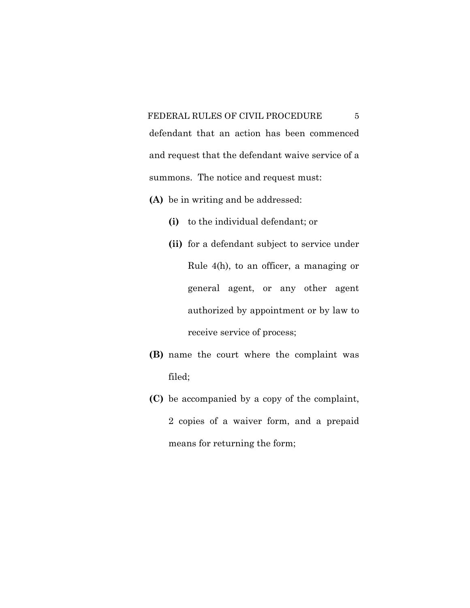defendant that an action has been commenced and request that the defendant waive service of a summons. The notice and request must:

- **(A)** be in writing and be addressed:
	- **(i)** to the individual defendant; or
	- **(ii)** for a defendant subject to service under Rule 4(h), to an officer, a managing or general agent, or any other agent authorized by appointment or by law to receive service of process;
- **(B)** name the court where the complaint was filed;
- **(C)** be accompanied by a copy of the complaint, 2 copies of a waiver form, and a prepaid means for returning the form;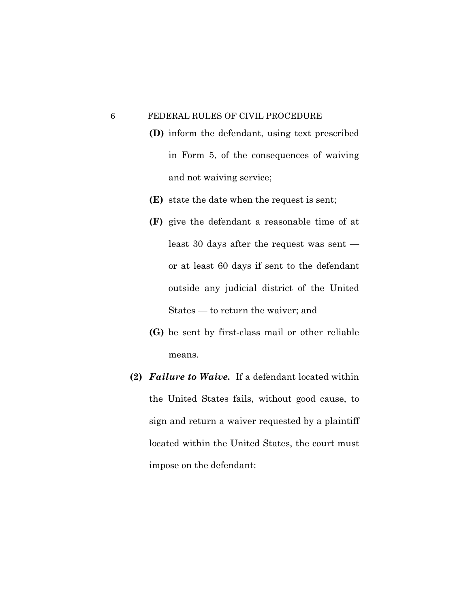- **(D)** inform the defendant, using text prescribed in Form 5, of the consequences of waiving and not waiving service;
- **(E)** state the date when the request is sent;
- **(F)** give the defendant a reasonable time of at least 30 days after the request was sent or at least 60 days if sent to the defendant outside any judicial district of the United States — to return the waiver; and
- **(G)** be sent by first-class mail or other reliable means.
- **(2)** *Failure to Waive.* If a defendant located within the United States fails, without good cause, to sign and return a waiver requested by a plaintiff located within the United States, the court must impose on the defendant: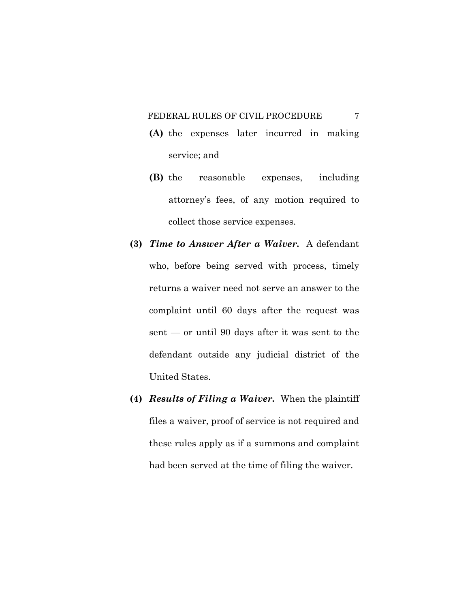- **(A)** the expenses later incurred in making service; and
- **(B)** the reasonable expenses, including attorney's fees, of any motion required to collect those service expenses.
- **(3)** *Time to Answer After a Waiver.* A defendant who, before being served with process, timely returns a waiver need not serve an answer to the complaint until 60 days after the request was sent — or until 90 days after it was sent to the defendant outside any judicial district of the United States.
- **(4)** *Results of Filing a Waiver.* When the plaintiff files a waiver, proof of service is not required and these rules apply as if a summons and complaint had been served at the time of filing the waiver.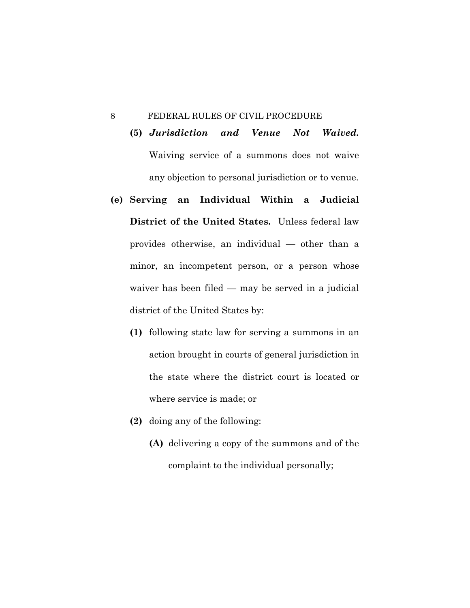- **(5)** *Jurisdiction and Venue Not Waived.*  Waiving service of a summons does not waive any objection to personal jurisdiction or to venue.
- **(e) Serving an Individual Within a Judicial District of the United States.** Unless federal law provides otherwise, an individual — other than a minor, an incompetent person, or a person whose waiver has been filed — may be served in a judicial district of the United States by:
	- **(1)** following state law for serving a summons in an action brought in courts of general jurisdiction in the state where the district court is located or where service is made; or
	- **(2)** doing any of the following:
		- **(A)** delivering a copy of the summons and of the complaint to the individual personally;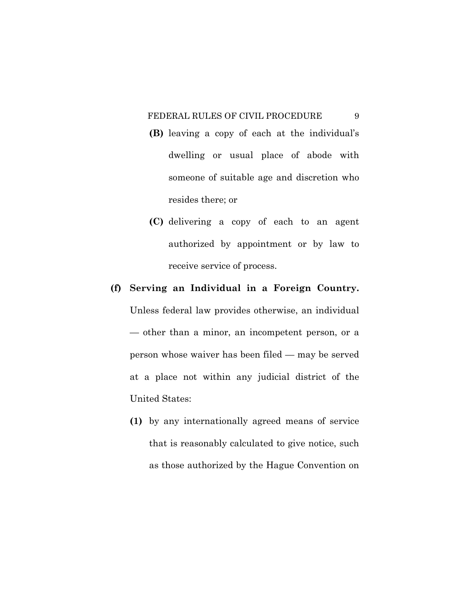- **(B)** leaving a copy of each at the individual's dwelling or usual place of abode with someone of suitable age and discretion who resides there; or
- **(C)** delivering a copy of each to an agent authorized by appointment or by law to receive service of process.

# **(f) Serving an Individual in a Foreign Country.** Unless federal law provides otherwise, an individual — other than a minor, an incompetent person, or a person whose waiver has been filed — may be served at a place not within any judicial district of the United States:

**(1)** by any internationally agreed means of service that is reasonably calculated to give notice, such as those authorized by the Hague Convention on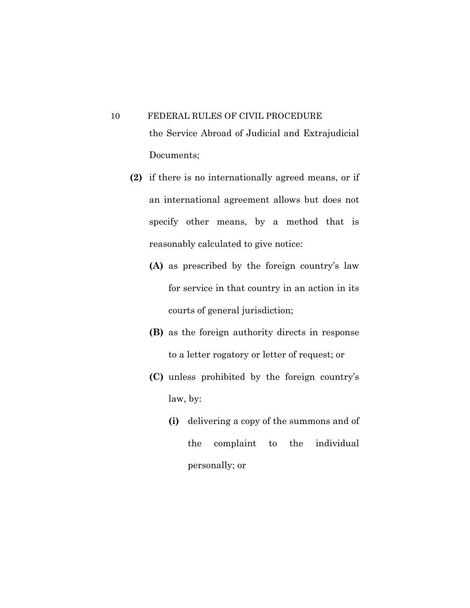# 10 FEDERAL RULES OF CIVIL PROCEDURE the Service Abroad of Judicial and Extrajudicial Documents;

- **(2)** if there is no internationally agreed means, or if an international agreement allows but does not specify other means, by a method that is reasonably calculated to give notice:
	- **(A)** as prescribed by the foreign country's law for service in that country in an action in its courts of general jurisdiction;
	- **(B)** as the foreign authority directs in response to a letter rogatory or letter of request; or
	- **(C)** unless prohibited by the foreign country's law, by:
		- **(i)** delivering a copy of the summons and of the complaint to the individual personally; or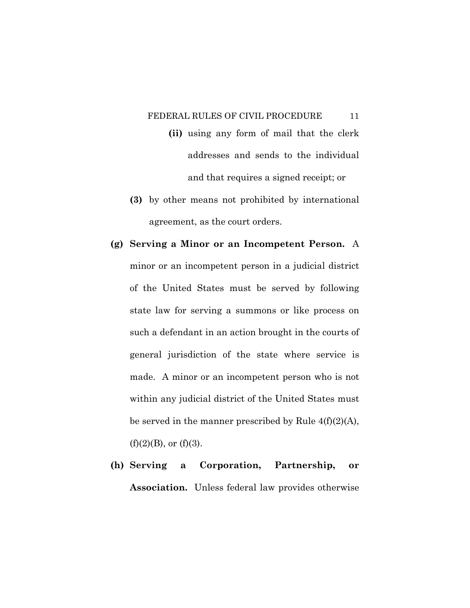- **(ii)** using any form of mail that the clerk addresses and sends to the individual and that requires a signed receipt; or
- **(3)** by other means not prohibited by international agreement, as the court orders.
- **(g) Serving a Minor or an Incompetent Person.** A minor or an incompetent person in a judicial district of the United States must be served by following state law for serving a summons or like process on such a defendant in an action brought in the courts of general jurisdiction of the state where service is made. A minor or an incompetent person who is not within any judicial district of the United States must be served in the manner prescribed by Rule  $4(f)(2)(A)$ ,  $(f)(2)(B)$ , or  $(f)(3)$ .
- **(h) Serving a Corporation, Partnership, or Association.** Unless federal law provides otherwise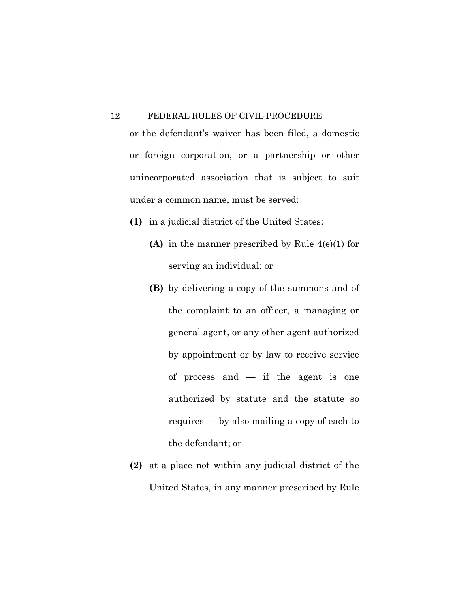or the defendant's waiver has been filed, a domestic or foreign corporation, or a partnership or other unincorporated association that is subject to suit under a common name, must be served:

- **(1)** in a judicial district of the United States:
	- **(A)** in the manner prescribed by Rule 4(e)(1) for serving an individual; or
	- **(B)** by delivering a copy of the summons and of the complaint to an officer, a managing or general agent, or any other agent authorized by appointment or by law to receive service of process and — if the agent is one authorized by statute and the statute so requires — by also mailing a copy of each to the defendant; or
- **(2)** at a place not within any judicial district of the United States, in any manner prescribed by Rule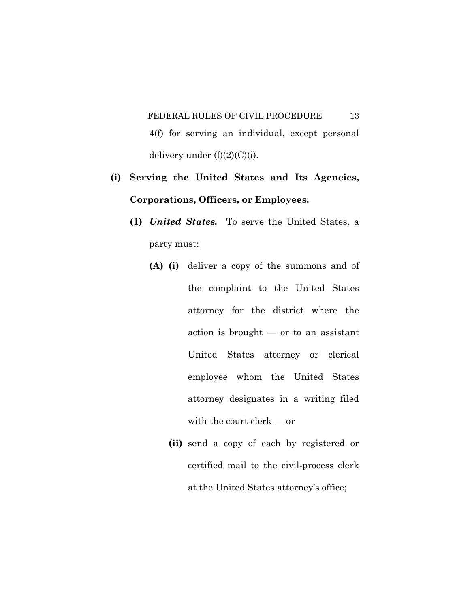# FEDERAL RULES OF CIVIL PROCEDURE 13 4(f) for serving an individual, except personal delivery under  $(f)(2)(C)(i)$ .

- **(i) Serving the United States and Its Agencies, Corporations, Officers, or Employees.**
	- **(1)** *United States.* To serve the United States, a party must:
		- **(A) (i)** deliver a copy of the summons and of the complaint to the United States attorney for the district where the action is brought — or to an assistant United States attorney or clerical employee whom the United States attorney designates in a writing filed with the court clerk — or
			- **(ii)** send a copy of each by registered or certified mail to the civil-process clerk at the United States attorney's office;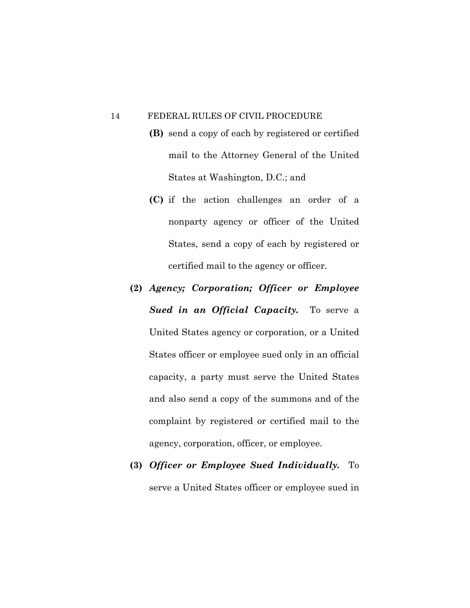- **(B)** send a copy of each by registered or certified mail to the Attorney General of the United States at Washington, D.C.; and
	- **(C)** if the action challenges an order of a nonparty agency or officer of the United States, send a copy of each by registered or certified mail to the agency or officer.
- **(2)** *Agency; Corporation; Officer or Employee Sued in an Official Capacity.* To serve a United States agency or corporation, or a United States officer or employee sued only in an official capacity, a party must serve the United States and also send a copy of the summons and of the complaint by registered or certified mail to the agency, corporation, officer, or employee.
- **(3)** *Officer or Employee Sued Individually.* To serve a United States officer or employee sued in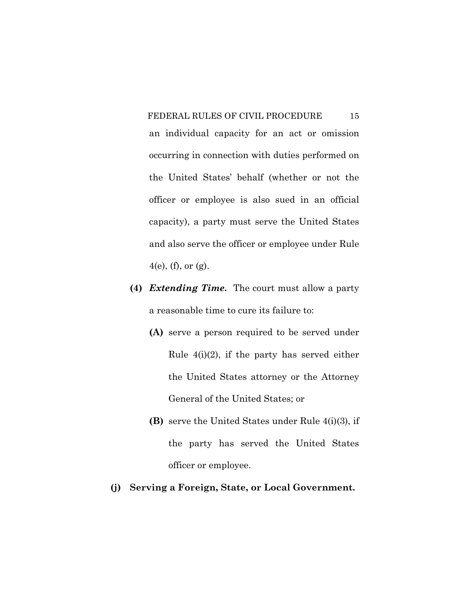an individual capacity for an act or omission occurring in connection with duties performed on the United States' behalf (whether or not the officer or employee is also sued in an official capacity), a party must serve the United States and also serve the officer or employee under Rule  $4(e)$ , (f), or (g).

- **(4)** *Extending Time.* The court must allow a party a reasonable time to cure its failure to:
	- **(A)** serve a person required to be served under Rule  $4(i)(2)$ , if the party has served either the United States attorney or the Attorney General of the United States; or
	- **(B)** serve the United States under Rule 4(i)(3), if the party has served the United States officer or employee.
- **(j) Serving a Foreign, State, or Local Government.**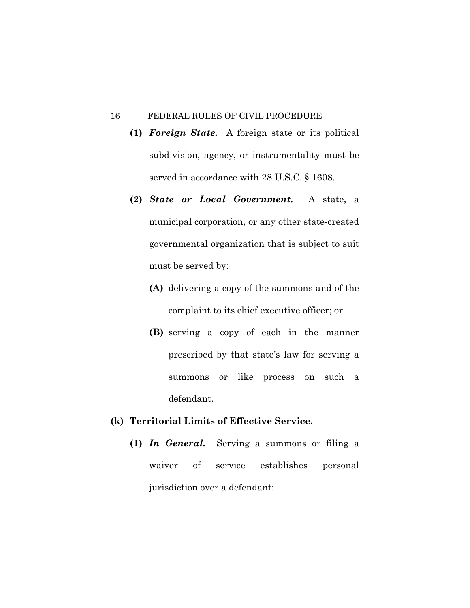- **(1)** *Foreign State.* A foreign state or its political subdivision, agency, or instrumentality must be served in accordance with 28 U.S.C. § 1608.
- **(2)** *State or Local Government.* A state, a municipal corporation, or any other state-created governmental organization that is subject to suit must be served by:
	- **(A)** delivering a copy of the summons and of the complaint to its chief executive officer; or
	- **(B)** serving a copy of each in the manner prescribed by that state's law for serving a summons or like process on such a defendant.

# **(k) Territorial Limits of Effective Service.**

**(1)** *In General.* Serving a summons or filing a waiver of service establishes personal jurisdiction over a defendant: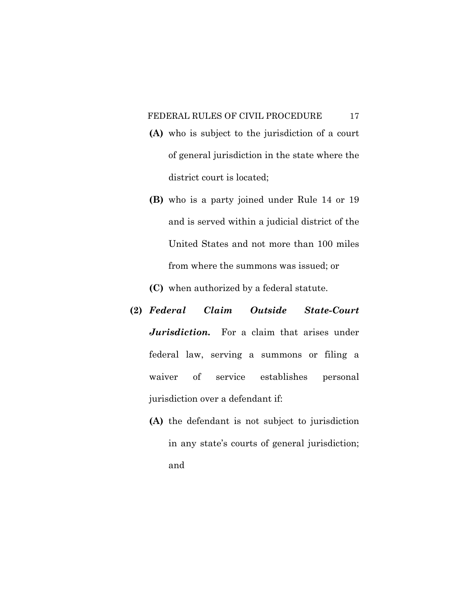- **(A)** who is subject to the jurisdiction of a court of general jurisdiction in the state where the district court is located;
- **(B)** who is a party joined under Rule 14 or 19 and is served within a judicial district of the United States and not more than 100 miles from where the summons was issued; or
- **(C)** when authorized by a federal statute.
- **(2)** *Federal Claim Outside State-Court Jurisdiction.* For a claim that arises under federal law, serving a summons or filing a waiver of service establishes personal jurisdiction over a defendant if:
	- **(A)** the defendant is not subject to jurisdiction in any state's courts of general jurisdiction; and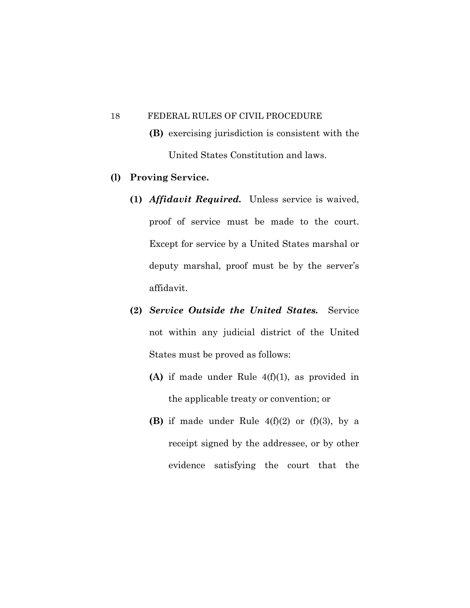- **(B)** exercising jurisdiction is consistent with the United States Constitution and laws.
- **(l) Proving Service.** 
	- **(1)** *Affidavit Required.* Unless service is waived, proof of service must be made to the court. Except for service by a United States marshal or deputy marshal, proof must be by the server's affidavit.
	- **(2)** *Service Outside the United States.* Service not within any judicial district of the United States must be proved as follows:
		- **(A)** if made under Rule 4(f)(1), as provided in the applicable treaty or convention; or
		- **(B)** if made under Rule 4(f)(2) or (f)(3), by a receipt signed by the addressee, or by other evidence satisfying the court that the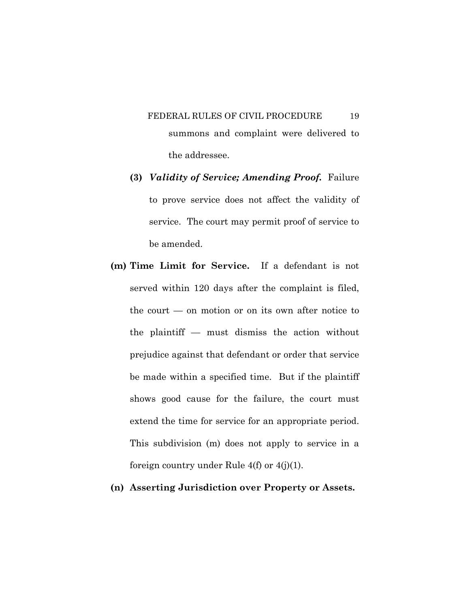# FEDERAL RULES OF CIVIL PROCEDURE 19 summons and complaint were delivered to the addressee.

- **(3)** *Validity of Service; Amending Proof.* Failure to prove service does not affect the validity of service. The court may permit proof of service to be amended.
- **(m) Time Limit for Service.** If a defendant is not served within 120 days after the complaint is filed, the court — on motion or on its own after notice to the plaintiff — must dismiss the action without prejudice against that defendant or order that service be made within a specified time. But if the plaintiff shows good cause for the failure, the court must extend the time for service for an appropriate period. This subdivision (m) does not apply to service in a foreign country under Rule  $4(f)$  or  $4(j)(1)$ .
- **(n) Asserting Jurisdiction over Property or Assets.**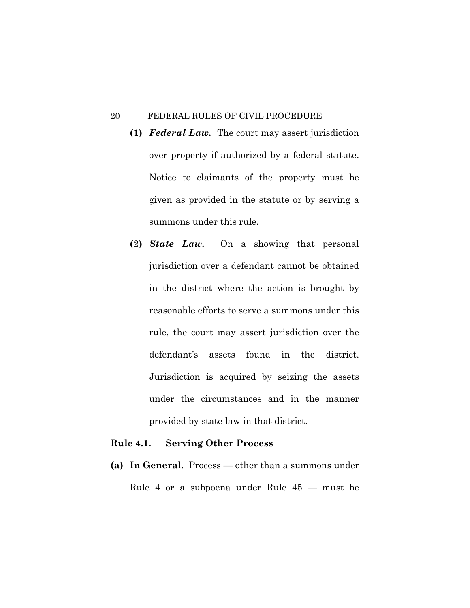- **(1)** *Federal Law.* The court may assert jurisdiction over property if authorized by a federal statute. Notice to claimants of the property must be given as provided in the statute or by serving a summons under this rule.
- **(2)** *State Law.* On a showing that personal jurisdiction over a defendant cannot be obtained in the district where the action is brought by reasonable efforts to serve a summons under this rule, the court may assert jurisdiction over the defendant's assets found in the district. Jurisdiction is acquired by seizing the assets under the circumstances and in the manner provided by state law in that district.

# **Rule 4.1. Serving Other Process**

**(a) In General.** Process — other than a summons under Rule 4 or a subpoena under Rule 45 — must be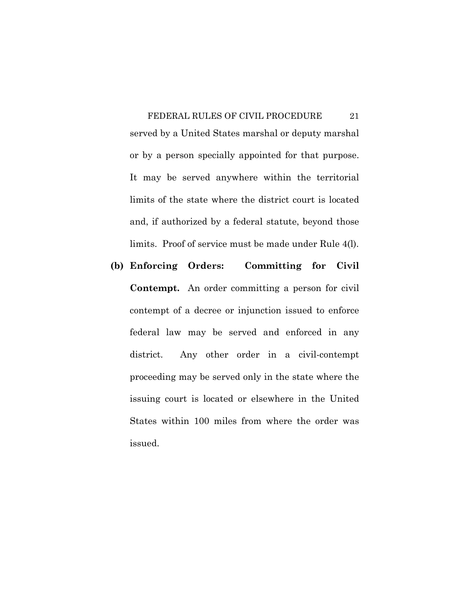FEDERAL RULES OF CIVIL PROCEDURE 21 served by a United States marshal or deputy marshal or by a person specially appointed for that purpose. It may be served anywhere within the territorial limits of the state where the district court is located and, if authorized by a federal statute, beyond those limits. Proof of service must be made under Rule 4(l).

**(b) Enforcing Orders: Committing for Civil Contempt.** An order committing a person for civil contempt of a decree or injunction issued to enforce federal law may be served and enforced in any district. Any other order in a civil-contempt proceeding may be served only in the state where the issuing court is located or elsewhere in the United States within 100 miles from where the order was issued.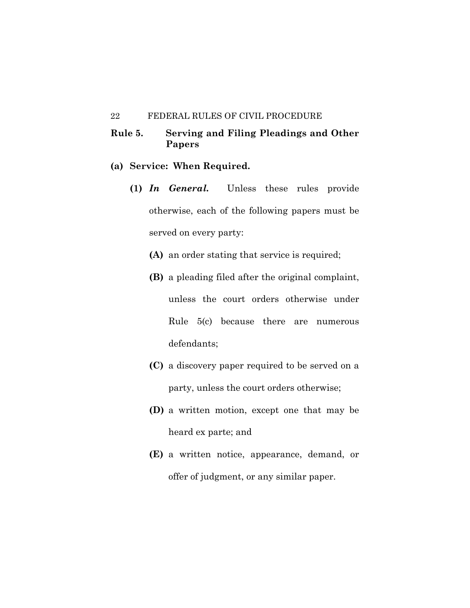# **Rule 5. Serving and Filing Pleadings and Other Papers**

- **(a) Service: When Required.** 
	- **(1)** *In General.* Unless these rules provide otherwise, each of the following papers must be served on every party:
		- **(A)** an order stating that service is required;
		- **(B)** a pleading filed after the original complaint, unless the court orders otherwise under Rule 5(c) because there are numerous defendants;
		- **(C)** a discovery paper required to be served on a party, unless the court orders otherwise;
		- **(D)** a written motion, except one that may be heard ex parte; and
		- **(E)** a written notice, appearance, demand, or offer of judgment, or any similar paper.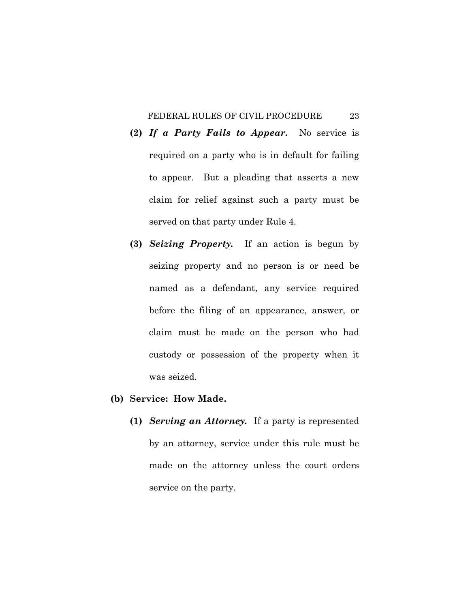- **(2)** *If a Party Fails to Appear.* No service is required on a party who is in default for failing to appear. But a pleading that asserts a new claim for relief against such a party must be served on that party under Rule 4.
- **(3)** *Seizing Property.* If an action is begun by seizing property and no person is or need be named as a defendant, any service required before the filing of an appearance, answer, or claim must be made on the person who had custody or possession of the property when it was seized.
- **(b) Service: How Made.** 
	- **(1)** *Serving an Attorney.* If a party is represented by an attorney, service under this rule must be made on the attorney unless the court orders service on the party.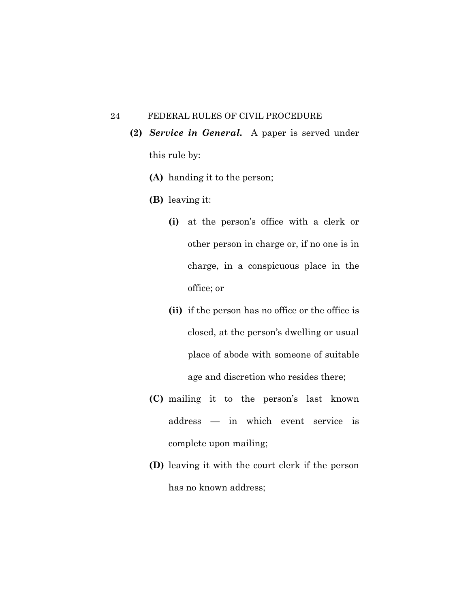- **(2)** *Service in General.* A paper is served under this rule by:
	- **(A)** handing it to the person;
	- **(B)** leaving it:
		- **(i)** at the person's office with a clerk or other person in charge or, if no one is in charge, in a conspicuous place in the office; or
		- **(ii)** if the person has no office or the office is closed, at the person's dwelling or usual place of abode with someone of suitable age and discretion who resides there;
	- **(C)** mailing it to the person's last known address — in which event service is complete upon mailing;
	- **(D)** leaving it with the court clerk if the person has no known address;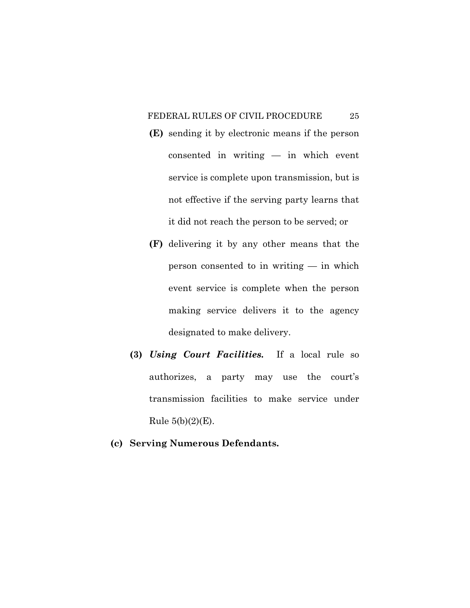- **(E)** sending it by electronic means if the person consented in writing — in which event service is complete upon transmission, but is not effective if the serving party learns that it did not reach the person to be served; or
- **(F)** delivering it by any other means that the person consented to in writing — in which event service is complete when the person making service delivers it to the agency designated to make delivery.
- **(3)** *Using Court Facilities.* If a local rule so authorizes, a party may use the court's transmission facilities to make service under Rule  $5(b)(2)(E)$ .
- **(c) Serving Numerous Defendants.**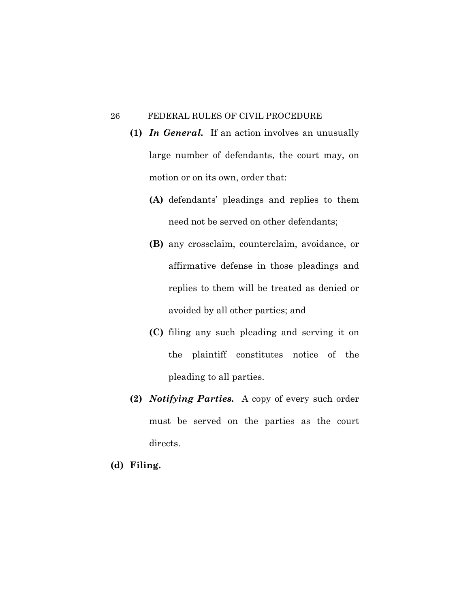- **(1)** *In General.* If an action involves an unusually large number of defendants, the court may, on motion or on its own, order that:
	- **(A)** defendants' pleadings and replies to them need not be served on other defendants;
	- **(B)** any crossclaim, counterclaim, avoidance, or affirmative defense in those pleadings and replies to them will be treated as denied or avoided by all other parties; and
	- **(C)** filing any such pleading and serving it on the plaintiff constitutes notice of the pleading to all parties.
- **(2)** *Notifying Parties.* A copy of every such order must be served on the parties as the court directs.

**(d) Filing.**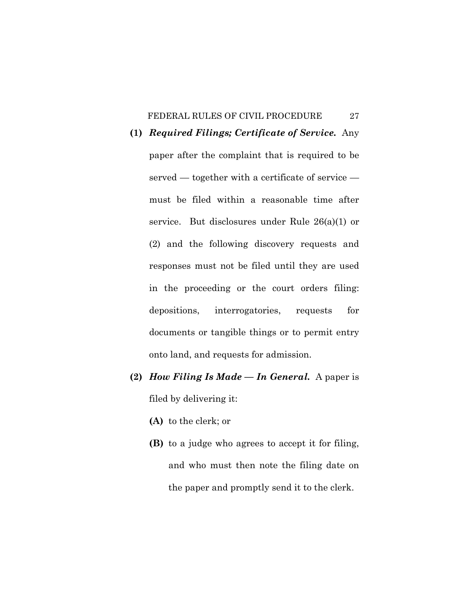- **(1)** *Required Filings; Certificate of Service.* Any paper after the complaint that is required to be served — together with a certificate of service must be filed within a reasonable time after service. But disclosures under Rule 26(a)(1) or (2) and the following discovery requests and responses must not be filed until they are used in the proceeding or the court orders filing: depositions, interrogatories, requests for documents or tangible things or to permit entry onto land, and requests for admission.
- **(2)** *How Filing Is Made In General.* A paper is filed by delivering it:
	- **(A)** to the clerk; or
	- **(B)** to a judge who agrees to accept it for filing, and who must then note the filing date on the paper and promptly send it to the clerk.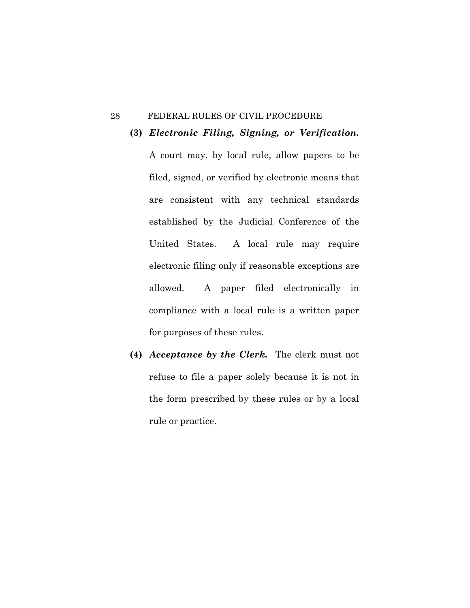### **(3)** *Electronic Filing, Signing, or Verification.*

A court may, by local rule, allow papers to be filed, signed, or verified by electronic means that are consistent with any technical standards established by the Judicial Conference of the United States. A local rule may require electronic filing only if reasonable exceptions are allowed. A paper filed electronically in compliance with a local rule is a written paper for purposes of these rules.

**(4)** *Acceptance by the Clerk.* The clerk must not refuse to file a paper solely because it is not in the form prescribed by these rules or by a local rule or practice.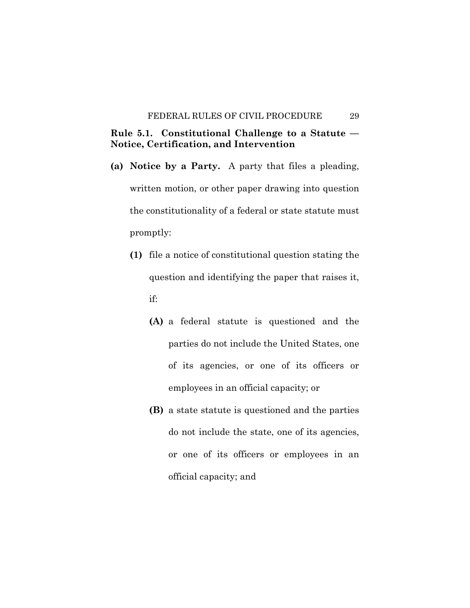# **Rule 5.1. Constitutional Challenge to a Statute — Notice, Certification, and Intervention**

- **(a) Notice by a Party.** A party that files a pleading, written motion, or other paper drawing into question the constitutionality of a federal or state statute must promptly:
	- **(1)** file a notice of constitutional question stating the question and identifying the paper that raises it, if:
		- **(A)** a federal statute is questioned and the parties do not include the United States, one of its agencies, or one of its officers or employees in an official capacity; or
		- **(B)** a state statute is questioned and the parties do not include the state, one of its agencies, or one of its officers or employees in an official capacity; and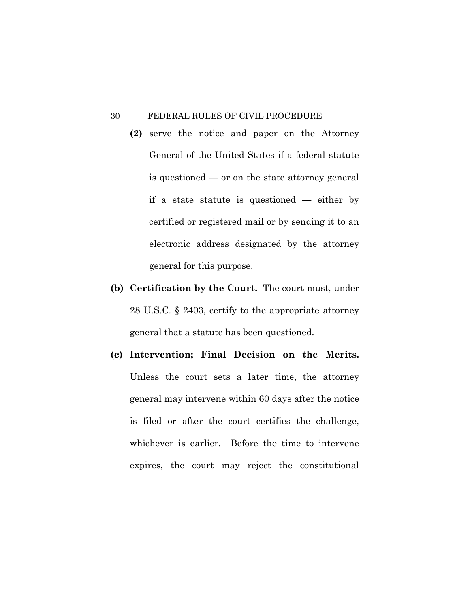- **(2)** serve the notice and paper on the Attorney General of the United States if a federal statute is questioned — or on the state attorney general if a state statute is questioned — either by certified or registered mail or by sending it to an electronic address designated by the attorney general for this purpose.
- **(b) Certification by the Court.** The court must, under 28 U.S.C. § 2403, certify to the appropriate attorney general that a statute has been questioned.
- **(c) Intervention; Final Decision on the Merits.** Unless the court sets a later time, the attorney general may intervene within 60 days after the notice is filed or after the court certifies the challenge, whichever is earlier. Before the time to intervene expires, the court may reject the constitutional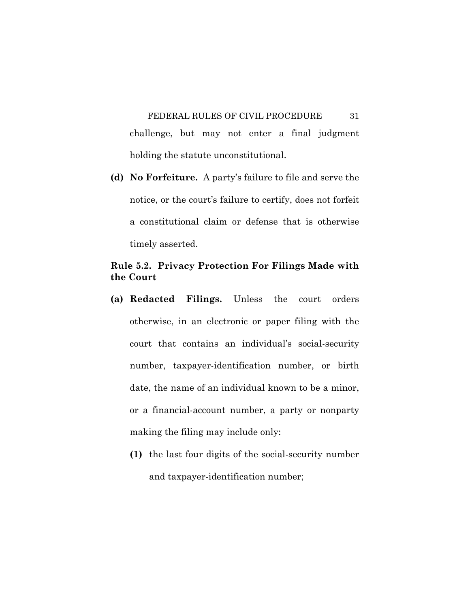FEDERAL RULES OF CIVIL PROCEDURE 31 challenge, but may not enter a final judgment holding the statute unconstitutional.

**(d) No Forfeiture.** A party's failure to file and serve the notice, or the court's failure to certify, does not forfeit a constitutional claim or defense that is otherwise timely asserted.

# **Rule 5.2. Privacy Protection For Filings Made with the Court**

- **(a) Redacted Filings.** Unless the court orders otherwise, in an electronic or paper filing with the court that contains an individual's social-security number, taxpayer-identification number, or birth date, the name of an individual known to be a minor, or a financial-account number, a party or nonparty making the filing may include only:
	- **(1)** the last four digits of the social-security number and taxpayer-identification number;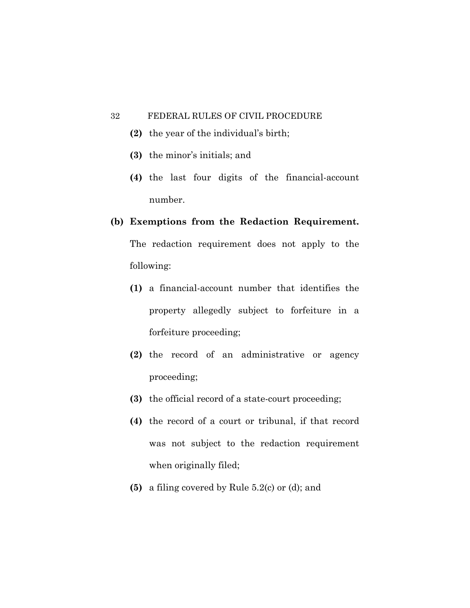- **(2)** the year of the individual's birth;
- **(3)** the minor's initials; and
- **(4)** the last four digits of the financial-account number.

### **(b) Exemptions from the Redaction Requirement.**

The redaction requirement does not apply to the following:

- **(1)** a financial-account number that identifies the property allegedly subject to forfeiture in a forfeiture proceeding;
- **(2)** the record of an administrative or agency proceeding;
- **(3)** the official record of a state-court proceeding;
- **(4)** the record of a court or tribunal, if that record was not subject to the redaction requirement when originally filed;
- **(5)** a filing covered by Rule 5.2(c) or (d); and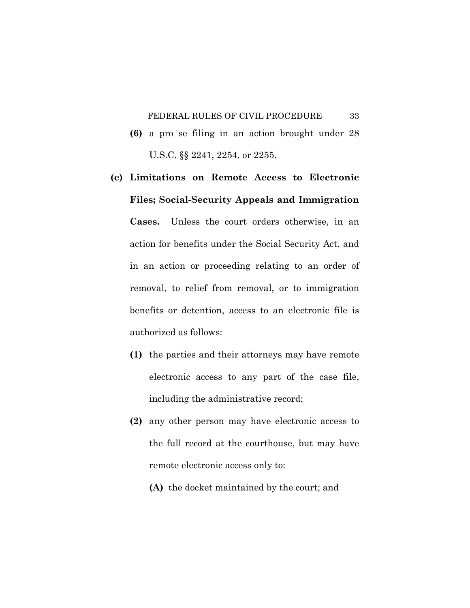- **(6)** a pro se filing in an action brought under 28 U.S.C. §§ 2241, 2254, or 2255.
- **(c) Limitations on Remote Access to Electronic Files; Social-Security Appeals and Immigration Cases.** Unless the court orders otherwise, in an action for benefits under the Social Security Act, and in an action or proceeding relating to an order of removal, to relief from removal, or to immigration benefits or detention, access to an electronic file is authorized as follows:
	- **(1)** the parties and their attorneys may have remote electronic access to any part of the case file, including the administrative record;
	- **(2)** any other person may have electronic access to the full record at the courthouse, but may have remote electronic access only to:
		- **(A)** the docket maintained by the court; and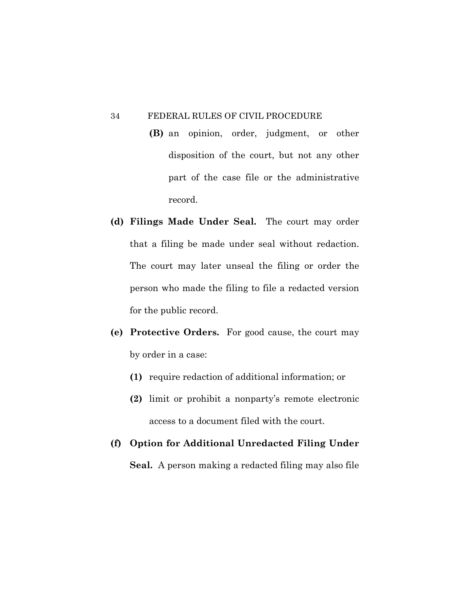- **(B)** an opinion, order, judgment, or other disposition of the court, but not any other part of the case file or the administrative record.
- **(d) Filings Made Under Seal.** The court may order that a filing be made under seal without redaction. The court may later unseal the filing or order the person who made the filing to file a redacted version for the public record.
- **(e) Protective Orders.** For good cause, the court may by order in a case:
	- **(1)** require redaction of additional information; or
	- **(2)** limit or prohibit a nonparty's remote electronic access to a document filed with the court.
- **(f) Option for Additional Unredacted Filing Under Seal.** A person making a redacted filing may also file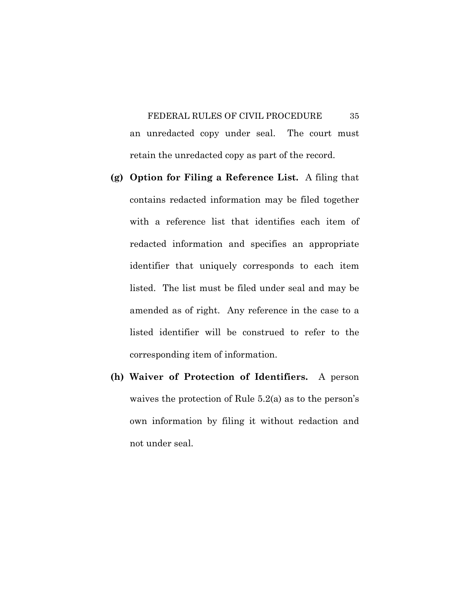FEDERAL RULES OF CIVIL PROCEDURE 35 an unredacted copy under seal. The court must retain the unredacted copy as part of the record.

- **(g) Option for Filing a Reference List.** A filing that contains redacted information may be filed together with a reference list that identifies each item of redacted information and specifies an appropriate identifier that uniquely corresponds to each item listed. The list must be filed under seal and may be amended as of right. Any reference in the case to a listed identifier will be construed to refer to the corresponding item of information.
- **(h) Waiver of Protection of Identifiers.** A person waives the protection of Rule 5.2(a) as to the person's own information by filing it without redaction and not under seal.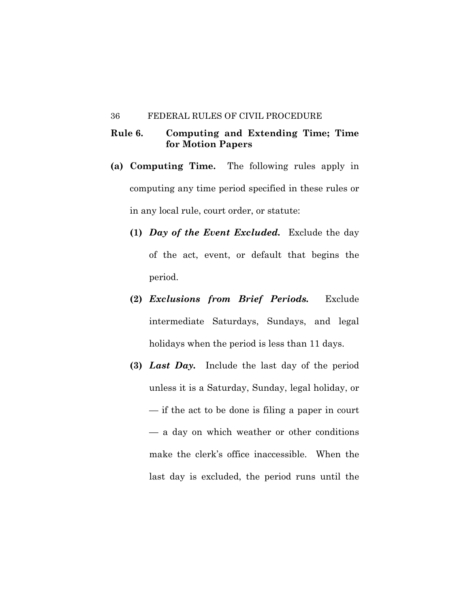# **Rule 6. Computing and Extending Time; Time for Motion Papers**

- **(a) Computing Time.** The following rules apply in computing any time period specified in these rules or in any local rule, court order, or statute:
	- **(1)** *Day of the Event Excluded.* Exclude the day of the act, event, or default that begins the period.
	- **(2)** *Exclusions from Brief Periods.* Exclude intermediate Saturdays, Sundays, and legal holidays when the period is less than 11 days.
	- **(3)** *Last Day.* Include the last day of the period unless it is a Saturday, Sunday, legal holiday, or — if the act to be done is filing a paper in court — a day on which weather or other conditions make the clerk's office inaccessible. When the last day is excluded, the period runs until the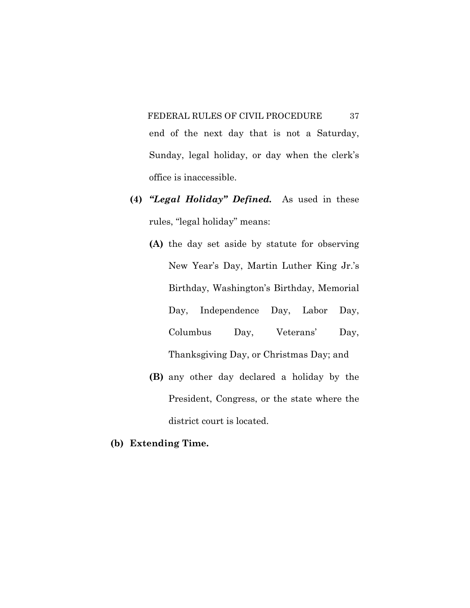# FEDERAL RULES OF CIVIL PROCEDURE 37 end of the next day that is not a Saturday, Sunday, legal holiday, or day when the clerk's office is inaccessible.

- **(4)** *"Legal Holiday" Defined.* As used in these rules, "legal holiday" means:
	- **(A)** the day set aside by statute for observing New Year's Day, Martin Luther King Jr.'s Birthday, Washington's Birthday, Memorial Day, Independence Day, Labor Day, Columbus Day, Veterans' Day, Thanksgiving Day, or Christmas Day; and
	- **(B)** any other day declared a holiday by the President, Congress, or the state where the district court is located.
- **(b) Extending Time.**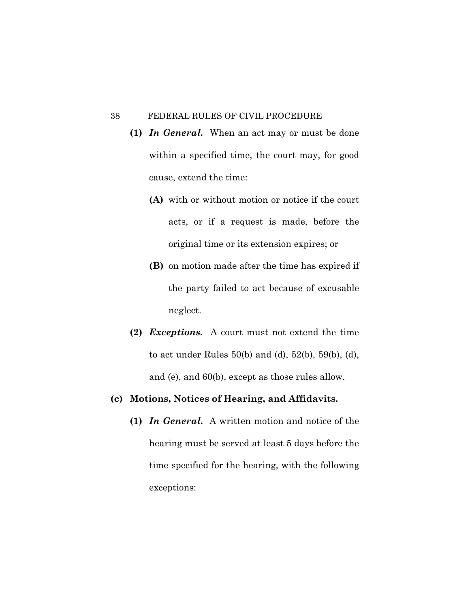- **(1)** *In General.* When an act may or must be done within a specified time, the court may, for good cause, extend the time:
	- **(A)** with or without motion or notice if the court acts, or if a request is made, before the original time or its extension expires; or
	- **(B)** on motion made after the time has expired if the party failed to act because of excusable neglect.
- **(2)** *Exceptions.* A court must not extend the time to act under Rules 50(b) and (d), 52(b), 59(b), (d), and (e), and 60(b), except as those rules allow.

# **(c) Motions, Notices of Hearing, and Affidavits.**

**(1)** *In General.* A written motion and notice of the hearing must be served at least 5 days before the time specified for the hearing, with the following exceptions: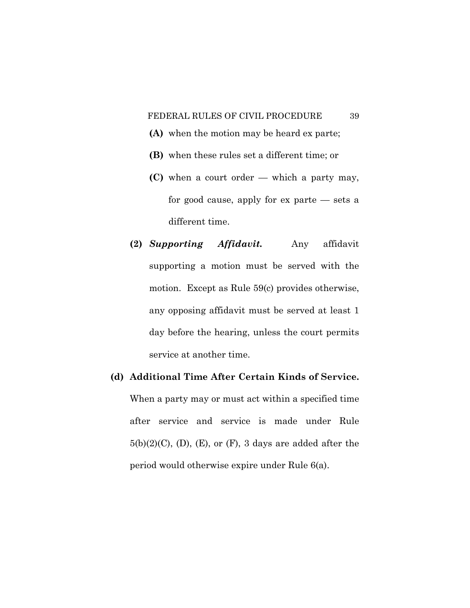- **(A)** when the motion may be heard ex parte;
- **(B)** when these rules set a different time; or
- **(C)** when a court order which a party may, for good cause, apply for ex parte — sets a different time.
- **(2)** *Supporting Affidavit.* Any affidavit supporting a motion must be served with the motion. Except as Rule 59(c) provides otherwise, any opposing affidavit must be served at least 1 day before the hearing, unless the court permits service at another time.
- **(d) Additional Time After Certain Kinds of Service.**  When a party may or must act within a specified time after service and service is made under Rule  $5(b)(2)(C)$ , (D), (E), or (F), 3 days are added after the period would otherwise expire under Rule 6(a).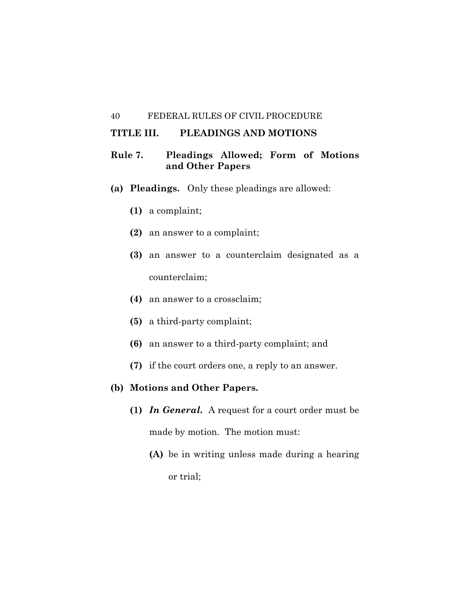# **TITLE III. PLEADINGS AND MOTIONS**

# **Rule 7. Pleadings Allowed; Form of Motions and Other Papers**

- **(a) Pleadings.** Only these pleadings are allowed:
	- **(1)** a complaint;
	- **(2)** an answer to a complaint;
	- **(3)** an answer to a counterclaim designated as a counterclaim;
	- **(4)** an answer to a crossclaim;
	- **(5)** a third-party complaint;
	- **(6)** an answer to a third-party complaint; and
	- **(7)** if the court orders one, a reply to an answer.

## **(b) Motions and Other Papers.**

- **(1)** *In General.* A request for a court order must be made by motion. The motion must:
	- **(A)** be in writing unless made during a hearing or trial;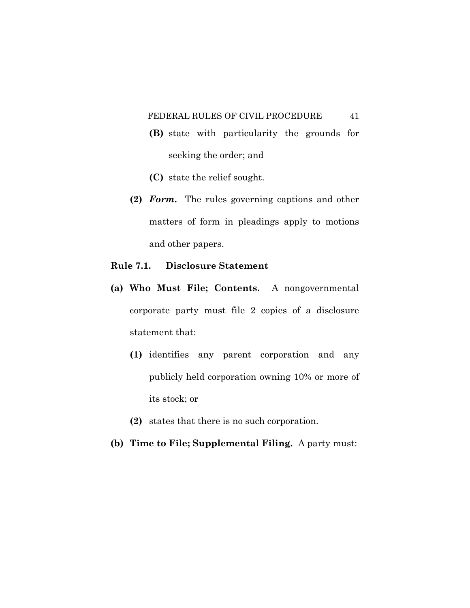- **(B)** state with particularity the grounds for seeking the order; and
- **(C)** state the relief sought.
- **(2)** *Form***.** The rules governing captions and other matters of form in pleadings apply to motions and other papers.

# **Rule 7.1. Disclosure Statement**

- **(a) Who Must File; Contents.** A nongovernmental corporate party must file 2 copies of a disclosure statement that:
	- **(1)** identifies any parent corporation and any publicly held corporation owning 10% or more of its stock; or
	- **(2)** states that there is no such corporation.
- **(b) Time to File; Supplemental Filing.** A party must: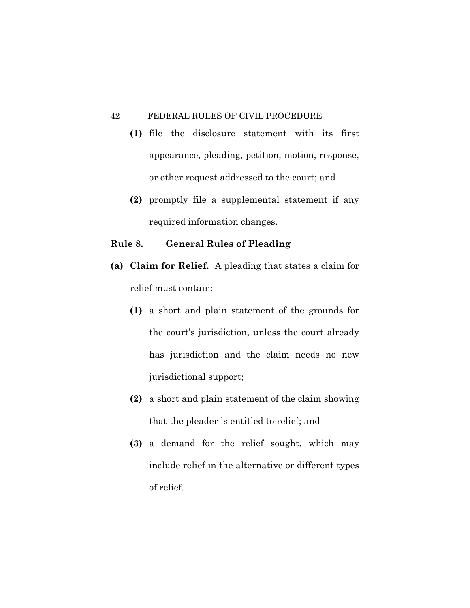- **(1)** file the disclosure statement with its first appearance, pleading, petition, motion, response, or other request addressed to the court; and
- **(2)** promptly file a supplemental statement if any required information changes.

#### **Rule 8. General Rules of Pleading**

- **(a) Claim for Relief.** A pleading that states a claim for relief must contain:
	- **(1)** a short and plain statement of the grounds for the court's jurisdiction, unless the court already has jurisdiction and the claim needs no new jurisdictional support;
	- **(2)** a short and plain statement of the claim showing that the pleader is entitled to relief; and
	- **(3)** a demand for the relief sought, which may include relief in the alternative or different types of relief.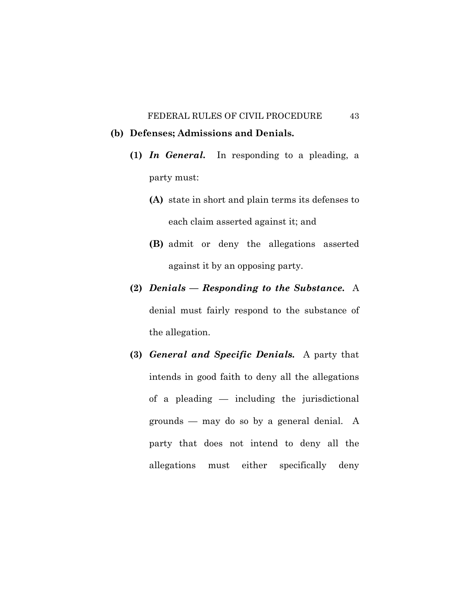- **(b) Defenses; Admissions and Denials.** 
	- **(1)** *In General.* In responding to a pleading, a party must:
		- **(A)** state in short and plain terms its defenses to each claim asserted against it; and
		- **(B)** admit or deny the allegations asserted against it by an opposing party.
	- **(2)** *Denials Responding to the Substance.* A denial must fairly respond to the substance of the allegation.
	- **(3)** *General and Specific Denials.* A party that intends in good faith to deny all the allegations of a pleading — including the jurisdictional grounds — may do so by a general denial. A party that does not intend to deny all the allegations must either specifically deny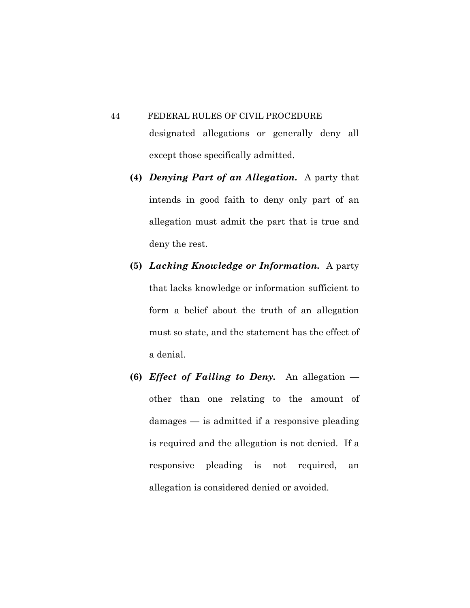# 44 FEDERAL RULES OF CIVIL PROCEDURE designated allegations or generally deny all except those specifically admitted.

- **(4)** *Denying Part of an Allegation.* A party that intends in good faith to deny only part of an allegation must admit the part that is true and deny the rest.
- **(5)** *Lacking Knowledge or Information.* A party that lacks knowledge or information sufficient to form a belief about the truth of an allegation must so state, and the statement has the effect of a denial.
- **(6)** *Effect of Failing to Deny.* An allegation other than one relating to the amount of damages — is admitted if a responsive pleading is required and the allegation is not denied. If a responsive pleading is not required, an allegation is considered denied or avoided.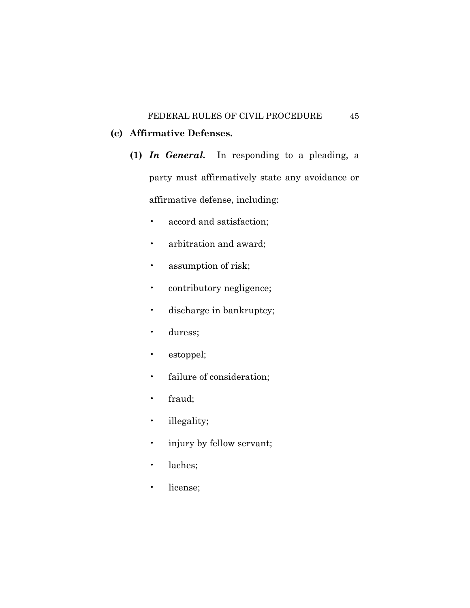# **(c) Affirmative Defenses.**

- **(1)** *In General.* In responding to a pleading, a party must affirmatively state any avoidance or affirmative defense, including:
	- accord and satisfaction;
	- arbitration and award;
	- assumption of risk;
	- contributory negligence;
	- discharge in bankruptcy;
	- duress;
	- estoppel;
	- failure of consideration;
	- fraud;
	- illegality;
	- injury by fellow servant;
	- laches;
	- license;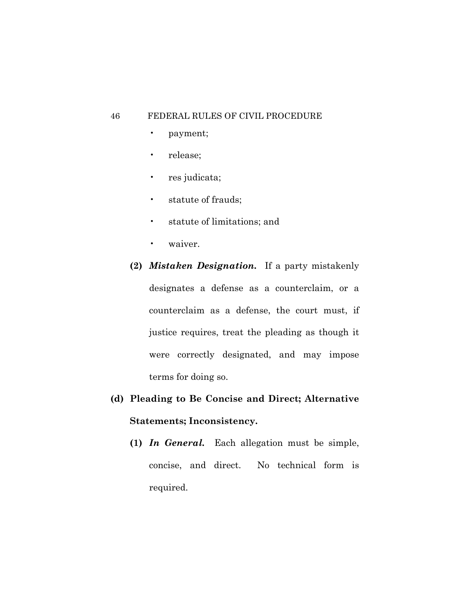- payment;
- release;
- res judicata;
- statute of frauds;
- statute of limitations; and
- waiver.
- **(2)** *Mistaken Designation.* If a party mistakenly designates a defense as a counterclaim, or a counterclaim as a defense, the court must, if justice requires, treat the pleading as though it were correctly designated, and may impose terms for doing so.
- **(d) Pleading to Be Concise and Direct; Alternative Statements; Inconsistency.** 
	- **(1)** *In General.* Each allegation must be simple, concise, and direct. No technical form is required.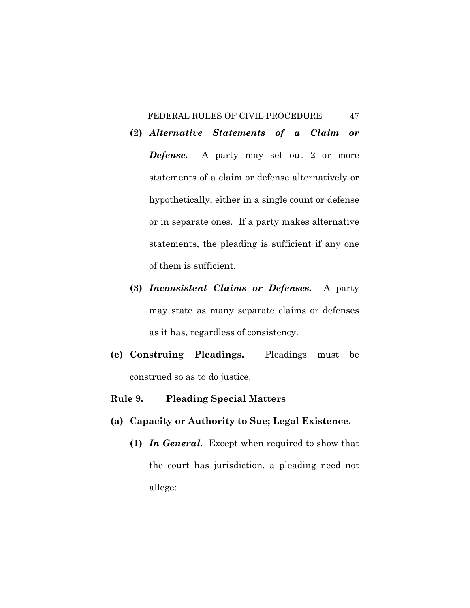- **(2)** *Alternative Statements of a Claim or*  **Defense.** A party may set out 2 or more statements of a claim or defense alternatively or hypothetically, either in a single count or defense or in separate ones. If a party makes alternative statements, the pleading is sufficient if any one of them is sufficient.
- **(3)** *Inconsistent Claims or Defenses.* A party may state as many separate claims or defenses as it has, regardless of consistency.
- **(e) Construing Pleadings.** Pleadings must be construed so as to do justice.

## **Rule 9. Pleading Special Matters**

- **(a) Capacity or Authority to Sue; Legal Existence.** 
	- **(1)** *In General.* Except when required to show that the court has jurisdiction, a pleading need not allege: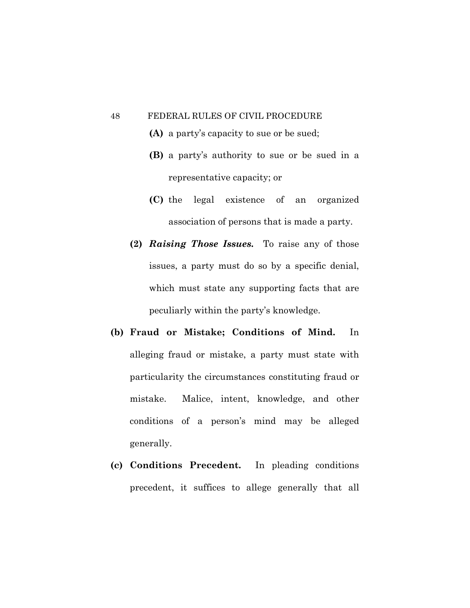- **(A)** a party's capacity to sue or be sued;
- **(B)** a party's authority to sue or be sued in a representative capacity; or
- **(C)** the legal existence of an organized association of persons that is made a party.
- **(2)** *Raising Those Issues.* To raise any of those issues, a party must do so by a specific denial, which must state any supporting facts that are peculiarly within the party's knowledge.
- **(b) Fraud or Mistake; Conditions of Mind.** In alleging fraud or mistake, a party must state with particularity the circumstances constituting fraud or mistake. Malice, intent, knowledge, and other conditions of a person's mind may be alleged generally.
- **(c) Conditions Precedent.** In pleading conditions precedent, it suffices to allege generally that all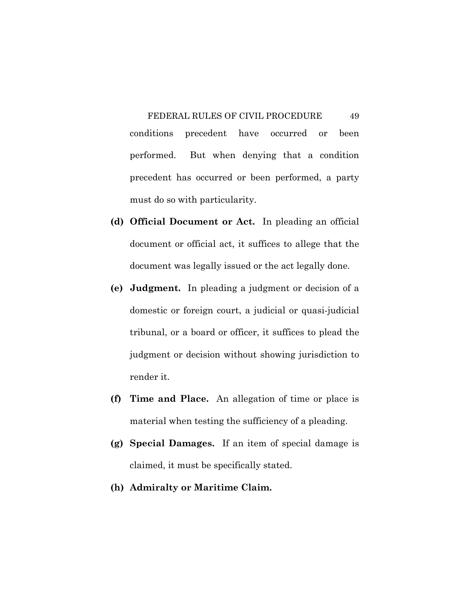FEDERAL RULES OF CIVIL PROCEDURE 49 conditions precedent have occurred or been performed. But when denying that a condition precedent has occurred or been performed, a party must do so with particularity.

- **(d) Official Document or Act.** In pleading an official document or official act, it suffices to allege that the document was legally issued or the act legally done.
- **(e) Judgment.** In pleading a judgment or decision of a domestic or foreign court, a judicial or quasi-judicial tribunal, or a board or officer, it suffices to plead the judgment or decision without showing jurisdiction to render it.
- **(f) Time and Place.** An allegation of time or place is material when testing the sufficiency of a pleading.
- **(g) Special Damages.** If an item of special damage is claimed, it must be specifically stated.
- **(h) Admiralty or Maritime Claim.**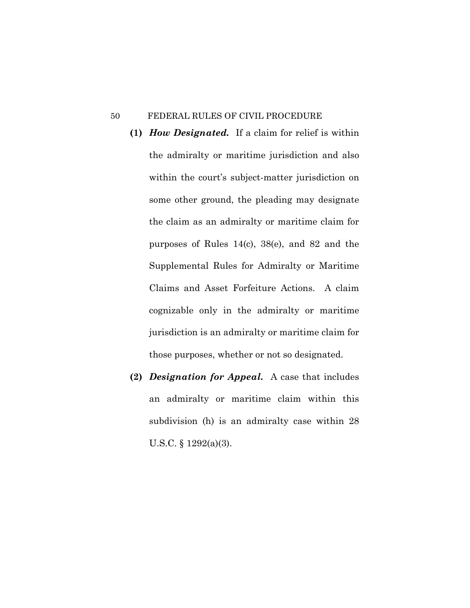- **(1)** *How Designated.* If a claim for relief is within the admiralty or maritime jurisdiction and also within the court's subject-matter jurisdiction on some other ground, the pleading may designate the claim as an admiralty or maritime claim for purposes of Rules 14(c), 38(e), and 82 and the Supplemental Rules for Admiralty or Maritime Claims and Asset Forfeiture Actions. A claim cognizable only in the admiralty or maritime jurisdiction is an admiralty or maritime claim for those purposes, whether or not so designated.
- **(2)** *Designation for Appeal.*A case that includes an admiralty or maritime claim within this subdivision (h) is an admiralty case within 28 U.S.C. § 1292(a)(3).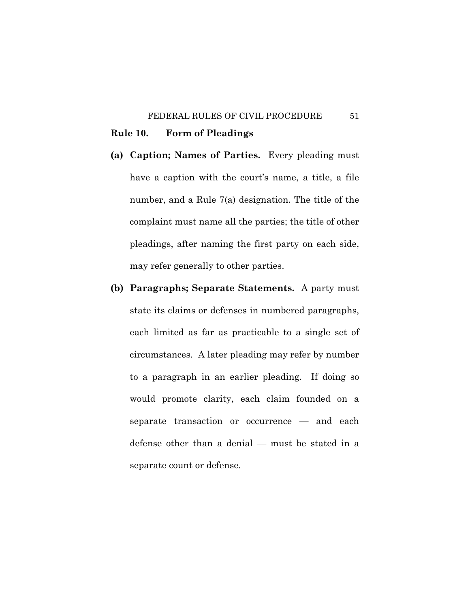#### **Rule 10. Form of Pleadings**

- **(a) Caption; Names of Parties.** Every pleading must have a caption with the court's name, a title, a file number, and a Rule 7(a) designation. The title of the complaint must name all the parties; the title of other pleadings, after naming the first party on each side, may refer generally to other parties.
- **(b) Paragraphs; Separate Statements.** A party must state its claims or defenses in numbered paragraphs, each limited as far as practicable to a single set of circumstances. A later pleading may refer by number to a paragraph in an earlier pleading. If doing so would promote clarity, each claim founded on a separate transaction or occurrence — and each defense other than a denial — must be stated in a separate count or defense.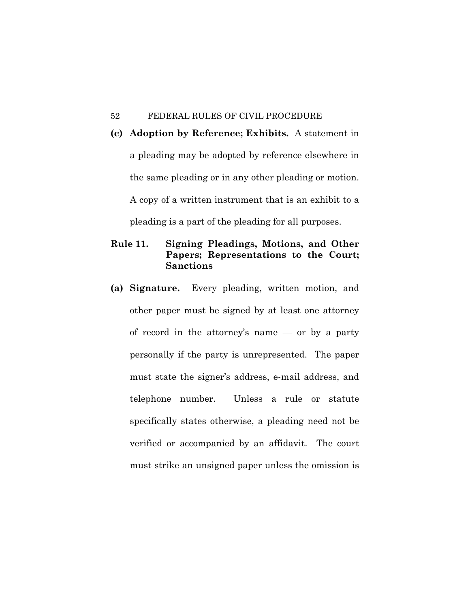# **(c) Adoption by Reference; Exhibits.** A statement in a pleading may be adopted by reference elsewhere in the same pleading or in any other pleading or motion. A copy of a written instrument that is an exhibit to a pleading is a part of the pleading for all purposes.

# **Rule 11. Signing Pleadings, Motions, and Other Papers; Representations to the Court; Sanctions**

**(a) Signature.** Every pleading, written motion, and other paper must be signed by at least one attorney of record in the attorney's name — or by a party personally if the party is unrepresented. The paper must state the signer's address, e-mail address, and telephone number. Unless a rule or statute specifically states otherwise, a pleading need not be verified or accompanied by an affidavit. The court must strike an unsigned paper unless the omission is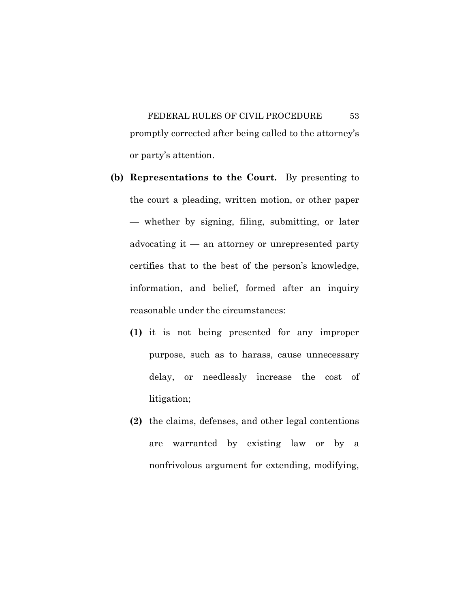FEDERAL RULES OF CIVIL PROCEDURE 53 promptly corrected after being called to the attorney's or party's attention.

- **(b) Representations to the Court.** By presenting to the court a pleading, written motion, or other paper — whether by signing, filing, submitting, or later advocating it — an attorney or unrepresented party certifies that to the best of the person's knowledge, information, and belief, formed after an inquiry reasonable under the circumstances:
	- **(1)** it is not being presented for any improper purpose, such as to harass, cause unnecessary delay, or needlessly increase the cost of litigation;
	- **(2)** the claims, defenses, and other legal contentions are warranted by existing law or by a nonfrivolous argument for extending, modifying,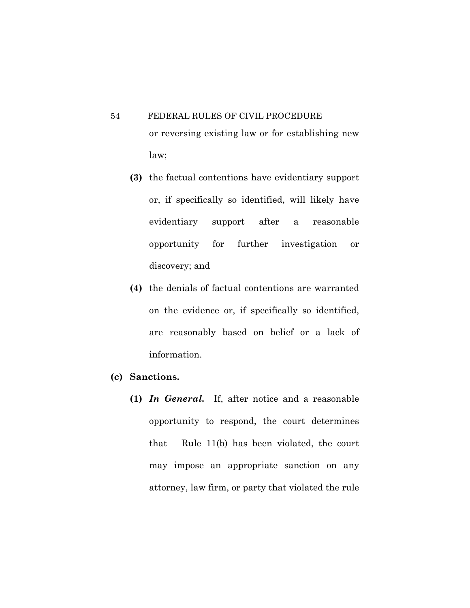# 54 FEDERAL RULES OF CIVIL PROCEDURE or reversing existing law or for establishing new law;

- **(3)** the factual contentions have evidentiary support or, if specifically so identified, will likely have evidentiary support after a reasonable opportunity for further investigation or discovery; and
- **(4)** the denials of factual contentions are warranted on the evidence or, if specifically so identified, are reasonably based on belief or a lack of information.
- **(c) Sanctions.** 
	- **(1)** *In General.* If, after notice and a reasonable opportunity to respond, the court determines that Rule 11(b) has been violated, the court may impose an appropriate sanction on any attorney, law firm, or party that violated the rule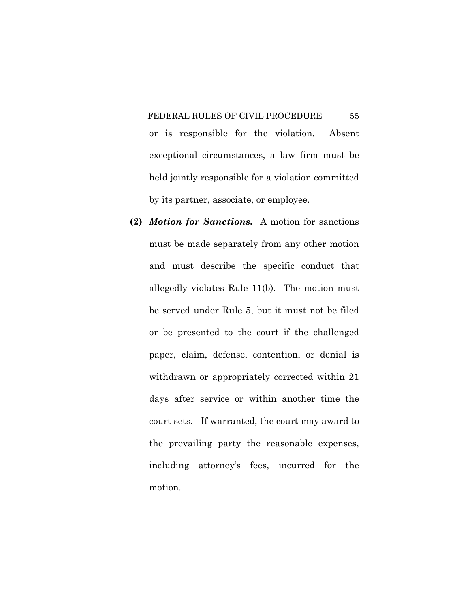# FEDERAL RULES OF CIVIL PROCEDURE 55 or is responsible for the violation. Absent exceptional circumstances, a law firm must be held jointly responsible for a violation committed by its partner, associate, or employee.

**(2)** *Motion for Sanctions.* A motion for sanctions must be made separately from any other motion and must describe the specific conduct that allegedly violates Rule 11(b). The motion must be served under Rule 5, but it must not be filed or be presented to the court if the challenged paper, claim, defense, contention, or denial is withdrawn or appropriately corrected within 21 days after service or within another time the court sets. If warranted, the court may award to the prevailing party the reasonable expenses, including attorney's fees, incurred for the motion.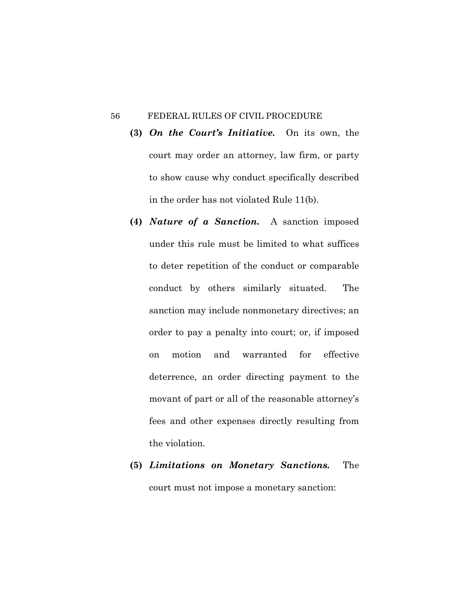- **(3)** *On the Court's Initiative.* On its own, the court may order an attorney, law firm, or party to show cause why conduct specifically described in the order has not violated Rule 11(b).
- **(4)** *Nature of a Sanction.* A sanction imposed under this rule must be limited to what suffices to deter repetition of the conduct or comparable conduct by others similarly situated. The sanction may include nonmonetary directives; an order to pay a penalty into court; or, if imposed on motion and warranted for effective deterrence, an order directing payment to the movant of part or all of the reasonable attorney's fees and other expenses directly resulting from the violation.
- **(5)** *Limitations on Monetary Sanctions.* The court must not impose a monetary sanction: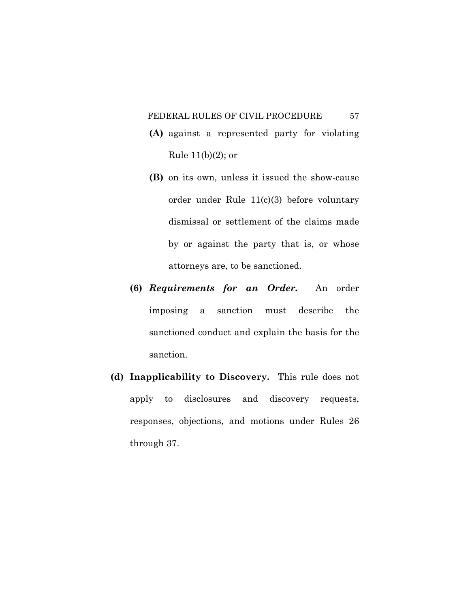- **(A)** against a represented party for violating Rule  $11(b)(2)$ ; or
- **(B)** on its own, unless it issued the show-cause order under Rule 11(c)(3) before voluntary dismissal or settlement of the claims made by or against the party that is, or whose attorneys are, to be sanctioned.
- **(6)** *Requirements for an Order.* An order imposing a sanction must describe the sanctioned conduct and explain the basis for the sanction.
- **(d) Inapplicability to Discovery.** This rule does not apply to disclosures and discovery requests, responses, objections, and motions under Rules 26 through 37.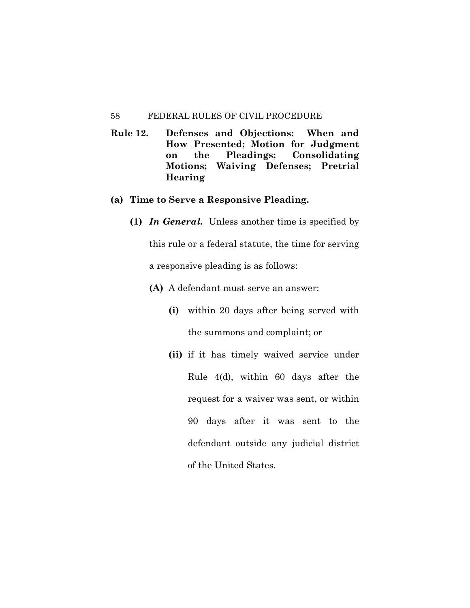- **Rule 12. Defenses and Objections: When and How Presented; Motion for Judgment on the Pleadings; Consolidating Motions; Waiving Defenses; Pretrial Hearing**
- **(a) Time to Serve a Responsive Pleading.** 
	- **(1)** *In General.* Unless another time is specified by this rule or a federal statute, the time for serving a responsive pleading is as follows:
		- **(A)** A defendant must serve an answer:
			- **(i)** within 20 days after being served with the summons and complaint; or
			- **(ii)** if it has timely waived service under Rule 4(d), within 60 days after the request for a waiver was sent, or within 90 days after it was sent to the defendant outside any judicial district of the United States.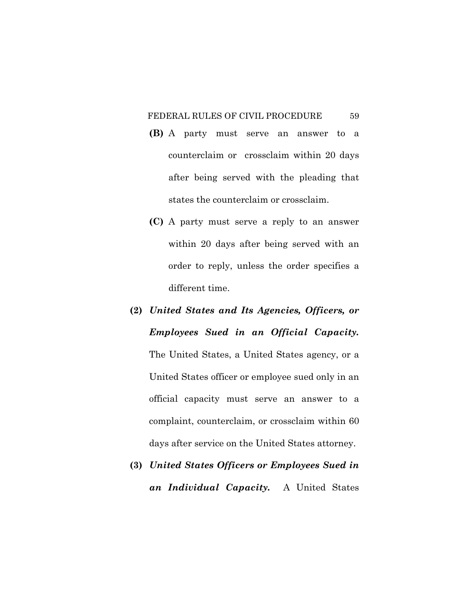- **(B)** A party must serve an answer to a counterclaim or crossclaim within 20 days after being served with the pleading that states the counterclaim or crossclaim.
- **(C)** A party must serve a reply to an answer within 20 days after being served with an order to reply, unless the order specifies a different time.
- **(2)** *United States and Its Agencies, Officers, or Employees Sued in an Official Capacity.* The United States, a United States agency, or a United States officer or employee sued only in an official capacity must serve an answer to a complaint, counterclaim, or crossclaim within 60 days after service on the United States attorney.
- **(3)** *United States Officers or Employees Sued in an Individual Capacity.* A United States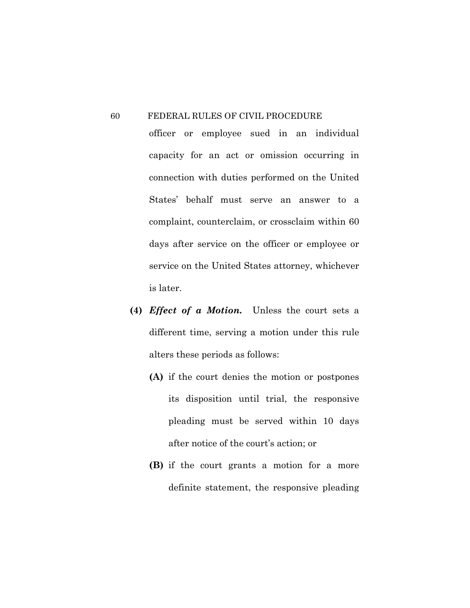officer or employee sued in an individual capacity for an act or omission occurring in connection with duties performed on the United States' behalf must serve an answer to a complaint, counterclaim, or crossclaim within 60 days after service on the officer or employee or service on the United States attorney, whichever is later.

- **(4)** *Effect of a Motion.* Unless the court sets a different time, serving a motion under this rule alters these periods as follows:
	- **(A)** if the court denies the motion or postpones its disposition until trial, the responsive pleading must be served within 10 days after notice of the court's action; or
	- **(B)** if the court grants a motion for a more definite statement, the responsive pleading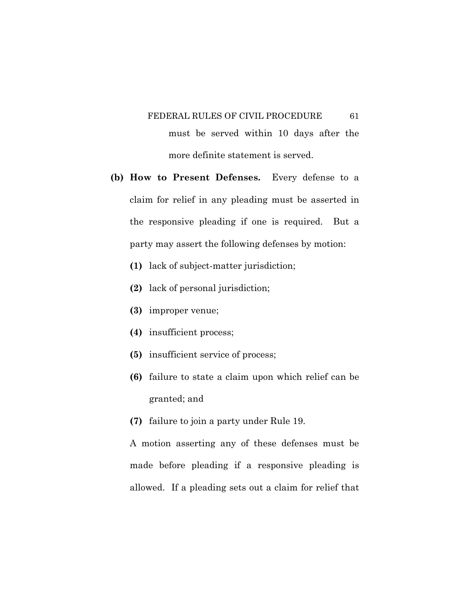# FEDERAL RULES OF CIVIL PROCEDURE 61 must be served within 10 days after the more definite statement is served.

- **(b) How to Present Defenses.** Every defense to a claim for relief in any pleading must be asserted in the responsive pleading if one is required. But a party may assert the following defenses by motion:
	- **(1)** lack of subject-matter jurisdiction;
	- **(2)** lack of personal jurisdiction;
	- **(3)** improper venue;
	- **(4)** insufficient process;
	- **(5)** insufficient service of process;
	- **(6)** failure to state a claim upon which relief can be granted; and
	- **(7)** failure to join a party under Rule 19.

A motion asserting any of these defenses must be made before pleading if a responsive pleading is allowed. If a pleading sets out a claim for relief that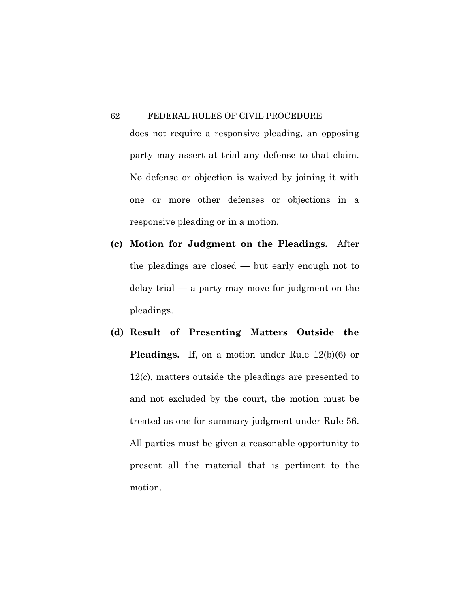does not require a responsive pleading, an opposing party may assert at trial any defense to that claim. No defense or objection is waived by joining it with one or more other defenses or objections in a responsive pleading or in a motion.

- **(c) Motion for Judgment on the Pleadings.** After the pleadings are closed — but early enough not to delay trial — a party may move for judgment on the pleadings.
- **(d) Result of Presenting Matters Outside the Pleadings.** If, on a motion under Rule 12(b)(6) or 12(c), matters outside the pleadings are presented to and not excluded by the court, the motion must be treated as one for summary judgment under Rule 56. All parties must be given a reasonable opportunity to present all the material that is pertinent to the motion.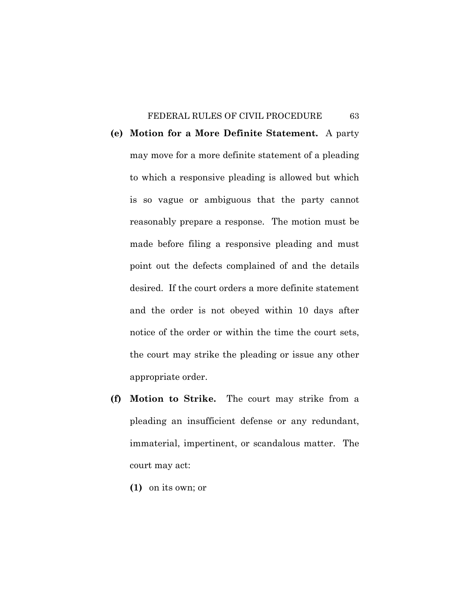- **(e) Motion for a More Definite Statement.** A party may move for a more definite statement of a pleading to which a responsive pleading is allowed but which is so vague or ambiguous that the party cannot reasonably prepare a response. The motion must be made before filing a responsive pleading and must point out the defects complained of and the details desired. If the court orders a more definite statement and the order is not obeyed within 10 days after notice of the order or within the time the court sets, the court may strike the pleading or issue any other appropriate order.
- **(f) Motion to Strike.** The court may strike from a pleading an insufficient defense or any redundant, immaterial, impertinent, or scandalous matter. The court may act:
	- **(1)** on its own; or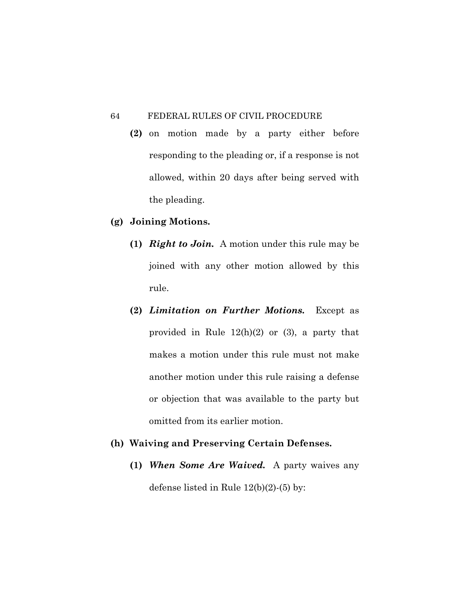- **(2)** on motion made by a party either before responding to the pleading or, if a response is not allowed, within 20 days after being served with the pleading.
- **(g) Joining Motions.** 
	- **(1)** *Right to Join.* A motion under this rule may be joined with any other motion allowed by this rule.
	- **(2)** *Limitation on Further Motions.* Except as provided in Rule 12(h)(2) or (3), a party that makes a motion under this rule must not make another motion under this rule raising a defense or objection that was available to the party but omitted from its earlier motion.
- **(h) Waiving and Preserving Certain Defenses.** 
	- **(1)** *When Some Are Waived.* A party waives any defense listed in Rule 12(b)(2)-(5) by: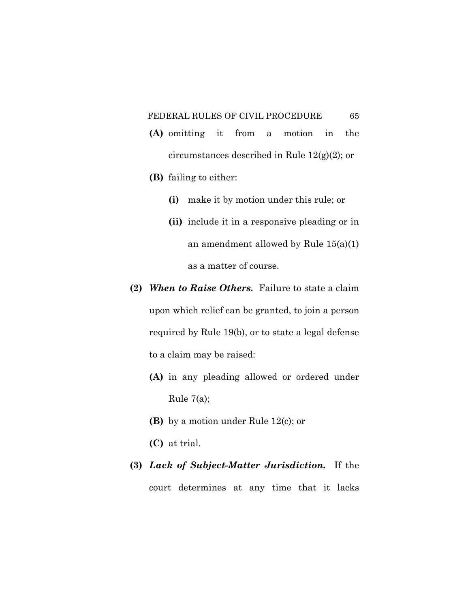- **(A)** omitting it from a motion in the circumstances described in Rule 12(g)(2); or
- **(B)** failing to either:
	- **(i)** make it by motion under this rule; or
	- **(ii)** include it in a responsive pleading or in an amendment allowed by Rule 15(a)(1) as a matter of course.
- **(2)** *When to Raise Others.* Failure to state a claim upon which relief can be granted, to join a person required by Rule 19(b), or to state a legal defense to a claim may be raised:
	- **(A)** in any pleading allowed or ordered under Rule 7(a);
	- **(B)** by a motion under Rule 12(c); or **(C)** at trial.
- **(3)** *Lack of Subject-Matter Jurisdiction.* If the court determines at any time that it lacks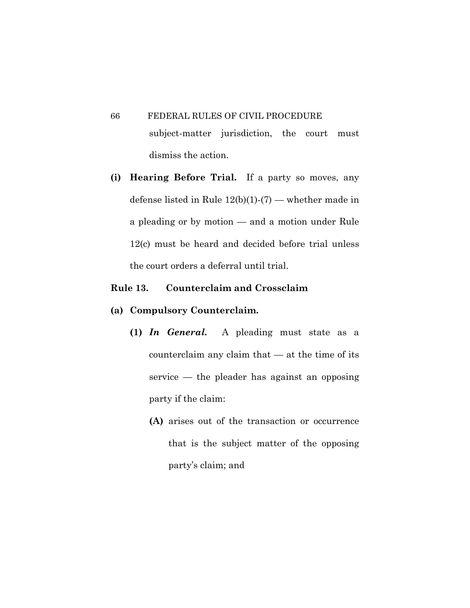- 66 FEDERAL RULES OF CIVIL PROCEDURE subject-matter jurisdiction, the court must dismiss the action.
- **(i) Hearing Before Trial.** If a party so moves, any defense listed in Rule  $12(b)(1)-(7)$  — whether made in a pleading or by motion — and a motion under Rule 12(c) must be heard and decided before trial unless the court orders a deferral until trial.

# **Rule 13. Counterclaim and Crossclaim**

- **(a) Compulsory Counterclaim.** 
	- **(1)** *In General.* A pleading must state as a counterclaim any claim that — at the time of its service — the pleader has against an opposing party if the claim:
		- **(A)** arises out of the transaction or occurrence that is the subject matter of the opposing party's claim; and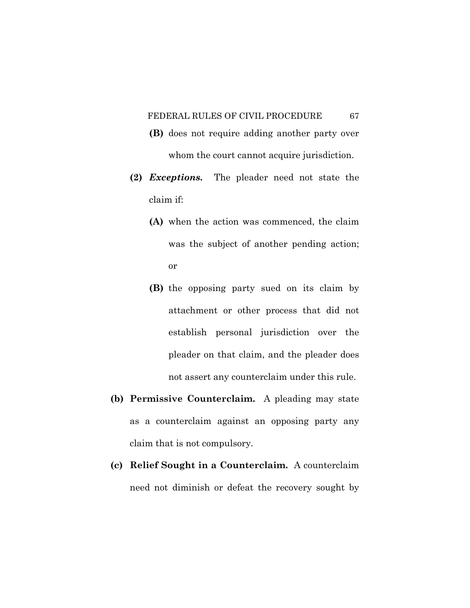- **(B)** does not require adding another party over whom the court cannot acquire jurisdiction.
- **(2)** *Exceptions.* The pleader need not state the claim if:
	- **(A)** when the action was commenced, the claim was the subject of another pending action; or
	- **(B)** the opposing party sued on its claim by attachment or other process that did not establish personal jurisdiction over the pleader on that claim, and the pleader does not assert any counterclaim under this rule.
- **(b) Permissive Counterclaim.** A pleading may state as a counterclaim against an opposing party any claim that is not compulsory.
- **(c) Relief Sought in a Counterclaim.** A counterclaim need not diminish or defeat the recovery sought by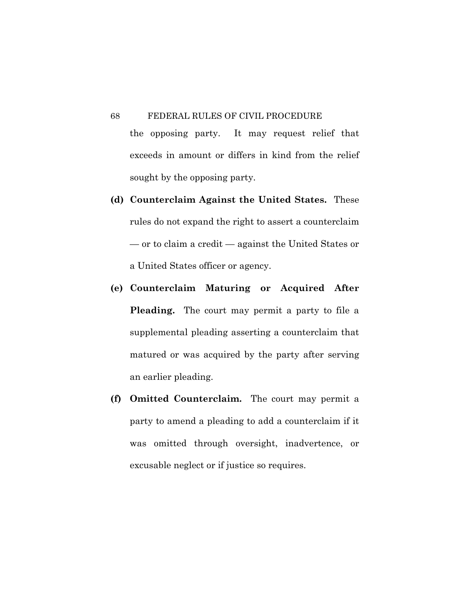the opposing party. It may request relief that exceeds in amount or differs in kind from the relief sought by the opposing party.

- **(d) Counterclaim Against the United States.** These rules do not expand the right to assert a counterclaim — or to claim a credit — against the United States or a United States officer or agency.
- **(e) Counterclaim Maturing or Acquired After Pleading.** The court may permit a party to file a supplemental pleading asserting a counterclaim that matured or was acquired by the party after serving an earlier pleading.
- **(f) Omitted Counterclaim.** The court may permit a party to amend a pleading to add a counterclaim if it was omitted through oversight, inadvertence, or excusable neglect or if justice so requires.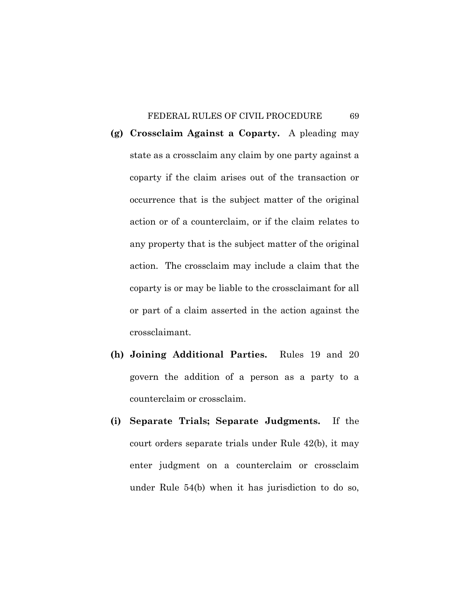- **(g) Crossclaim Against a Coparty.** A pleading may state as a crossclaim any claim by one party against a coparty if the claim arises out of the transaction or occurrence that is the subject matter of the original action or of a counterclaim, or if the claim relates to any property that is the subject matter of the original action. The crossclaim may include a claim that the coparty is or may be liable to the crossclaimant for all or part of a claim asserted in the action against the crossclaimant.
- **(h) Joining Additional Parties.** Rules 19 and 20 govern the addition of a person as a party to a counterclaim or crossclaim.
- **(i) Separate Trials; Separate Judgments.** If the court orders separate trials under Rule 42(b), it may enter judgment on a counterclaim or crossclaim under Rule 54(b) when it has jurisdiction to do so,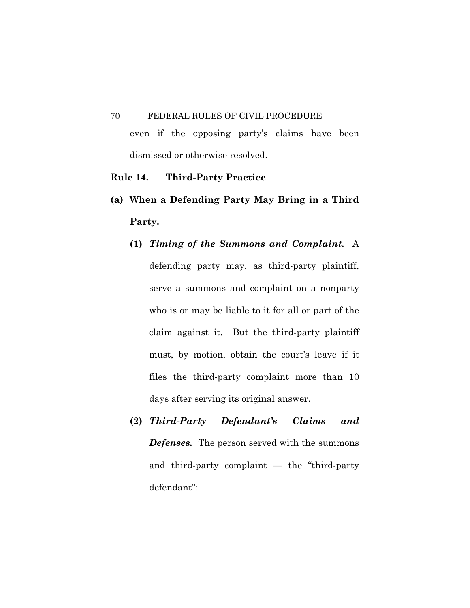even if the opposing party's claims have been dismissed or otherwise resolved.

## **Rule 14. Third-Party Practice**

- **(a) When a Defending Party May Bring in a Third Party.** 
	- **(1)** *Timing of the Summons and Complaint.*A defending party may, as third-party plaintiff, serve a summons and complaint on a nonparty who is or may be liable to it for all or part of the claim against it. But the third-party plaintiff must, by motion, obtain the court's leave if it files the third-party complaint more than 10 days after serving its original answer.
	- **(2)** *Third-Party Defendant's Claims and Defenses.* The person served with the summons and third-party complaint — the "third-party defendant":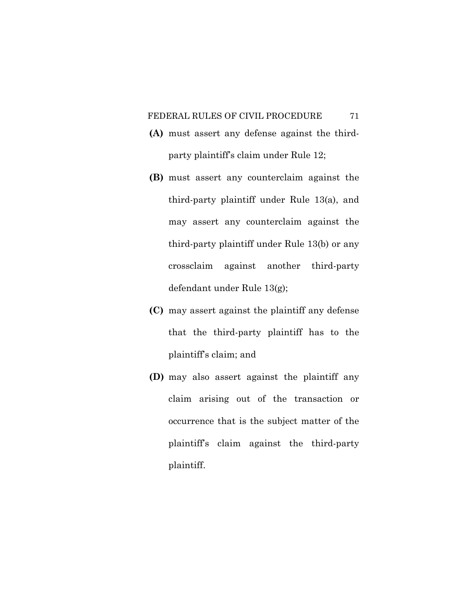- **(A)** must assert any defense against the thirdparty plaintiff's claim under Rule 12;
- **(B)** must assert any counterclaim against the third-party plaintiff under Rule 13(a), and may assert any counterclaim against the third-party plaintiff under Rule 13(b) or any crossclaim against another third-party defendant under Rule 13(g);
- **(C)** may assert against the plaintiff any defense that the third-party plaintiff has to the plaintiff's claim; and
- **(D)** may also assert against the plaintiff any claim arising out of the transaction or occurrence that is the subject matter of the plaintiff's claim against the third-party plaintiff.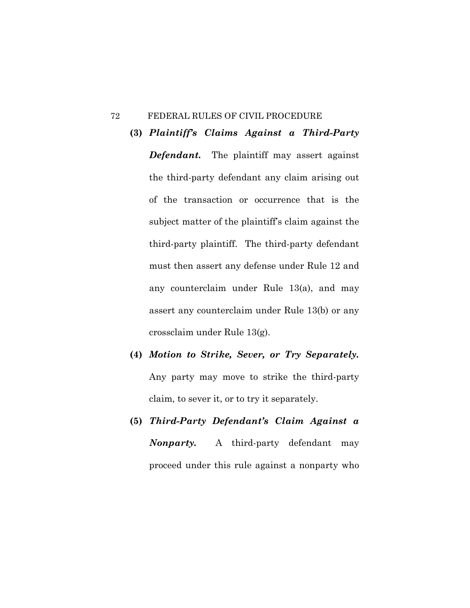- **(3)** *Plaintiff's Claims Against a Third-Party Defendant.* The plaintiff may assert against the third-party defendant any claim arising out of the transaction or occurrence that is the subject matter of the plaintiff's claim against the third-party plaintiff. The third-party defendant must then assert any defense under Rule 12 and any counterclaim under Rule 13(a), and may assert any counterclaim under Rule 13(b) or any crossclaim under Rule 13(g).
- **(4)** *Motion to Strike, Sever, or Try Separately.* Any party may move to strike the third-party claim, to sever it, or to try it separately.
- **(5)** *Third-Party Defendant's Claim Against a Nonparty.* A third-party defendant may proceed under this rule against a nonparty who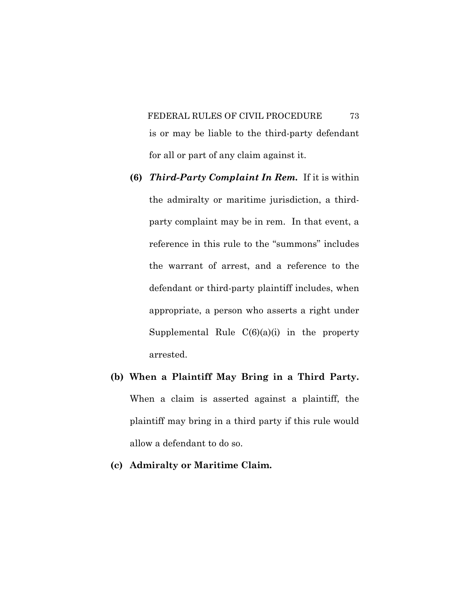FEDERAL RULES OF CIVIL PROCEDURE 73 is or may be liable to the third-party defendant for all or part of any claim against it.

- **(6)** *Third-Party Complaint In Rem.* If it is within the admiralty or maritime jurisdiction, a thirdparty complaint may be in rem. In that event, a reference in this rule to the "summons" includes the warrant of arrest, and a reference to the defendant or third-party plaintiff includes, when appropriate, a person who asserts a right under Supplemental Rule  $C(6)(a)(i)$  in the property arrested.
- **(b) When a Plaintiff May Bring in a Third Party.** When a claim is asserted against a plaintiff, the plaintiff may bring in a third party if this rule would allow a defendant to do so.
- **(c) Admiralty or Maritime Claim.**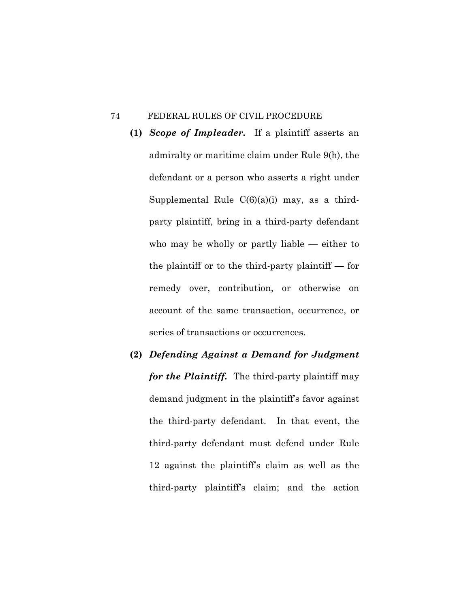- **(1)** *Scope of Impleader.* If a plaintiff asserts an admiralty or maritime claim under Rule 9(h), the defendant or a person who asserts a right under Supplemental Rule C(6)(a)(i) may, as a thirdparty plaintiff, bring in a third-party defendant who may be wholly or partly liable — either to the plaintiff or to the third-party plaintiff — for remedy over, contribution, or otherwise on account of the same transaction, occurrence, or series of transactions or occurrences.
- **(2)** *Defending Against a Demand for Judgment for the Plaintiff.* The third-party plaintiff may demand judgment in the plaintiff's favor against the third-party defendant. In that event, the third-party defendant must defend under Rule 12 against the plaintiff's claim as well as the third-party plaintiff's claim; and the action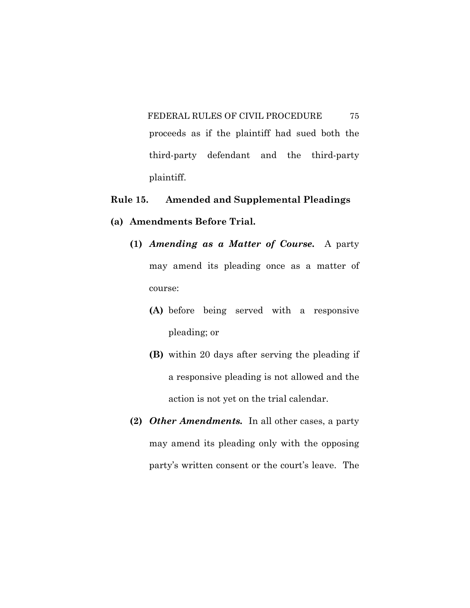FEDERAL RULES OF CIVIL PROCEDURE 75 proceeds as if the plaintiff had sued both the third-party defendant and the third-party plaintiff.

## **Rule 15. Amended and Supplemental Pleadings**

- **(a) Amendments Before Trial.** 
	- **(1)** *Amending as a Matter of Course.* A party may amend its pleading once as a matter of course:
		- **(A)** before being served with a responsive pleading; or
		- **(B)** within 20 days after serving the pleading if a responsive pleading is not allowed and the action is not yet on the trial calendar.
	- **(2)** *Other Amendments.* In all other cases, a party may amend its pleading only with the opposing party's written consent or the court's leave. The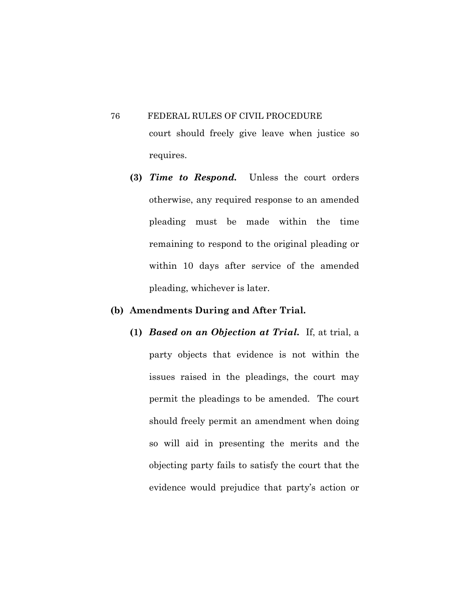## 76 FEDERAL RULES OF CIVIL PROCEDURE court should freely give leave when justice so requires.

**(3)** *Time to Respond.* Unless the court orders otherwise, any required response to an amended pleading must be made within the time remaining to respond to the original pleading or within 10 days after service of the amended pleading, whichever is later.

## **(b) Amendments During and After Trial.**

**(1)** *Based on an Objection at Trial.* If, at trial, a party objects that evidence is not within the issues raised in the pleadings, the court may permit the pleadings to be amended. The court should freely permit an amendment when doing so will aid in presenting the merits and the objecting party fails to satisfy the court that the evidence would prejudice that party's action or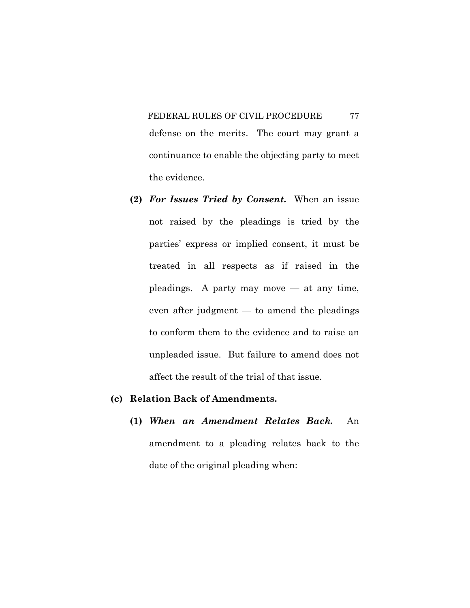# FEDERAL RULES OF CIVIL PROCEDURE 77 defense on the merits. The court may grant a continuance to enable the objecting party to meet the evidence.

**(2)** *For Issues Tried by Consent.* When an issue not raised by the pleadings is tried by the parties' express or implied consent, it must be treated in all respects as if raised in the pleadings. A party may move — at any time, even after judgment — to amend the pleadings to conform them to the evidence and to raise an unpleaded issue. But failure to amend does not affect the result of the trial of that issue.

## **(c) Relation Back of Amendments.**

**(1)** *When an Amendment Relates Back.* An amendment to a pleading relates back to the date of the original pleading when: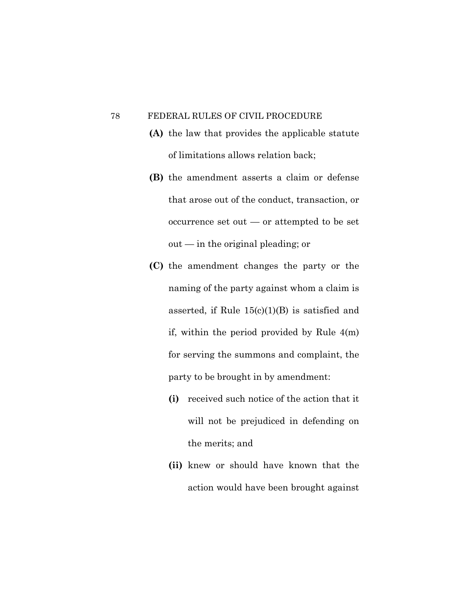- **(A)** the law that provides the applicable statute of limitations allows relation back;
- **(B)** the amendment asserts a claim or defense that arose out of the conduct, transaction, or occurrence set out — or attempted to be set out — in the original pleading; or
- **(C)** the amendment changes the party or the naming of the party against whom a claim is asserted, if Rule  $15(c)(1)(B)$  is satisfied and if, within the period provided by Rule 4(m) for serving the summons and complaint, the party to be brought in by amendment:
	- **(i)** received such notice of the action that it will not be prejudiced in defending on the merits; and
	- **(ii)** knew or should have known that the action would have been brought against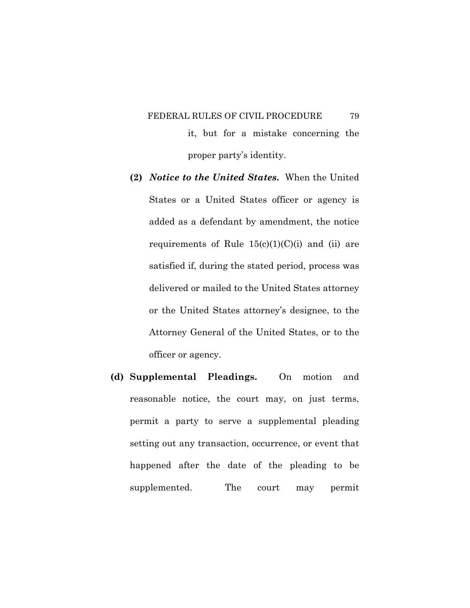it, but for a mistake concerning the proper party's identity.

- **(2)** *Notice to the United States***.** When the United States or a United States officer or agency is added as a defendant by amendment, the notice requirements of Rule  $15(c)(1)(C)(i)$  and (ii) are satisfied if, during the stated period, process was delivered or mailed to the United States attorney or the United States attorney's designee, to the Attorney General of the United States, or to the officer or agency.
- **(d) Supplemental Pleadings.** On motion and reasonable notice, the court may, on just terms, permit a party to serve a supplemental pleading setting out any transaction, occurrence, or event that happened after the date of the pleading to be supplemented. The court may permit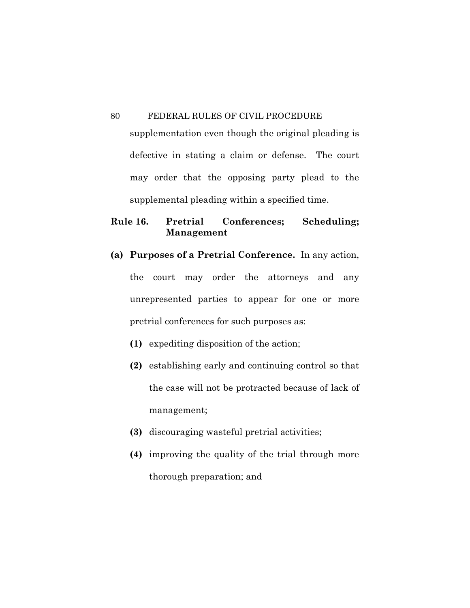supplementation even though the original pleading is defective in stating a claim or defense. The court may order that the opposing party plead to the supplemental pleading within a specified time.

## **Rule 16. Pretrial Conferences; Scheduling; Management**

- **(a) Purposes of a Pretrial Conference.** In any action, the court may order the attorneys and any unrepresented parties to appear for one or more pretrial conferences for such purposes as:
	- **(1)** expediting disposition of the action;
	- **(2)** establishing early and continuing control so that the case will not be protracted because of lack of management;
	- **(3)** discouraging wasteful pretrial activities;
	- **(4)** improving the quality of the trial through more thorough preparation; and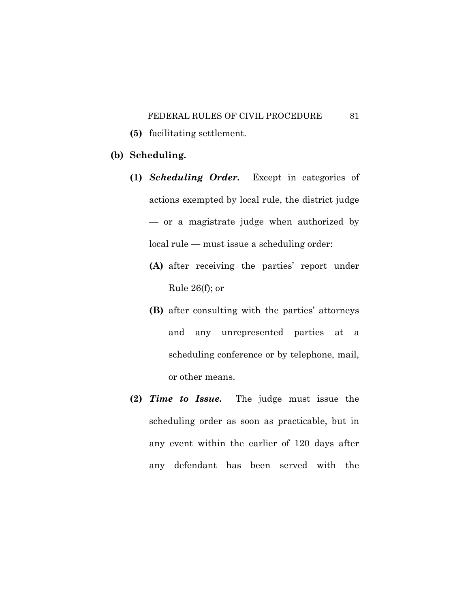- **(5)** facilitating settlement.
- **(b) Scheduling.** 
	- **(1)** *Scheduling Order.* Except in categories of actions exempted by local rule, the district judge — or a magistrate judge when authorized by local rule — must issue a scheduling order:
		- **(A)** after receiving the parties' report under Rule 26(f); or
		- **(B)** after consulting with the parties' attorneys and any unrepresented parties at a scheduling conference or by telephone, mail, or other means.
	- **(2)** *Time to Issue.* The judge must issue the scheduling order as soon as practicable, but in any event within the earlier of 120 days after any defendant has been served with the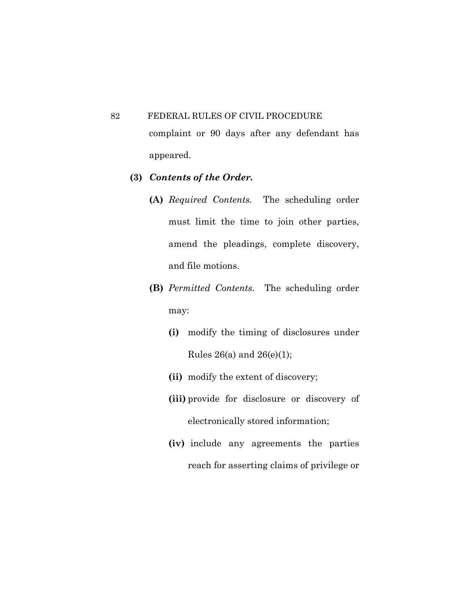complaint or 90 days after any defendant has appeared.

- **(3)** *Contents of the Order.*
	- **(A)** *Required Contents.* The scheduling order must limit the time to join other parties, amend the pleadings, complete discovery, and file motions.
	- **(B)** *Permitted Contents.* The scheduling order may:
		- **(i)** modify the timing of disclosures under Rules 26(a) and 26(e)(1);
		- **(ii)** modify the extent of discovery;
		- **(iii)** provide for disclosure or discovery of electronically stored information;
		- **(iv)** include any agreements the parties reach for asserting claims of privilege or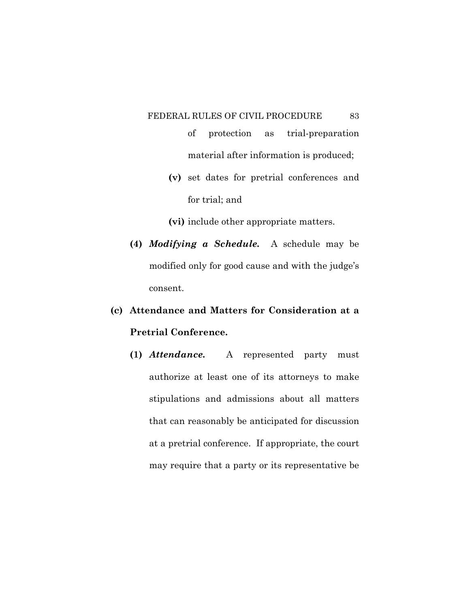- of protection as trial-preparation material after information is produced;
- **(v)** set dates for pretrial conferences and for trial; and

**(vi)** include other appropriate matters.

- **(4)** *Modifying a Schedule.* A schedule may be modified only for good cause and with the judge's consent.
- **(c) Attendance and Matters for Consideration at a Pretrial Conference.** 
	- **(1)** *Attendance.* A represented party must authorize at least one of its attorneys to make stipulations and admissions about all matters that can reasonably be anticipated for discussion at a pretrial conference. If appropriate, the court may require that a party or its representative be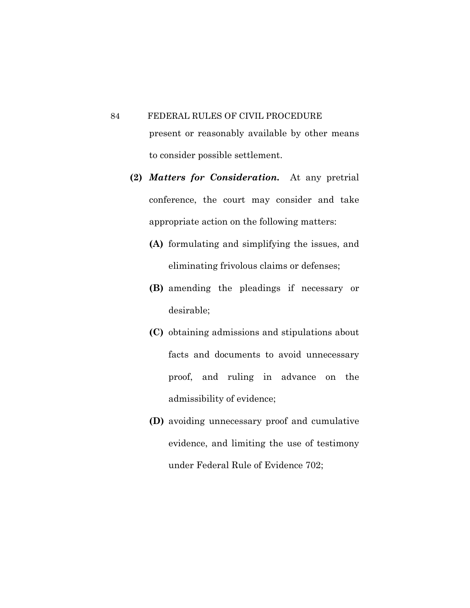## 84 FEDERAL RULES OF CIVIL PROCEDURE present or reasonably available by other means to consider possible settlement.

- **(2)** *Matters for Consideration.* At any pretrial conference, the court may consider and take appropriate action on the following matters:
	- **(A)** formulating and simplifying the issues, and eliminating frivolous claims or defenses;
	- **(B)** amending the pleadings if necessary or desirable;
	- **(C)** obtaining admissions and stipulations about facts and documents to avoid unnecessary proof, and ruling in advance on the admissibility of evidence;
	- **(D)** avoiding unnecessary proof and cumulative evidence, and limiting the use of testimony under Federal Rule of Evidence 702;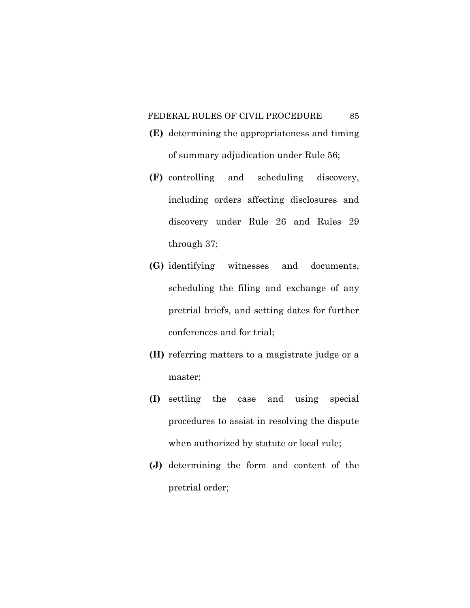- **(E)** determining the appropriateness and timing of summary adjudication under Rule 56;
- **(F)** controlling and scheduling discovery, including orders affecting disclosures and discovery under Rule 26 and Rules 29 through 37;
- **(G)** identifying witnesses and documents, scheduling the filing and exchange of any pretrial briefs, and setting dates for further conferences and for trial;
- **(H)** referring matters to a magistrate judge or a master;
- **(I)** settling the case and using special procedures to assist in resolving the dispute when authorized by statute or local rule;
- **(J)** determining the form and content of the pretrial order;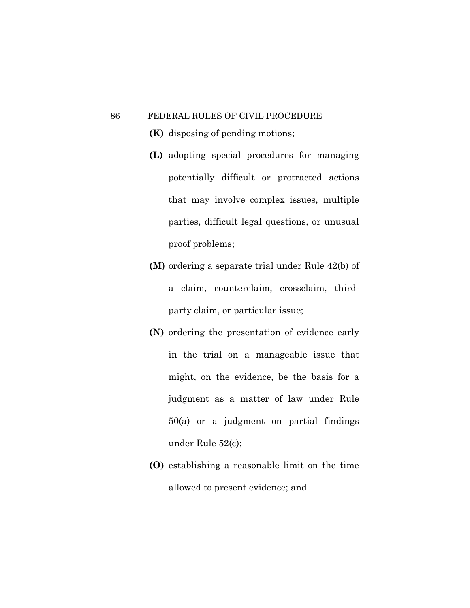- **(K)** disposing of pending motions;
- **(L)** adopting special procedures for managing potentially difficult or protracted actions that may involve complex issues, multiple parties, difficult legal questions, or unusual proof problems;
- **(M)** ordering a separate trial under Rule 42(b) of a claim, counterclaim, crossclaim, thirdparty claim, or particular issue;
- **(N)** ordering the presentation of evidence early in the trial on a manageable issue that might, on the evidence, be the basis for a judgment as a matter of law under Rule 50(a) or a judgment on partial findings under Rule 52(c);
- **(O)** establishing a reasonable limit on the time allowed to present evidence; and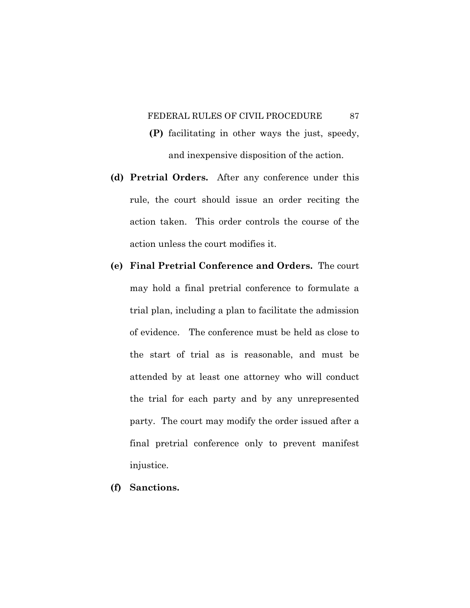## FEDERAL RULES OF CIVIL PROCEDURE 87 **(P)** facilitating in other ways the just, speedy, and inexpensive disposition of the action.

- **(d) Pretrial Orders.** After any conference under this rule, the court should issue an order reciting the action taken. This order controls the course of the action unless the court modifies it.
- **(e) Final Pretrial Conference and Orders.** The court may hold a final pretrial conference to formulate a trial plan, including a plan to facilitate the admission of evidence. The conference must be held as close to the start of trial as is reasonable, and must be attended by at least one attorney who will conduct the trial for each party and by any unrepresented party. The court may modify the order issued after a final pretrial conference only to prevent manifest injustice.
- **(f) Sanctions.**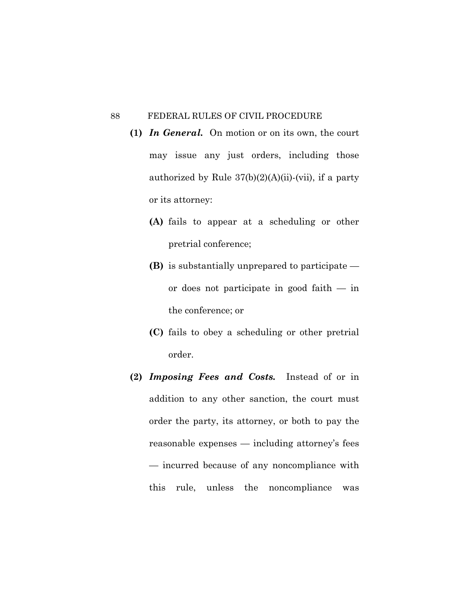- **(1)** *In General.* On motion or on its own, the court may issue any just orders, including those authorized by Rule  $37(b)(2)(A)(ii)$ -(vii), if a party or its attorney:
	- **(A)** fails to appear at a scheduling or other pretrial conference;
	- **(B)** is substantially unprepared to participate or does not participate in good faith — in the conference; or
	- **(C)** fails to obey a scheduling or other pretrial order.
- **(2)** *Imposing Fees and Costs.* Instead of or in addition to any other sanction, the court must order the party, its attorney, or both to pay the reasonable expenses — including attorney's fees — incurred because of any noncompliance with this rule, unless the noncompliance was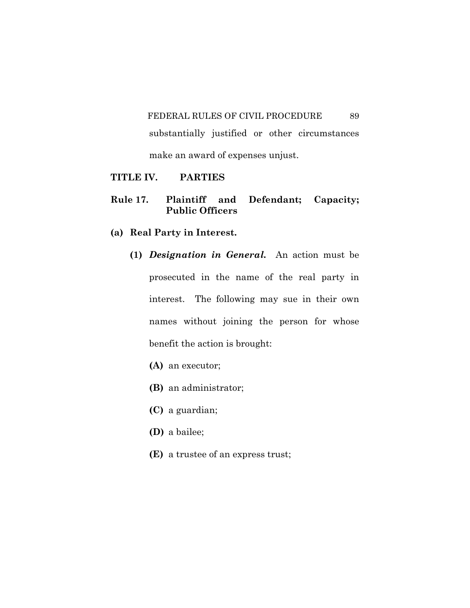substantially justified or other circumstances make an award of expenses unjust.

## **TITLE IV. PARTIES**

## **Rule 17. Plaintiff and Defendant; Capacity; Public Officers**

- **(a) Real Party in Interest.** 
	- **(1)** *Designation in General.* An action must be prosecuted in the name of the real party in interest. The following may sue in their own names without joining the person for whose benefit the action is brought:
		- **(A)** an executor;
		- **(B)** an administrator;
		- **(C)** a guardian;
		- **(D)** a bailee;
		- **(E)** a trustee of an express trust;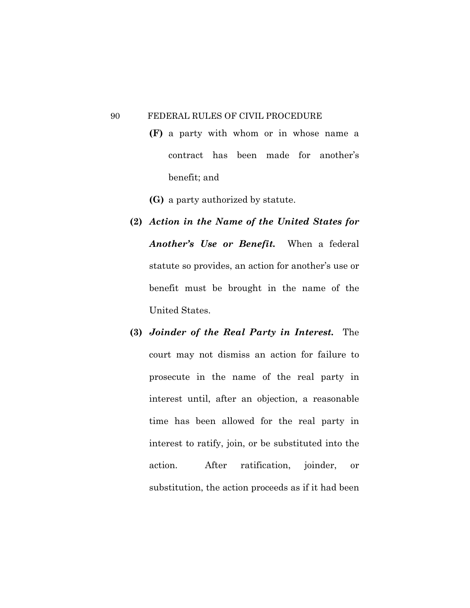**(F)** a party with whom or in whose name a contract has been made for another's benefit; and

**(G)** a party authorized by statute.

- **(2)** *Action in the Name of the United States for Another's Use or Benefit.* When a federal statute so provides, an action for another's use or benefit must be brought in the name of the United States.
- **(3)** *Joinder of the Real Party in Interest.* The court may not dismiss an action for failure to prosecute in the name of the real party in interest until, after an objection, a reasonable time has been allowed for the real party in interest to ratify, join, or be substituted into the action. After ratification, joinder, or substitution, the action proceeds as if it had been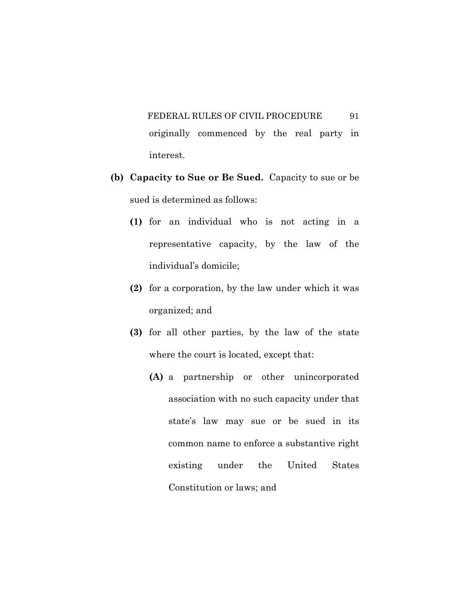FEDERAL RULES OF CIVIL PROCEDURE 91 originally commenced by the real party in interest.

- **(b) Capacity to Sue or Be Sued.** Capacity to sue or be sued is determined as follows:
	- **(1)** for an individual who is not acting in a representative capacity, by the law of the individual's domicile;
	- **(2)** for a corporation, by the law under which it was organized; and
	- **(3)** for all other parties, by the law of the state where the court is located, except that:
		- **(A)** a partnership or other unincorporated association with no such capacity under that state's law may sue or be sued in its common name to enforce a substantive right existing under the United States Constitution or laws; and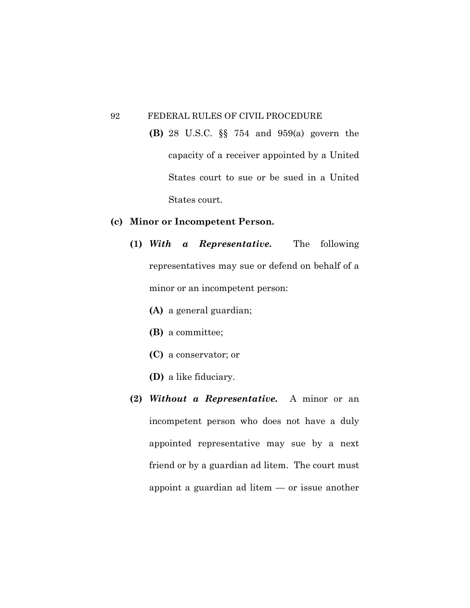- **(B)** 28 U.S.C. §§ 754 and 959(a) govern the capacity of a receiver appointed by a United States court to sue or be sued in a United States court.
- **(c) Minor or Incompetent Person.** 
	- **(1)** *With a Representative.* The following representatives may sue or defend on behalf of a minor or an incompetent person:
		- **(A)** a general guardian;
		- **(B)** a committee;
		- **(C)** a conservator; or
		- **(D)** a like fiduciary.
	- **(2)** *Without a Representative.* A minor or an incompetent person who does not have a duly appointed representative may sue by a next friend or by a guardian ad litem. The court must appoint a guardian ad litem — or issue another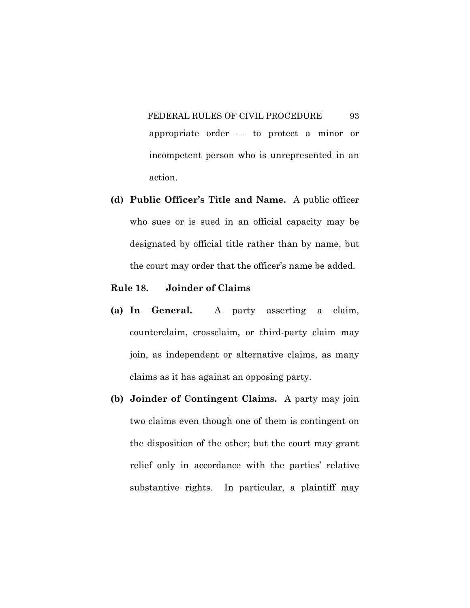# FEDERAL RULES OF CIVIL PROCEDURE 93 appropriate order — to protect a minor or incompetent person who is unrepresented in an action.

**(d) Public Officer's Title and Name.** A public officer who sues or is sued in an official capacity may be designated by official title rather than by name, but the court may order that the officer's name be added.

#### **Rule 18. Joinder of Claims**

- **(a) In General.** A party asserting a claim, counterclaim, crossclaim, or third-party claim may join, as independent or alternative claims, as many claims as it has against an opposing party.
- **(b) Joinder of Contingent Claims.** A party may join two claims even though one of them is contingent on the disposition of the other; but the court may grant relief only in accordance with the parties' relative substantive rights. In particular, a plaintiff may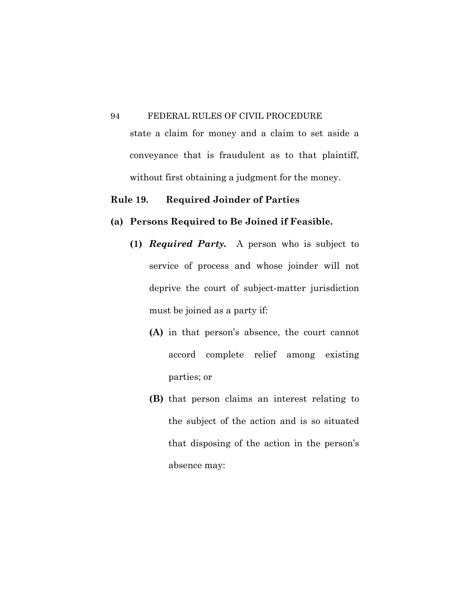state a claim for money and a claim to set aside a conveyance that is fraudulent as to that plaintiff, without first obtaining a judgment for the money.

## **Rule 19. Required Joinder of Parties**

#### **(a) Persons Required to Be Joined if Feasible.**

- **(1)** *Required Party.* A person who is subject to service of process and whose joinder will not deprive the court of subject-matter jurisdiction must be joined as a party if:
	- **(A)** in that person's absence, the court cannot accord complete relief among existing parties; or
	- **(B)** that person claims an interest relating to the subject of the action and is so situated that disposing of the action in the person's absence may: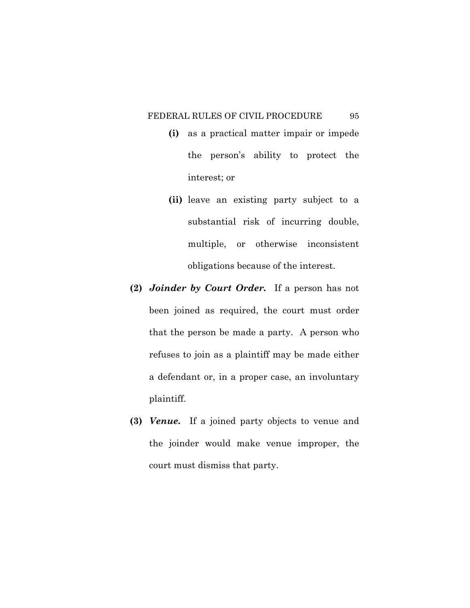- **(i)** as a practical matter impair or impede the person's ability to protect the interest; or
- **(ii)** leave an existing party subject to a substantial risk of incurring double, multiple, or otherwise inconsistent obligations because of the interest.
- **(2)** *Joinder by Court Order.* If a person has not been joined as required, the court must order that the person be made a party. A person who refuses to join as a plaintiff may be made either a defendant or, in a proper case, an involuntary plaintiff.
- **(3)** *Venue.* If a joined party objects to venue and the joinder would make venue improper, the court must dismiss that party.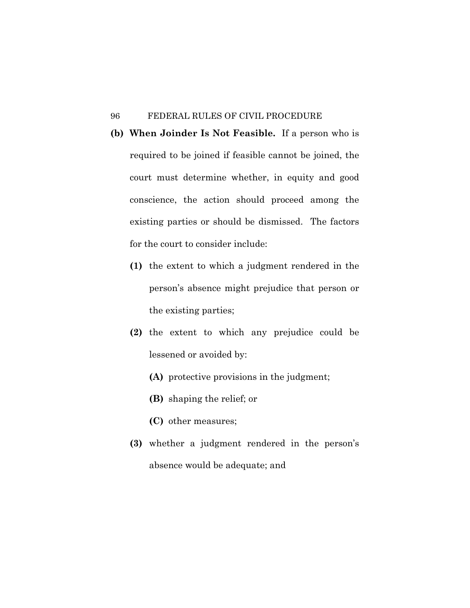- **(b) When Joinder Is Not Feasible.** If a person who is required to be joined if feasible cannot be joined, the court must determine whether, in equity and good conscience, the action should proceed among the existing parties or should be dismissed. The factors for the court to consider include:
	- **(1)** the extent to which a judgment rendered in the person's absence might prejudice that person or the existing parties;
	- **(2)** the extent to which any prejudice could be lessened or avoided by:
		- **(A)** protective provisions in the judgment;
		- **(B)** shaping the relief; or
		- **(C)** other measures;
	- **(3)** whether a judgment rendered in the person's absence would be adequate; and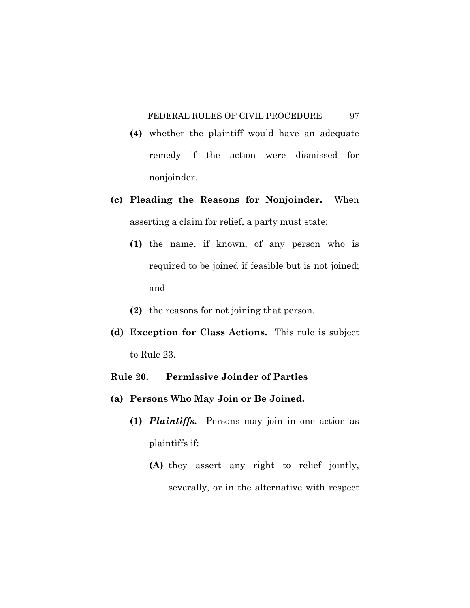- **(4)** whether the plaintiff would have an adequate remedy if the action were dismissed for nonjoinder.
- **(c) Pleading the Reasons for Nonjoinder.** When asserting a claim for relief, a party must state:
	- **(1)** the name, if known, of any person who is required to be joined if feasible but is not joined; and
	- **(2)** the reasons for not joining that person.
- **(d) Exception for Class Actions.** This rule is subject to Rule 23.

## **Rule 20. Permissive Joinder of Parties**

- **(a) Persons Who May Join or Be Joined.** 
	- **(1)** *Plaintiffs.* Persons may join in one action as plaintiffs if:
		- **(A)** they assert any right to relief jointly, severally, or in the alternative with respect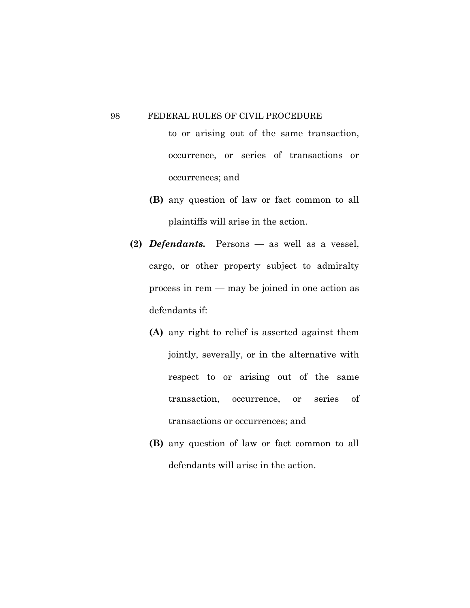to or arising out of the same transaction, occurrence, or series of transactions or occurrences; and

- **(B)** any question of law or fact common to all plaintiffs will arise in the action.
- **(2)** *Defendants.* Persons as well as a vessel, cargo, or other property subject to admiralty process in rem — may be joined in one action as defendants if:
	- **(A)** any right to relief is asserted against them jointly, severally, or in the alternative with respect to or arising out of the same transaction, occurrence, or series of transactions or occurrences; and
	- **(B)** any question of law or fact common to all defendants will arise in the action.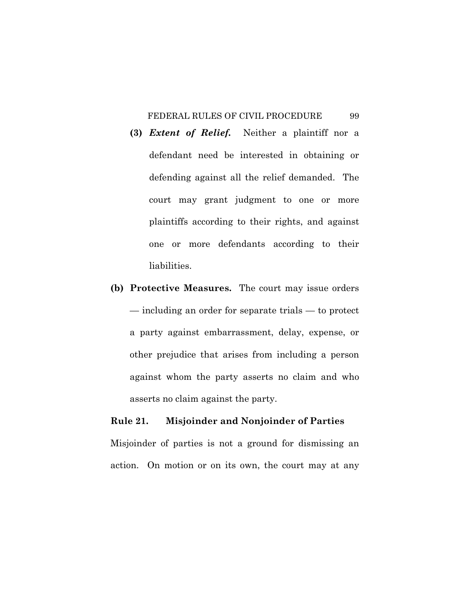- **(3)** *Extent of Relief.* Neither a plaintiff nor a defendant need be interested in obtaining or defending against all the relief demanded. The court may grant judgment to one or more plaintiffs according to their rights, and against one or more defendants according to their liabilities.
- **(b) Protective Measures.** The court may issue orders — including an order for separate trials — to protect a party against embarrassment, delay, expense, or other prejudice that arises from including a person against whom the party asserts no claim and who asserts no claim against the party.

#### **Rule 21. Misjoinder and Nonjoinder of Parties**

Misjoinder of parties is not a ground for dismissing an action. On motion or on its own, the court may at any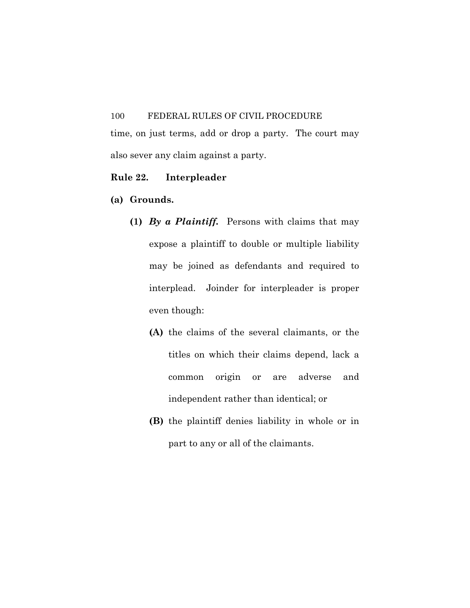time, on just terms, add or drop a party. The court may also sever any claim against a party.

## **Rule 22. Interpleader**

- **(a) Grounds.** 
	- **(1)** *By a Plaintiff.* Persons with claims that may expose a plaintiff to double or multiple liability may be joined as defendants and required to interplead. Joinder for interpleader is proper even though:
		- **(A)** the claims of the several claimants, or the titles on which their claims depend, lack a common origin or are adverse and independent rather than identical; or
		- **(B)** the plaintiff denies liability in whole or in part to any or all of the claimants.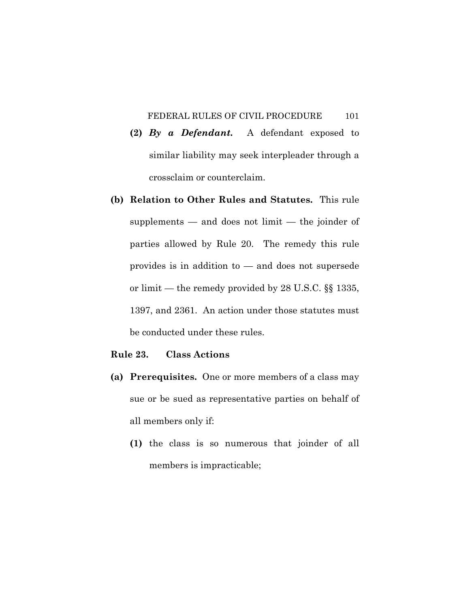- **(2)** *By a Defendant.* A defendant exposed to similar liability may seek interpleader through a crossclaim or counterclaim.
- **(b) Relation to Other Rules and Statutes.** This rule supplements — and does not limit — the joinder of parties allowed by Rule 20. The remedy this rule provides is in addition to — and does not supersede or limit — the remedy provided by 28 U.S.C. §§ 1335, 1397, and 2361. An action under those statutes must be conducted under these rules.

## **Rule 23. Class Actions**

- **(a) Prerequisites.** One or more members of a class may sue or be sued as representative parties on behalf of all members only if:
	- **(1)** the class is so numerous that joinder of all members is impracticable;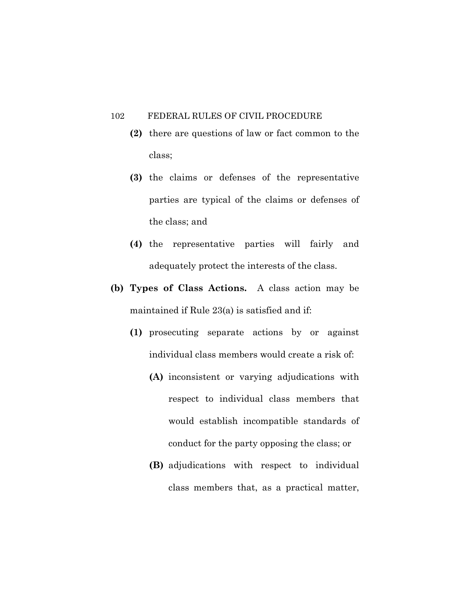- **(2)** there are questions of law or fact common to the class;
- **(3)** the claims or defenses of the representative parties are typical of the claims or defenses of the class; and
- **(4)** the representative parties will fairly and adequately protect the interests of the class.
- **(b) Types of Class Actions.** A class action may be maintained if Rule 23(a) is satisfied and if:
	- **(1)** prosecuting separate actions by or against individual class members would create a risk of:
		- **(A)** inconsistent or varying adjudications with respect to individual class members that would establish incompatible standards of conduct for the party opposing the class; or
		- **(B)** adjudications with respect to individual class members that, as a practical matter,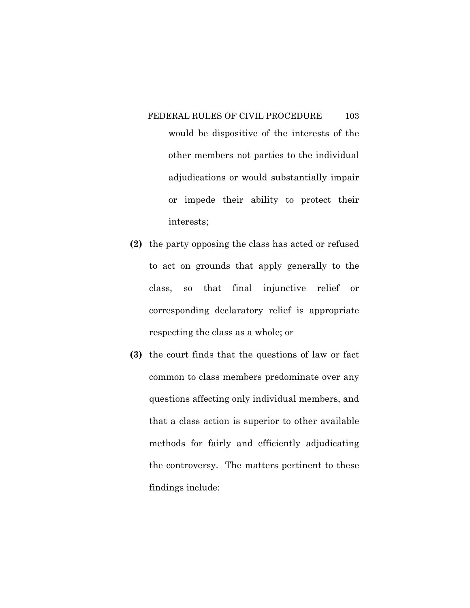# FEDERAL RULES OF CIVIL PROCEDURE 103 would be dispositive of the interests of the other members not parties to the individual adjudications or would substantially impair or impede their ability to protect their interests;

- **(2)** the party opposing the class has acted or refused to act on grounds that apply generally to the class, so that final injunctive relief or corresponding declaratory relief is appropriate respecting the class as a whole; or
- **(3)** the court finds that the questions of law or fact common to class members predominate over any questions affecting only individual members, and that a class action is superior to other available methods for fairly and efficiently adjudicating the controversy. The matters pertinent to these findings include: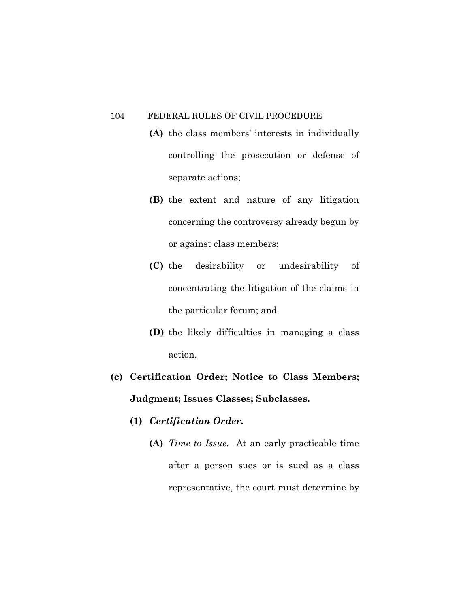- **(A)** the class members' interests in individually controlling the prosecution or defense of separate actions;
- **(B)** the extent and nature of any litigation concerning the controversy already begun by or against class members;
- **(C)** the desirability or undesirability of concentrating the litigation of the claims in the particular forum; and
- **(D)** the likely difficulties in managing a class action.
- **(c) Certification Order; Notice to Class Members; Judgment; Issues Classes; Subclasses.** 
	- **(1)** *Certification Order.* 
		- **(A)** *Time to Issue.* At an early practicable time after a person sues or is sued as a class representative, the court must determine by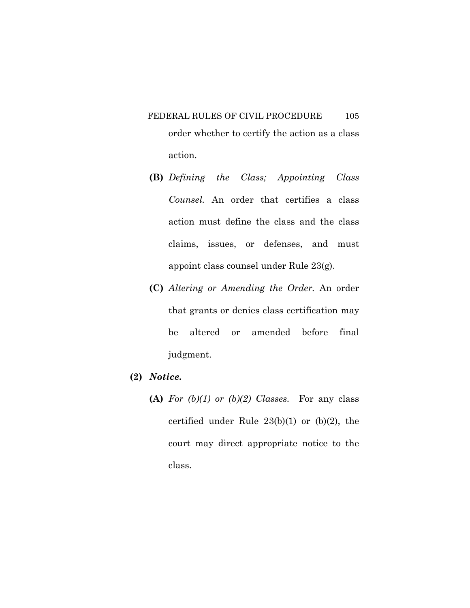### FEDERAL RULES OF CIVIL PROCEDURE 105 order whether to certify the action as a class action.

- **(B)** *Defining the Class; Appointing Class Counsel.* An order that certifies a class action must define the class and the class claims, issues, or defenses, and must appoint class counsel under Rule 23(g).
- **(C)** *Altering or Amending the Order.* An order that grants or denies class certification may be altered or amended before final judgment.
- **(2)** *Notice.* 
	- (A) For  $(b)(1)$  or  $(b)(2)$  Classes. For any class certified under Rule 23(b)(1) or (b)(2), the court may direct appropriate notice to the class.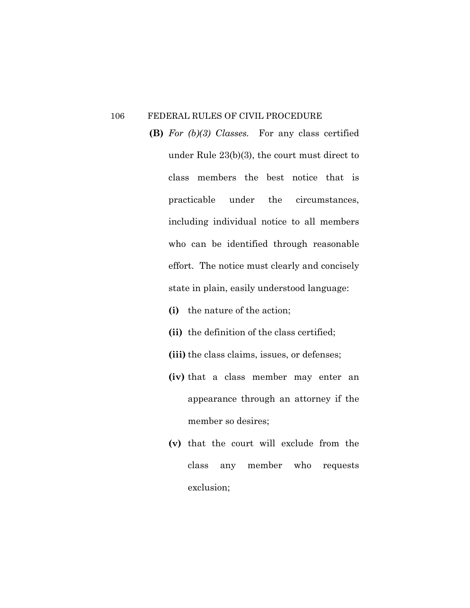- **(B)** *For (b)(3) Classes.* For any class certified under Rule 23(b)(3), the court must direct to class members the best notice that is practicable under the circumstances, including individual notice to all members who can be identified through reasonable effort. The notice must clearly and concisely state in plain, easily understood language:
	- **(i)** the nature of the action;
	- **(ii)** the definition of the class certified;
	- **(iii)** the class claims, issues, or defenses;
	- **(iv)** that a class member may enter an appearance through an attorney if the member so desires;
	- **(v)** that the court will exclude from the class any member who requests exclusion;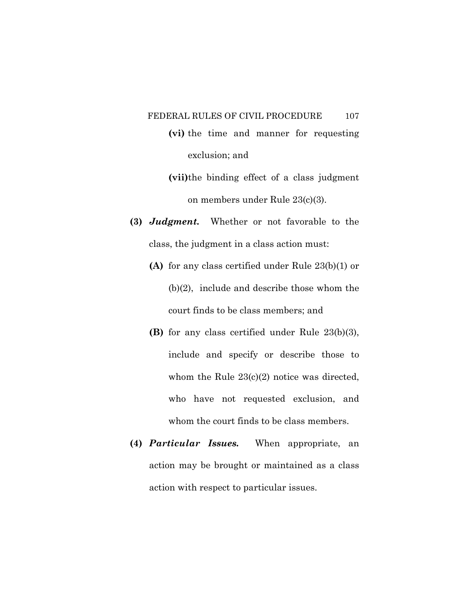- **(vi)** the time and manner for requesting exclusion; and
- **(vii)**the binding effect of a class judgment on members under Rule 23(c)(3).
- **(3)** *Judgment.* Whether or not favorable to the class, the judgment in a class action must:
	- **(A)** for any class certified under Rule 23(b)(1) or (b)(2), include and describe those whom the court finds to be class members; and
	- **(B)** for any class certified under Rule 23(b)(3), include and specify or describe those to whom the Rule  $23(c)(2)$  notice was directed, who have not requested exclusion, and whom the court finds to be class members.
- **(4)** *Particular Issues.* When appropriate, an action may be brought or maintained as a class action with respect to particular issues.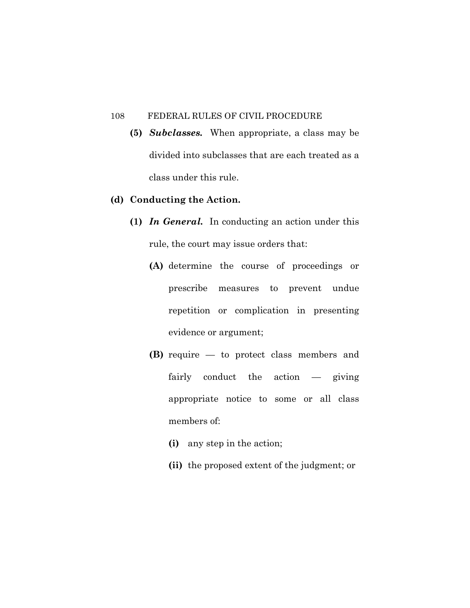**(5)** *Subclasses.* When appropriate, a class may be divided into subclasses that are each treated as a class under this rule.

#### **(d) Conducting the Action.**

- **(1)** *In General.* In conducting an action under this rule, the court may issue orders that:
	- **(A)** determine the course of proceedings or prescribe measures to prevent undue repetition or complication in presenting evidence or argument;
	- **(B)** require to protect class members and fairly conduct the action — giving appropriate notice to some or all class members of:
		- **(i)** any step in the action;
		- **(ii)** the proposed extent of the judgment; or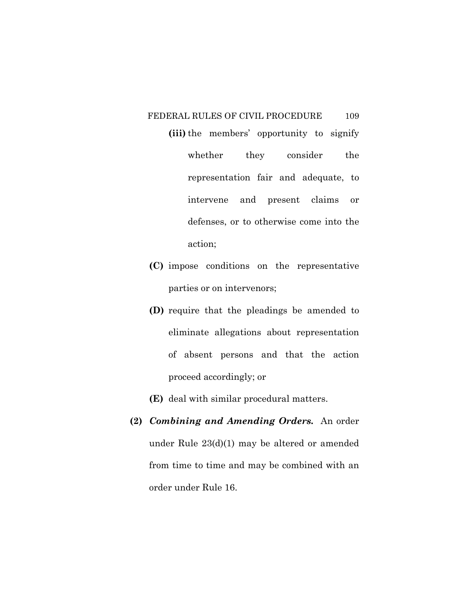**(iii)** the members' opportunity to signify whether they consider the representation fair and adequate, to intervene and present claims or defenses, or to otherwise come into the action;

- **(C)** impose conditions on the representative parties or on intervenors;
- **(D)** require that the pleadings be amended to eliminate allegations about representation of absent persons and that the action proceed accordingly; or
- **(E)** deal with similar procedural matters.
- **(2)** *Combining and Amending Orders.* An order under Rule 23(d)(1) may be altered or amended from time to time and may be combined with an order under Rule 16.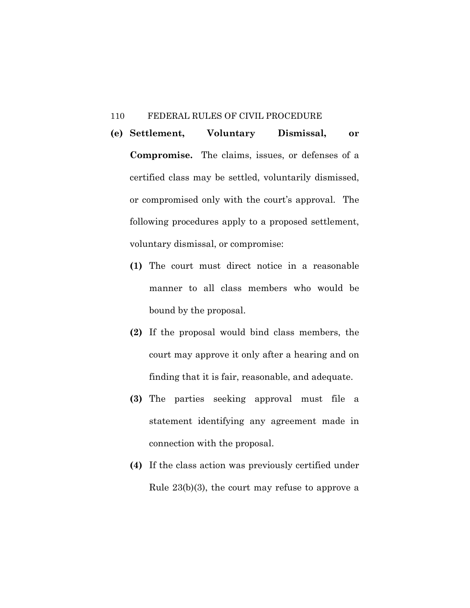- **(e) Settlement, Voluntary Dismissal, or Compromise.** The claims, issues, or defenses of a certified class may be settled, voluntarily dismissed, or compromised only with the court's approval. The following procedures apply to a proposed settlement, voluntary dismissal, or compromise:
	- **(1)** The court must direct notice in a reasonable manner to all class members who would be bound by the proposal.
	- **(2)** If the proposal would bind class members, the court may approve it only after a hearing and on finding that it is fair, reasonable, and adequate.
	- **(3)** The parties seeking approval must file a statement identifying any agreement made in connection with the proposal.
	- **(4)** If the class action was previously certified under Rule 23(b)(3), the court may refuse to approve a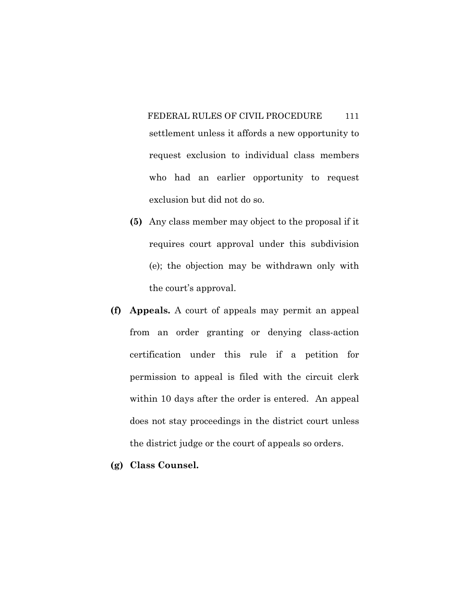## FEDERAL RULES OF CIVIL PROCEDURE 111 settlement unless it affords a new opportunity to request exclusion to individual class members who had an earlier opportunity to request exclusion but did not do so.

- **(5)** Any class member may object to the proposal if it requires court approval under this subdivision (e); the objection may be withdrawn only with the court's approval.
- **(f) Appeals.** A court of appeals may permit an appeal from an order granting or denying class-action certification under this rule if a petition for permission to appeal is filed with the circuit clerk within 10 days after the order is entered. An appeal does not stay proceedings in the district court unless the district judge or the court of appeals so orders.
- **(g) Class Counsel.**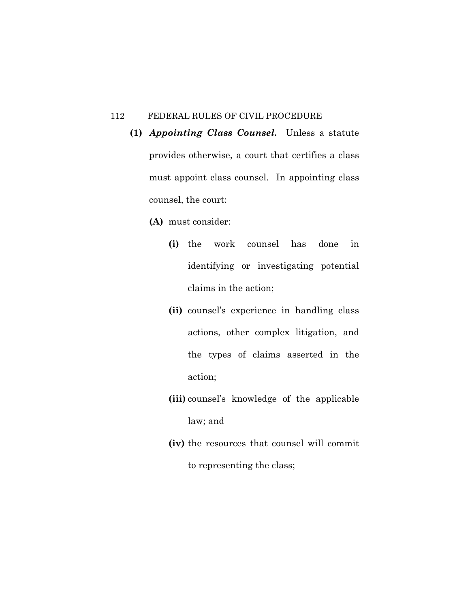- **(1)** *Appointing Class Counsel.* Unless a statute provides otherwise, a court that certifies a class must appoint class counsel. In appointing class counsel, the court:
	- **(A)** must consider:
		- **(i)** the work counsel has done in identifying or investigating potential claims in the action;
		- **(ii)** counsel's experience in handling class actions, other complex litigation, and the types of claims asserted in the action;
		- **(iii)** counsel's knowledge of the applicable law; and
		- **(iv)** the resources that counsel will commit to representing the class;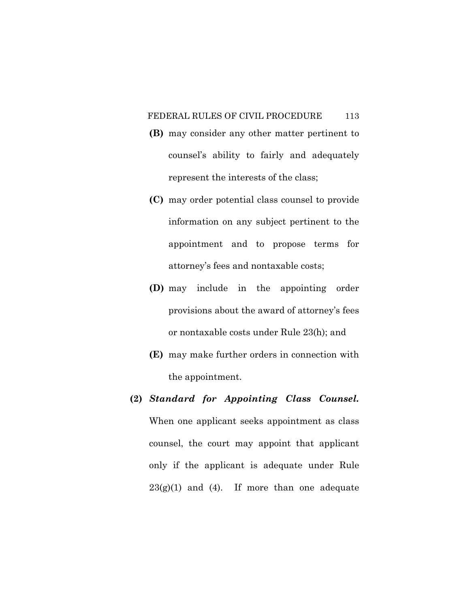- **(B)** may consider any other matter pertinent to counsel's ability to fairly and adequately represent the interests of the class;
- **(C)** may order potential class counsel to provide information on any subject pertinent to the appointment and to propose terms for attorney's fees and nontaxable costs;
- **(D)** may include in the appointing order provisions about the award of attorney's fees or nontaxable costs under Rule 23(h); and
- **(E)** may make further orders in connection with the appointment.
- **(2)** *Standard for Appointing Class Counsel.* When one applicant seeks appointment as class counsel, the court may appoint that applicant only if the applicant is adequate under Rule  $23(g)(1)$  and (4). If more than one adequate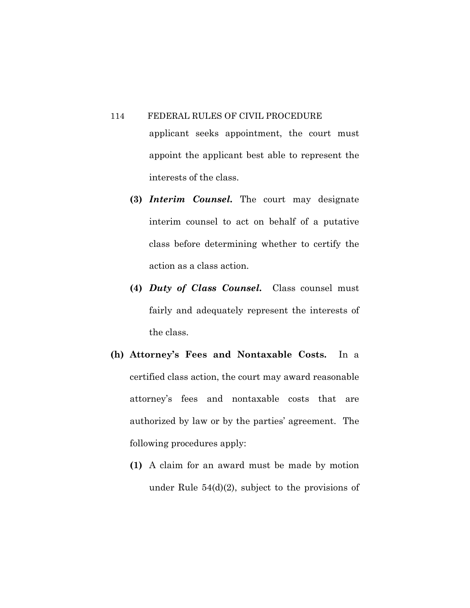### 114 FEDERAL RULES OF CIVIL PROCEDURE applicant seeks appointment, the court must appoint the applicant best able to represent the interests of the class.

- **(3)** *Interim Counsel.* The court may designate interim counsel to act on behalf of a putative class before determining whether to certify the action as a class action.
- **(4)** *Duty of Class Counsel.* Class counsel must fairly and adequately represent the interests of the class.
- **(h) Attorney's Fees and Nontaxable Costs.** In a certified class action, the court may award reasonable attorney's fees and nontaxable costs that are authorized by law or by the parties' agreement. The following procedures apply:
	- **(1)** A claim for an award must be made by motion under Rule  $54(d)(2)$ , subject to the provisions of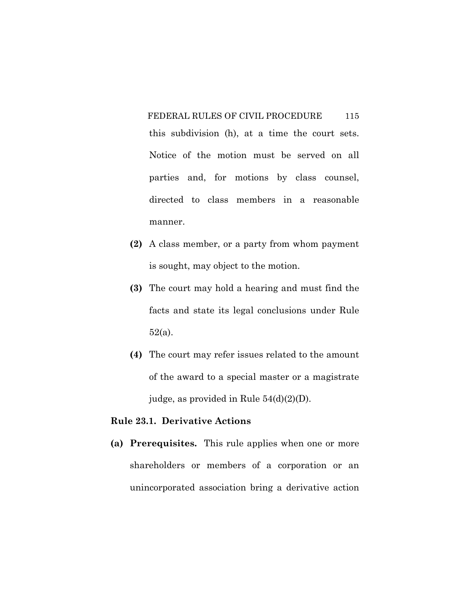# FEDERAL RULES OF CIVIL PROCEDURE 115 this subdivision (h), at a time the court sets. Notice of the motion must be served on all parties and, for motions by class counsel, directed to class members in a reasonable manner.

- **(2)** A class member, or a party from whom payment is sought, may object to the motion.
- **(3)** The court may hold a hearing and must find the facts and state its legal conclusions under Rule 52(a).
- **(4)** The court may refer issues related to the amount of the award to a special master or a magistrate judge, as provided in Rule 54(d)(2)(D).

#### **Rule 23.1. Derivative Actions**

**(a) Prerequisites.** This rule applies when one or more shareholders or members of a corporation or an unincorporated association bring a derivative action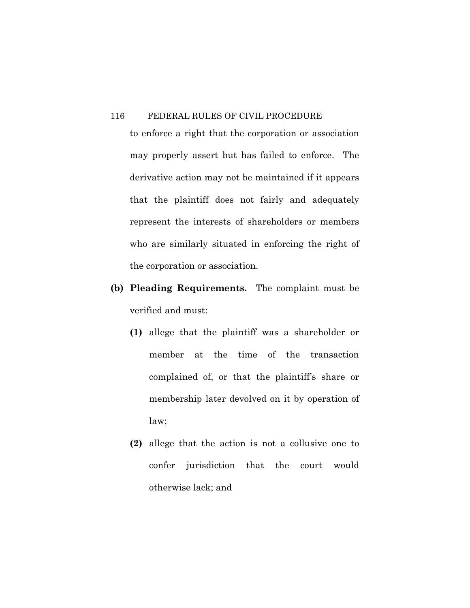to enforce a right that the corporation or association may properly assert but has failed to enforce. The derivative action may not be maintained if it appears that the plaintiff does not fairly and adequately represent the interests of shareholders or members who are similarly situated in enforcing the right of the corporation or association.

- **(b) Pleading Requirements.** The complaint must be verified and must:
	- **(1)** allege that the plaintiff was a shareholder or member at the time of the transaction complained of, or that the plaintiff's share or membership later devolved on it by operation of law;
	- **(2)** allege that the action is not a collusive one to confer jurisdiction that the court would otherwise lack; and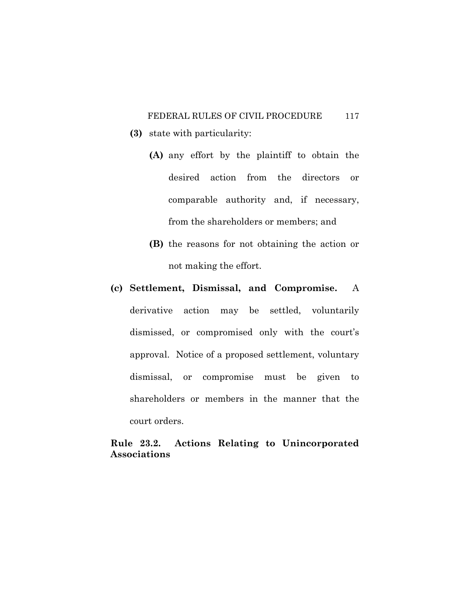- **(3)** state with particularity:
	- **(A)** any effort by the plaintiff to obtain the desired action from the directors or comparable authority and, if necessary, from the shareholders or members; and
	- **(B)** the reasons for not obtaining the action or not making the effort.
- **(c) Settlement, Dismissal, and Compromise.** A derivative action may be settled, voluntarily dismissed, or compromised only with the court's approval. Notice of a proposed settlement, voluntary dismissal, or compromise must be given to shareholders or members in the manner that the court orders.

#### **Rule 23.2. Actions Relating to Unincorporated Associations**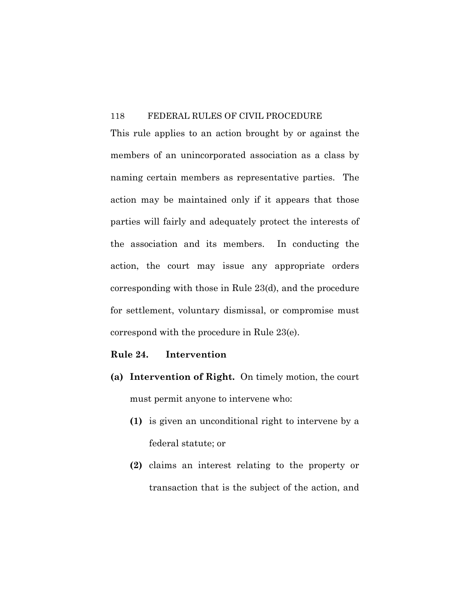This rule applies to an action brought by or against the members of an unincorporated association as a class by naming certain members as representative parties. The action may be maintained only if it appears that those parties will fairly and adequately protect the interests of the association and its members. In conducting the action, the court may issue any appropriate orders corresponding with those in Rule 23(d), and the procedure for settlement, voluntary dismissal, or compromise must correspond with the procedure in Rule 23(e).

#### **Rule 24. Intervention**

- **(a) Intervention of Right.** On timely motion, the court must permit anyone to intervene who:
	- **(1)** is given an unconditional right to intervene by a federal statute; or
	- **(2)** claims an interest relating to the property or transaction that is the subject of the action, and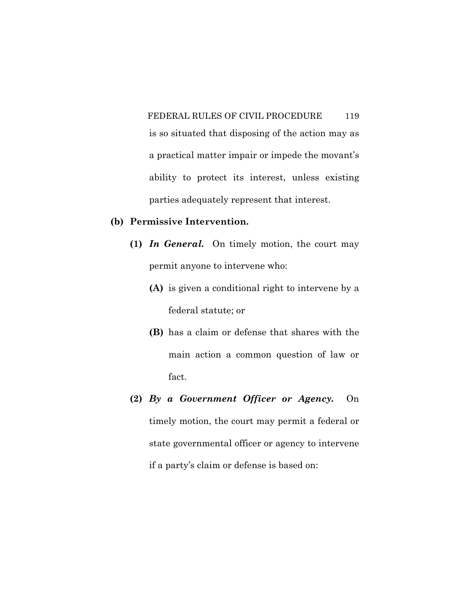# FEDERAL RULES OF CIVIL PROCEDURE 119 is so situated that disposing of the action may as a practical matter impair or impede the movant's ability to protect its interest, unless existing parties adequately represent that interest.

- **(b) Permissive Intervention.** 
	- **(1)** *In General.* On timely motion, the court may permit anyone to intervene who:
		- **(A)** is given a conditional right to intervene by a federal statute; or
		- **(B)** has a claim or defense that shares with the main action a common question of law or fact.
	- **(2)** *By a Government Officer or Agency.* On timely motion, the court may permit a federal or state governmental officer or agency to intervene if a party's claim or defense is based on: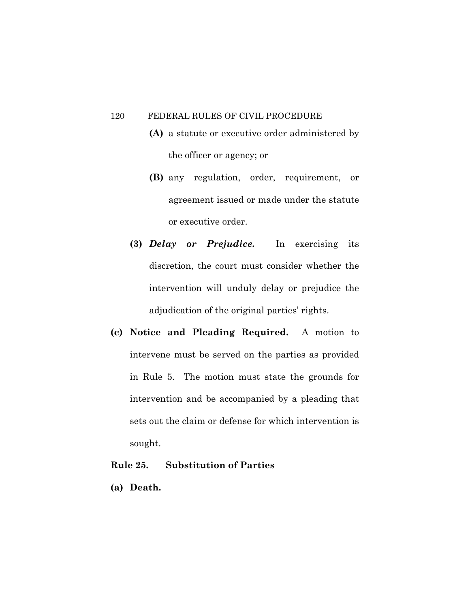- **(A)** a statute or executive order administered by the officer or agency; or
- **(B)** any regulation, order, requirement, or agreement issued or made under the statute or executive order.
- **(3)** *Delay or Prejudice.* In exercising its discretion, the court must consider whether the intervention will unduly delay or prejudice the adjudication of the original parties' rights.
- **(c) Notice and Pleading Required.** A motion to intervene must be served on the parties as provided in Rule 5. The motion must state the grounds for intervention and be accompanied by a pleading that sets out the claim or defense for which intervention is sought.

#### **Rule 25. Substitution of Parties**

**(a) Death.**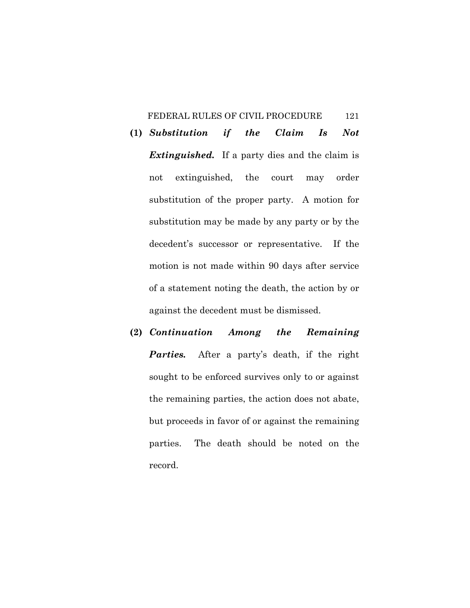- **(1)** *Substitution if the Claim Is Not Extinguished.* If a party dies and the claim is not extinguished, the court may order substitution of the proper party. A motion for substitution may be made by any party or by the decedent's successor or representative. If the motion is not made within 90 days after service of a statement noting the death, the action by or against the decedent must be dismissed.
- **(2)** *Continuation Among the Remaining Parties.* After a party's death, if the right sought to be enforced survives only to or against the remaining parties, the action does not abate, but proceeds in favor of or against the remaining parties. The death should be noted on the record.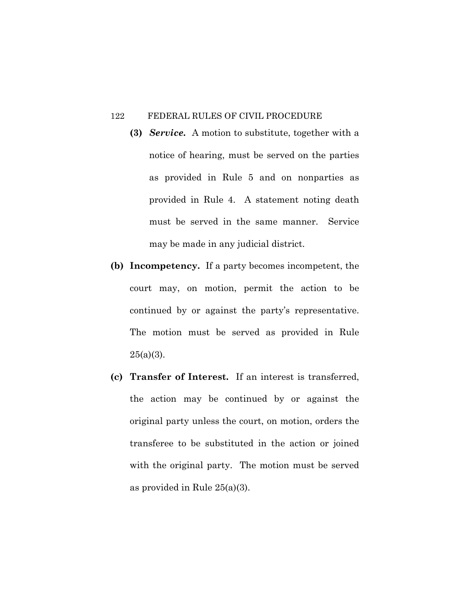- **(3)** *Service.* A motion to substitute, together with a notice of hearing, must be served on the parties as provided in Rule 5 and on nonparties as provided in Rule 4. A statement noting death must be served in the same manner. Service may be made in any judicial district.
- **(b) Incompetency.** If a party becomes incompetent, the court may, on motion, permit the action to be continued by or against the party's representative. The motion must be served as provided in Rule  $25(a)(3)$ .
- **(c) Transfer of Interest.** If an interest is transferred, the action may be continued by or against the original party unless the court, on motion, orders the transferee to be substituted in the action or joined with the original party. The motion must be served as provided in Rule 25(a)(3).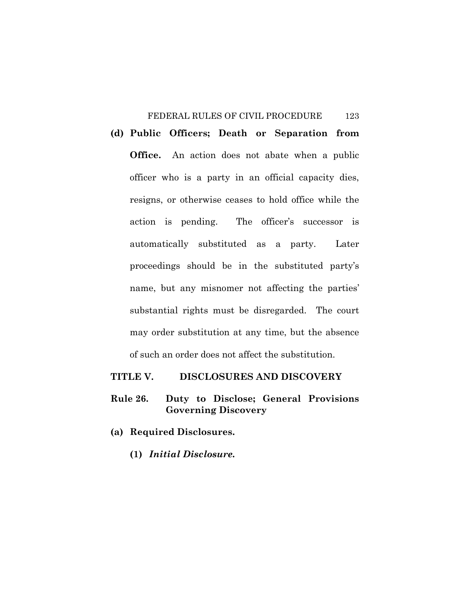**(d) Public Officers; Death or Separation from Office.** An action does not abate when a public officer who is a party in an official capacity dies, resigns, or otherwise ceases to hold office while the action is pending. The officer's successor is automatically substituted as a party. Later proceedings should be in the substituted party's name, but any misnomer not affecting the parties' substantial rights must be disregarded. The court may order substitution at any time, but the absence of such an order does not affect the substitution.

#### **TITLE V. DISCLOSURES AND DISCOVERY**

#### **Rule 26. Duty to Disclose; General Provisions Governing Discovery**

- **(a) Required Disclosures.** 
	- **(1)** *Initial Disclosure.*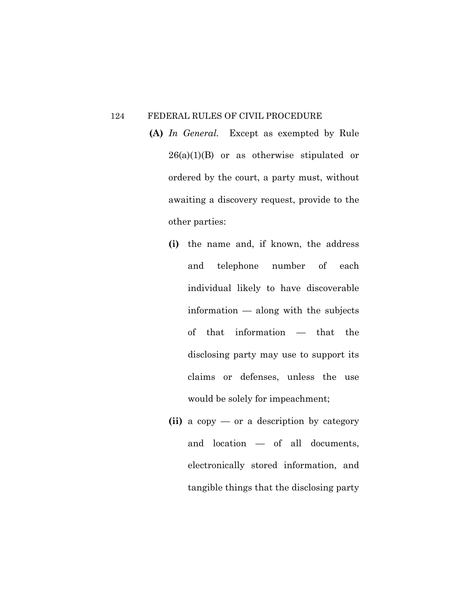- **(A)** *In General.* Except as exempted by Rule  $26(a)(1)(B)$  or as otherwise stipulated or ordered by the court, a party must, without awaiting a discovery request, provide to the other parties:
	- **(i)** the name and, if known, the address and telephone number of each individual likely to have discoverable information — along with the subjects of that information — that the disclosing party may use to support its claims or defenses, unless the use would be solely for impeachment;
	- **(ii)** a copy or a description by category and location — of all documents, electronically stored information, and tangible things that the disclosing party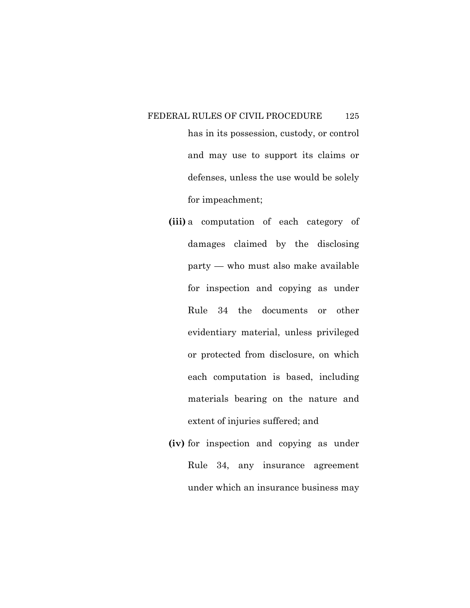has in its possession, custody, or control and may use to support its claims or defenses, unless the use would be solely for impeachment;

- **(iii)** a computation of each category of damages claimed by the disclosing party — who must also make available for inspection and copying as under Rule 34 the documents or other evidentiary material, unless privileged or protected from disclosure, on which each computation is based, including materials bearing on the nature and extent of injuries suffered; and
- **(iv)** for inspection and copying as under Rule 34, any insurance agreement under which an insurance business may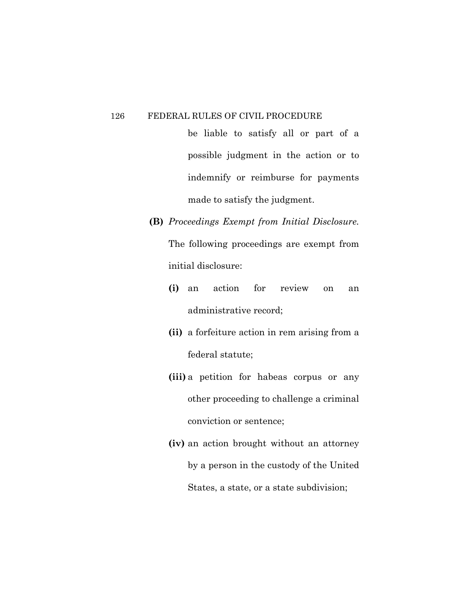be liable to satisfy all or part of a possible judgment in the action or to indemnify or reimburse for payments made to satisfy the judgment.

- **(B)** *Proceedings Exempt from Initial Disclosure.* The following proceedings are exempt from initial disclosure:
	- **(i)** an action for review on an administrative record;
	- **(ii)** a forfeiture action in rem arising from a federal statute;
	- **(iii)** a petition for habeas corpus or any other proceeding to challenge a criminal conviction or sentence;
	- **(iv)** an action brought without an attorney by a person in the custody of the United States, a state, or a state subdivision;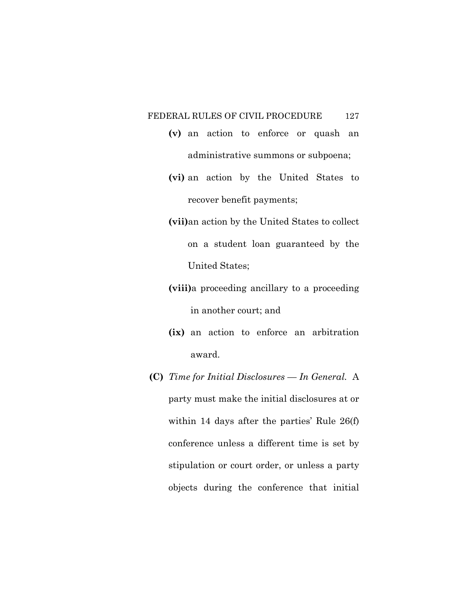- **(v)** an action to enforce or quash an administrative summons or subpoena;
- **(vi)** an action by the United States to recover benefit payments;
- **(vii)**an action by the United States to collect on a student loan guaranteed by the United States;
- **(viii)**a proceeding ancillary to a proceeding in another court; and
- **(ix)** an action to enforce an arbitration award.
- **(C)** *Time for Initial Disclosures In General.*A party must make the initial disclosures at or within 14 days after the parties' Rule 26(f) conference unless a different time is set by stipulation or court order, or unless a party objects during the conference that initial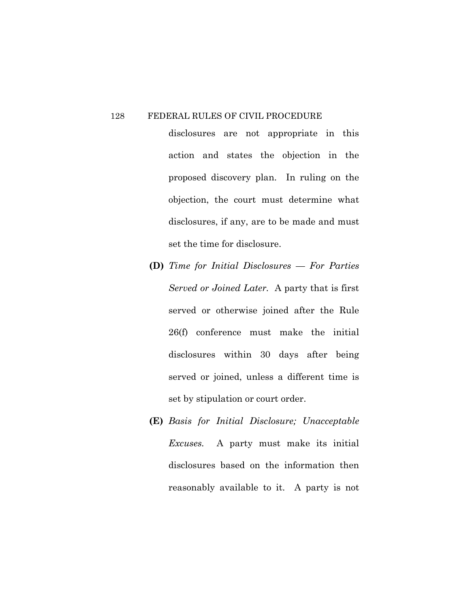disclosures are not appropriate in this action and states the objection in the proposed discovery plan. In ruling on the objection, the court must determine what disclosures, if any, are to be made and must set the time for disclosure.

- **(D)** *Time for Initial Disclosures For Parties Served or Joined Later.* A party that is first served or otherwise joined after the Rule 26(f) conference must make the initial disclosures within 30 days after being served or joined, unless a different time is set by stipulation or court order.
- **(E)** *Basis for Initial Disclosure; Unacceptable Excuses.* A party must make its initial disclosures based on the information then reasonably available to it. A party is not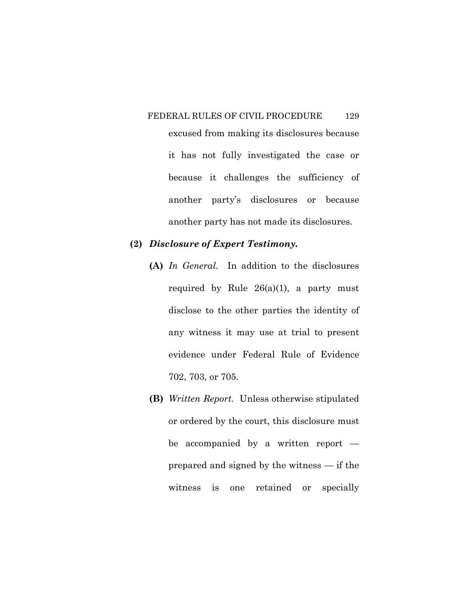# FEDERAL RULES OF CIVIL PROCEDURE 129 excused from making its disclosures because it has not fully investigated the case or because it challenges the sufficiency of another party's disclosures or because another party has not made its disclosures.

#### **(2)** *Disclosure of Expert Testimony.*

- **(A)** *In General.* In addition to the disclosures required by Rule  $26(a)(1)$ , a party must disclose to the other parties the identity of any witness it may use at trial to present evidence under Federal Rule of Evidence 702, 703, or 705.
- **(B)** *Written Report.* Unless otherwise stipulated or ordered by the court, this disclosure must be accompanied by a written report prepared and signed by the witness — if the witness is one retained or specially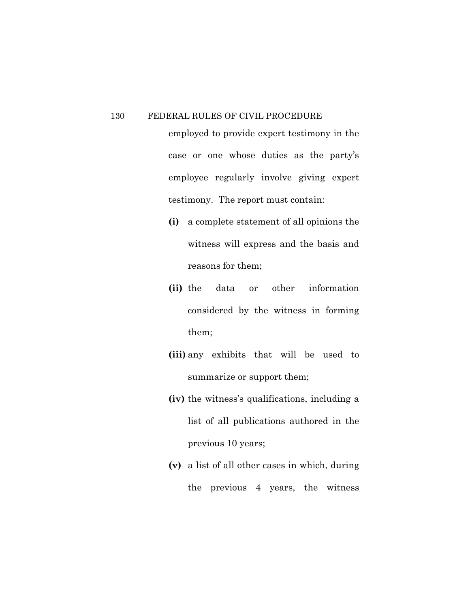employed to provide expert testimony in the case or one whose duties as the party's employee regularly involve giving expert testimony. The report must contain:

- **(i)** a complete statement of all opinions the witness will express and the basis and reasons for them;
- **(ii)** the data or other information considered by the witness in forming them;
- **(iii)** any exhibits that will be used to summarize or support them;
- **(iv)** the witness's qualifications, including a list of all publications authored in the previous 10 years;
- **(v)** a list of all other cases in which, during the previous 4 years, the witness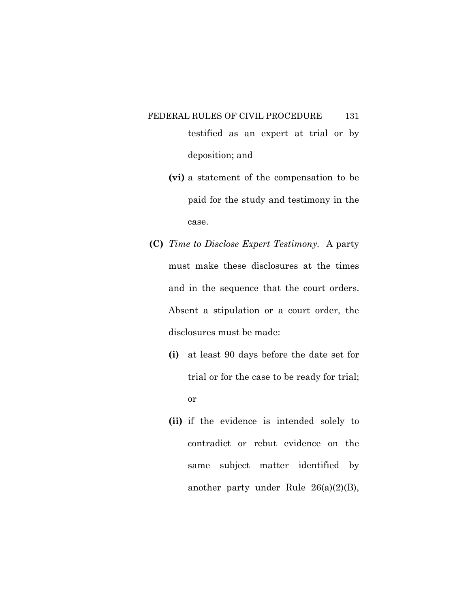# FEDERAL RULES OF CIVIL PROCEDURE 131 testified as an expert at trial or by

deposition; and

- **(vi)** a statement of the compensation to be paid for the study and testimony in the case.
- **(C)** *Time to Disclose Expert Testimony.* A party must make these disclosures at the times and in the sequence that the court orders. Absent a stipulation or a court order, the disclosures must be made:
	- **(i)** at least 90 days before the date set for trial or for the case to be ready for trial; or
	- **(ii)** if the evidence is intended solely to contradict or rebut evidence on the same subject matter identified by another party under Rule 26(a)(2)(B),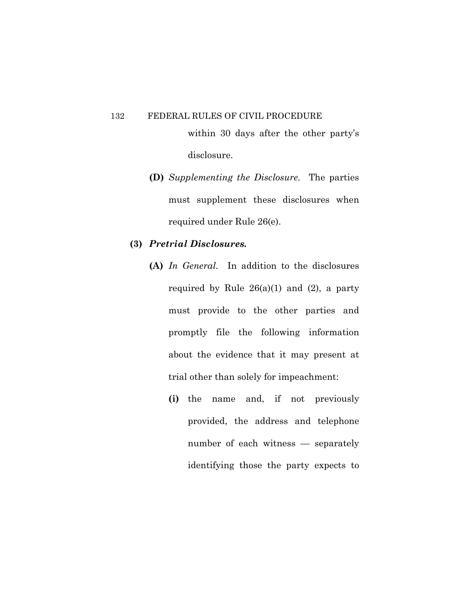within 30 days after the other party's disclosure.

**(D)** *Supplementing the Disclosure.* The parties must supplement these disclosures when required under Rule 26(e).

#### **(3)** *Pretrial Disclosures.*

- **(A)** *In General.* In addition to the disclosures required by Rule  $26(a)(1)$  and  $(2)$ , a party must provide to the other parties and promptly file the following information about the evidence that it may present at trial other than solely for impeachment:
	- **(i)** the name and, if not previously provided, the address and telephone number of each witness — separately identifying those the party expects to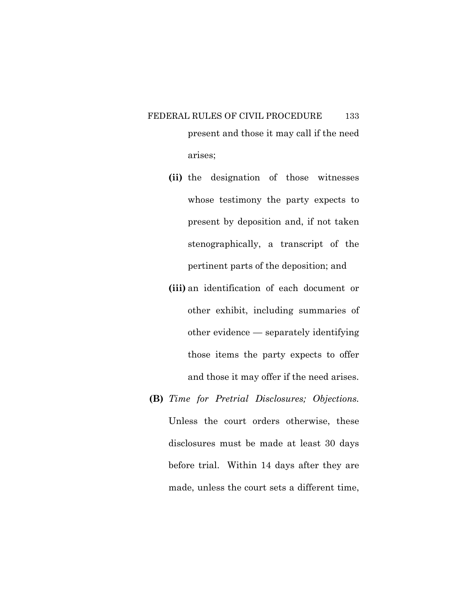### FEDERAL RULES OF CIVIL PROCEDURE 133 present and those it may call if the need arises;

- **(ii)** the designation of those witnesses whose testimony the party expects to present by deposition and, if not taken stenographically, a transcript of the pertinent parts of the deposition; and
- **(iii)** an identification of each document or other exhibit, including summaries of other evidence — separately identifying those items the party expects to offer and those it may offer if the need arises.
- **(B)** *Time for Pretrial Disclosures; Objections.* Unless the court orders otherwise, these disclosures must be made at least 30 days before trial. Within 14 days after they are made, unless the court sets a different time,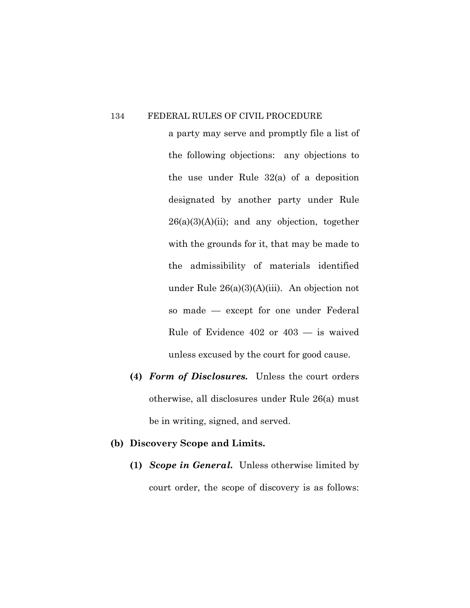a party may serve and promptly file a list of the following objections: any objections to the use under Rule 32(a) of a deposition designated by another party under Rule  $26(a)(3)(A)(ii)$ ; and any objection, together with the grounds for it, that may be made to the admissibility of materials identified under Rule 26(a)(3)(A)(iii). An objection not so made — except for one under Federal Rule of Evidence 402 or 403 — is waived unless excused by the court for good cause.

- **(4)** *Form of Disclosures.* Unless the court orders otherwise, all disclosures under Rule 26(a) must be in writing, signed, and served.
- **(b) Discovery Scope and Limits.** 
	- **(1)** *Scope in General.* Unless otherwise limited by court order, the scope of discovery is as follows: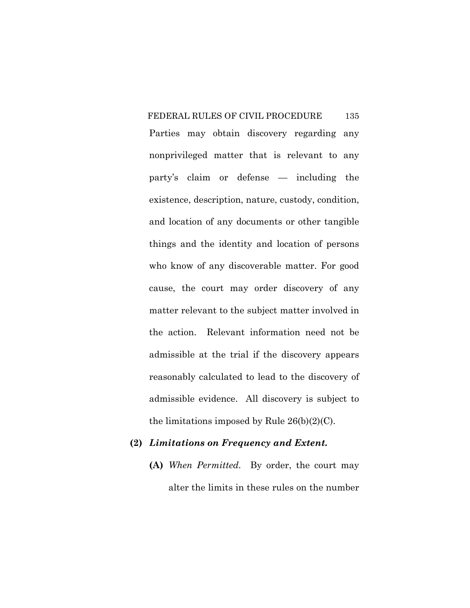Parties may obtain discovery regarding any nonprivileged matter that is relevant to any party's claim or defense — including the existence, description, nature, custody, condition, and location of any documents or other tangible things and the identity and location of persons who know of any discoverable matter. For good cause, the court may order discovery of any matter relevant to the subject matter involved in the action. Relevant information need not be admissible at the trial if the discovery appears reasonably calculated to lead to the discovery of admissible evidence. All discovery is subject to the limitations imposed by Rule  $26(b)(2)(C)$ .

#### **(2)** *Limitations on Frequency and Extent.*

**(A)** *When Permitted.* By order, the court may alter the limits in these rules on the number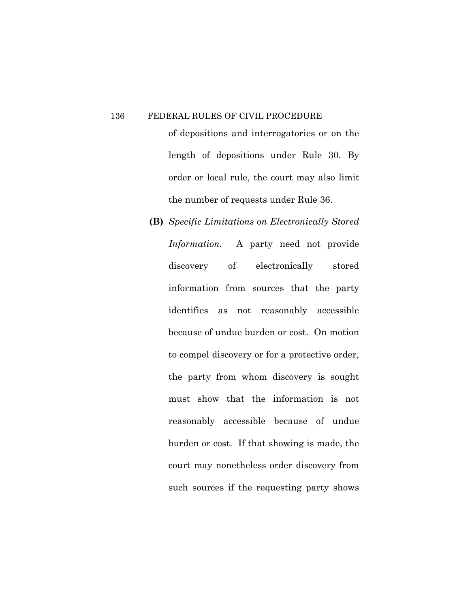of depositions and interrogatories or on the length of depositions under Rule 30. By order or local rule, the court may also limit the number of requests under Rule 36.

**(B)** *Specific Limitations on Electronically Stored Information.*A party need not provide discovery of electronically stored information from sources that the party identifies as not reasonably accessible because of undue burden or cost. On motion to compel discovery or for a protective order, the party from whom discovery is sought must show that the information is not reasonably accessible because of undue burden or cost. If that showing is made, the court may nonetheless order discovery from such sources if the requesting party shows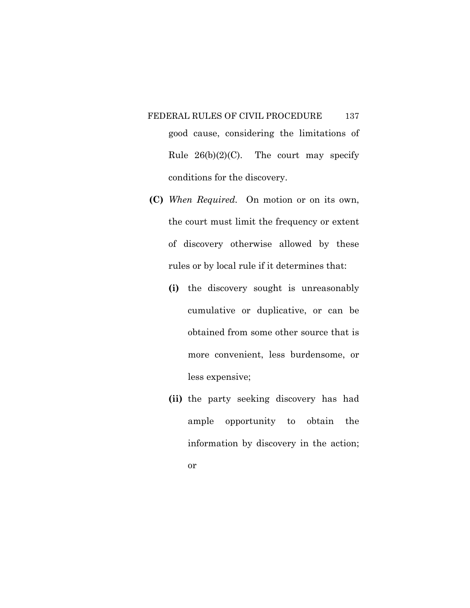- FEDERAL RULES OF CIVIL PROCEDURE 137 good cause, considering the limitations of Rule  $26(b)(2)(C)$ . The court may specify conditions for the discovery.
- **(C)** *When Required.* On motion or on its own, the court must limit the frequency or extent of discovery otherwise allowed by these rules or by local rule if it determines that:
	- **(i)** the discovery sought is unreasonably cumulative or duplicative, or can be obtained from some other source that is more convenient, less burdensome, or less expensive;
	- **(ii)** the party seeking discovery has had ample opportunity to obtain the information by discovery in the action; or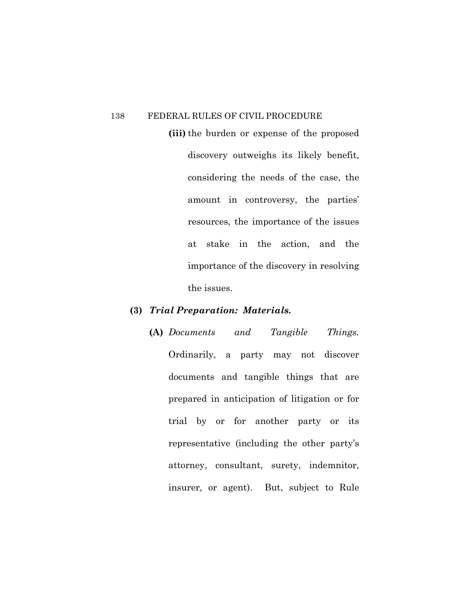**(iii)** the burden or expense of the proposed discovery outweighs its likely benefit, considering the needs of the case, the amount in controversy, the parties' resources, the importance of the issues at stake in the action, and the importance of the discovery in resolving the issues.

#### **(3)** *Trial Preparation: Materials.*

**(A)** *Documents and Tangible Things.* Ordinarily, a party may not discover documents and tangible things that are prepared in anticipation of litigation or for trial by or for another party or its representative (including the other party's attorney, consultant, surety, indemnitor, insurer, or agent). But, subject to Rule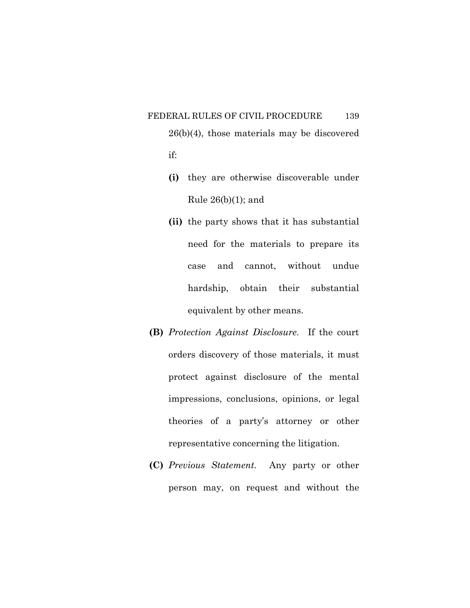### FEDERAL RULES OF CIVIL PROCEDURE 139 26(b)(4), those materials may be discovered if:

- **(i)** they are otherwise discoverable under Rule 26(b)(1); and
- **(ii)** the party shows that it has substantial need for the materials to prepare its case and cannot, without undue hardship, obtain their substantial equivalent by other means.
- **(B)** *Protection Against Disclosure.* If the court orders discovery of those materials, it must protect against disclosure of the mental impressions, conclusions, opinions, or legal theories of a party's attorney or other representative concerning the litigation.
- **(C)** *Previous Statement.* Any party or other person may, on request and without the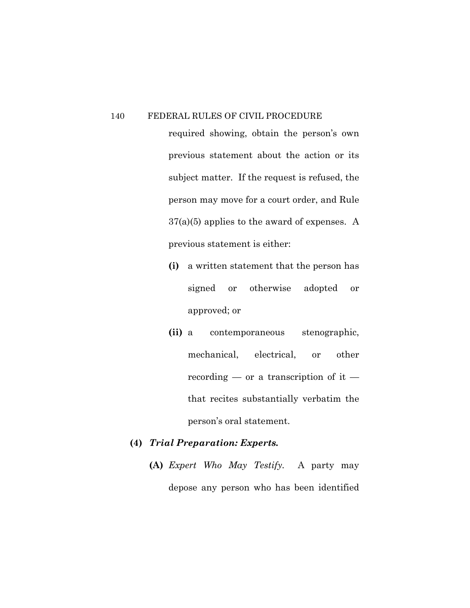required showing, obtain the person's own previous statement about the action or its subject matter. If the request is refused, the person may move for a court order, and Rule 37(a)(5) applies to the award of expenses. A previous statement is either:

- **(i)** a written statement that the person has signed or otherwise adopted or approved; or
- **(ii)** a contemporaneous stenographic, mechanical, electrical, or other recording — or a transcription of it that recites substantially verbatim the person's oral statement.

#### **(4)** *Trial Preparation: Experts.*

**(A)** *Expert Who May Testify.* A party may depose any person who has been identified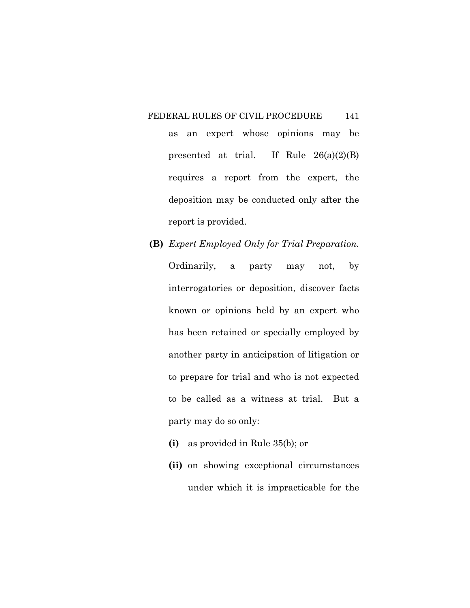as an expert whose opinions may be presented at trial. If Rule  $26(a)(2)(B)$ requires a report from the expert, the deposition may be conducted only after the report is provided.

- **(B)** *Expert Employed Only for Trial Preparation.* Ordinarily, a party may not, by interrogatories or deposition, discover facts known or opinions held by an expert who has been retained or specially employed by another party in anticipation of litigation or to prepare for trial and who is not expected to be called as a witness at trial. But a party may do so only:
	- **(i)** as provided in Rule 35(b); or
	- **(ii)** on showing exceptional circumstances under which it is impracticable for the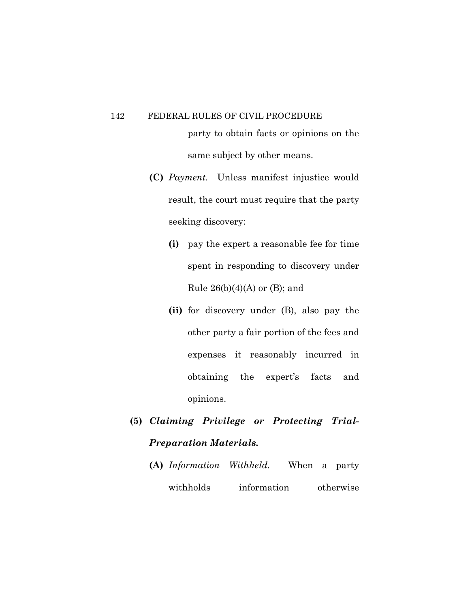party to obtain facts or opinions on the same subject by other means.

- **(C)** *Payment.* Unless manifest injustice would result, the court must require that the party seeking discovery:
	- **(i)** pay the expert a reasonable fee for time spent in responding to discovery under Rule  $26(b)(4)(A)$  or (B); and
	- **(ii)** for discovery under (B), also pay the other party a fair portion of the fees and expenses it reasonably incurred in obtaining the expert's facts and opinions.
- **(5)** *Claiming Privilege or Protecting Trial-Preparation Materials.* 
	- **(A)** *Information Withheld.*When a party withholds information otherwise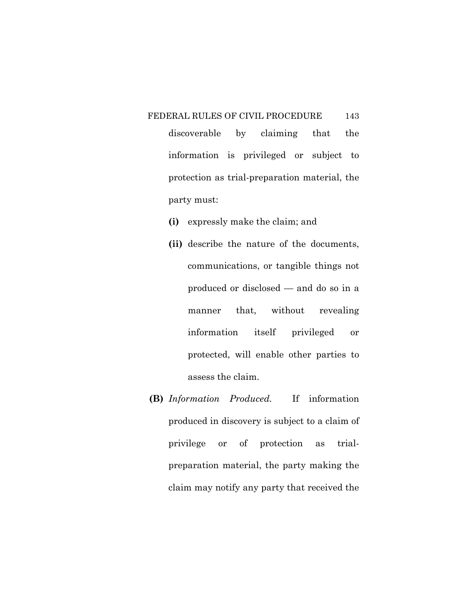discoverable by claiming that the information is privileged or subject to protection as trial-preparation material, the party must:

- **(i)** expressly make the claim; and
- **(ii)** describe the nature of the documents, communications, or tangible things not produced or disclosed — and do so in a manner that, without revealing information itself privileged or protected, will enable other parties to assess the claim.
- **(B)** *Information Produced.*If information produced in discovery is subject to a claim of privilege or of protection as trialpreparation material, the party making the claim may notify any party that received the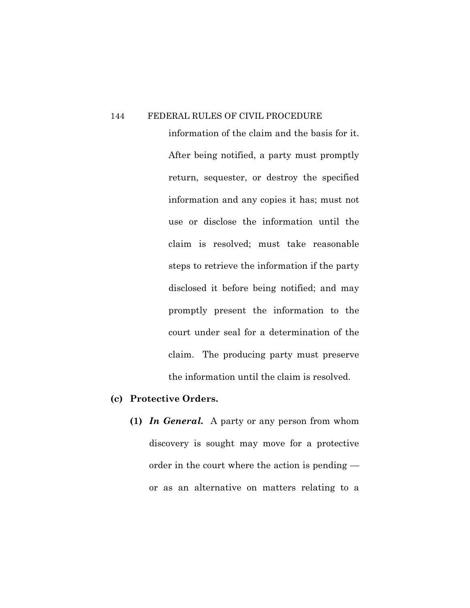information of the claim and the basis for it. After being notified, a party must promptly return, sequester, or destroy the specified information and any copies it has; must not use or disclose the information until the claim is resolved; must take reasonable steps to retrieve the information if the party disclosed it before being notified; and may promptly present the information to the court under seal for a determination of the claim. The producing party must preserve the information until the claim is resolved.

#### **(c) Protective Orders.**

**(1)** *In General.* A party or any person from whom discovery is sought may move for a protective order in the court where the action is pending or as an alternative on matters relating to a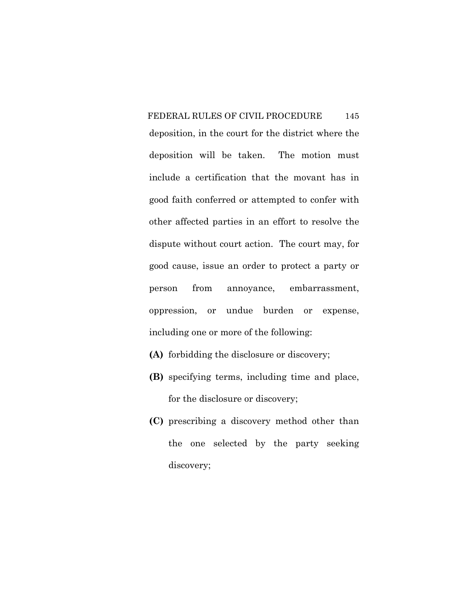FEDERAL RULES OF CIVIL PROCEDURE 145 deposition, in the court for the district where the deposition will be taken. The motion must include a certification that the movant has in good faith conferred or attempted to confer with other affected parties in an effort to resolve the dispute without court action. The court may, for good cause, issue an order to protect a party or person from annoyance, embarrassment, oppression, or undue burden or expense, including one or more of the following:

- **(A)** forbidding the disclosure or discovery;
- **(B)** specifying terms, including time and place, for the disclosure or discovery;
- **(C)** prescribing a discovery method other than the one selected by the party seeking discovery;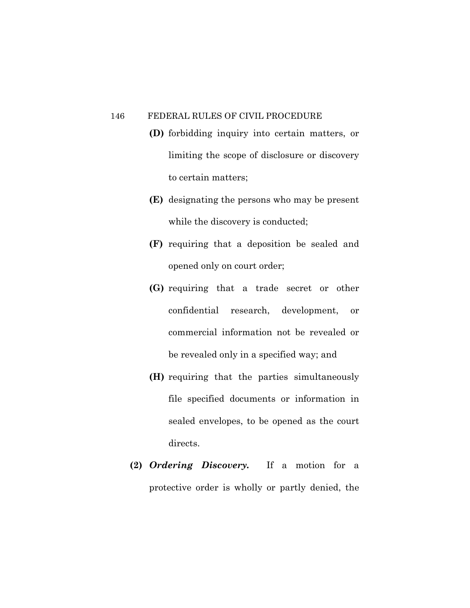- **(D)** forbidding inquiry into certain matters, or limiting the scope of disclosure or discovery to certain matters;
- **(E)** designating the persons who may be present while the discovery is conducted;
- **(F)** requiring that a deposition be sealed and opened only on court order;
- **(G)** requiring that a trade secret or other confidential research, development, or commercial information not be revealed or be revealed only in a specified way; and
- **(H)** requiring that the parties simultaneously file specified documents or information in sealed envelopes, to be opened as the court directs.
- **(2)** *Ordering Discovery.* If a motion for a protective order is wholly or partly denied, the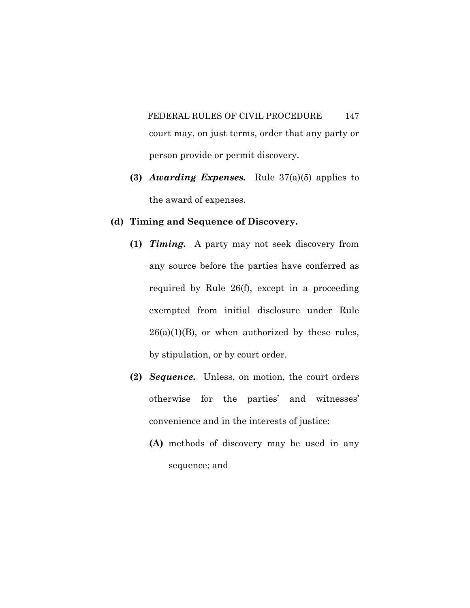FEDERAL RULES OF CIVIL PROCEDURE 147 court may, on just terms, order that any party or person provide or permit discovery.

**(3)** *Awarding Expenses.* Rule 37(a)(5) applies to the award of expenses.

#### **(d) Timing and Sequence of Discovery.**

- **(1)** *Timing.* A party may not seek discovery from any source before the parties have conferred as required by Rule 26(f), except in a proceeding exempted from initial disclosure under Rule  $26(a)(1)(B)$ , or when authorized by these rules, by stipulation, or by court order.
- **(2)** *Sequence.* Unless, on motion, the court orders otherwise for the parties' and witnesses' convenience and in the interests of justice:
	- **(A)** methods of discovery may be used in any sequence; and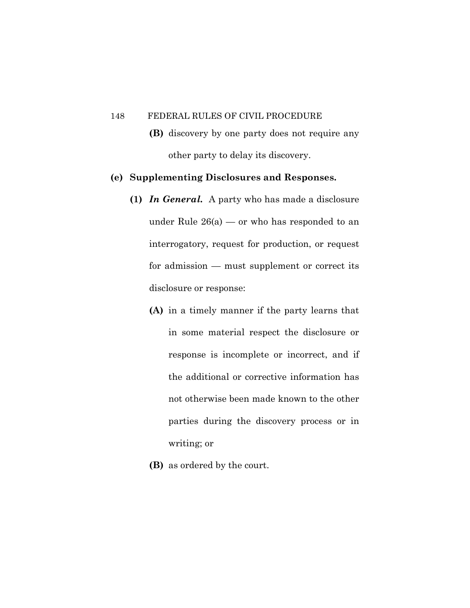**(B)** discovery by one party does not require any other party to delay its discovery.

#### **(e) Supplementing Disclosures and Responses.**

- **(1)** *In General.* A party who has made a disclosure under Rule  $26(a)$  — or who has responded to an interrogatory, request for production, or request for admission — must supplement or correct its disclosure or response:
	- **(A)** in a timely manner if the party learns that in some material respect the disclosure or response is incomplete or incorrect, and if the additional or corrective information has not otherwise been made known to the other parties during the discovery process or in writing; or
	- **(B)** as ordered by the court.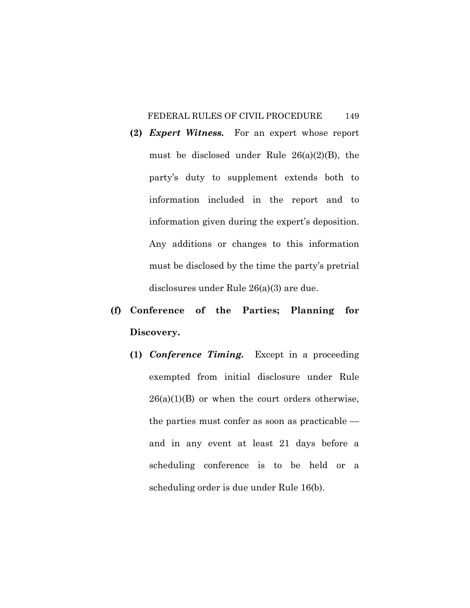- **(2)** *Expert Witness.* For an expert whose report must be disclosed under Rule  $26(a)(2)(B)$ , the party's duty to supplement extends both to information included in the report and to information given during the expert's deposition. Any additions or changes to this information must be disclosed by the time the party's pretrial disclosures under Rule 26(a)(3) are due.
- **(f) Conference of the Parties; Planning for Discovery.** 
	- **(1)** *Conference Timing.* Except in a proceeding exempted from initial disclosure under Rule  $26(a)(1)(B)$  or when the court orders otherwise, the parties must confer as soon as practicable and in any event at least 21 days before a scheduling conference is to be held or a scheduling order is due under Rule 16(b).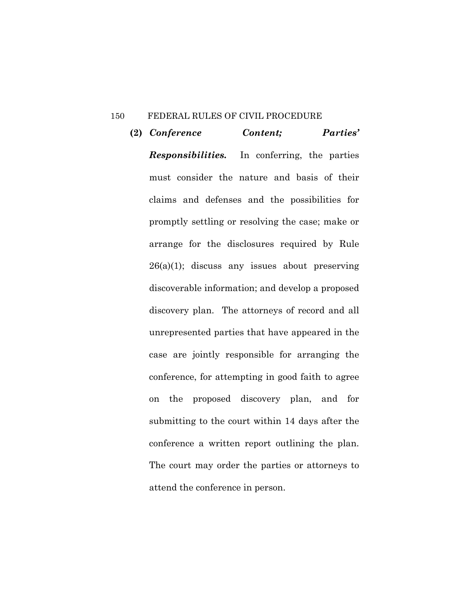## **(2)** *Conference Content; Parties'*

*Responsibilities.* In conferring, the parties must consider the nature and basis of their claims and defenses and the possibilities for promptly settling or resolving the case; make or arrange for the disclosures required by Rule  $26(a)(1)$ ; discuss any issues about preserving discoverable information; and develop a proposed discovery plan. The attorneys of record and all unrepresented parties that have appeared in the case are jointly responsible for arranging the conference, for attempting in good faith to agree on the proposed discovery plan, and for submitting to the court within 14 days after the conference a written report outlining the plan. The court may order the parties or attorneys to attend the conference in person.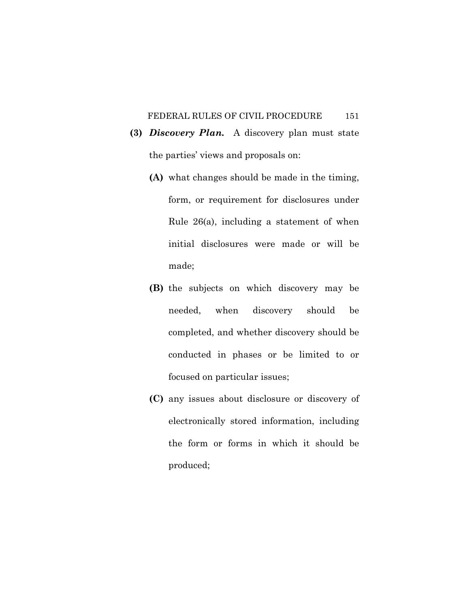- **(3)** *Discovery Plan.* A discovery plan must state the parties' views and proposals on:
	- **(A)** what changes should be made in the timing, form, or requirement for disclosures under Rule 26(a), including a statement of when initial disclosures were made or will be made;
	- **(B)** the subjects on which discovery may be needed, when discovery should be completed, and whether discovery should be conducted in phases or be limited to or focused on particular issues;
	- **(C)** any issues about disclosure or discovery of electronically stored information, including the form or forms in which it should be produced;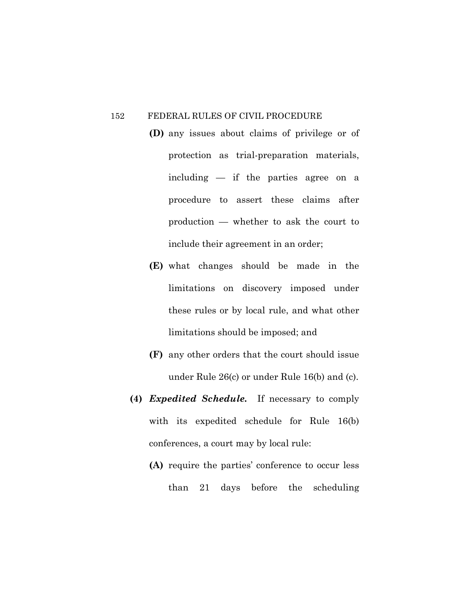- **(D)** any issues about claims of privilege or of protection as trial-preparation materials, including — if the parties agree on a procedure to assert these claims after production — whether to ask the court to include their agreement in an order;
	- **(E)** what changes should be made in the limitations on discovery imposed under these rules or by local rule, and what other limitations should be imposed; and
	- **(F)** any other orders that the court should issue under Rule 26(c) or under Rule 16(b) and (c).
- **(4)** *Expedited Schedule.* If necessary to comply with its expedited schedule for Rule 16(b) conferences, a court may by local rule:
	- **(A)** require the parties' conference to occur less than 21 days before the scheduling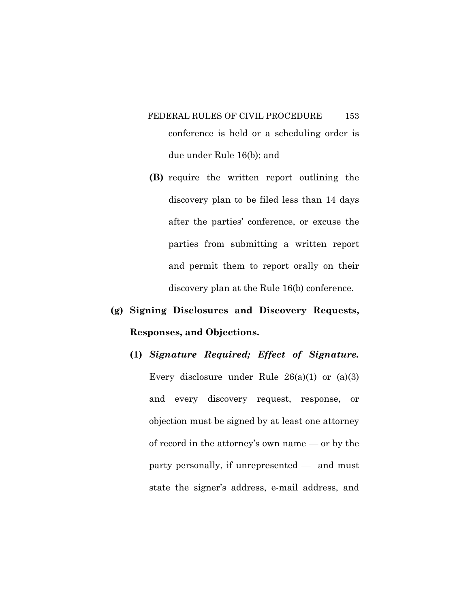## FEDERAL RULES OF CIVIL PROCEDURE 153 conference is held or a scheduling order is due under Rule 16(b); and

- **(B)** require the written report outlining the discovery plan to be filed less than 14 days after the parties' conference, or excuse the parties from submitting a written report and permit them to report orally on their discovery plan at the Rule 16(b) conference.
- **(g) Signing Disclosures and Discovery Requests, Responses, and Objections.** 
	- **(1)** *Signature Required; Effect of Signature.* Every disclosure under Rule 26(a)(1) or (a)(3) and every discovery request, response, or objection must be signed by at least one attorney of record in the attorney's own name — or by the party personally, if unrepresented — and must state the signer's address, e-mail address, and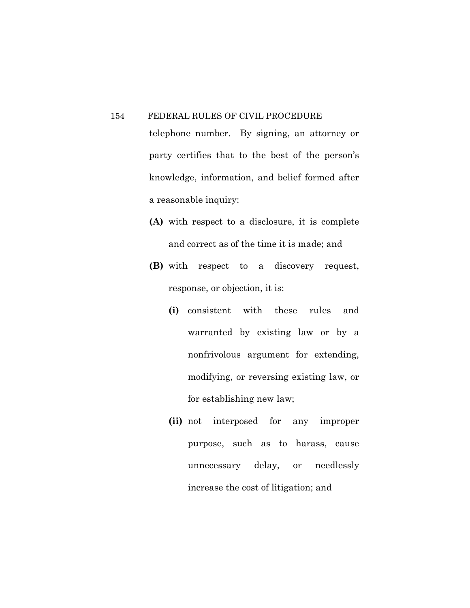telephone number. By signing, an attorney or party certifies that to the best of the person's knowledge, information, and belief formed after a reasonable inquiry:

- **(A)** with respect to a disclosure, it is complete and correct as of the time it is made; and
- **(B)** with respect to a discovery request, response, or objection, it is:
	- **(i)** consistent with these rules and warranted by existing law or by a nonfrivolous argument for extending, modifying, or reversing existing law, or for establishing new law;
	- **(ii)** not interposed for any improper purpose, such as to harass, cause unnecessary delay, or needlessly increase the cost of litigation; and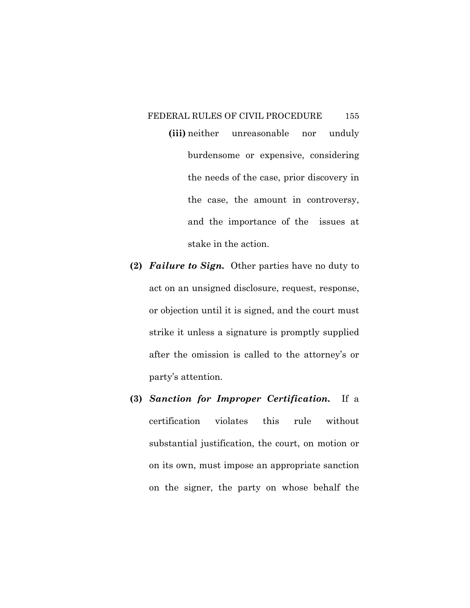- **(iii)** neither unreasonable nor unduly burdensome or expensive, considering the needs of the case, prior discovery in the case, the amount in controversy, and the importance of the issues at stake in the action.
- **(2)** *Failure to Sign.* Other parties have no duty to act on an unsigned disclosure, request, response, or objection until it is signed, and the court must strike it unless a signature is promptly supplied after the omission is called to the attorney's or party's attention.
- **(3)** *Sanction for Improper Certification.* If a certification violates this rule without substantial justification, the court, on motion or on its own, must impose an appropriate sanction on the signer, the party on whose behalf the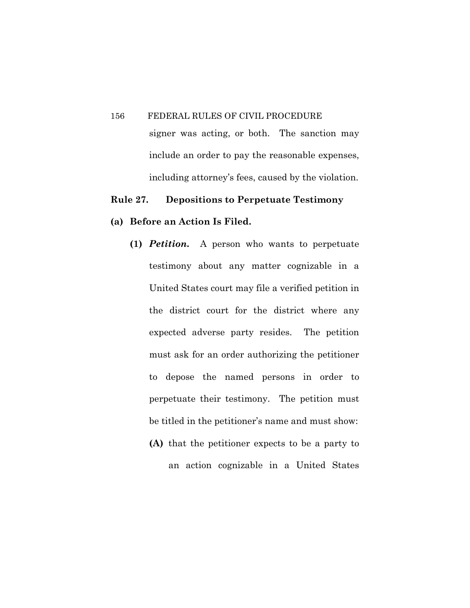signer was acting, or both. The sanction may include an order to pay the reasonable expenses, including attorney's fees, caused by the violation.

#### **Rule 27. Depositions to Perpetuate Testimony**

#### **(a) Before an Action Is Filed.**

**(1)** *Petition.* A person who wants to perpetuate testimony about any matter cognizable in a United States court may file a verified petition in the district court for the district where any expected adverse party resides. The petition must ask for an order authorizing the petitioner to depose the named persons in order to perpetuate their testimony. The petition must be titled in the petitioner's name and must show: **(A)** that the petitioner expects to be a party to

an action cognizable in a United States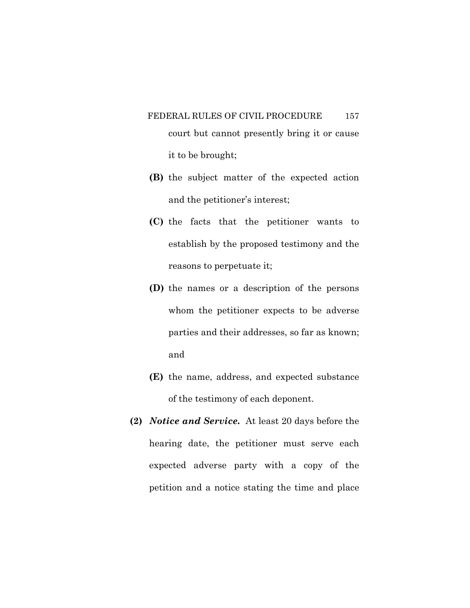## FEDERAL RULES OF CIVIL PROCEDURE 157 court but cannot presently bring it or cause it to be brought;

- **(B)** the subject matter of the expected action and the petitioner's interest;
- **(C)** the facts that the petitioner wants to establish by the proposed testimony and the reasons to perpetuate it;
- **(D)** the names or a description of the persons whom the petitioner expects to be adverse parties and their addresses, so far as known; and
- **(E)** the name, address, and expected substance of the testimony of each deponent.
- **(2)** *Notice and Service.* At least 20 days before the hearing date, the petitioner must serve each expected adverse party with a copy of the petition and a notice stating the time and place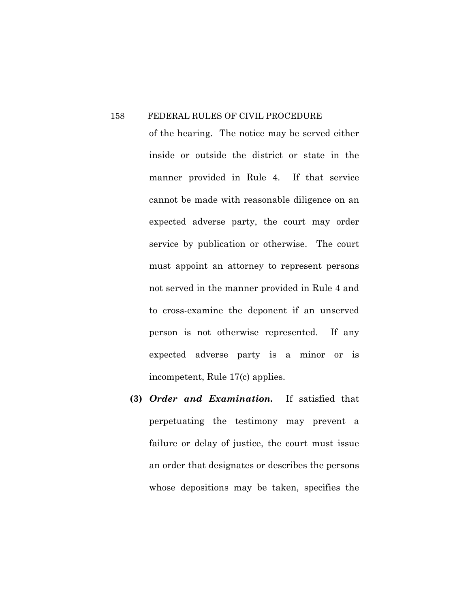of the hearing. The notice may be served either inside or outside the district or state in the manner provided in Rule 4. If that service cannot be made with reasonable diligence on an expected adverse party, the court may order service by publication or otherwise. The court must appoint an attorney to represent persons not served in the manner provided in Rule 4 and to cross-examine the deponent if an unserved person is not otherwise represented. If any expected adverse party is a minor or is incompetent, Rule 17(c) applies.

**(3)** *Order and Examination.* If satisfied that perpetuating the testimony may prevent a failure or delay of justice, the court must issue an order that designates or describes the persons whose depositions may be taken, specifies the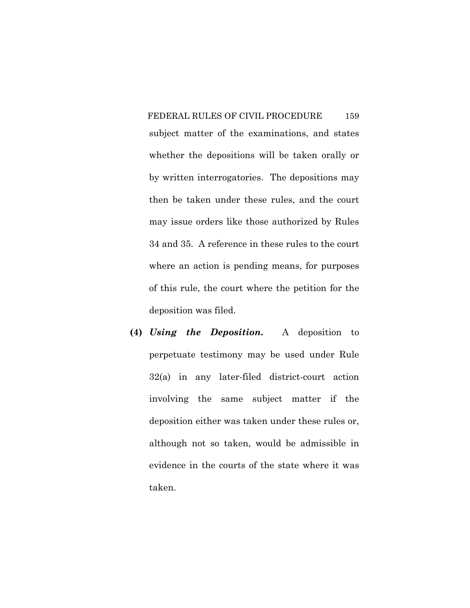FEDERAL RULES OF CIVIL PROCEDURE 159 subject matter of the examinations, and states whether the depositions will be taken orally or by written interrogatories. The depositions may then be taken under these rules, and the court may issue orders like those authorized by Rules 34 and 35. A reference in these rules to the court where an action is pending means, for purposes of this rule, the court where the petition for the deposition was filed.

**(4)** *Using the Deposition.* A deposition to perpetuate testimony may be used under Rule 32(a) in any later-filed district-court action involving the same subject matter if the deposition either was taken under these rules or, although not so taken, would be admissible in evidence in the courts of the state where it was taken.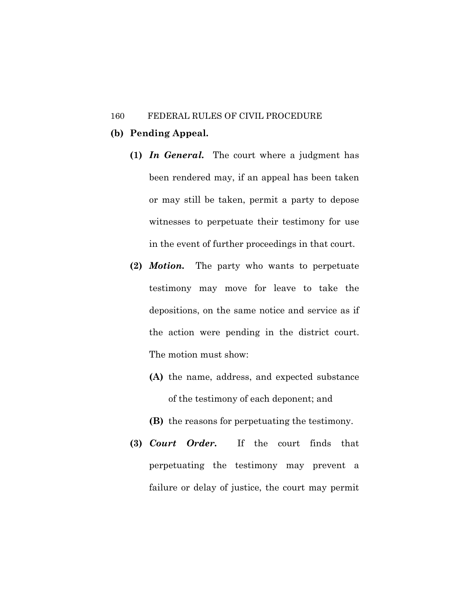- **(b) Pending Appeal.** 
	- **(1)** *In General.* The court where a judgment has been rendered may, if an appeal has been taken or may still be taken, permit a party to depose witnesses to perpetuate their testimony for use in the event of further proceedings in that court.
	- **(2)** *Motion.* The party who wants to perpetuate testimony may move for leave to take the depositions, on the same notice and service as if the action were pending in the district court. The motion must show:
		- **(A)** the name, address, and expected substance of the testimony of each deponent; and
		- **(B)** the reasons for perpetuating the testimony.
	- **(3)** *Court Order.* If the court finds that perpetuating the testimony may prevent a failure or delay of justice, the court may permit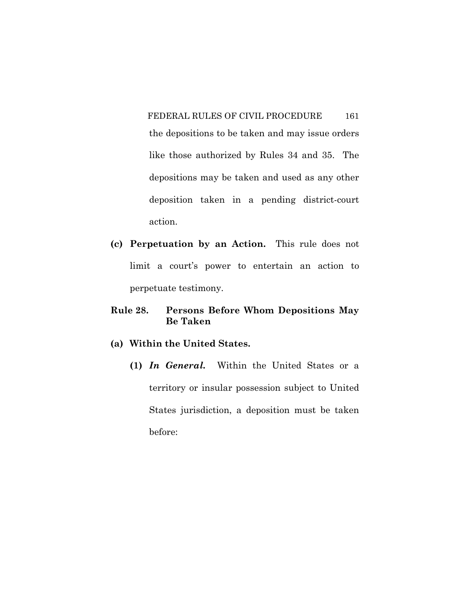FEDERAL RULES OF CIVIL PROCEDURE 161 the depositions to be taken and may issue orders like those authorized by Rules 34 and 35. The depositions may be taken and used as any other deposition taken in a pending district-court action.

**(c) Perpetuation by an Action.** This rule does not limit a court's power to entertain an action to perpetuate testimony.

## **Rule 28. Persons Before Whom Depositions May Be Taken**

- **(a) Within the United States.** 
	- **(1)** *In General.* Within the United States or a territory or insular possession subject to United States jurisdiction, a deposition must be taken before: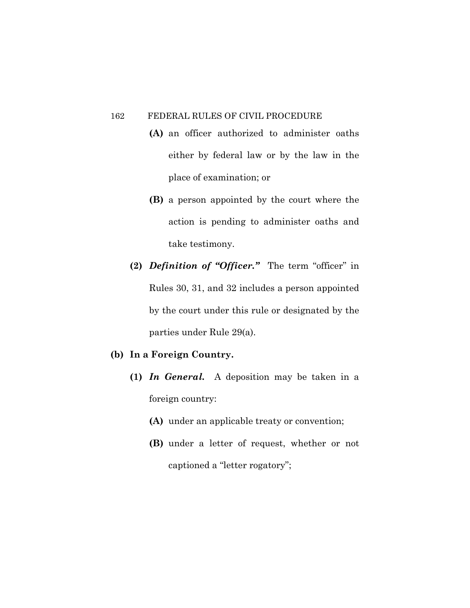- **(A)** an officer authorized to administer oaths either by federal law or by the law in the place of examination; or
- **(B)** a person appointed by the court where the action is pending to administer oaths and take testimony.
- **(2)** *Definition of "Officer."* The term "officer" in Rules 30, 31, and 32 includes a person appointed by the court under this rule or designated by the parties under Rule 29(a).
- **(b) In a Foreign Country.** 
	- **(1)** *In General.* A deposition may be taken in a foreign country:
		- **(A)** under an applicable treaty or convention;
		- **(B)** under a letter of request, whether or not captioned a "letter rogatory";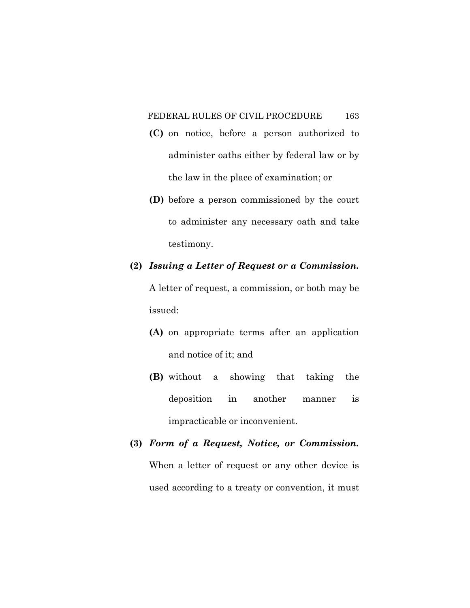- **(C)** on notice, before a person authorized to administer oaths either by federal law or by the law in the place of examination; or
- **(D)** before a person commissioned by the court to administer any necessary oath and take testimony.
- **(2)** *Issuing a Letter of Request or a Commission.* A letter of request, a commission, or both may be issued:
	- **(A)** on appropriate terms after an application and notice of it; and
	- **(B)** without a showing that taking the deposition in another manner is impracticable or inconvenient.
- **(3)** *Form of a Request, Notice, or Commission.*  When a letter of request or any other device is used according to a treaty or convention, it must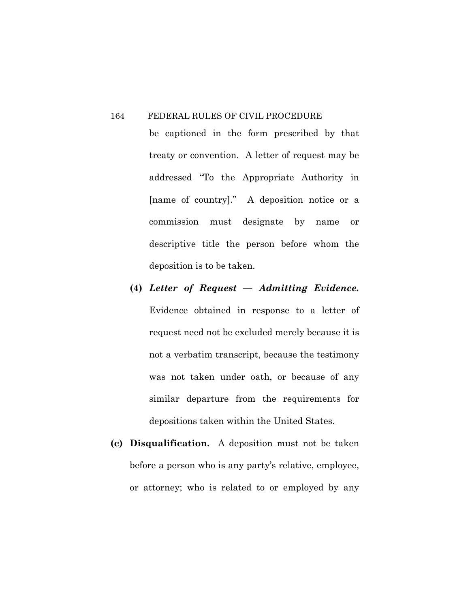be captioned in the form prescribed by that treaty or convention. A letter of request may be addressed "To the Appropriate Authority in [name of country]." A deposition notice or a commission must designate by name or descriptive title the person before whom the deposition is to be taken.

- **(4)** *Letter of Request Admitting Evidence.* Evidence obtained in response to a letter of request need not be excluded merely because it is not a verbatim transcript, because the testimony was not taken under oath, or because of any similar departure from the requirements for depositions taken within the United States.
- **(c) Disqualification.** A deposition must not be taken before a person who is any party's relative, employee, or attorney; who is related to or employed by any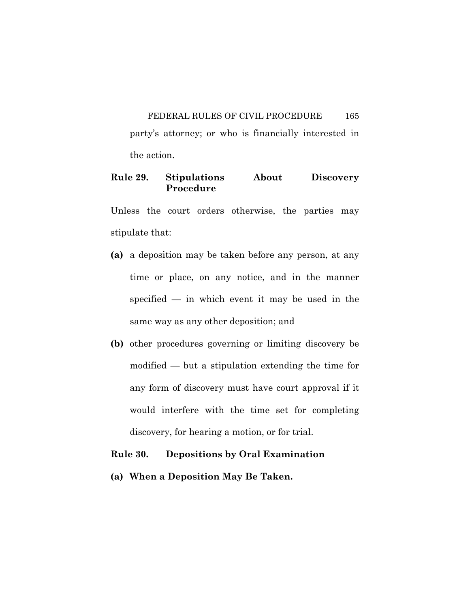# FEDERAL RULES OF CIVIL PROCEDURE 165 party's attorney; or who is financially interested in

the action.

## **Rule 29. Stipulations About Discovery Procedure**

Unless the court orders otherwise, the parties may stipulate that:

- **(a)** a deposition may be taken before any person, at any time or place, on any notice, and in the manner specified — in which event it may be used in the same way as any other deposition; and
- **(b)** other procedures governing or limiting discovery be modified — but a stipulation extending the time for any form of discovery must have court approval if it would interfere with the time set for completing discovery, for hearing a motion, or for trial.
- **Rule 30. Depositions by Oral Examination**
- **(a) When a Deposition May Be Taken.**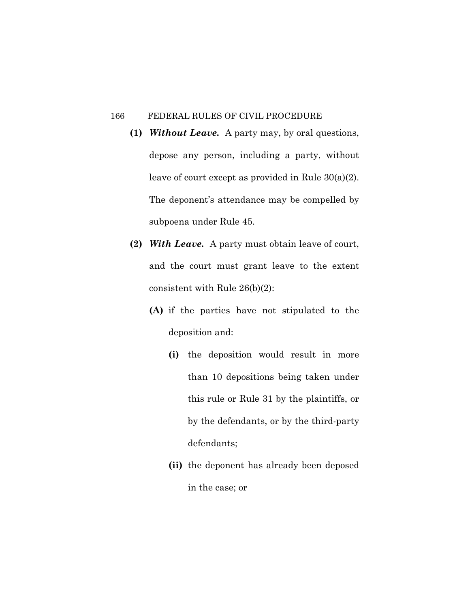- **(1)** *Without Leave.* A party may, by oral questions, depose any person, including a party, without leave of court except as provided in Rule 30(a)(2). The deponent's attendance may be compelled by subpoena under Rule 45.
- **(2)** *With Leave.* A party must obtain leave of court, and the court must grant leave to the extent consistent with Rule 26(b)(2):
	- **(A)** if the parties have not stipulated to the deposition and:
		- **(i)** the deposition would result in more than 10 depositions being taken under this rule or Rule 31 by the plaintiffs, or by the defendants, or by the third-party defendants;
		- **(ii)** the deponent has already been deposed in the case; or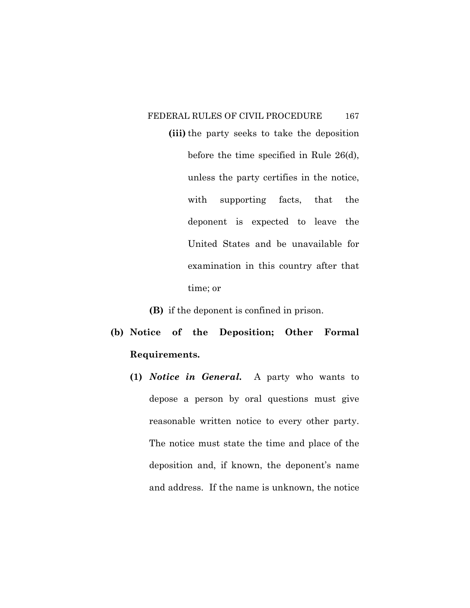**(iii)** the party seeks to take the deposition before the time specified in Rule 26(d), unless the party certifies in the notice, with supporting facts, that the deponent is expected to leave the United States and be unavailable for examination in this country after that time; or

**(B)** if the deponent is confined in prison.

- **(b) Notice of the Deposition; Other Formal Requirements.** 
	- **(1)** *Notice in General.* A party who wants to depose a person by oral questions must give reasonable written notice to every other party. The notice must state the time and place of the deposition and, if known, the deponent's name and address. If the name is unknown, the notice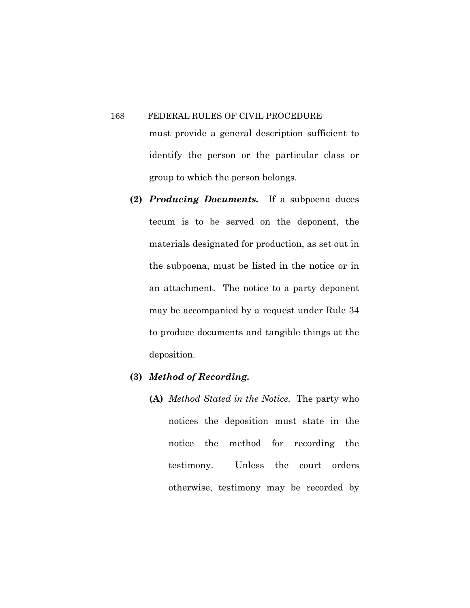# 168 FEDERAL RULES OF CIVIL PROCEDURE must provide a general description sufficient to identify the person or the particular class or group to which the person belongs.

**(2)** *Producing Documents.* If a subpoena duces tecum is to be served on the deponent, the materials designated for production, as set out in the subpoena, must be listed in the notice or in an attachment. The notice to a party deponent may be accompanied by a request under Rule 34 to produce documents and tangible things at the deposition.

## **(3)** *Method of Recording.*

**(A)** *Method Stated in the Notice.* The party who notices the deposition must state in the notice the method for recording the testimony. Unless the court orders otherwise, testimony may be recorded by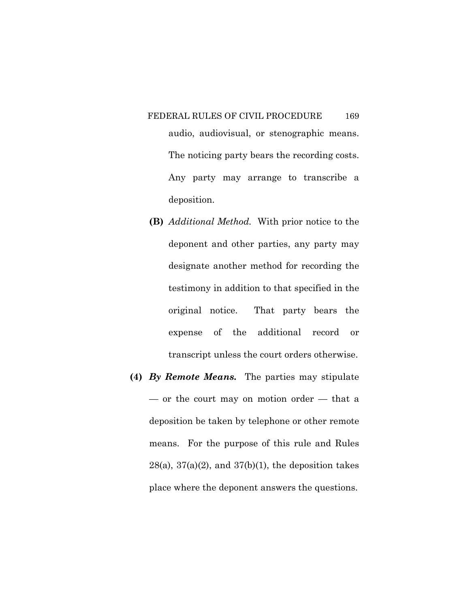- FEDERAL RULES OF CIVIL PROCEDURE 169 audio, audiovisual, or stenographic means. The noticing party bears the recording costs. Any party may arrange to transcribe a deposition.
- **(B)** *Additional Method.* With prior notice to the deponent and other parties, any party may designate another method for recording the testimony in addition to that specified in the original notice. That party bears the expense of the additional record or transcript unless the court orders otherwise.
- **(4)** *By Remote Means.* The parties may stipulate — or the court may on motion order — that a deposition be taken by telephone or other remote means. For the purpose of this rule and Rules  $28(a)$ ,  $37(a)(2)$ , and  $37(b)(1)$ , the deposition takes place where the deponent answers the questions.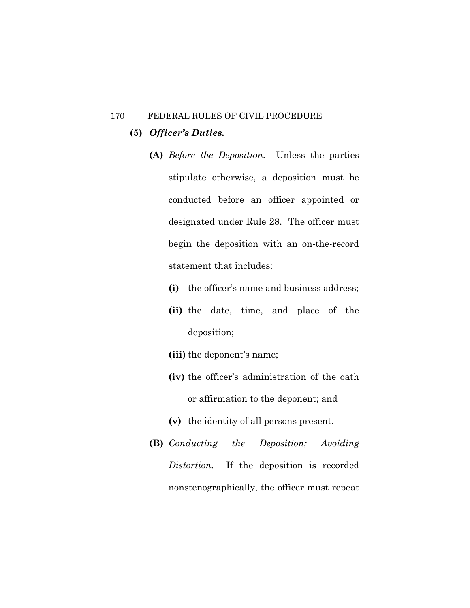## 170 FEDERAL RULES OF CIVIL PROCEDURE **(5)** *Officer's Duties.*

- **(A)** *Before the Deposition.* Unless the parties stipulate otherwise, a deposition must be conducted before an officer appointed or designated under Rule 28. The officer must begin the deposition with an on-the-record statement that includes:
	- **(i)** the officer's name and business address;
	- **(ii)** the date, time, and place of the deposition;
	- **(iii)** the deponent's name;
	- **(iv)** the officer's administration of the oath or affirmation to the deponent; and
	- **(v)** the identity of all persons present.
- **(B)** *Conducting the Deposition; Avoiding Distortion.* If the deposition is recorded nonstenographically, the officer must repeat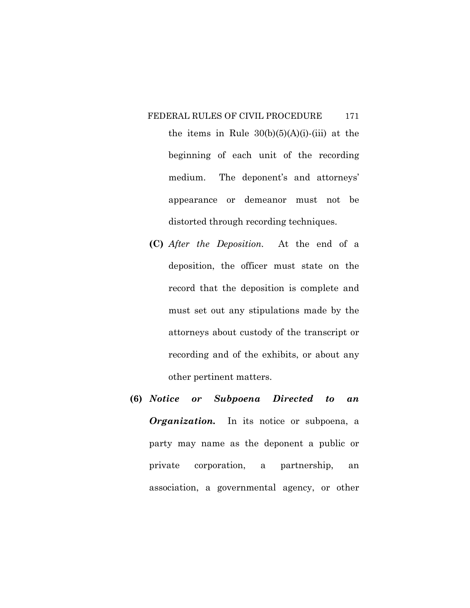the items in Rule  $30(b)(5)(A)(i)$ -(iii) at the beginning of each unit of the recording medium. The deponent's and attorneys' appearance or demeanor must not be distorted through recording techniques.

- **(C)** *After the Deposition.* At the end of a deposition, the officer must state on the record that the deposition is complete and must set out any stipulations made by the attorneys about custody of the transcript or recording and of the exhibits, or about any other pertinent matters.
- **(6)** *Notice or Subpoena Directed to an Organization.* In its notice or subpoena, a party may name as the deponent a public or private corporation, a partnership, an association, a governmental agency, or other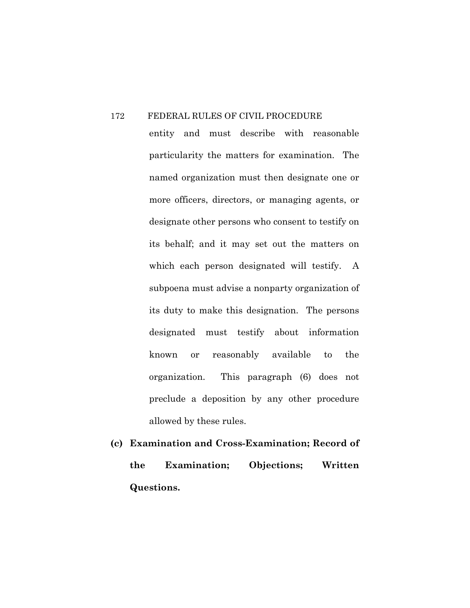entity and must describe with reasonable particularity the matters for examination. The named organization must then designate one or more officers, directors, or managing agents, or designate other persons who consent to testify on its behalf; and it may set out the matters on which each person designated will testify. A subpoena must advise a nonparty organization of its duty to make this designation. The persons designated must testify about information known or reasonably available to the organization. This paragraph (6) does not preclude a deposition by any other procedure allowed by these rules.

**(c) Examination and Cross-Examination; Record of the Examination; Objections; Written Questions.**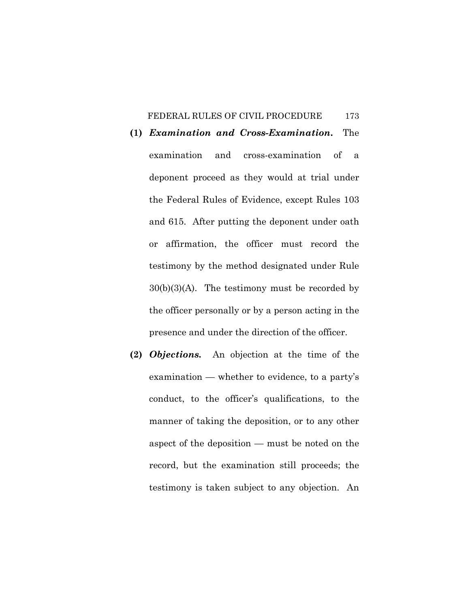- **(1)** *Examination and Cross-Examination***.** The examination and cross-examination of a deponent proceed as they would at trial under the Federal Rules of Evidence, except Rules 103 and 615. After putting the deponent under oath or affirmation, the officer must record the testimony by the method designated under Rule  $30(b)(3)(A)$ . The testimony must be recorded by the officer personally or by a person acting in the presence and under the direction of the officer.
- **(2)** *Objections.* An objection at the time of the examination — whether to evidence, to a party's conduct, to the officer's qualifications, to the manner of taking the deposition, or to any other aspect of the deposition — must be noted on the record, but the examination still proceeds; the testimony is taken subject to any objection. An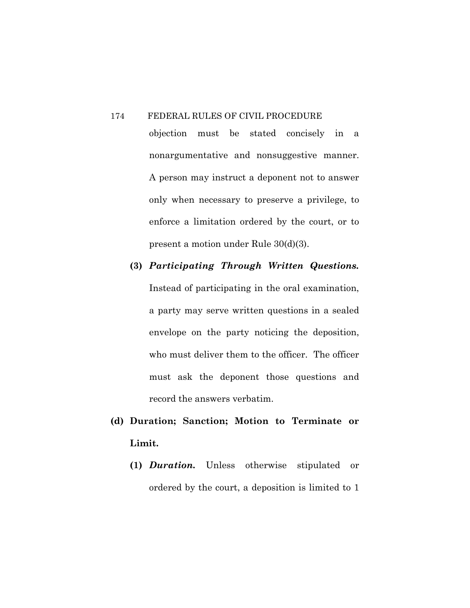objection must be stated concisely in a nonargumentative and nonsuggestive manner. A person may instruct a deponent not to answer only when necessary to preserve a privilege, to enforce a limitation ordered by the court, or to present a motion under Rule 30(d)(3).

- **(3)** *Participating Through Written Questions.* Instead of participating in the oral examination, a party may serve written questions in a sealed envelope on the party noticing the deposition, who must deliver them to the officer. The officer must ask the deponent those questions and record the answers verbatim.
- **(d) Duration; Sanction; Motion to Terminate or Limit.** 
	- **(1)** *Duration.* Unless otherwise stipulated or ordered by the court, a deposition is limited to 1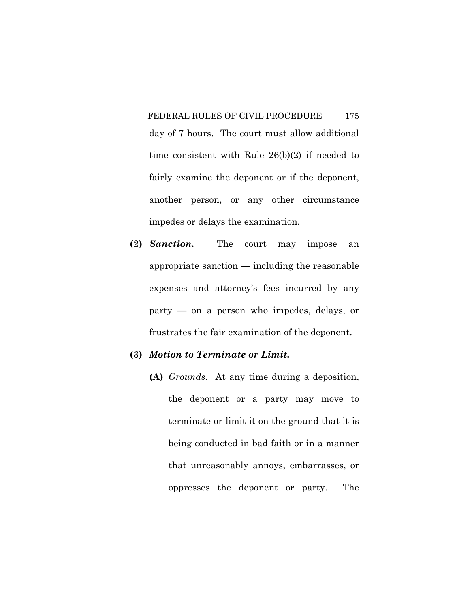FEDERAL RULES OF CIVIL PROCEDURE 175 day of 7 hours. The court must allow additional time consistent with Rule 26(b)(2) if needed to fairly examine the deponent or if the deponent, another person, or any other circumstance impedes or delays the examination.

**(2)** *Sanction.* The court may impose an appropriate sanction — including the reasonable expenses and attorney's fees incurred by any party — on a person who impedes, delays, or frustrates the fair examination of the deponent.

### **(3)** *Motion to Terminate or Limit.*

**(A)** *Grounds.* At any time during a deposition, the deponent or a party may move to terminate or limit it on the ground that it is being conducted in bad faith or in a manner that unreasonably annoys, embarrasses, or oppresses the deponent or party. The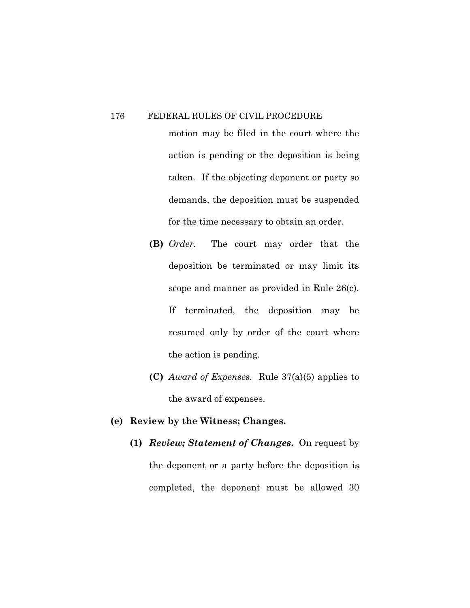motion may be filed in the court where the action is pending or the deposition is being taken. If the objecting deponent or party so demands, the deposition must be suspended for the time necessary to obtain an order.

- **(B)** *Order.* The court may order that the deposition be terminated or may limit its scope and manner as provided in Rule 26(c). If terminated, the deposition may be resumed only by order of the court where the action is pending.
- **(C)** *Award of Expenses.* Rule 37(a)(5) applies to the award of expenses.
- **(e) Review by the Witness; Changes.** 
	- **(1)** *Review; Statement of Changes***.** On request by the deponent or a party before the deposition is completed, the deponent must be allowed 30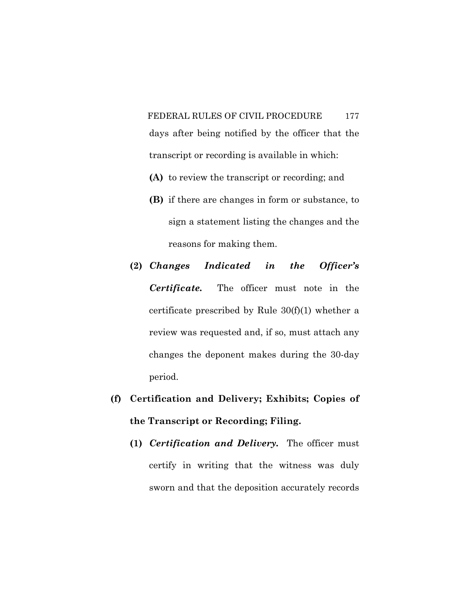# FEDERAL RULES OF CIVIL PROCEDURE 177 days after being notified by the officer that the transcript or recording is available in which:

- **(A)** to review the transcript or recording; and
- **(B)** if there are changes in form or substance, to sign a statement listing the changes and the reasons for making them.
- **(2)** *Changes Indicated in the Officer's Certificate.* The officer must note in the certificate prescribed by Rule 30(f)(1) whether a review was requested and, if so, must attach any changes the deponent makes during the 30-day period.
- **(f) Certification and Delivery; Exhibits; Copies of the Transcript or Recording; Filing.** 
	- **(1)** *Certification and Delivery.* The officer must certify in writing that the witness was duly sworn and that the deposition accurately records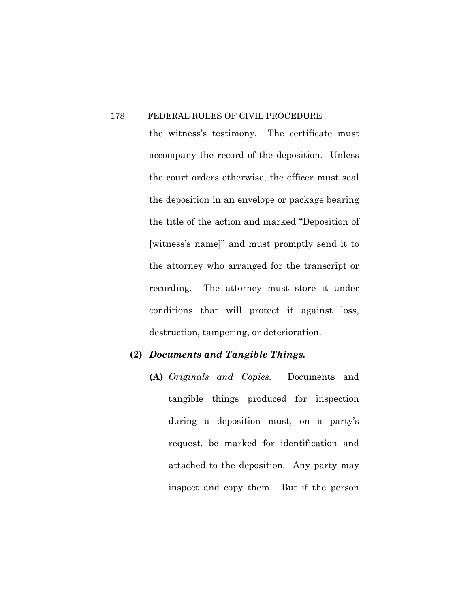the witness's testimony. The certificate must accompany the record of the deposition. Unless the court orders otherwise, the officer must seal the deposition in an envelope or package bearing the title of the action and marked "Deposition of [witness's name]" and must promptly send it to the attorney who arranged for the transcript or recording. The attorney must store it under conditions that will protect it against loss, destruction, tampering, or deterioration.

## **(2)** *Documents and Tangible Things.*

**(A)** *Originals and Copies.* Documents and tangible things produced for inspection during a deposition must, on a party's request, be marked for identification and attached to the deposition. Any party may inspect and copy them. But if the person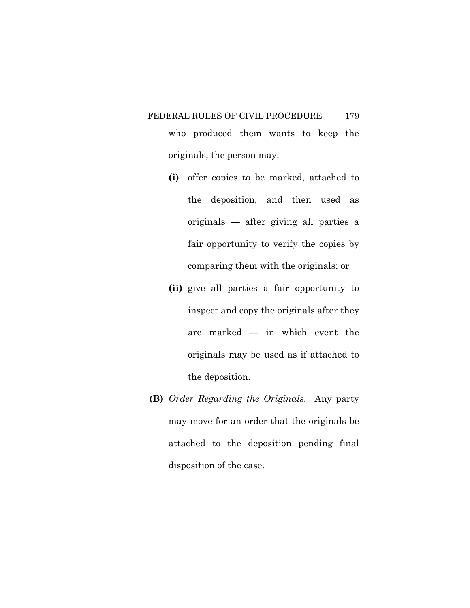who produced them wants to keep the originals, the person may:

- **(i)** offer copies to be marked, attached to the deposition, and then used as originals — after giving all parties a fair opportunity to verify the copies by comparing them with the originals; or
- **(ii)** give all parties a fair opportunity to inspect and copy the originals after they are marked — in which event the originals may be used as if attached to the deposition.
- **(B)** *Order Regarding the Originals.* Any party may move for an order that the originals be attached to the deposition pending final disposition of the case.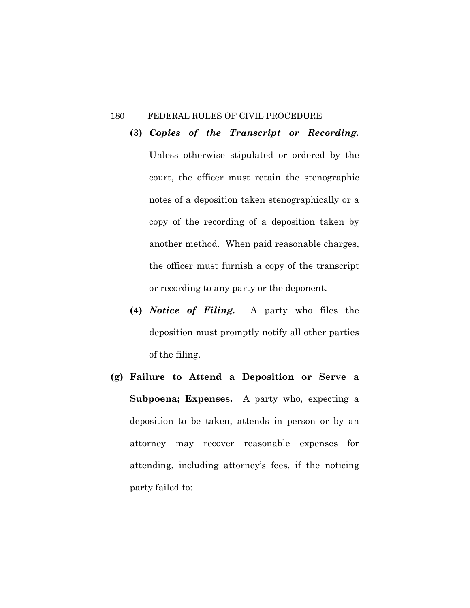- **(3)** *Copies of the Transcript or Recording.* Unless otherwise stipulated or ordered by the court, the officer must retain the stenographic notes of a deposition taken stenographically or a copy of the recording of a deposition taken by another method. When paid reasonable charges, the officer must furnish a copy of the transcript or recording to any party or the deponent.
- **(4)** *Notice of Filing.* A party who files the deposition must promptly notify all other parties of the filing.
- **(g) Failure to Attend a Deposition or Serve a Subpoena; Expenses.** A party who, expecting a deposition to be taken, attends in person or by an attorney may recover reasonable expenses for attending, including attorney's fees, if the noticing party failed to: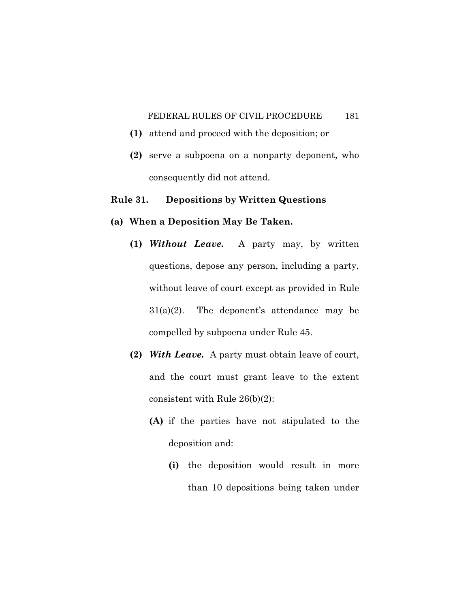- **(1)** attend and proceed with the deposition; or
- **(2)** serve a subpoena on a nonparty deponent, who consequently did not attend.

### **Rule 31. Depositions by Written Questions**

### **(a) When a Deposition May Be Taken.**

- **(1)** *Without Leave.* A party may, by written questions, depose any person, including a party, without leave of court except as provided in Rule  $31(a)(2)$ . The deponent's attendance may be compelled by subpoena under Rule 45.
- **(2)** *With Leave.* A party must obtain leave of court, and the court must grant leave to the extent consistent with Rule 26(b)(2):
	- **(A)** if the parties have not stipulated to the deposition and:
		- **(i)** the deposition would result in more than 10 depositions being taken under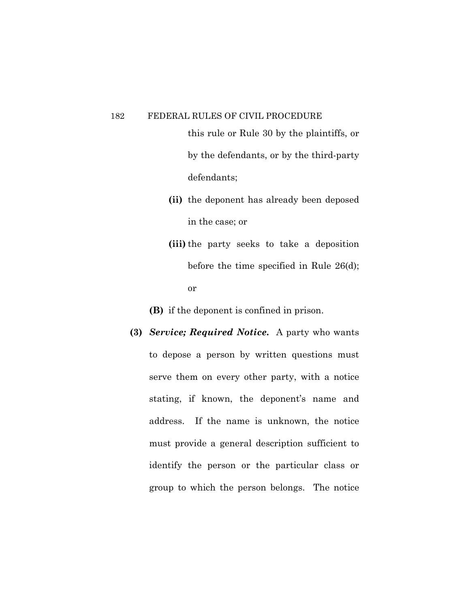this rule or Rule 30 by the plaintiffs, or by the defendants, or by the third-party defendants;

- **(ii)** the deponent has already been deposed in the case; or
- **(iii)** the party seeks to take a deposition before the time specified in Rule 26(d); or

**(B)** if the deponent is confined in prison.

**(3)** *Service; Required Notice.* A party who wants to depose a person by written questions must serve them on every other party, with a notice stating, if known, the deponent's name and address. If the name is unknown, the notice must provide a general description sufficient to identify the person or the particular class or group to which the person belongs. The notice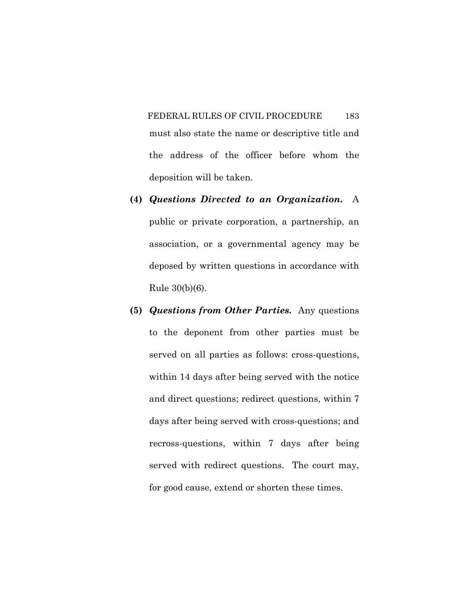FEDERAL RULES OF CIVIL PROCEDURE 183 must also state the name or descriptive title and the address of the officer before whom the deposition will be taken.

- **(4)** *Questions Directed to an Organization.* A public or private corporation, a partnership, an association, or a governmental agency may be deposed by written questions in accordance with Rule 30(b)(6).
- **(5)** *Questions from Other Parties.* Any questions to the deponent from other parties must be served on all parties as follows: cross-questions, within 14 days after being served with the notice and direct questions; redirect questions, within 7 days after being served with cross-questions; and recross-questions, within 7 days after being served with redirect questions. The court may, for good cause, extend or shorten these times.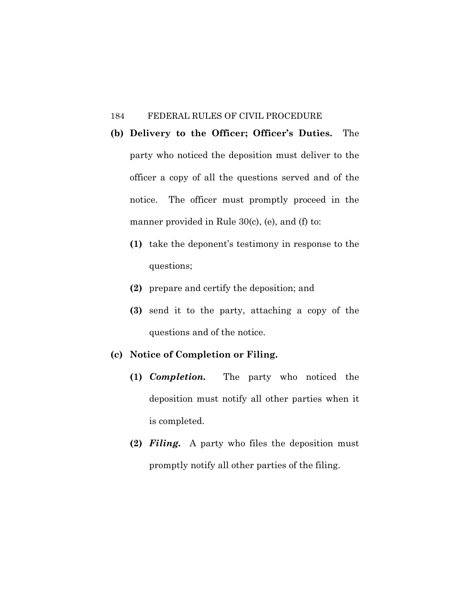- **(b) Delivery to the Officer; Officer's Duties.** The party who noticed the deposition must deliver to the officer a copy of all the questions served and of the notice. The officer must promptly proceed in the manner provided in Rule 30(c), (e), and (f) to:
	- **(1)** take the deponent's testimony in response to the questions;
	- **(2)** prepare and certify the deposition; and
	- **(3)** send it to the party, attaching a copy of the questions and of the notice.
- **(c) Notice of Completion or Filing.**
	- **(1)** *Completion.* The party who noticed the deposition must notify all other parties when it is completed.
	- **(2)** *Filing.* A party who files the deposition must promptly notify all other parties of the filing.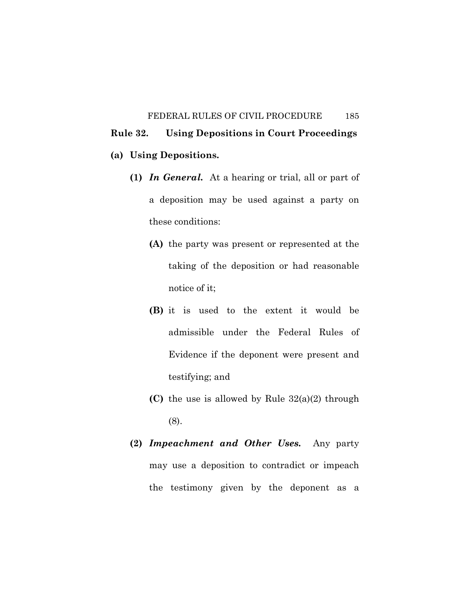## **Rule 32. Using Depositions in Court Proceedings**

- **(a) Using Depositions.** 
	- **(1)** *In General.* At a hearing or trial, all or part of a deposition may be used against a party on these conditions:
		- **(A)** the party was present or represented at the taking of the deposition or had reasonable notice of it;
		- **(B)** it is used to the extent it would be admissible under the Federal Rules of Evidence if the deponent were present and testifying; and
		- **(C)** the use is allowed by Rule 32(a)(2) through (8).
	- **(2)** *Impeachment and Other Uses.* Any party may use a deposition to contradict or impeach the testimony given by the deponent as a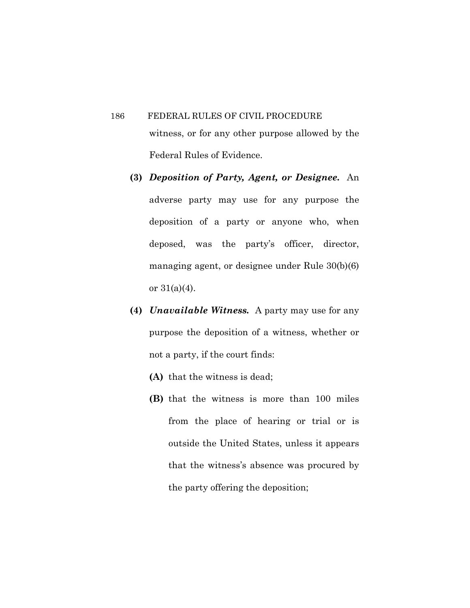# 186 FEDERAL RULES OF CIVIL PROCEDURE witness, or for any other purpose allowed by the Federal Rules of Evidence.

- **(3)** *Deposition of Party, Agent, or Designee.* An adverse party may use for any purpose the deposition of a party or anyone who, when deposed, was the party's officer, director, managing agent, or designee under Rule 30(b)(6) or  $31(a)(4)$ .
- **(4)** *Unavailable Witness.* A party may use for any purpose the deposition of a witness, whether or not a party, if the court finds:
	- **(A)** that the witness is dead;
	- **(B)** that the witness is more than 100 miles from the place of hearing or trial or is outside the United States, unless it appears that the witness's absence was procured by the party offering the deposition;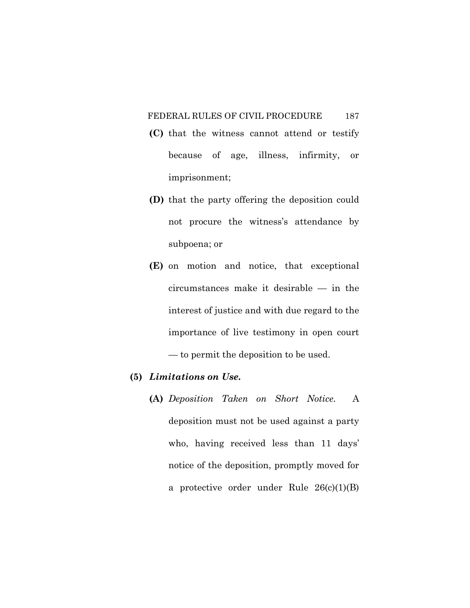- **(C)** that the witness cannot attend or testify because of age, illness, infirmity, or imprisonment;
- **(D)** that the party offering the deposition could not procure the witness's attendance by subpoena; or
- **(E)** on motion and notice, that exceptional circumstances make it desirable — in the interest of justice and with due regard to the importance of live testimony in open court — to permit the deposition to be used.

## **(5)** *Limitations on Use.*

**(A)** *Deposition Taken on Short Notice.* A deposition must not be used against a party who, having received less than 11 days' notice of the deposition, promptly moved for a protective order under Rule 26(c)(1)(B)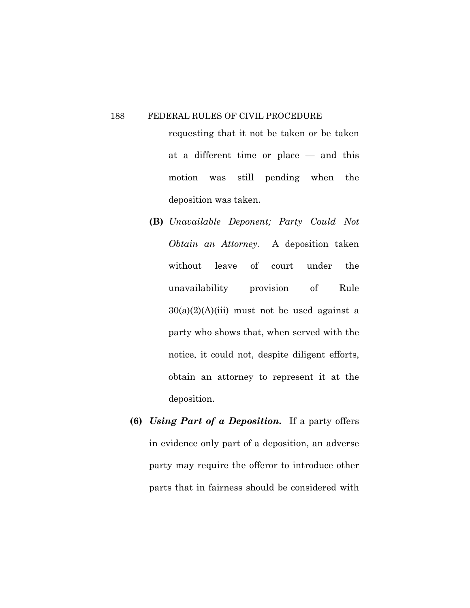requesting that it not be taken or be taken at a different time or place — and this motion was still pending when the deposition was taken.

- **(B)** *Unavailable Deponent; Party Could Not Obtain an Attorney.* A deposition taken without leave of court under the unavailability provision of Rule  $30(a)(2)(A)(iii)$  must not be used against a party who shows that, when served with the notice, it could not, despite diligent efforts, obtain an attorney to represent it at the deposition.
- **(6)** *Using Part of a Deposition.* If a party offers in evidence only part of a deposition, an adverse party may require the offeror to introduce other parts that in fairness should be considered with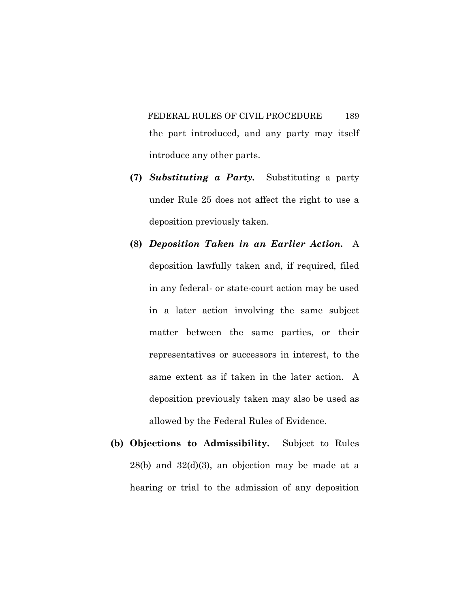FEDERAL RULES OF CIVIL PROCEDURE 189 the part introduced, and any party may itself introduce any other parts.

- **(7)** *Substituting a Party.* Substituting a party under Rule 25 does not affect the right to use a deposition previously taken.
- **(8)** *Deposition Taken in an Earlier Action.* A deposition lawfully taken and, if required, filed in any federal- or state-court action may be used in a later action involving the same subject matter between the same parties, or their representatives or successors in interest, to the same extent as if taken in the later action. A deposition previously taken may also be used as allowed by the Federal Rules of Evidence.
- **(b) Objections to Admissibility.** Subject to Rules  $28(b)$  and  $32(d)(3)$ , an objection may be made at a hearing or trial to the admission of any deposition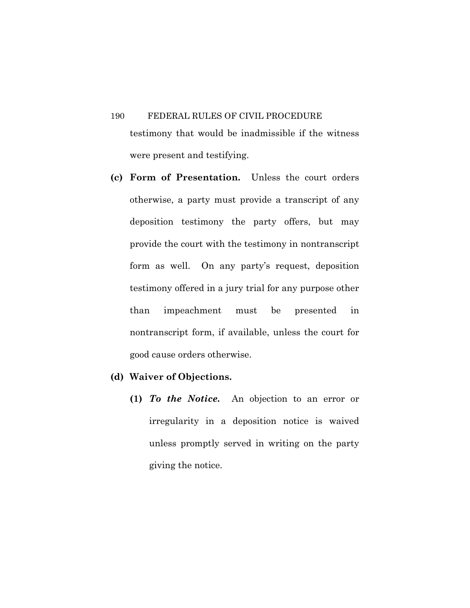- 190 FEDERAL RULES OF CIVIL PROCEDURE testimony that would be inadmissible if the witness were present and testifying.
- **(c) Form of Presentation.** Unless the court orders otherwise, a party must provide a transcript of any deposition testimony the party offers, but may provide the court with the testimony in nontranscript form as well. On any party's request, deposition testimony offered in a jury trial for any purpose other than impeachment must be presented in nontranscript form, if available, unless the court for good cause orders otherwise.

## **(d) Waiver of Objections.**

**(1)** *To the Notice.* An objection to an error or irregularity in a deposition notice is waived unless promptly served in writing on the party giving the notice.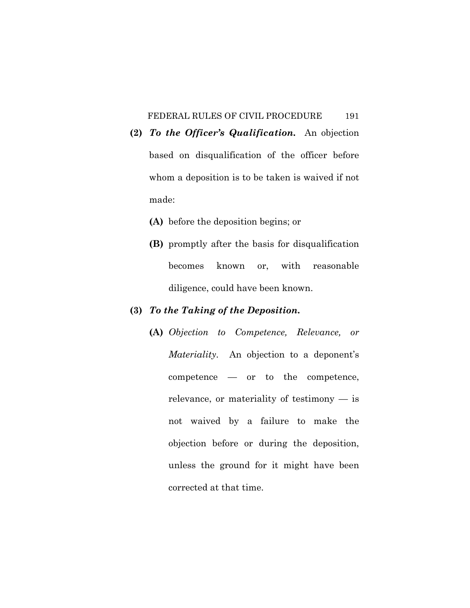- **(2)** *To the Officer's Qualification.* An objection based on disqualification of the officer before whom a deposition is to be taken is waived if not made:
	- **(A)** before the deposition begins; or
	- **(B)** promptly after the basis for disqualification becomes known or, with reasonable diligence, could have been known.

### **(3)** *To the Taking of the Deposition.*

**(A)** *Objection to Competence, Relevance, or Materiality.* An objection to a deponent's competence — or to the competence, relevance, or materiality of testimony — is not waived by a failure to make the objection before or during the deposition, unless the ground for it might have been corrected at that time.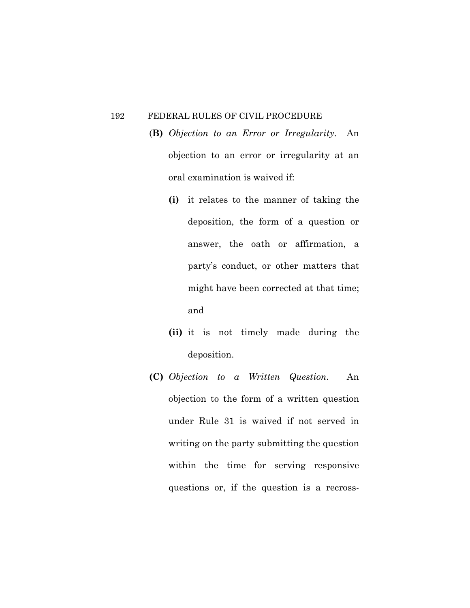- (**B)** *Objection to an Error or Irregularity.* An objection to an error or irregularity at an oral examination is waived if:
	- **(i)** it relates to the manner of taking the deposition, the form of a question or answer, the oath or affirmation, a party's conduct, or other matters that might have been corrected at that time; and
	- **(ii)** it is not timely made during the deposition.
- **(C)** *Objection to a Written Question.* An objection to the form of a written question under Rule 31 is waived if not served in writing on the party submitting the question within the time for serving responsive questions or, if the question is a recross-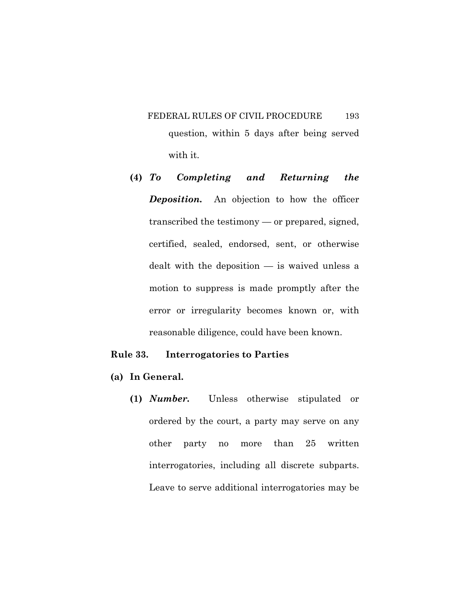# FEDERAL RULES OF CIVIL PROCEDURE 193 question, within 5 days after being served with it.

**(4)** *To Completing and Returning the Deposition.* An objection to how the officer transcribed the testimony — or prepared, signed, certified, sealed, endorsed, sent, or otherwise dealt with the deposition — is waived unless a motion to suppress is made promptly after the error or irregularity becomes known or, with reasonable diligence, could have been known.

## **Rule 33. Interrogatories to Parties**

- **(a) In General.** 
	- **(1)** *Number.* Unless otherwise stipulated or ordered by the court, a party may serve on any other party no more than 25 written interrogatories, including all discrete subparts. Leave to serve additional interrogatories may be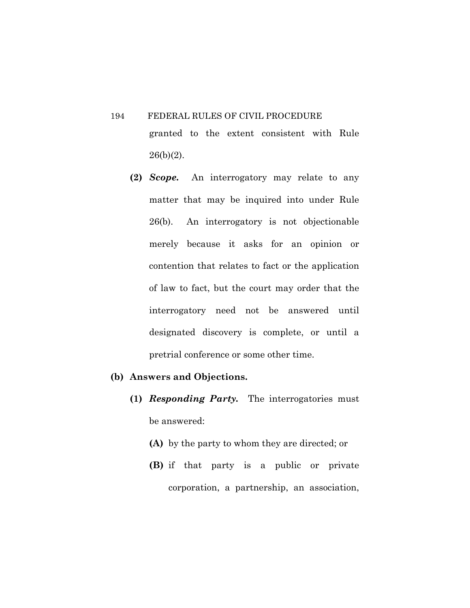# 194 FEDERAL RULES OF CIVIL PROCEDURE granted to the extent consistent with Rule  $26(b)(2)$ .

**(2)** *Scope.* An interrogatory may relate to any matter that may be inquired into under Rule 26(b). An interrogatory is not objectionable merely because it asks for an opinion or contention that relates to fact or the application of law to fact, but the court may order that the interrogatory need not be answered until designated discovery is complete, or until a pretrial conference or some other time.

## **(b) Answers and Objections.**

- **(1)** *Responding Party.* The interrogatories must be answered:
	- **(A)** by the party to whom they are directed; or
	- **(B)** if that party is a public or private corporation, a partnership, an association,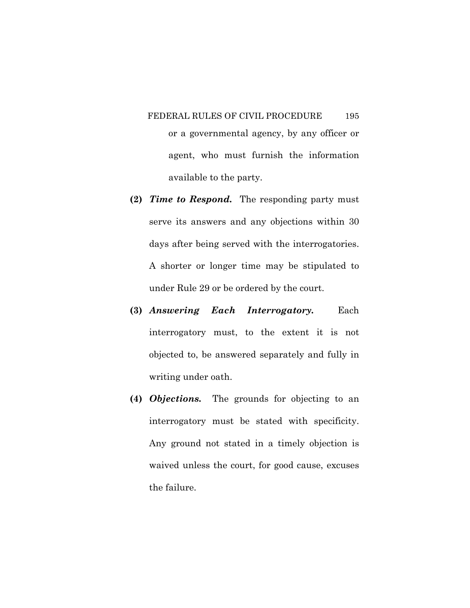# FEDERAL RULES OF CIVIL PROCEDURE 195 or a governmental agency, by any officer or agent, who must furnish the information available to the party.

- **(2)** *Time to Respond.* The responding party must serve its answers and any objections within 30 days after being served with the interrogatories. A shorter or longer time may be stipulated to under Rule 29 or be ordered by the court.
- **(3)** *Answering Each Interrogatory.* Each interrogatory must, to the extent it is not objected to, be answered separately and fully in writing under oath.
- **(4)** *Objections.* The grounds for objecting to an interrogatory must be stated with specificity. Any ground not stated in a timely objection is waived unless the court, for good cause, excuses the failure.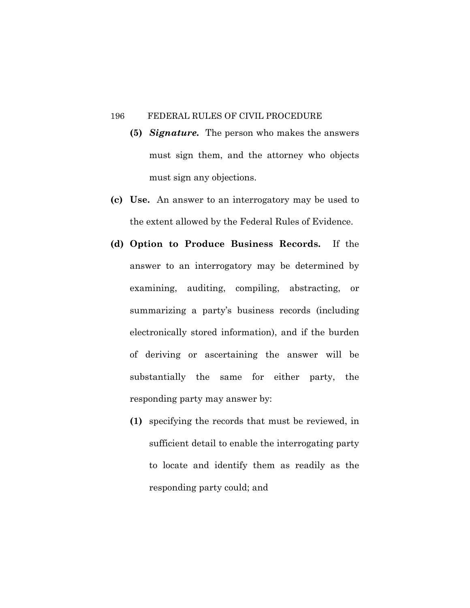- **(5)** *Signature.* The person who makes the answers must sign them, and the attorney who objects must sign any objections.
- **(c) Use.** An answer to an interrogatory may be used to the extent allowed by the Federal Rules of Evidence.
- **(d) Option to Produce Business Records.** If the answer to an interrogatory may be determined by examining, auditing, compiling, abstracting, or summarizing a party's business records (including electronically stored information), and if the burden of deriving or ascertaining the answer will be substantially the same for either party, the responding party may answer by:
	- **(1)** specifying the records that must be reviewed, in sufficient detail to enable the interrogating party to locate and identify them as readily as the responding party could; and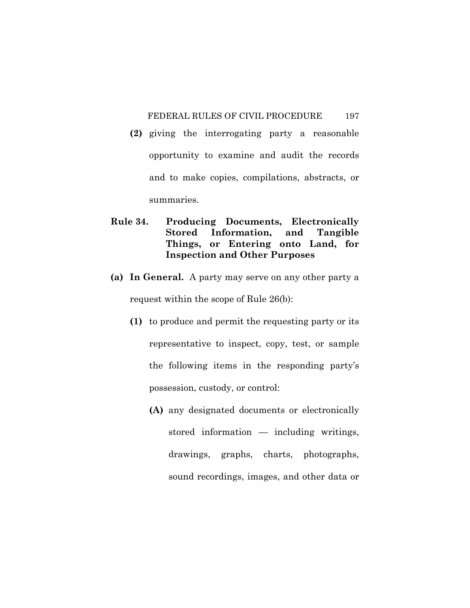- **(2)** giving the interrogating party a reasonable opportunity to examine and audit the records and to make copies, compilations, abstracts, or summaries.
- **Rule 34. Producing Documents, Electronically Stored Information, and Tangible Things, or Entering onto Land, for Inspection and Other Purposes**
- **(a) In General.** A party may serve on any other party a request within the scope of Rule 26(b):
	- **(1)** to produce and permit the requesting party or its representative to inspect, copy, test, or sample the following items in the responding party's possession, custody, or control:
		- **(A)** any designated documents or electronically stored information — including writings, drawings, graphs, charts, photographs, sound recordings, images, and other data or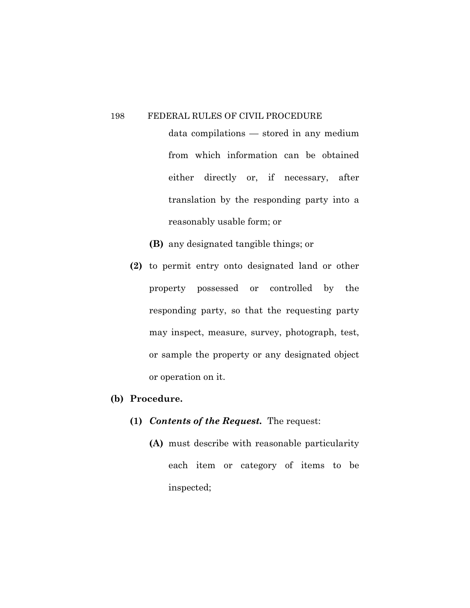data compilations — stored in any medium from which information can be obtained either directly or, if necessary, after translation by the responding party into a reasonably usable form; or

- **(B)** any designated tangible things; or
- **(2)** to permit entry onto designated land or other property possessed or controlled by the responding party, so that the requesting party may inspect, measure, survey, photograph, test, or sample the property or any designated object or operation on it.

## **(b) Procedure.**

### **(1)** *Contents of the Request.* The request:

**(A)** must describe with reasonable particularity each item or category of items to be inspected;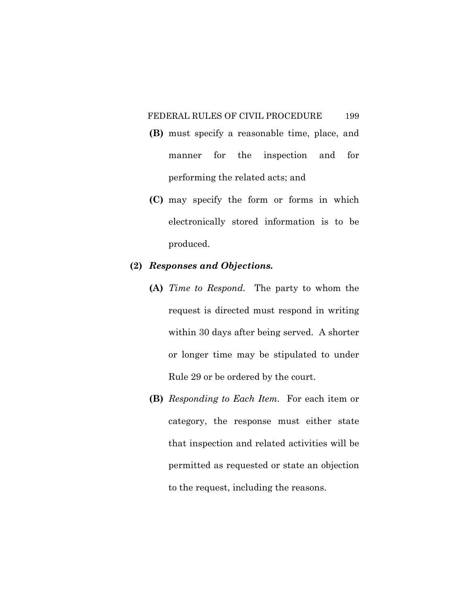- **(B)** must specify a reasonable time, place, and manner for the inspection and for performing the related acts; and
- **(C)** may specify the form or forms in which electronically stored information is to be produced.

## **(2)** *Responses and Objections.*

- **(A)** *Time to Respond.* The party to whom the request is directed must respond in writing within 30 days after being served. A shorter or longer time may be stipulated to under Rule 29 or be ordered by the court.
- **(B)** *Responding to Each Item.* For each item or category, the response must either state that inspection and related activities will be permitted as requested or state an objection to the request, including the reasons.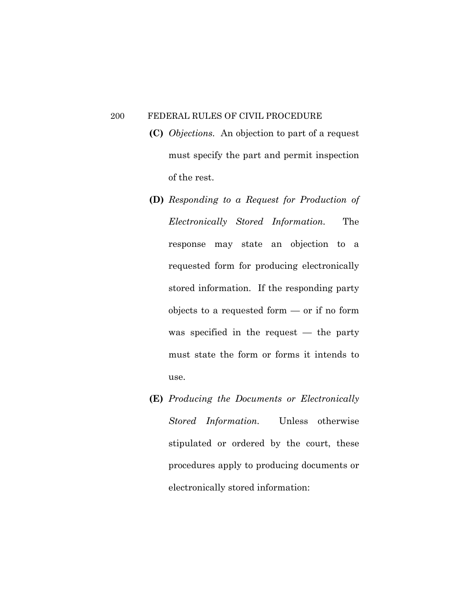- **(C)** *Objections.* An objection to part of a request must specify the part and permit inspection of the rest.
- **(D)** *Responding to a Request for Production of Electronically Stored Information.*The response may state an objection to a requested form for producing electronically stored information. If the responding party objects to a requested form — or if no form was specified in the request — the party must state the form or forms it intends to use.
- **(E)** *Producing the Documents or Electronically Stored Information.* Unless otherwise stipulated or ordered by the court, these procedures apply to producing documents or electronically stored information: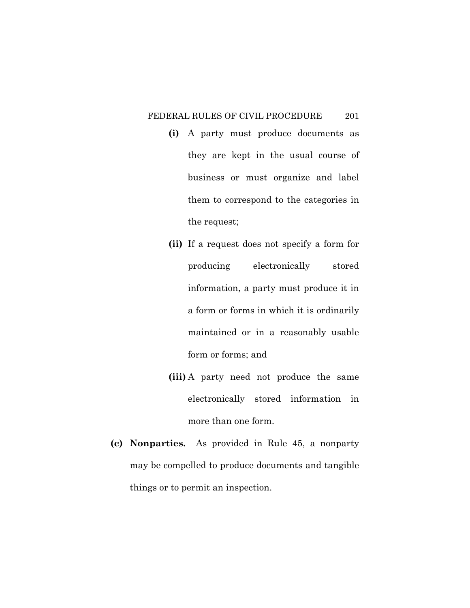- **(i)** A party must produce documents as they are kept in the usual course of business or must organize and label them to correspond to the categories in the request;
- **(ii)** If a request does not specify a form for producing electronically stored information, a party must produce it in a form or forms in which it is ordinarily maintained or in a reasonably usable form or forms; and
- **(iii)** A party need not produce the same electronically stored information in more than one form.
- **(c) Nonparties.** As provided in Rule 45, a nonparty may be compelled to produce documents and tangible things or to permit an inspection.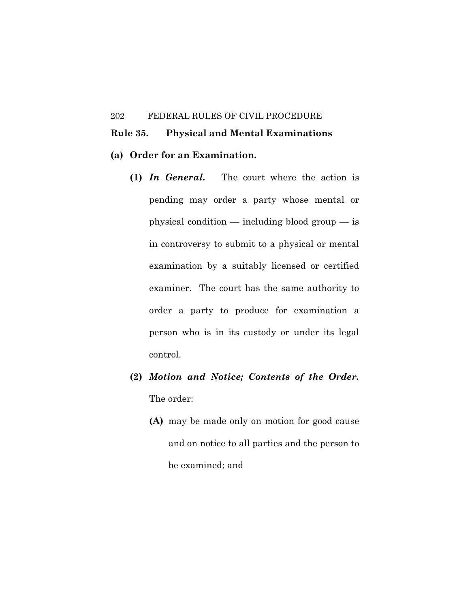# 202 FEDERAL RULES OF CIVIL PROCEDURE **Rule 35. Physical and Mental Examinations**

- **(a) Order for an Examination.** 
	- **(1)** *In General.* The court where the action is pending may order a party whose mental or physical condition — including blood group — is in controversy to submit to a physical or mental examination by a suitably licensed or certified examiner. The court has the same authority to order a party to produce for examination a person who is in its custody or under its legal control.
	- **(2)** *Motion and Notice; Contents of the Order.* The order:
		- **(A)** may be made only on motion for good cause and on notice to all parties and the person to be examined; and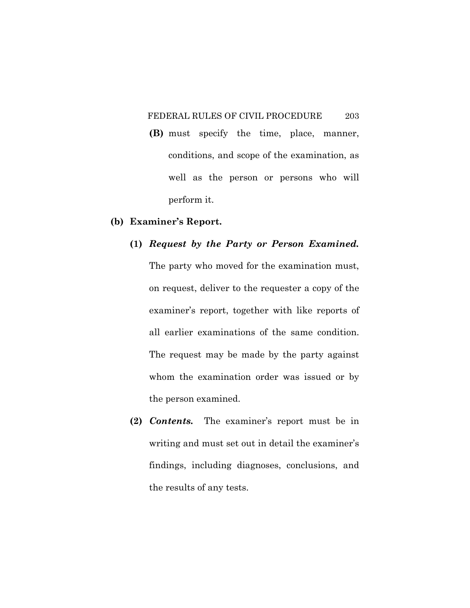**(B)** must specify the time, place, manner, conditions, and scope of the examination, as well as the person or persons who will perform it.

### **(b) Examiner's Report.**

**(1)** *Request by the Party or Person Examined.*

The party who moved for the examination must, on request, deliver to the requester a copy of the examiner's report, together with like reports of all earlier examinations of the same condition. The request may be made by the party against whom the examination order was issued or by the person examined.

**(2)** *Contents.* The examiner's report must be in writing and must set out in detail the examiner's findings, including diagnoses, conclusions, and the results of any tests.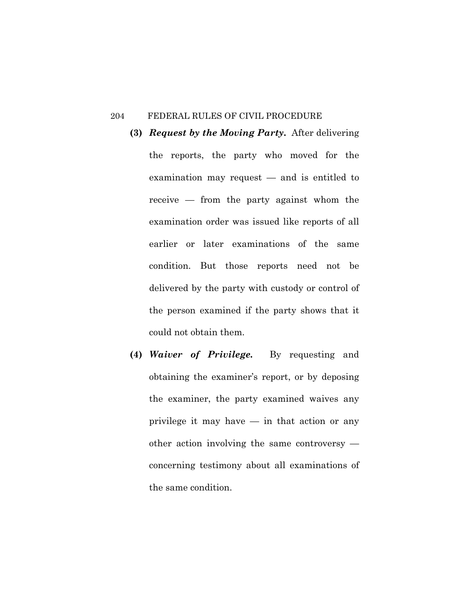- **(3)** *Request by the Moving Party***.** After delivering the reports, the party who moved for the examination may request — and is entitled to receive — from the party against whom the examination order was issued like reports of all earlier or later examinations of the same condition. But those reports need not be delivered by the party with custody or control of the person examined if the party shows that it could not obtain them.
- **(4)** *Waiver of Privilege.* By requesting and obtaining the examiner's report, or by deposing the examiner, the party examined waives any privilege it may have — in that action or any other action involving the same controversy concerning testimony about all examinations of the same condition.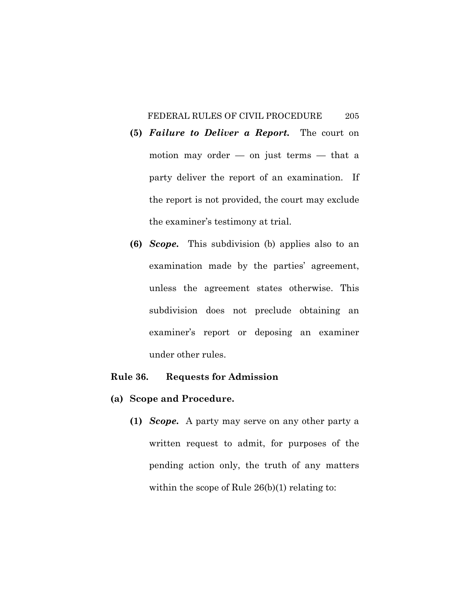- **(5)** *Failure to Deliver a Report.* The court on motion may order — on just terms — that a party deliver the report of an examination. If the report is not provided, the court may exclude the examiner's testimony at trial.
- **(6)** *Scope.* This subdivision (b) applies also to an examination made by the parties' agreement, unless the agreement states otherwise. This subdivision does not preclude obtaining an examiner's report or deposing an examiner under other rules.

## **Rule 36. Requests for Admission**

- **(a) Scope and Procedure.** 
	- **(1)** *Scope.* A party may serve on any other party a written request to admit, for purposes of the pending action only, the truth of any matters within the scope of Rule 26(b)(1) relating to: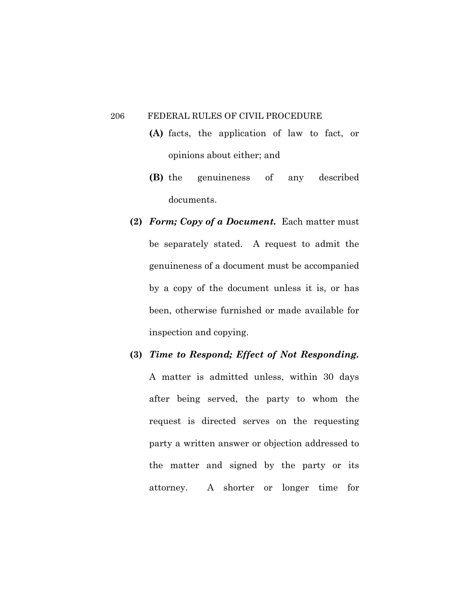- **(A)** facts, the application of law to fact, or opinions about either; and
- **(B)** the genuineness of any described documents.
- **(2)** *Form; Copy of a Document.* Each matter must be separately stated. A request to admit the genuineness of a document must be accompanied by a copy of the document unless it is, or has been, otherwise furnished or made available for inspection and copying.

### **(3)** *Time to Respond; Effect of Not Responding.*

A matter is admitted unless, within 30 days after being served, the party to whom the request is directed serves on the requesting party a written answer or objection addressed to the matter and signed by the party or its attorney. A shorter or longer time for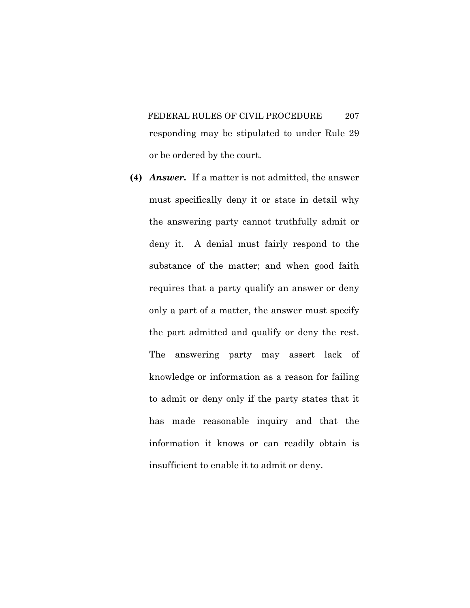FEDERAL RULES OF CIVIL PROCEDURE 207 responding may be stipulated to under Rule 29 or be ordered by the court.

**(4)** *Answer.* If a matter is not admitted, the answer must specifically deny it or state in detail why the answering party cannot truthfully admit or deny it. A denial must fairly respond to the substance of the matter; and when good faith requires that a party qualify an answer or deny only a part of a matter, the answer must specify the part admitted and qualify or deny the rest. The answering party may assert lack of knowledge or information as a reason for failing to admit or deny only if the party states that it has made reasonable inquiry and that the information it knows or can readily obtain is insufficient to enable it to admit or deny.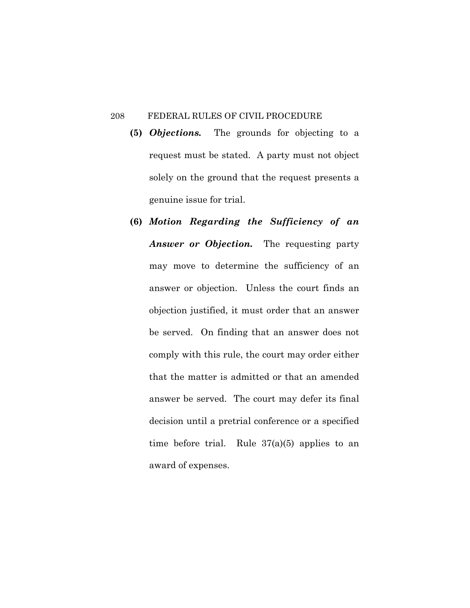- **(5)** *Objections.* The grounds for objecting to a request must be stated. A party must not object solely on the ground that the request presents a genuine issue for trial.
- **(6)** *Motion Regarding the Sufficiency of an Answer or Objection.* The requesting party may move to determine the sufficiency of an answer or objection. Unless the court finds an objection justified, it must order that an answer be served. On finding that an answer does not comply with this rule, the court may order either that the matter is admitted or that an amended answer be served. The court may defer its final decision until a pretrial conference or a specified time before trial. Rule  $37(a)(5)$  applies to an award of expenses.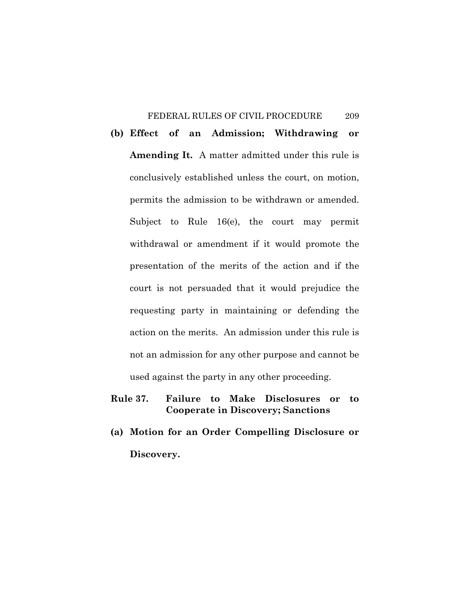- **(b) Effect of an Admission; Withdrawing or Amending It.** A matter admitted under this rule is conclusively established unless the court, on motion, permits the admission to be withdrawn or amended. Subject to Rule 16(e), the court may permit withdrawal or amendment if it would promote the presentation of the merits of the action and if the court is not persuaded that it would prejudice the requesting party in maintaining or defending the action on the merits. An admission under this rule is not an admission for any other purpose and cannot be used against the party in any other proceeding.
- **Rule 37. Failure to Make Disclosures or to Cooperate in Discovery; Sanctions**
- **(a) Motion for an Order Compelling Disclosure or Discovery.**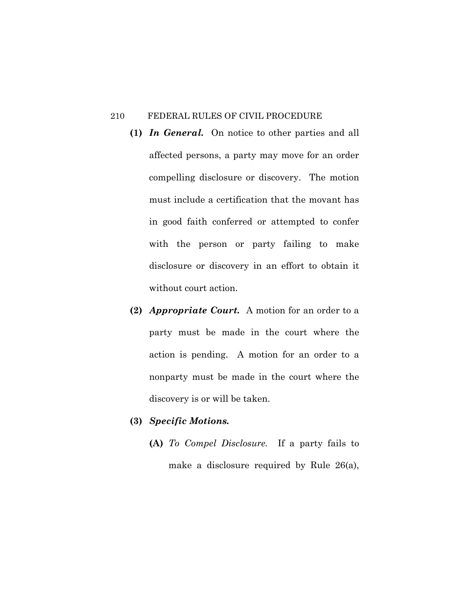- **(1)** *In General.* On notice to other parties and all affected persons, a party may move for an order compelling disclosure or discovery. The motion must include a certification that the movant has in good faith conferred or attempted to confer with the person or party failing to make disclosure or discovery in an effort to obtain it without court action.
- **(2)** *Appropriate Court.* A motion for an order to a party must be made in the court where the action is pending. A motion for an order to a nonparty must be made in the court where the discovery is or will be taken.
- **(3)** *Specific Motions.* 
	- **(A)** *To Compel Disclosure.* If a party fails to make a disclosure required by Rule 26(a),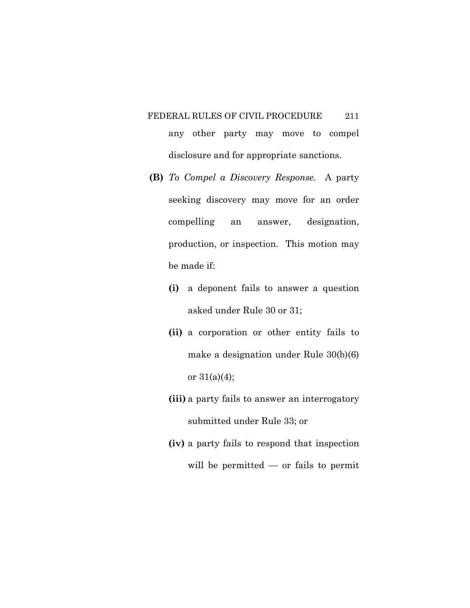# FEDERAL RULES OF CIVIL PROCEDURE 211 any other party may move to compel disclosure and for appropriate sanctions.

- **(B)** *To Compel a Discovery Response.* A party seeking discovery may move for an order compelling an answer, designation, production, or inspection. This motion may be made if:
	- **(i)** a deponent fails to answer a question asked under Rule 30 or 31;
	- **(ii)** a corporation or other entity fails to make a designation under Rule 30(b)(6) or  $31(a)(4)$ ;
	- **(iii)** a party fails to answer an interrogatory submitted under Rule 33; or
	- **(iv)** a party fails to respond that inspection will be permitted — or fails to permit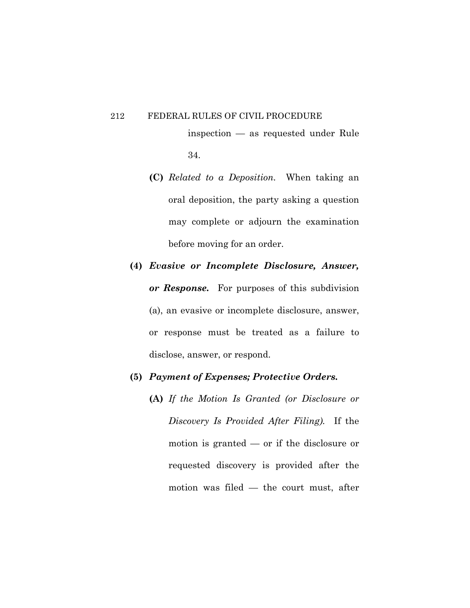inspection — as requested under Rule 34.

- **(C)** *Related to a Deposition.* When taking an oral deposition, the party asking a question may complete or adjourn the examination before moving for an order.
- **(4)** *Evasive or Incomplete Disclosure, Answer, or Response.* For purposes of this subdivision (a), an evasive or incomplete disclosure, answer, or response must be treated as a failure to disclose, answer, or respond.

## **(5)** *Payment of Expenses; Protective Orders.*

**(A)** *If the Motion Is Granted (or Disclosure or Discovery Is Provided After Filing).* If the motion is granted — or if the disclosure or requested discovery is provided after the motion was filed — the court must, after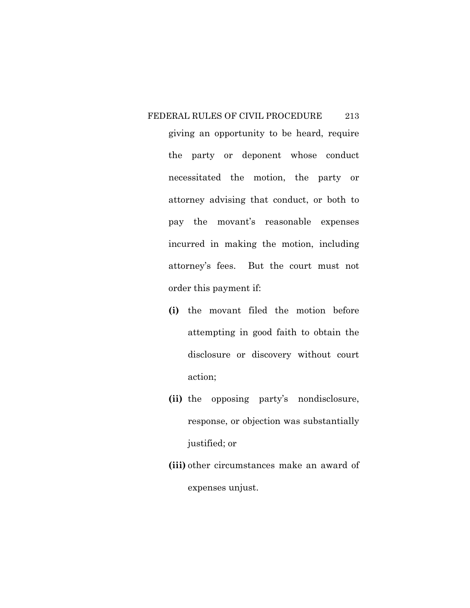giving an opportunity to be heard, require the party or deponent whose conduct necessitated the motion, the party or attorney advising that conduct, or both to pay the movant's reasonable expenses incurred in making the motion, including attorney's fees. But the court must not order this payment if:

- **(i)** the movant filed the motion before attempting in good faith to obtain the disclosure or discovery without court action;
- **(ii)** the opposing party's nondisclosure, response, or objection was substantially justified; or
- **(iii)** other circumstances make an award of expenses unjust.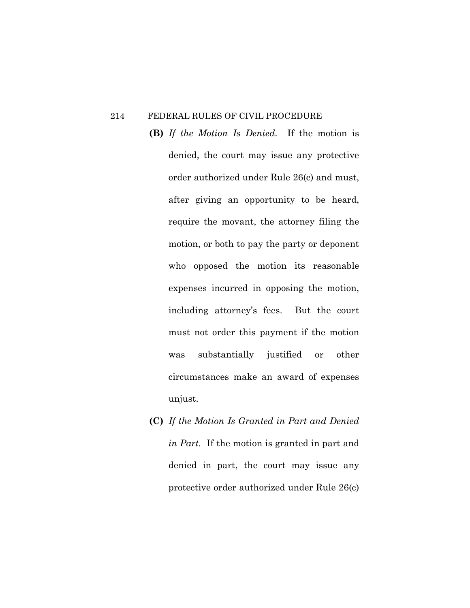- **(B)** *If the Motion Is Denied.* If the motion is denied, the court may issue any protective order authorized under Rule 26(c) and must, after giving an opportunity to be heard, require the movant, the attorney filing the motion, or both to pay the party or deponent who opposed the motion its reasonable expenses incurred in opposing the motion, including attorney's fees. But the court must not order this payment if the motion was substantially justified or other circumstances make an award of expenses unjust.
- **(C)** *If the Motion Is Granted in Part and Denied in Part.* If the motion is granted in part and denied in part, the court may issue any protective order authorized under Rule 26(c)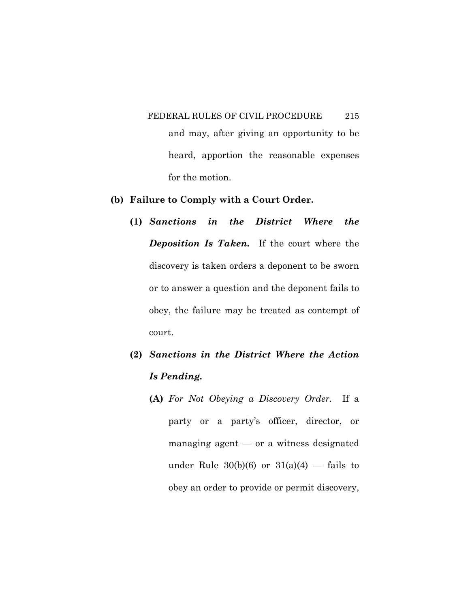## FEDERAL RULES OF CIVIL PROCEDURE 215 and may, after giving an opportunity to be heard, apportion the reasonable expenses for the motion.

- **(b) Failure to Comply with a Court Order.** 
	- **(1)** *Sanctions in the District Where the Deposition Is Taken.* If the court where the discovery is taken orders a deponent to be sworn or to answer a question and the deponent fails to obey, the failure may be treated as contempt of court.
	- **(2)** *Sanctions in the District Where the Action Is Pending.* 
		- **(A)** *For Not Obeying a Discovery Order.* If a party or a party's officer, director, or managing agent — or a witness designated under Rule  $30(b)(6)$  or  $31(a)(4)$  — fails to obey an order to provide or permit discovery,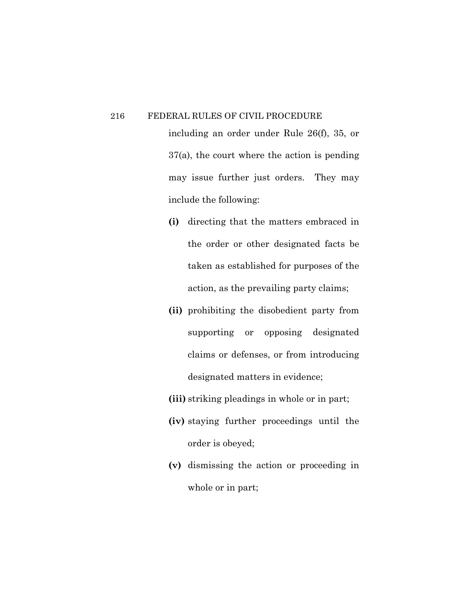including an order under Rule 26(f), 35, or 37(a), the court where the action is pending may issue further just orders. They may include the following:

- **(i)** directing that the matters embraced in the order or other designated facts be taken as established for purposes of the action, as the prevailing party claims;
- **(ii)** prohibiting the disobedient party from supporting or opposing designated claims or defenses, or from introducing designated matters in evidence;
- **(iii)** striking pleadings in whole or in part;
- **(iv)** staying further proceedings until the order is obeyed;
- **(v)** dismissing the action or proceeding in whole or in part;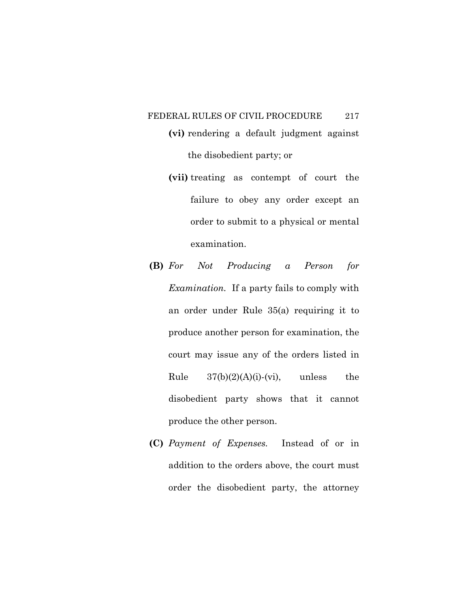- **(vi)** rendering a default judgment against the disobedient party; or
- **(vii)** treating as contempt of court the failure to obey any order except an order to submit to a physical or mental examination.
- **(B)** *For Not Producing a Person for Examination.* If a party fails to comply with an order under Rule 35(a) requiring it to produce another person for examination, the court may issue any of the orders listed in Rule  $37(b)(2)(A)(i)-(vi)$ , unless the disobedient party shows that it cannot produce the other person.
- **(C)** *Payment of Expenses.* Instead of or in addition to the orders above, the court must order the disobedient party, the attorney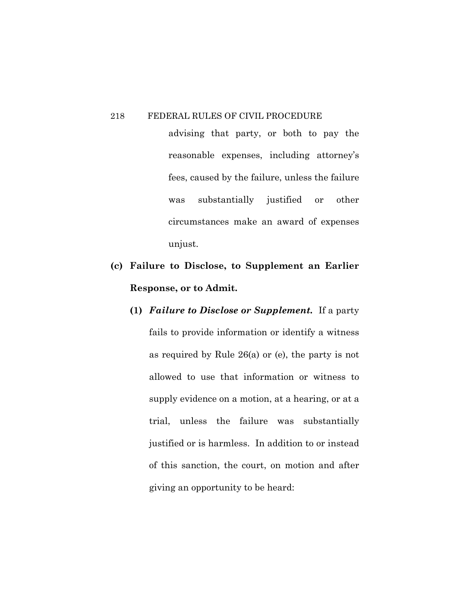advising that party, or both to pay the reasonable expenses, including attorney's fees, caused by the failure, unless the failure was substantially justified or other circumstances make an award of expenses unjust.

- **(c) Failure to Disclose, to Supplement an Earlier Response, or to Admit.** 
	- **(1)** *Failure to Disclose or Supplement.* If a party fails to provide information or identify a witness as required by Rule 26(a) or (e), the party is not allowed to use that information or witness to supply evidence on a motion, at a hearing, or at a trial, unless the failure was substantially justified or is harmless. In addition to or instead of this sanction, the court, on motion and after giving an opportunity to be heard: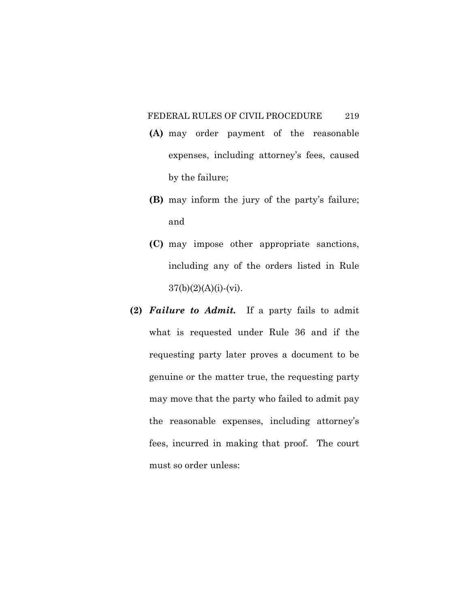- **(A)** may order payment of the reasonable expenses, including attorney's fees, caused by the failure;
- **(B)** may inform the jury of the party's failure; and
- **(C)** may impose other appropriate sanctions, including any of the orders listed in Rule  $37(b)(2)(A)(i)-(vi).$
- **(2)** *Failure to Admit.* If a party fails to admit what is requested under Rule 36 and if the requesting party later proves a document to be genuine or the matter true, the requesting party may move that the party who failed to admit pay the reasonable expenses, including attorney's fees, incurred in making that proof. The court must so order unless: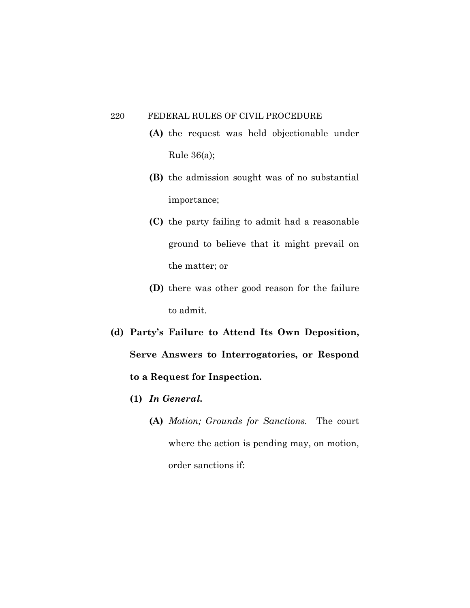- **(A)** the request was held objectionable under Rule 36(a);
- **(B)** the admission sought was of no substantial importance;
- **(C)** the party failing to admit had a reasonable ground to believe that it might prevail on the matter; or
- **(D)** there was other good reason for the failure to admit.
- **(d) Party's Failure to Attend Its Own Deposition, Serve Answers to Interrogatories, or Respond to a Request for Inspection.** 
	- **(1)** *In General.* 
		- **(A)** *Motion; Grounds for Sanctions.* The court where the action is pending may, on motion, order sanctions if: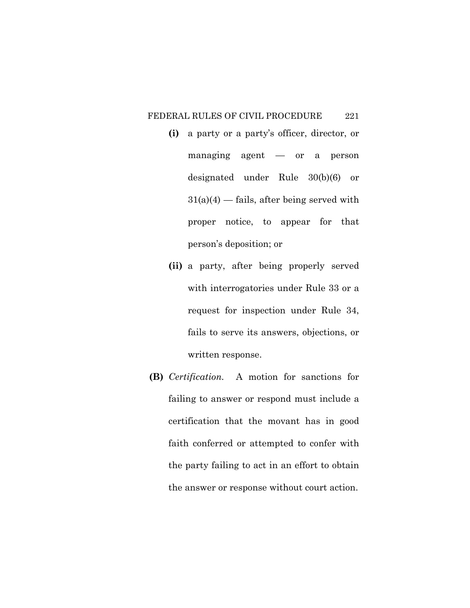- **(i)** a party or a party's officer, director, or managing agent — or a person designated under Rule 30(b)(6) or  $31(a)(4)$  — fails, after being served with proper notice, to appear for that person's deposition; or
- **(ii)** a party, after being properly served with interrogatories under Rule 33 or a request for inspection under Rule 34, fails to serve its answers, objections, or written response.
- **(B)** *Certification.* A motion for sanctions for failing to answer or respond must include a certification that the movant has in good faith conferred or attempted to confer with the party failing to act in an effort to obtain the answer or response without court action.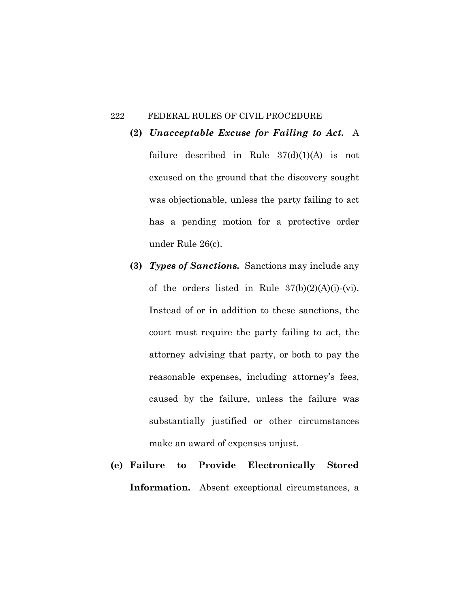- **(2)** *Unacceptable Excuse for Failing to Act.* A failure described in Rule  $37(d)(1)(A)$  is not excused on the ground that the discovery sought was objectionable, unless the party failing to act has a pending motion for a protective order under Rule 26(c).
- **(3)** *Types of Sanctions.* Sanctions may include any of the orders listed in Rule  $37(b)(2)(A)(i)-(vi)$ . Instead of or in addition to these sanctions, the court must require the party failing to act, the attorney advising that party, or both to pay the reasonable expenses, including attorney's fees, caused by the failure, unless the failure was substantially justified or other circumstances make an award of expenses unjust.
- **(e) Failure to Provide Electronically Stored Information.** Absent exceptional circumstances, a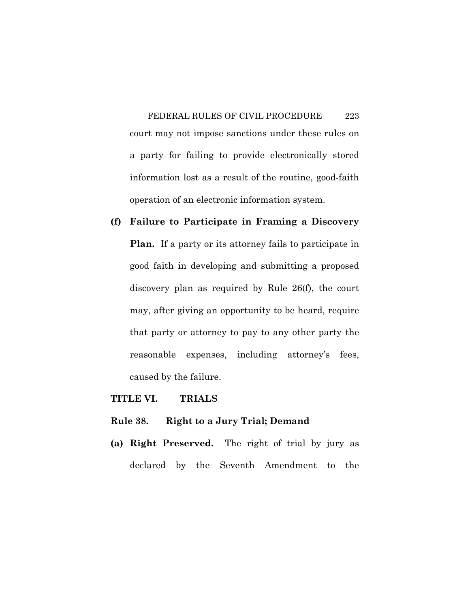FEDERAL RULES OF CIVIL PROCEDURE 223 court may not impose sanctions under these rules on a party for failing to provide electronically stored information lost as a result of the routine, good-faith operation of an electronic information system.

**(f) Failure to Participate in Framing a Discovery Plan.** If a party or its attorney fails to participate in good faith in developing and submitting a proposed discovery plan as required by Rule 26(f), the court may, after giving an opportunity to be heard, require that party or attorney to pay to any other party the reasonable expenses, including attorney's fees, caused by the failure.

### **TITLE VI. TRIALS**

### **Rule 38. Right to a Jury Trial; Demand**

**(a) Right Preserved.** The right of trial by jury as declared by the Seventh Amendment to the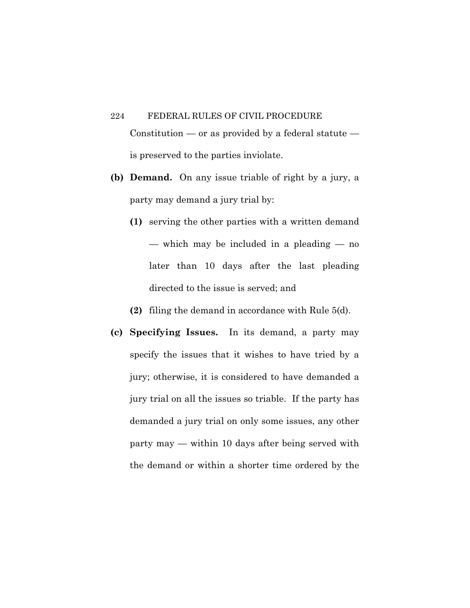# 224 FEDERAL RULES OF CIVIL PROCEDURE Constitution — or as provided by a federal statute —

is preserved to the parties inviolate.

- **(b) Demand.** On any issue triable of right by a jury, a party may demand a jury trial by:
	- **(1)** serving the other parties with a written demand — which may be included in a pleading — no later than 10 days after the last pleading directed to the issue is served; and
	- **(2)** filing the demand in accordance with Rule 5(d).
- **(c) Specifying Issues.** In its demand, a party may specify the issues that it wishes to have tried by a jury; otherwise, it is considered to have demanded a jury trial on all the issues so triable. If the party has demanded a jury trial on only some issues, any other party may — within 10 days after being served with the demand or within a shorter time ordered by the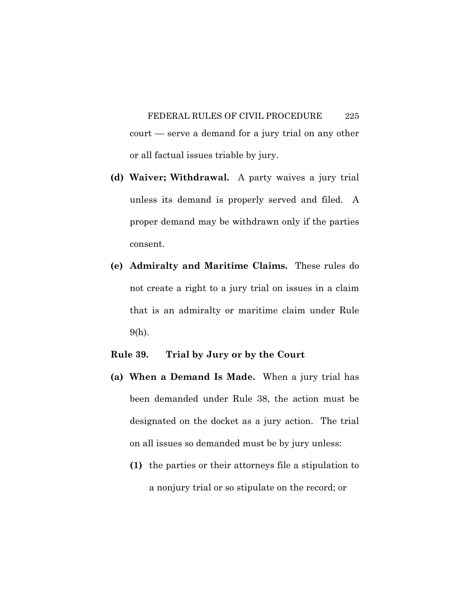FEDERAL RULES OF CIVIL PROCEDURE 225 court — serve a demand for a jury trial on any other or all factual issues triable by jury.

- **(d) Waiver; Withdrawal.** A party waives a jury trial unless its demand is properly served and filed. A proper demand may be withdrawn only if the parties consent.
- **(e) Admiralty and Maritime Claims.** These rules do not create a right to a jury trial on issues in a claim that is an admiralty or maritime claim under Rule 9(h).
- **Rule 39. Trial by Jury or by the Court**
- **(a) When a Demand Is Made.** When a jury trial has been demanded under Rule 38, the action must be designated on the docket as a jury action. The trial on all issues so demanded must be by jury unless:
	- **(1)** the parties or their attorneys file a stipulation to a nonjury trial or so stipulate on the record; or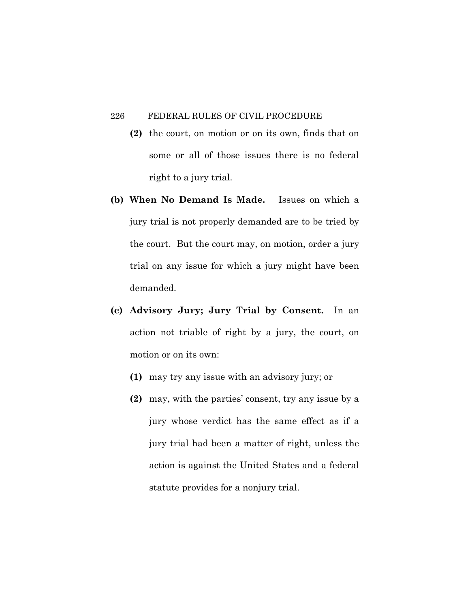- **(2)** the court, on motion or on its own, finds that on some or all of those issues there is no federal right to a jury trial.
- **(b) When No Demand Is Made.** Issues on which a jury trial is not properly demanded are to be tried by the court. But the court may, on motion, order a jury trial on any issue for which a jury might have been demanded.
- **(c) Advisory Jury; Jury Trial by Consent.** In an action not triable of right by a jury, the court, on motion or on its own:
	- **(1)** may try any issue with an advisory jury; or
	- **(2)** may, with the parties' consent, try any issue by a jury whose verdict has the same effect as if a jury trial had been a matter of right, unless the action is against the United States and a federal statute provides for a nonjury trial.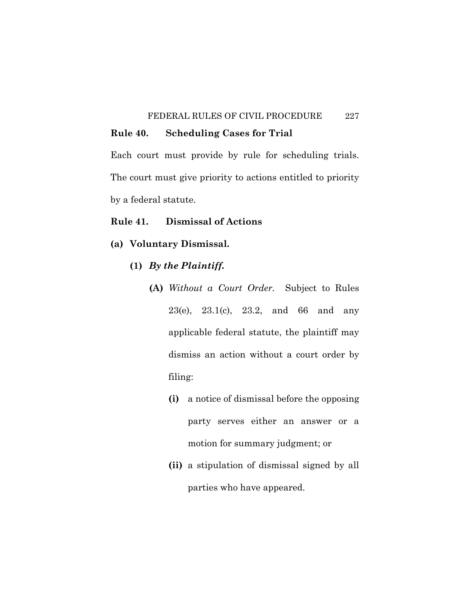**Rule 40. Scheduling Cases for Trial** 

Each court must provide by rule for scheduling trials. The court must give priority to actions entitled to priority by a federal statute.

### **Rule 41. Dismissal of Actions**

- **(a) Voluntary Dismissal.** 
	- **(1)** *By the Plaintiff.*
		- **(A)** *Without a Court Order.* Subject to Rules 23(e), 23.1(c), 23.2, and 66 and any applicable federal statute, the plaintiff may dismiss an action without a court order by filing:
			- **(i)** a notice of dismissal before the opposing party serves either an answer or a motion for summary judgment; or
			- **(ii)** a stipulation of dismissal signed by all parties who have appeared.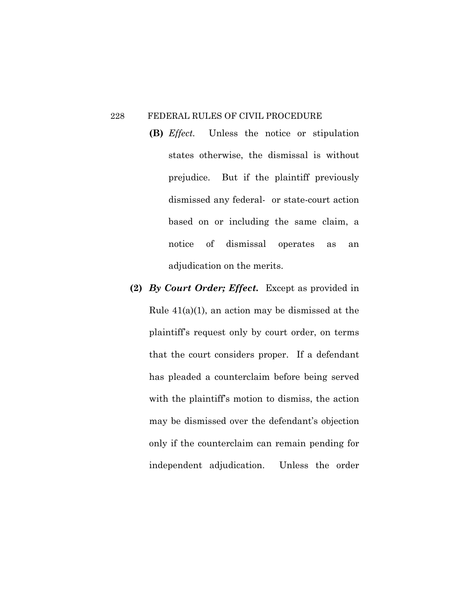- **(B)** *Effect.* Unless the notice or stipulation states otherwise, the dismissal is without prejudice. But if the plaintiff previously dismissed any federal- or state-court action based on or including the same claim, a notice of dismissal operates as an adjudication on the merits.
- **(2)** *By Court Order; Effect.* Except as provided in Rule  $41(a)(1)$ , an action may be dismissed at the plaintiff's request only by court order, on terms that the court considers proper. If a defendant has pleaded a counterclaim before being served with the plaintiff's motion to dismiss, the action may be dismissed over the defendant's objection only if the counterclaim can remain pending for independent adjudication. Unless the order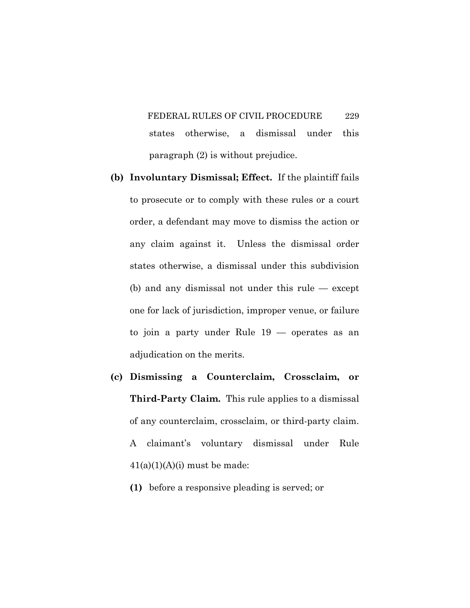FEDERAL RULES OF CIVIL PROCEDURE 229 states otherwise, a dismissal under this paragraph (2) is without prejudice.

- **(b) Involuntary Dismissal; Effect.** If the plaintiff fails to prosecute or to comply with these rules or a court order, a defendant may move to dismiss the action or any claim against it. Unless the dismissal order states otherwise, a dismissal under this subdivision (b) and any dismissal not under this rule — except one for lack of jurisdiction, improper venue, or failure to join a party under Rule 19 — operates as an adjudication on the merits.
- **(c) Dismissing a Counterclaim, Crossclaim, or Third-Party Claim.** This rule applies to a dismissal of any counterclaim, crossclaim, or third-party claim. A claimant's voluntary dismissal under Rule  $41(a)(1)(A)(i)$  must be made:
	- **(1)** before a responsive pleading is served; or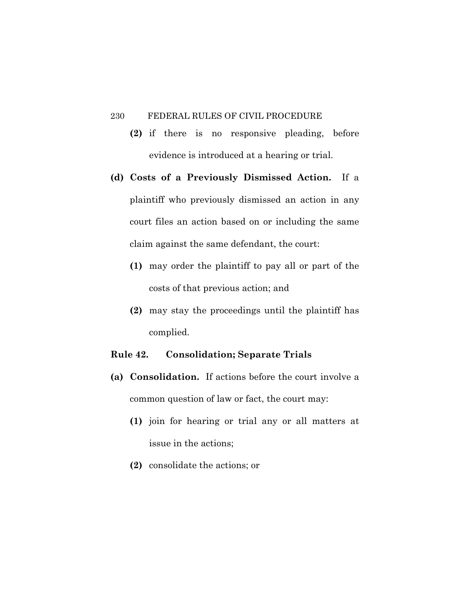- **(2)** if there is no responsive pleading, before evidence is introduced at a hearing or trial.
- **(d) Costs of a Previously Dismissed Action.** If a plaintiff who previously dismissed an action in any court files an action based on or including the same claim against the same defendant, the court:
	- **(1)** may order the plaintiff to pay all or part of the costs of that previous action; and
	- **(2)** may stay the proceedings until the plaintiff has complied.

### **Rule 42. Consolidation; Separate Trials**

- **(a) Consolidation.** If actions before the court involve a common question of law or fact, the court may:
	- **(1)** join for hearing or trial any or all matters at issue in the actions;
	- **(2)** consolidate the actions; or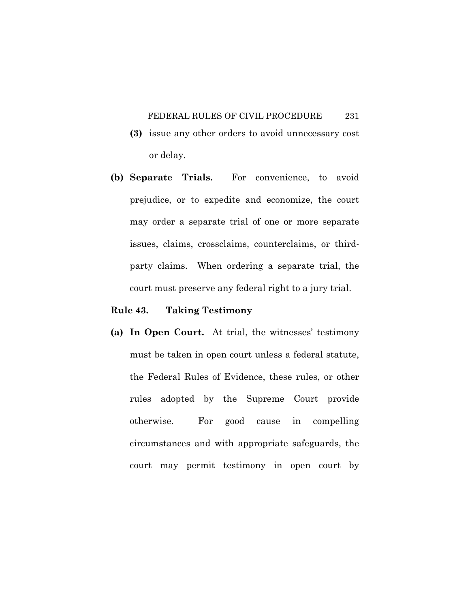- **(3)** issue any other orders to avoid unnecessary cost or delay.
- **(b) Separate Trials.** For convenience, to avoid prejudice, or to expedite and economize, the court may order a separate trial of one or more separate issues, claims, crossclaims, counterclaims, or thirdparty claims. When ordering a separate trial, the court must preserve any federal right to a jury trial.

### **Rule 43. Taking Testimony**

**(a) In Open Court.** At trial, the witnesses' testimony must be taken in open court unless a federal statute, the Federal Rules of Evidence, these rules, or other rules adopted by the Supreme Court provide otherwise. For good cause in compelling circumstances and with appropriate safeguards, the court may permit testimony in open court by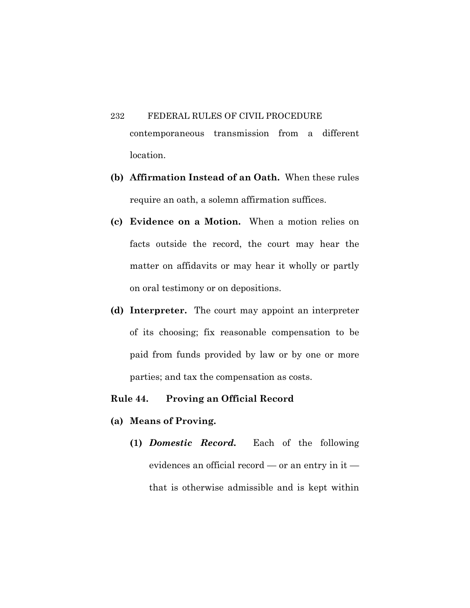## 232 FEDERAL RULES OF CIVIL PROCEDURE contemporaneous transmission from a different location.

- **(b) Affirmation Instead of an Oath.** When these rules require an oath, a solemn affirmation suffices.
- **(c) Evidence on a Motion.** When a motion relies on facts outside the record, the court may hear the matter on affidavits or may hear it wholly or partly on oral testimony or on depositions.
- **(d) Interpreter.** The court may appoint an interpreter of its choosing; fix reasonable compensation to be paid from funds provided by law or by one or more parties; and tax the compensation as costs.

### **Rule 44. Proving an Official Record**

- **(a) Means of Proving.** 
	- **(1)** *Domestic Record.* Each of the following evidences an official record — or an entry in it that is otherwise admissible and is kept within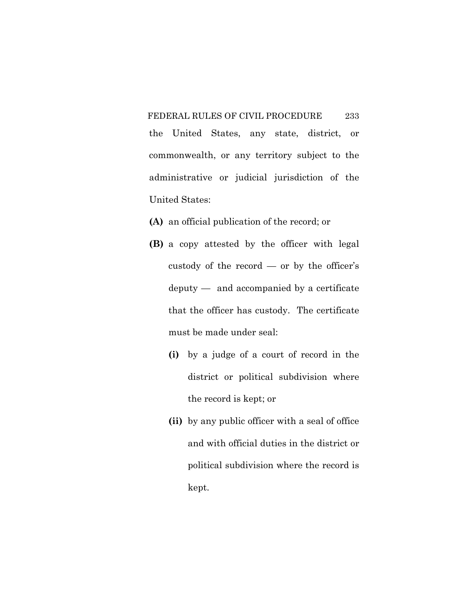the United States, any state, district, or commonwealth, or any territory subject to the administrative or judicial jurisdiction of the United States:

- **(A)** an official publication of the record; or
- **(B)** a copy attested by the officer with legal custody of the record  $-$  or by the officer's deputy — and accompanied by a certificate that the officer has custody. The certificate must be made under seal:
	- **(i)** by a judge of a court of record in the district or political subdivision where the record is kept; or
	- **(ii)** by any public officer with a seal of office and with official duties in the district or political subdivision where the record is kept.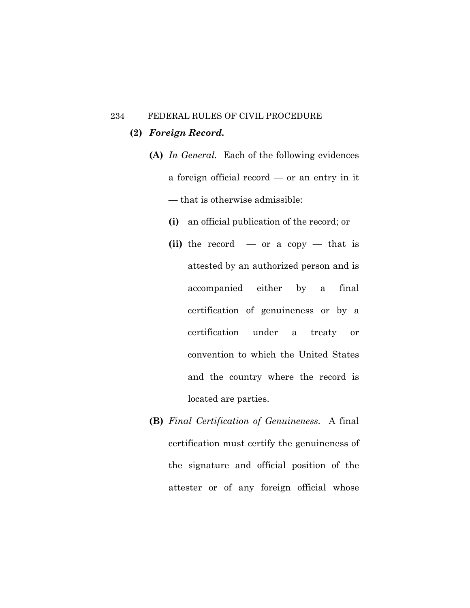- **(2)** *Foreign Record.* 
	- **(A)** *In General.* Each of the following evidences a foreign official record — or an entry in it — that is otherwise admissible:
		- **(i)** an official publication of the record; or
		- **(ii)** the record or a copy that is attested by an authorized person and is accompanied either by a final certification of genuineness or by a certification under a treaty or convention to which the United States and the country where the record is located are parties.
	- **(B)** *Final Certification of Genuineness.* A final certification must certify the genuineness of the signature and official position of the attester or of any foreign official whose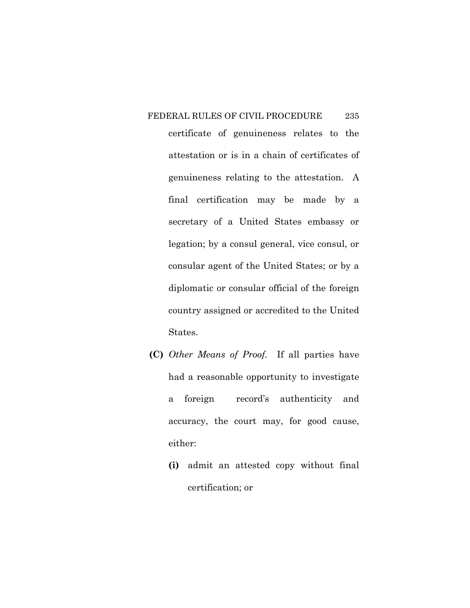certificate of genuineness relates to the attestation or is in a chain of certificates of genuineness relating to the attestation. A final certification may be made by a secretary of a United States embassy or legation; by a consul general, vice consul, or consular agent of the United States; or by a diplomatic or consular official of the foreign country assigned or accredited to the United States.

- **(C)** *Other Means of Proof.* If all parties have had a reasonable opportunity to investigate a foreign record's authenticity and accuracy, the court may, for good cause, either:
	- **(i)** admit an attested copy without final certification; or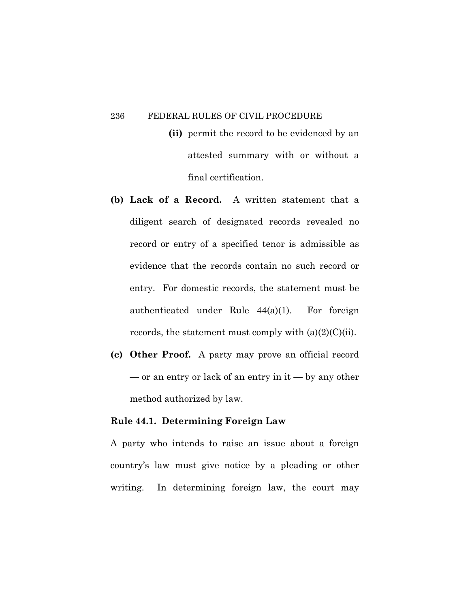- **(ii)** permit the record to be evidenced by an attested summary with or without a final certification.
- **(b) Lack of a Record.** A written statement that a diligent search of designated records revealed no record or entry of a specified tenor is admissible as evidence that the records contain no such record or entry. For domestic records, the statement must be authenticated under Rule 44(a)(1). For foreign records, the statement must comply with  $(a)(2)(C)(ii)$ .
- **(c) Other Proof.** A party may prove an official record — or an entry or lack of an entry in it — by any other method authorized by law.

### **Rule 44.1. Determining Foreign Law**

A party who intends to raise an issue about a foreign country's law must give notice by a pleading or other writing. In determining foreign law, the court may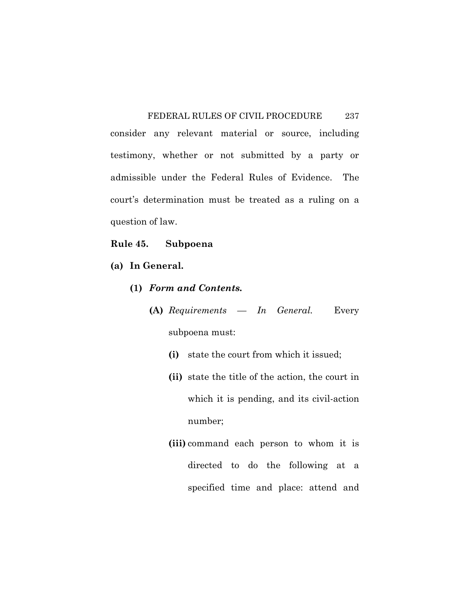consider any relevant material or source, including testimony, whether or not submitted by a party or admissible under the Federal Rules of Evidence. The court's determination must be treated as a ruling on a question of law.

### **Rule 45. Subpoena**

- **(a) In General.** 
	- **(1)** *Form and Contents.*
		- **(A)** *Requirements In General.* Every subpoena must:
			- **(i)** state the court from which it issued;
			- **(ii)** state the title of the action, the court in which it is pending, and its civil-action number;
			- **(iii)** command each person to whom it is directed to do the following at a specified time and place: attend and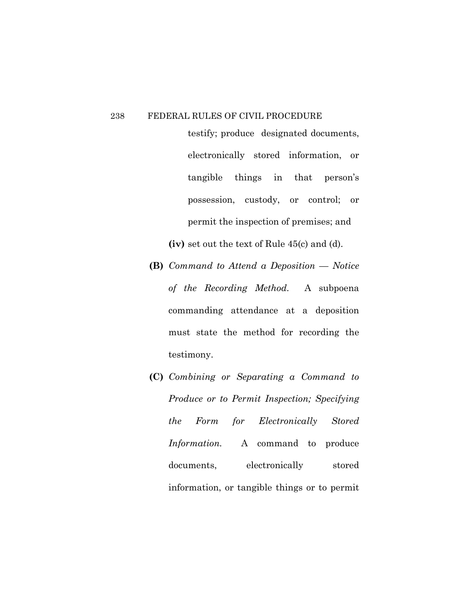testify; produce designated documents, electronically stored information, or tangible things in that person's possession, custody, or control; or permit the inspection of premises; and

**(iv)** set out the text of Rule 45(c) and (d).

- **(B)** *Command to Attend a Deposition Notice of the Recording Method.* A subpoena commanding attendance at a deposition must state the method for recording the testimony.
- **(C)** *Combining or Separating a Command to Produce or to Permit Inspection; Specifying the Form for Electronically Stored Information.* A command to produce documents, electronically stored information, or tangible things or to permit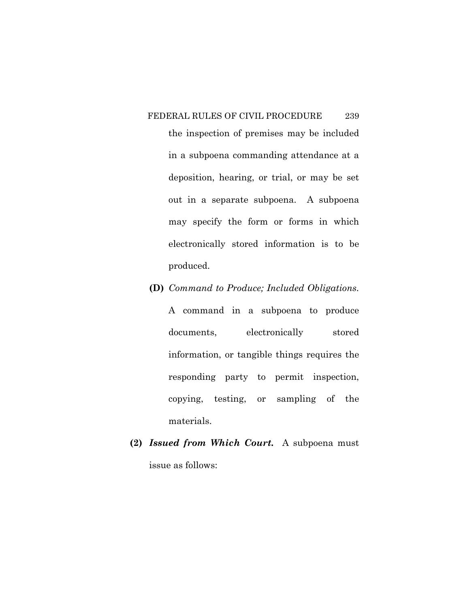the inspection of premises may be included in a subpoena commanding attendance at a deposition, hearing, or trial, or may be set out in a separate subpoena. A subpoena may specify the form or forms in which electronically stored information is to be produced.

- **(D)** *Command to Produce; Included Obligations.* A command in a subpoena to produce documents, electronically stored information, or tangible things requires the responding party to permit inspection, copying, testing, or sampling of the materials.
- **(2)** *Issued from Which Court.* A subpoena must issue as follows: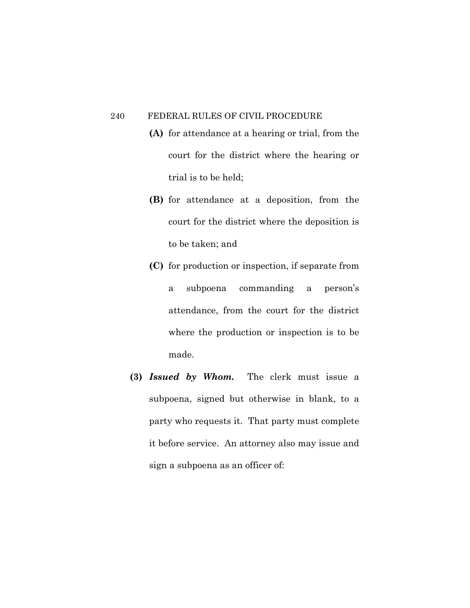- **(A)** for attendance at a hearing or trial, from the court for the district where the hearing or trial is to be held;
- **(B)** for attendance at a deposition, from the court for the district where the deposition is to be taken; and
- **(C)** for production or inspection, if separate from a subpoena commanding a person's attendance, from the court for the district where the production or inspection is to be made.
- **(3)** *Issued by Whom.* The clerk must issue a subpoena, signed but otherwise in blank, to a party who requests it. That party must complete it before service. An attorney also may issue and sign a subpoena as an officer of: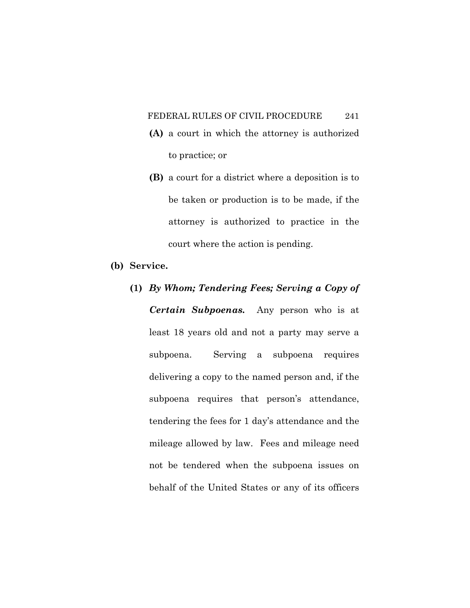- **(A)** a court in which the attorney is authorized to practice; or
- **(B)** a court for a district where a deposition is to be taken or production is to be made, if the attorney is authorized to practice in the court where the action is pending.
- **(b) Service.**

# **(1)** *By Whom; Tendering Fees; Serving a Copy of Certain Subpoenas.* Any person who is at least 18 years old and not a party may serve a subpoena. Serving a subpoena requires delivering a copy to the named person and, if the subpoena requires that person's attendance, tendering the fees for 1 day's attendance and the mileage allowed by law. Fees and mileage need not be tendered when the subpoena issues on behalf of the United States or any of its officers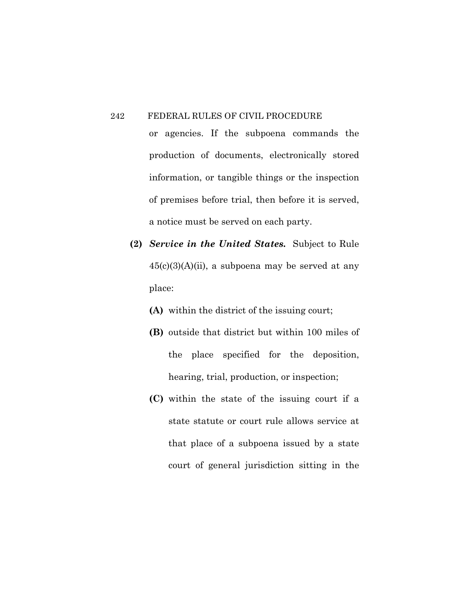or agencies. If the subpoena commands the production of documents, electronically stored information, or tangible things or the inspection of premises before trial, then before it is served, a notice must be served on each party.

**(2)** *Service in the United States.* Subject to Rule  $45(c)(3)(A)(ii)$ , a subpoena may be served at any place:

**(A)** within the district of the issuing court;

- **(B)** outside that district but within 100 miles of the place specified for the deposition, hearing, trial, production, or inspection;
- **(C)** within the state of the issuing court if a state statute or court rule allows service at that place of a subpoena issued by a state court of general jurisdiction sitting in the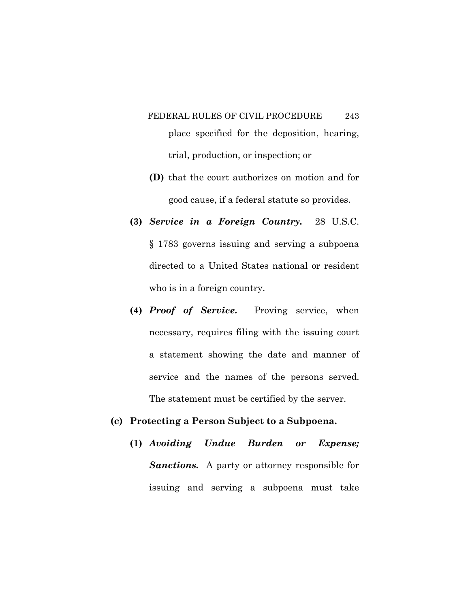## FEDERAL RULES OF CIVIL PROCEDURE 243 place specified for the deposition, hearing, trial, production, or inspection; or

- **(D)** that the court authorizes on motion and for good cause, if a federal statute so provides.
- **(3)** *Service in a Foreign Country.* 28 U.S.C. § 1783 governs issuing and serving a subpoena directed to a United States national or resident who is in a foreign country.
- **(4)** *Proof of Service.* Proving service, when necessary, requires filing with the issuing court a statement showing the date and manner of service and the names of the persons served. The statement must be certified by the server.
- **(c) Protecting a Person Subject to a Subpoena.** 
	- **(1)** *Avoiding Undue Burden or Expense; Sanctions.* A party or attorney responsible for issuing and serving a subpoena must take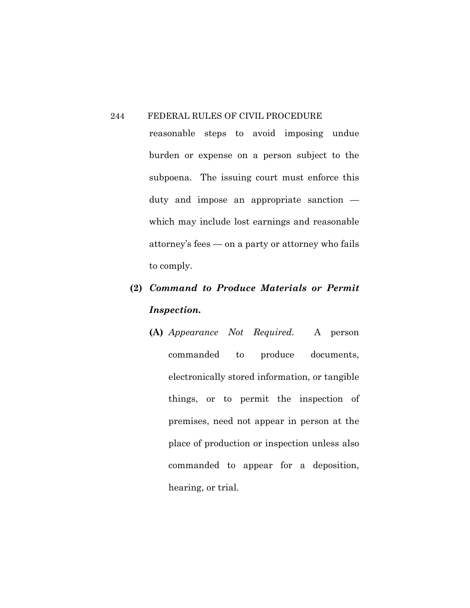reasonable steps to avoid imposing undue burden or expense on a person subject to the subpoena. The issuing court must enforce this duty and impose an appropriate sanction which may include lost earnings and reasonable attorney's fees — on a party or attorney who fails to comply.

## **(2)** *Command to Produce Materials or Permit Inspection.*

**(A)** *Appearance Not Required.* A person commanded to produce documents, electronically stored information, or tangible things, or to permit the inspection of premises, need not appear in person at the place of production or inspection unless also commanded to appear for a deposition, hearing, or trial.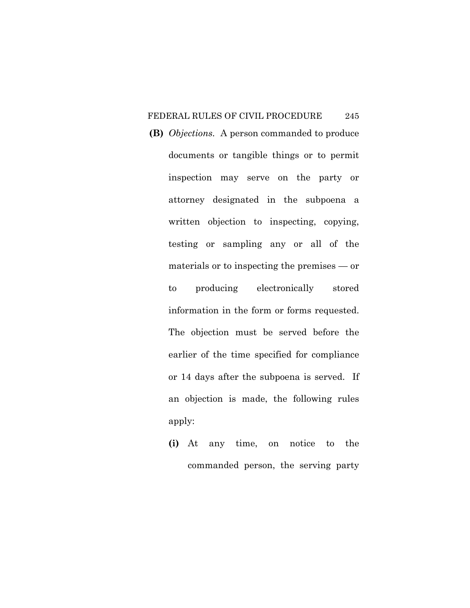**(B)** *Objections.* A person commanded to produce documents or tangible things or to permit inspection may serve on the party or attorney designated in the subpoena a written objection to inspecting, copying, testing or sampling any or all of the materials or to inspecting the premises — or to producing electronically stored information in the form or forms requested. The objection must be served before the earlier of the time specified for compliance or 14 days after the subpoena is served. If an objection is made, the following rules apply:

**(i)** At any time, on notice to the commanded person, the serving party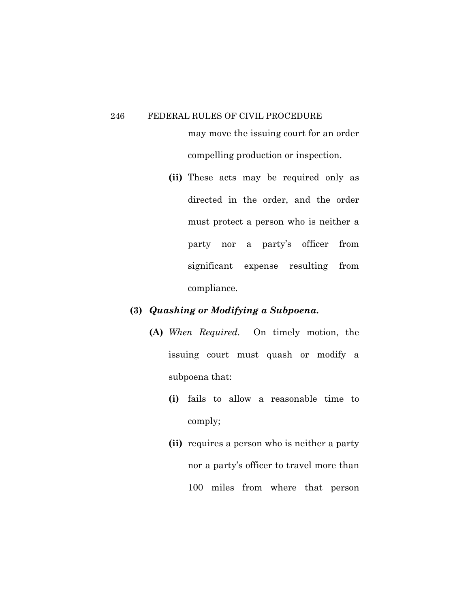may move the issuing court for an order compelling production or inspection.

**(ii)** These acts may be required only as directed in the order, and the order must protect a person who is neither a party nor a party's officer from significant expense resulting from compliance.

### **(3)** *Quashing or Modifying a Subpoena.*

- **(A)** *When Required.* On timely motion, the issuing court must quash or modify a subpoena that:
	- **(i)** fails to allow a reasonable time to comply;
	- **(ii)** requires a person who is neither a party nor a party's officer to travel more than 100 miles from where that person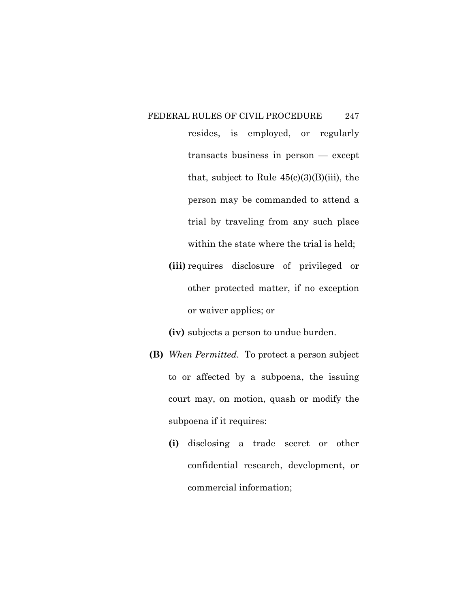resides, is employed, or regularly transacts business in person — except that, subject to Rule  $45(c)(3)(B(iii))$ , the person may be commanded to attend a trial by traveling from any such place within the state where the trial is held;

**(iii)** requires disclosure of privileged or other protected matter, if no exception or waiver applies; or

**(iv)** subjects a person to undue burden.

- **(B)** *When Permitted.* To protect a person subject to or affected by a subpoena, the issuing court may, on motion, quash or modify the subpoena if it requires:
	- **(i)** disclosing a trade secret or other confidential research, development, or commercial information;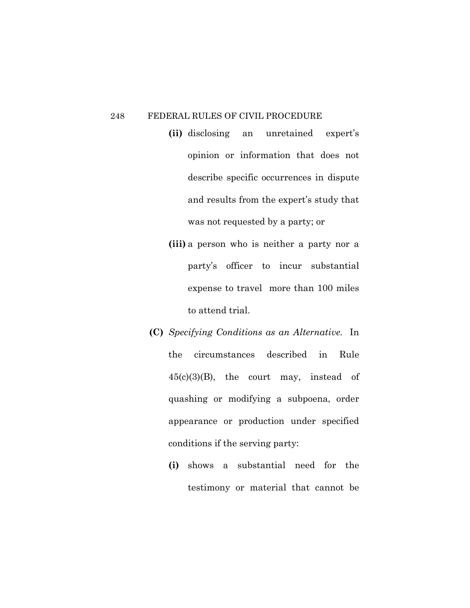- **(ii)** disclosing an unretained expert's opinion or information that does not describe specific occurrences in dispute and results from the expert's study that was not requested by a party; or
- **(iii)** a person who is neither a party nor a party's officer to incur substantial expense to travel more than 100 miles to attend trial.
- **(C)** *Specifying Conditions as an Alternative.* In the circumstances described in Rule  $45(c)(3)(B)$ , the court may, instead of quashing or modifying a subpoena, order appearance or production under specified conditions if the serving party:
	- **(i)** shows a substantial need for the testimony or material that cannot be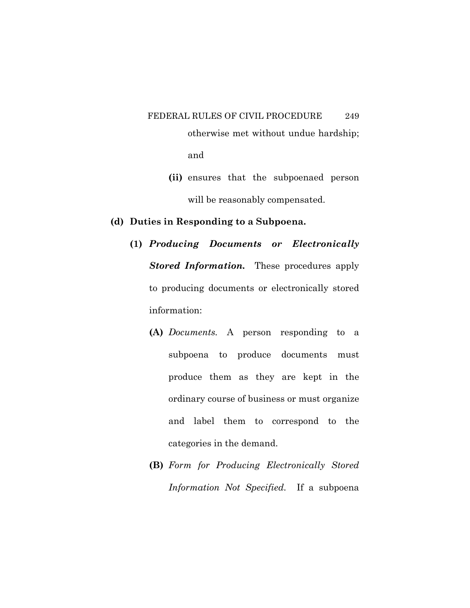## FEDERAL RULES OF CIVIL PROCEDURE 249 otherwise met without undue hardship; and

**(ii)** ensures that the subpoenaed person will be reasonably compensated.

#### **(d) Duties in Responding to a Subpoena.**

- **(1)** *Producing Documents or Electronically*  **Stored Information.** These procedures apply to producing documents or electronically stored information:
	- **(A)** *Documents.* A person responding to a subpoena to produce documents must produce them as they are kept in the ordinary course of business or must organize and label them to correspond to the categories in the demand.
	- **(B)** *Form for Producing Electronically Stored Information Not Specified.* If a subpoena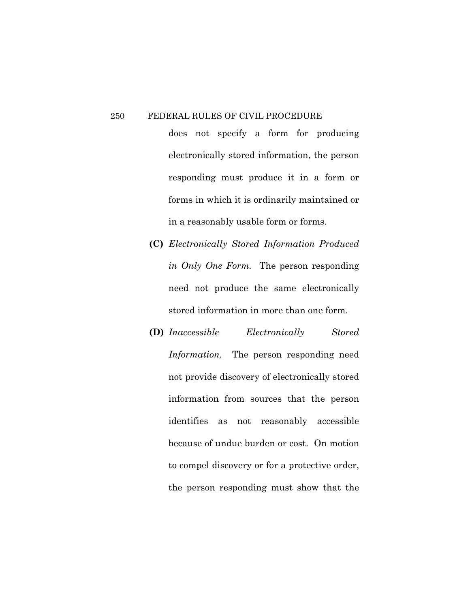does not specify a form for producing electronically stored information, the person responding must produce it in a form or forms in which it is ordinarily maintained or in a reasonably usable form or forms.

- **(C)** *Electronically Stored Information Produced in Only One Form.* The person responding need not produce the same electronically stored information in more than one form.
- **(D)** *Inaccessible Electronically Stored Information.* The person responding need not provide discovery of electronically stored information from sources that the person identifies as not reasonably accessible because of undue burden or cost. On motion to compel discovery or for a protective order, the person responding must show that the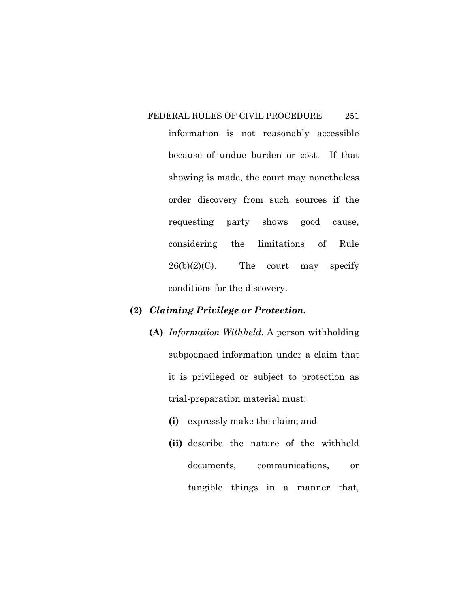information is not reasonably accessible because of undue burden or cost. If that showing is made, the court may nonetheless order discovery from such sources if the requesting party shows good cause, considering the limitations of Rule  $26(b)(2)(C)$ . The court may specify conditions for the discovery.

### **(2)** *Claiming Privilege or Protection.*

- **(A)** *Information Withheld.* A person withholding subpoenaed information under a claim that it is privileged or subject to protection as trial-preparation material must:
	- **(i)** expressly make the claim; and
	- **(ii)** describe the nature of the withheld documents, communications, or tangible things in a manner that,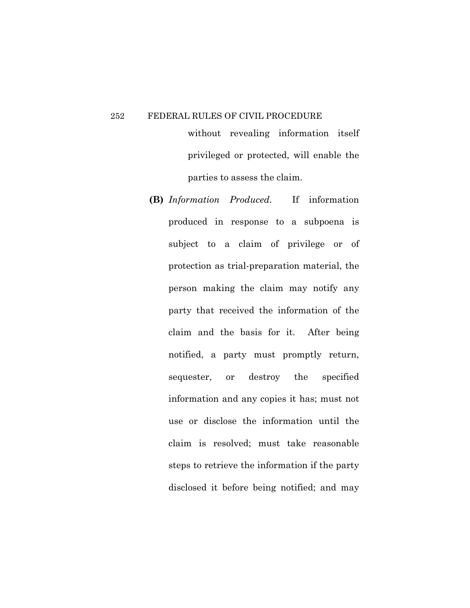without revealing information itself privileged or protected, will enable the parties to assess the claim.

**(B)** *Information Produced.* If information produced in response to a subpoena is subject to a claim of privilege or of protection as trial-preparation material, the person making the claim may notify any party that received the information of the claim and the basis for it. After being notified, a party must promptly return, sequester, or destroy the specified information and any copies it has; must not use or disclose the information until the claim is resolved; must take reasonable steps to retrieve the information if the party disclosed it before being notified; and may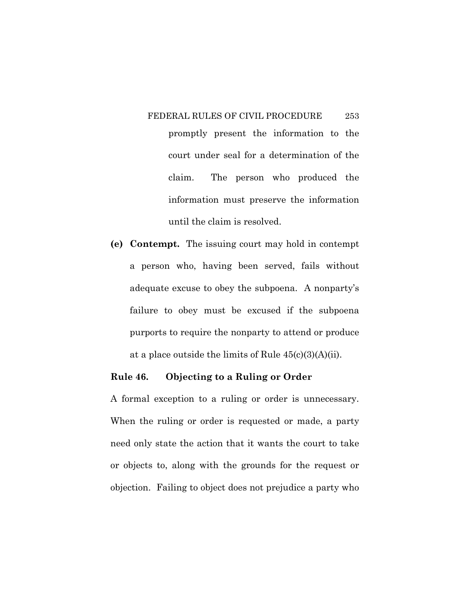promptly present the information to the court under seal for a determination of the claim. The person who produced the information must preserve the information until the claim is resolved.

**(e) Contempt.** The issuing court may hold in contempt a person who, having been served, fails without adequate excuse to obey the subpoena. A nonparty's failure to obey must be excused if the subpoena purports to require the nonparty to attend or produce at a place outside the limits of Rule  $45(c)(3)(A)(ii)$ .

#### **Rule 46. Objecting to a Ruling or Order**

A formal exception to a ruling or order is unnecessary. When the ruling or order is requested or made, a party need only state the action that it wants the court to take or objects to, along with the grounds for the request or objection. Failing to object does not prejudice a party who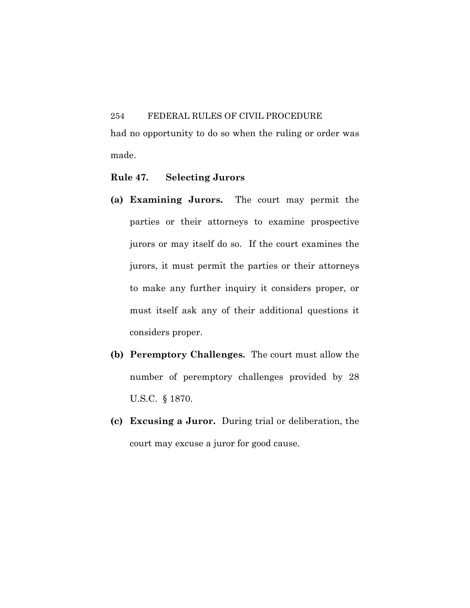had no opportunity to do so when the ruling or order was made.

#### **Rule 47. Selecting Jurors**

- **(a) Examining Jurors.** The court may permit the parties or their attorneys to examine prospective jurors or may itself do so. If the court examines the jurors, it must permit the parties or their attorneys to make any further inquiry it considers proper, or must itself ask any of their additional questions it considers proper.
- **(b) Peremptory Challenges.** The court must allow the number of peremptory challenges provided by 28 U.S.C. § 1870.
- **(c) Excusing a Juror.** During trial or deliberation, the court may excuse a juror for good cause.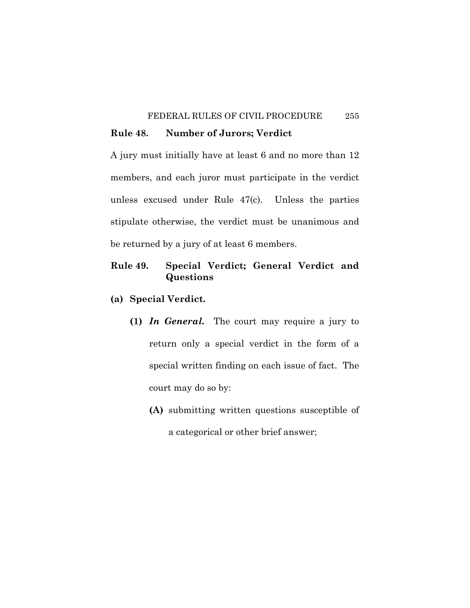#### **Rule 48. Number of Jurors; Verdict**

A jury must initially have at least 6 and no more than 12 members, and each juror must participate in the verdict unless excused under Rule 47(c). Unless the parties stipulate otherwise, the verdict must be unanimous and be returned by a jury of at least 6 members.

## **Rule 49. Special Verdict; General Verdict and Questions**

- **(a) Special Verdict.** 
	- **(1)** *In General.* The court may require a jury to return only a special verdict in the form of a special written finding on each issue of fact. The court may do so by:
		- **(A)** submitting written questions susceptible of a categorical or other brief answer;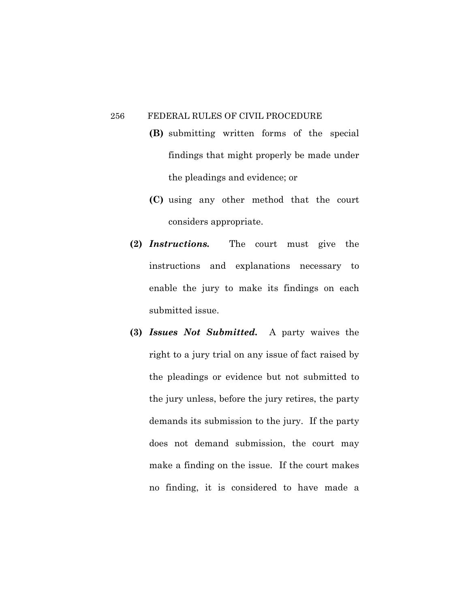- **(B)** submitting written forms of the special findings that might properly be made under the pleadings and evidence; or
	- **(C)** using any other method that the court considers appropriate.
- **(2)** *Instructions.* The court must give the instructions and explanations necessary to enable the jury to make its findings on each submitted issue.
- **(3)** *Issues Not Submitted.* A party waives the right to a jury trial on any issue of fact raised by the pleadings or evidence but not submitted to the jury unless, before the jury retires, the party demands its submission to the jury. If the party does not demand submission, the court may make a finding on the issue. If the court makes no finding, it is considered to have made a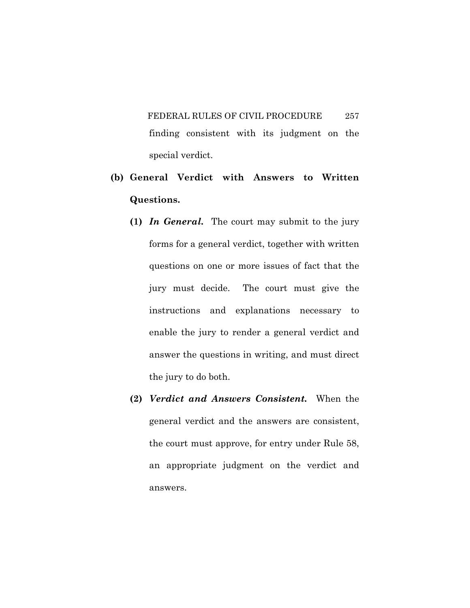FEDERAL RULES OF CIVIL PROCEDURE 257 finding consistent with its judgment on the special verdict.

- **(b) General Verdict with Answers to Written Questions.** 
	- **(1)** *In General.* The court may submit to the jury forms for a general verdict, together with written questions on one or more issues of fact that the jury must decide. The court must give the instructions and explanations necessary to enable the jury to render a general verdict and answer the questions in writing, and must direct the jury to do both.
	- **(2)** *Verdict and Answers Consistent.* When the general verdict and the answers are consistent, the court must approve, for entry under Rule 58, an appropriate judgment on the verdict and answers.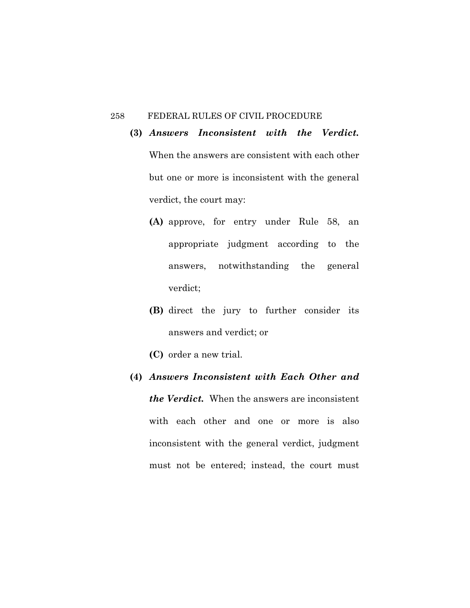- **(3)** *Answers Inconsistent with the Verdict.* When the answers are consistent with each other but one or more is inconsistent with the general verdict, the court may:
	- **(A)** approve, for entry under Rule 58, an appropriate judgment according to the answers, notwithstanding the general verdict;
	- **(B)** direct the jury to further consider its answers and verdict; or
	- **(C)** order a new trial.

# **(4)** *Answers Inconsistent with Each Other and the Verdict.* When the answers are inconsistent with each other and one or more is also inconsistent with the general verdict, judgment must not be entered; instead, the court must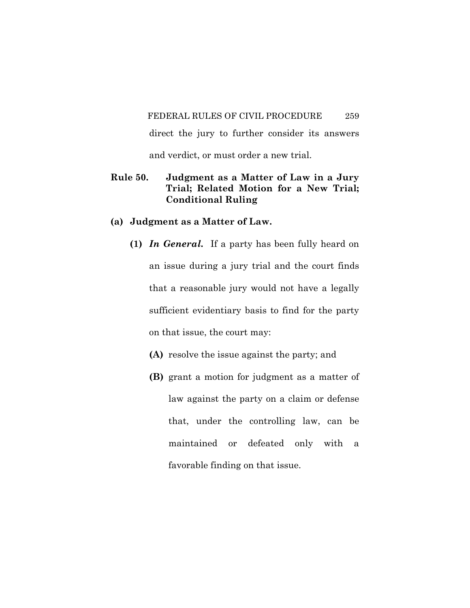direct the jury to further consider its answers

and verdict, or must order a new trial.

## **Rule 50. Judgment as a Matter of Law in a Jury Trial; Related Motion for a New Trial; Conditional Ruling**

- **(a) Judgment as a Matter of Law.** 
	- **(1)** *In General.* If a party has been fully heard on an issue during a jury trial and the court finds that a reasonable jury would not have a legally sufficient evidentiary basis to find for the party on that issue, the court may:
		- **(A)** resolve the issue against the party; and
		- **(B)** grant a motion for judgment as a matter of law against the party on a claim or defense that, under the controlling law, can be maintained or defeated only with a favorable finding on that issue.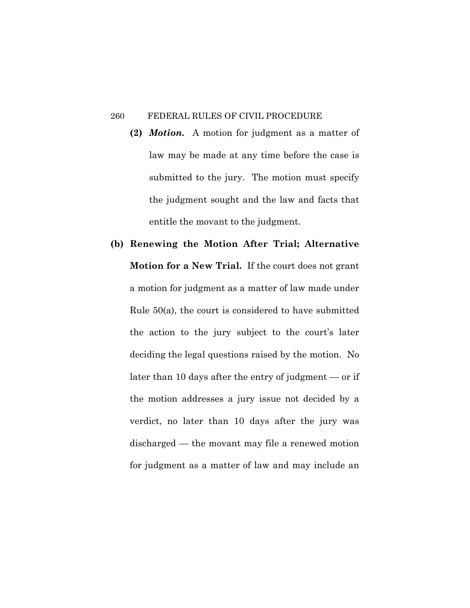- **(2)** *Motion.* A motion for judgment as a matter of law may be made at any time before the case is submitted to the jury. The motion must specify the judgment sought and the law and facts that entitle the movant to the judgment.
- **(b) Renewing the Motion After Trial; Alternative Motion for a New Trial.** If the court does not grant a motion for judgment as a matter of law made under Rule 50(a), the court is considered to have submitted the action to the jury subject to the court's later deciding the legal questions raised by the motion. No later than 10 days after the entry of judgment — or if the motion addresses a jury issue not decided by a verdict, no later than 10 days after the jury was discharged — the movant may file a renewed motion for judgment as a matter of law and may include an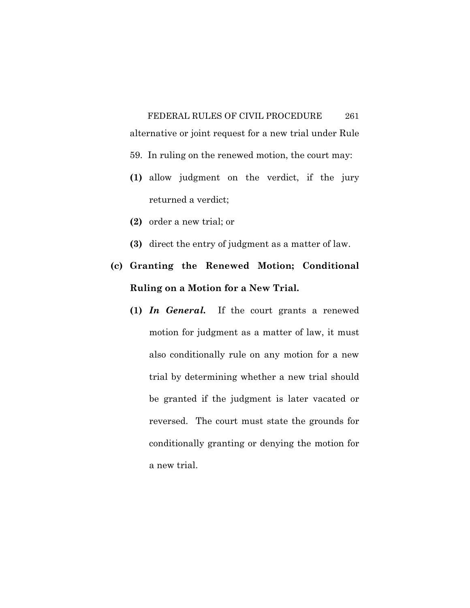# FEDERAL RULES OF CIVIL PROCEDURE 261 alternative or joint request for a new trial under Rule

- 59. In ruling on the renewed motion, the court may:
- **(1)** allow judgment on the verdict, if the jury returned a verdict;
- **(2)** order a new trial; or
- **(3)** direct the entry of judgment as a matter of law.
- **(c) Granting the Renewed Motion; Conditional Ruling on a Motion for a New Trial.** 
	- **(1)** *In General.* If the court grants a renewed motion for judgment as a matter of law, it must also conditionally rule on any motion for a new trial by determining whether a new trial should be granted if the judgment is later vacated or reversed. The court must state the grounds for conditionally granting or denying the motion for a new trial.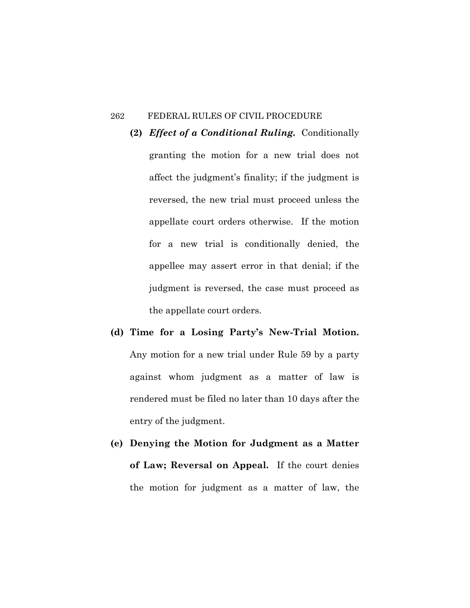- **(2)** *Effect of a Conditional Ruling.* Conditionally granting the motion for a new trial does not affect the judgment's finality; if the judgment is reversed, the new trial must proceed unless the appellate court orders otherwise. If the motion for a new trial is conditionally denied, the appellee may assert error in that denial; if the judgment is reversed, the case must proceed as the appellate court orders.
- **(d) Time for a Losing Party's New-Trial Motion.** Any motion for a new trial under Rule 59 by a party against whom judgment as a matter of law is rendered must be filed no later than 10 days after the entry of the judgment.
- **(e) Denying the Motion for Judgment as a Matter of Law; Reversal on Appeal.** If the court denies the motion for judgment as a matter of law, the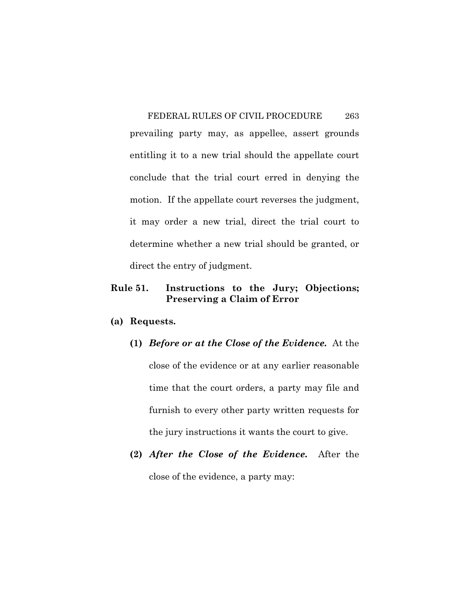FEDERAL RULES OF CIVIL PROCEDURE 263 prevailing party may, as appellee, assert grounds entitling it to a new trial should the appellate court conclude that the trial court erred in denying the motion. If the appellate court reverses the judgment, it may order a new trial, direct the trial court to determine whether a new trial should be granted, or direct the entry of judgment.

## **Rule 51. Instructions to the Jury; Objections; Preserving a Claim of Error**

- **(a) Requests.** 
	- **(1)** *Before or at the Close of the Evidence.* At the close of the evidence or at any earlier reasonable time that the court orders, a party may file and furnish to every other party written requests for the jury instructions it wants the court to give.
	- **(2)** *After the Close of the Evidence.* After the close of the evidence, a party may: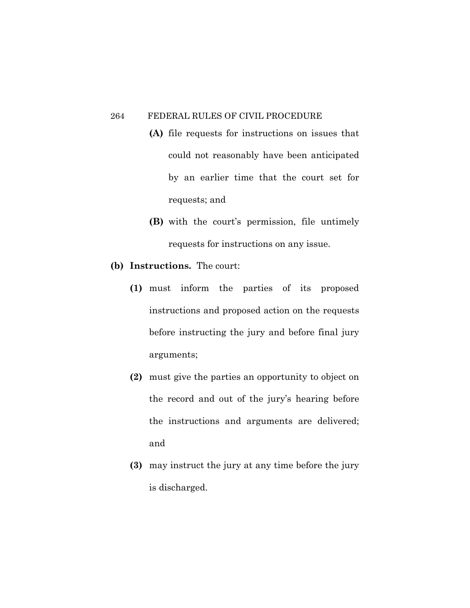- **(A)** file requests for instructions on issues that could not reasonably have been anticipated by an earlier time that the court set for requests; and
- **(B)** with the court's permission, file untimely requests for instructions on any issue.
- **(b) Instructions.** The court:
	- **(1)** must inform the parties of its proposed instructions and proposed action on the requests before instructing the jury and before final jury arguments;
	- **(2)** must give the parties an opportunity to object on the record and out of the jury's hearing before the instructions and arguments are delivered; and
	- **(3)** may instruct the jury at any time before the jury is discharged.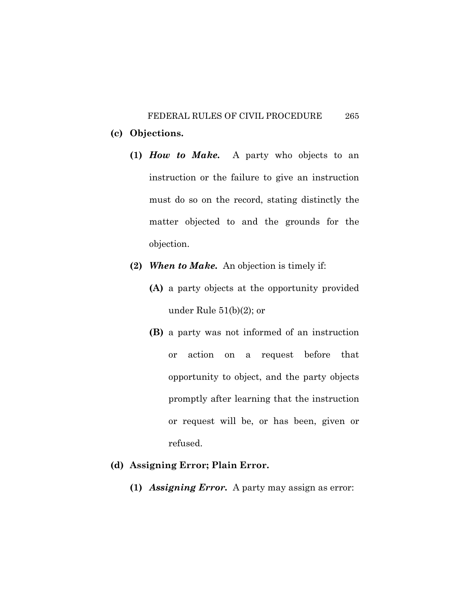- **(c) Objections.** 
	- **(1)** *How to Make.* A party who objects to an instruction or the failure to give an instruction must do so on the record, stating distinctly the matter objected to and the grounds for the objection.
	- **(2)** *When to Make.* An objection is timely if:
		- **(A)** a party objects at the opportunity provided under Rule 51(b)(2); or
		- **(B)** a party was not informed of an instruction or action on a request before that opportunity to object, and the party objects promptly after learning that the instruction or request will be, or has been, given or refused.

### **(d) Assigning Error; Plain Error.**

**(1)** *Assigning Error.* A party may assign as error: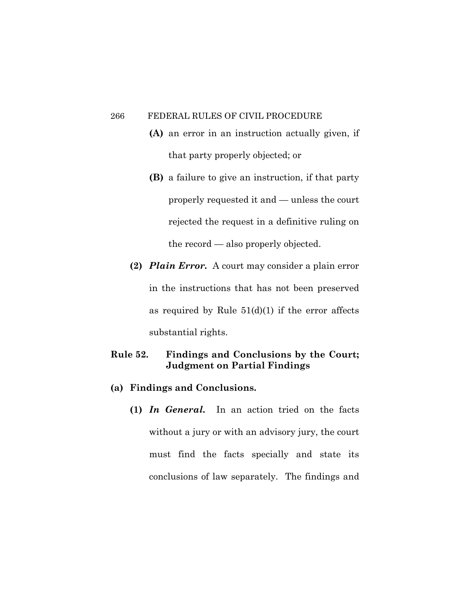- **(A)** an error in an instruction actually given, if that party properly objected; or
- **(B)** a failure to give an instruction, if that party properly requested it and — unless the court rejected the request in a definitive ruling on the record — also properly objected.
- **(2)** *Plain Error.* A court may consider a plain error in the instructions that has not been preserved as required by Rule  $51(d)(1)$  if the error affects substantial rights.
- **Rule 52. Findings and Conclusions by the Court; Judgment on Partial Findings**
- **(a) Findings and Conclusions.** 
	- **(1)** *In General.* In an action tried on the facts without a jury or with an advisory jury, the court must find the facts specially and state its conclusions of law separately. The findings and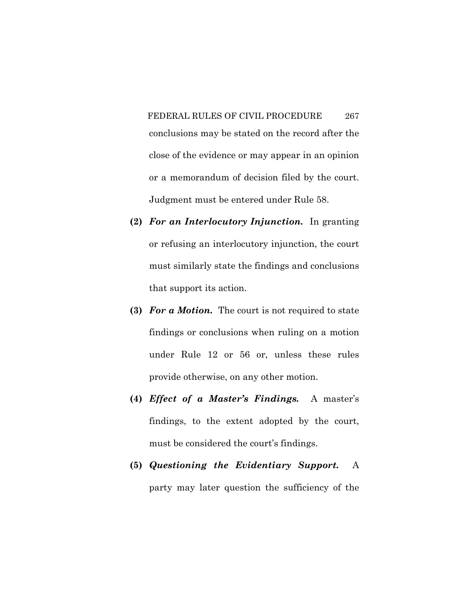FEDERAL RULES OF CIVIL PROCEDURE 267 conclusions may be stated on the record after the close of the evidence or may appear in an opinion or a memorandum of decision filed by the court. Judgment must be entered under Rule 58.

- **(2)** *For an Interlocutory Injunction.* In granting or refusing an interlocutory injunction, the court must similarly state the findings and conclusions that support its action.
- **(3)** *For a Motion.* The court is not required to state findings or conclusions when ruling on a motion under Rule 12 or 56 or, unless these rules provide otherwise, on any other motion.
- **(4)** *Effect of a Master's Findings.* A master's findings, to the extent adopted by the court, must be considered the court's findings.
- **(5)** *Questioning the Evidentiary Support.* A party may later question the sufficiency of the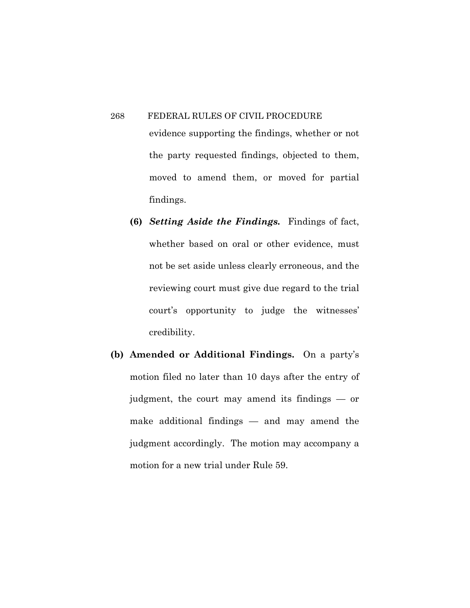# 268 FEDERAL RULES OF CIVIL PROCEDURE evidence supporting the findings, whether or not the party requested findings, objected to them, moved to amend them, or moved for partial findings.

- **(6)** *Setting Aside the Findings.* Findings of fact, whether based on oral or other evidence, must not be set aside unless clearly erroneous, and the reviewing court must give due regard to the trial court's opportunity to judge the witnesses' credibility.
- **(b) Amended or Additional Findings.** On a party's motion filed no later than 10 days after the entry of judgment, the court may amend its findings — or make additional findings — and may amend the judgment accordingly. The motion may accompany a motion for a new trial under Rule 59.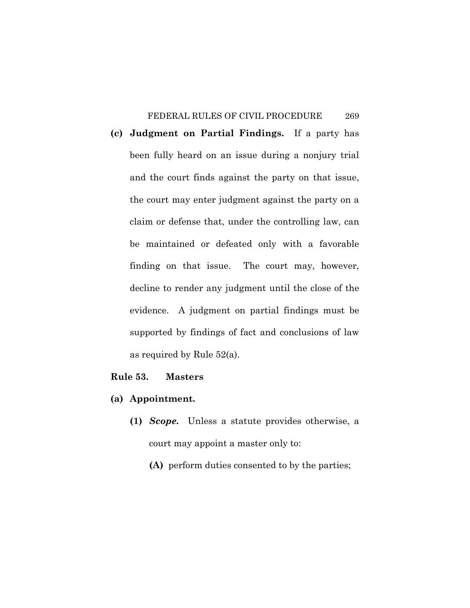**(c) Judgment on Partial Findings.** If a party has been fully heard on an issue during a nonjury trial and the court finds against the party on that issue, the court may enter judgment against the party on a claim or defense that, under the controlling law, can be maintained or defeated only with a favorable finding on that issue. The court may, however, decline to render any judgment until the close of the evidence. A judgment on partial findings must be supported by findings of fact and conclusions of law as required by Rule 52(a).

#### **Rule 53. Masters**

- **(a) Appointment.** 
	- **(1)** *Scope.* Unless a statute provides otherwise, a court may appoint a master only to:
		- **(A)** perform duties consented to by the parties;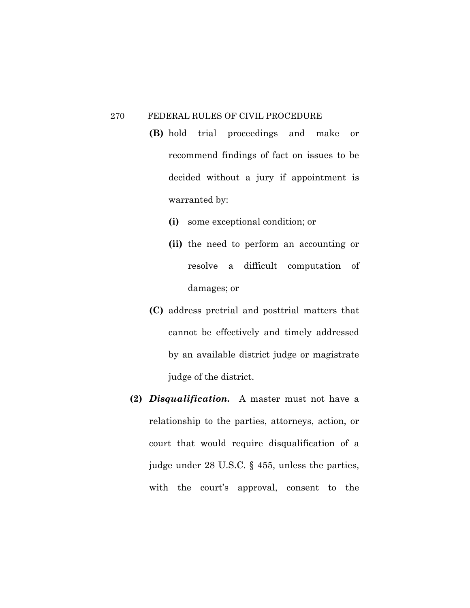- **(B)** hold trial proceedings and make or recommend findings of fact on issues to be decided without a jury if appointment is warranted by:
	- **(i)** some exceptional condition; or
	- **(ii)** the need to perform an accounting or resolve a difficult computation of damages; or
- **(C)** address pretrial and posttrial matters that cannot be effectively and timely addressed by an available district judge or magistrate judge of the district.
- **(2)** *Disqualification.* A master must not have a relationship to the parties, attorneys, action, or court that would require disqualification of a judge under 28 U.S.C. § 455, unless the parties, with the court's approval, consent to the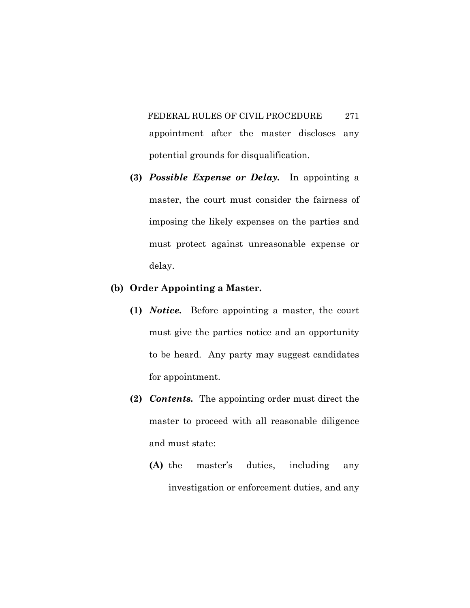FEDERAL RULES OF CIVIL PROCEDURE 271 appointment after the master discloses any potential grounds for disqualification.

**(3)** *Possible Expense or Delay.* In appointing a master, the court must consider the fairness of imposing the likely expenses on the parties and must protect against unreasonable expense or delay.

## **(b) Order Appointing a Master.**

- **(1)** *Notice.* Before appointing a master, the court must give the parties notice and an opportunity to be heard. Any party may suggest candidates for appointment.
- **(2)** *Contents.* The appointing order must direct the master to proceed with all reasonable diligence and must state:
	- **(A)** the master's duties, including any investigation or enforcement duties, and any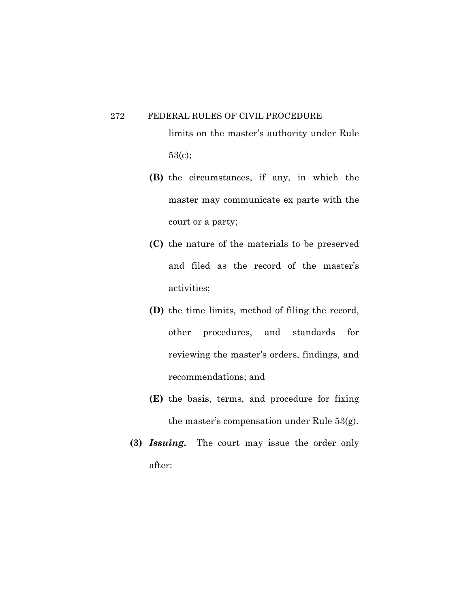limits on the master's authority under Rule 53(c);

- **(B)** the circumstances, if any, in which the master may communicate ex parte with the court or a party;
- **(C)** the nature of the materials to be preserved and filed as the record of the master's activities;
- **(D)** the time limits, method of filing the record, other procedures, and standards for reviewing the master's orders, findings, and recommendations; and
- **(E)** the basis, terms, and procedure for fixing the master's compensation under Rule 53(g).
- **(3)** *Issuing.* The court may issue the order only after: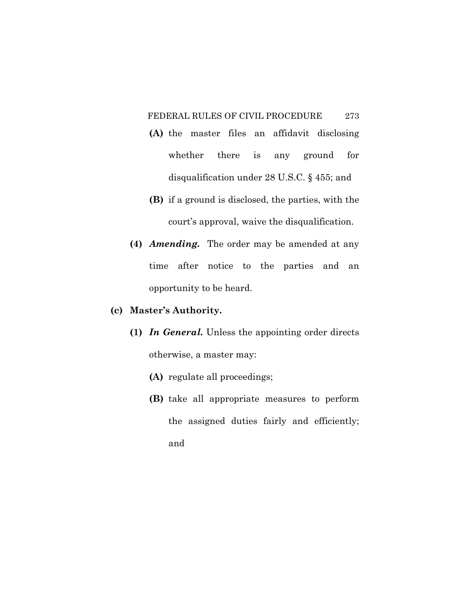- **(A)** the master files an affidavit disclosing whether there is any ground for disqualification under 28 U.S.C. § 455; and
- **(B)** if a ground is disclosed, the parties, with the court's approval, waive the disqualification.
- **(4)** *Amending.* The order may be amended at any time after notice to the parties and an opportunity to be heard.
- **(c) Master's Authority.** 
	- **(1)** *In General.* Unless the appointing order directs otherwise, a master may:
		- **(A)** regulate all proceedings;
		- **(B)** take all appropriate measures to perform the assigned duties fairly and efficiently; and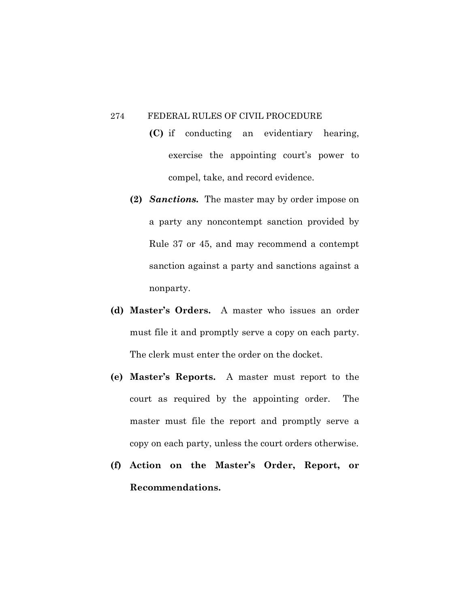- **(C)** if conducting an evidentiary hearing, exercise the appointing court's power to compel, take, and record evidence.
- **(2)** *Sanctions.* The master may by order impose on a party any noncontempt sanction provided by Rule 37 or 45, and may recommend a contempt sanction against a party and sanctions against a nonparty.
- **(d) Master's Orders.** A master who issues an order must file it and promptly serve a copy on each party. The clerk must enter the order on the docket.
- **(e) Master's Reports.** A master must report to the court as required by the appointing order. The master must file the report and promptly serve a copy on each party, unless the court orders otherwise.
- **(f) Action on the Master's Order, Report, or Recommendations.**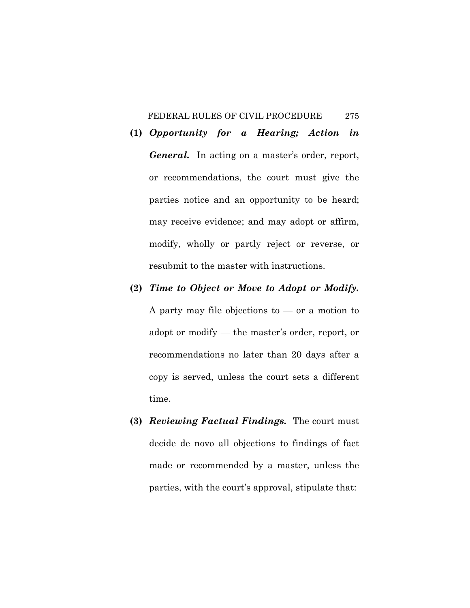- **(1)** *Opportunity for a Hearing; Action in General.* In acting on a master's order, report, or recommendations, the court must give the parties notice and an opportunity to be heard; may receive evidence; and may adopt or affirm, modify, wholly or partly reject or reverse, or resubmit to the master with instructions.
- **(2)** *Time to Object or Move to Adopt or Modify.*

A party may file objections to — or a motion to adopt or modify — the master's order, report, or recommendations no later than 20 days after a copy is served, unless the court sets a different time.

**(3)** *Reviewing Factual Findings.* The court must decide de novo all objections to findings of fact made or recommended by a master, unless the parties, with the court's approval, stipulate that: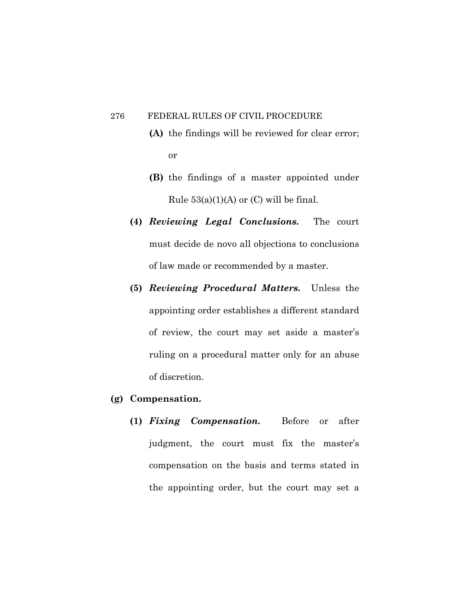- **(A)** the findings will be reviewed for clear error; or
- **(B)** the findings of a master appointed under Rule  $53(a)(1)(A)$  or  $(C)$  will be final.
- **(4)** *Reviewing Legal Conclusions.* The court must decide de novo all objections to conclusions of law made or recommended by a master.
- **(5)** *Reviewing Procedural Matters.* Unless the appointing order establishes a different standard of review, the court may set aside a master's ruling on a procedural matter only for an abuse of discretion.
- **(g) Compensation.** 
	- **(1)** *Fixing Compensation.* Before or after judgment, the court must fix the master's compensation on the basis and terms stated in the appointing order, but the court may set a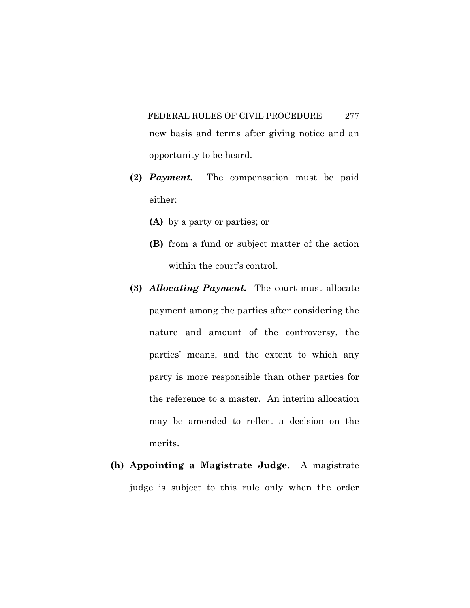FEDERAL RULES OF CIVIL PROCEDURE 277 new basis and terms after giving notice and an opportunity to be heard.

- **(2)** *Payment.* The compensation must be paid either:
	- **(A)** by a party or parties; or
	- **(B)** from a fund or subject matter of the action within the court's control.
- **(3)** *Allocating Payment.* The court must allocate payment among the parties after considering the nature and amount of the controversy, the parties' means, and the extent to which any party is more responsible than other parties for the reference to a master. An interim allocation may be amended to reflect a decision on the merits.
- **(h) Appointing a Magistrate Judge.** A magistrate judge is subject to this rule only when the order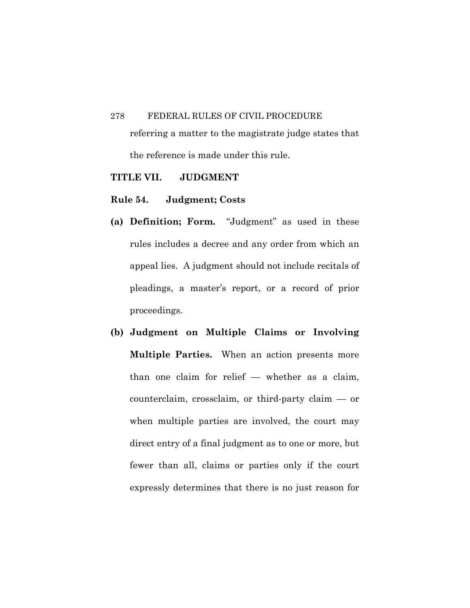referring a matter to the magistrate judge states that the reference is made under this rule.

#### **TITLE VII. JUDGMENT**

#### **Rule 54. Judgment; Costs**

- **(a) Definition; Form.** "Judgment" as used in these rules includes a decree and any order from which an appeal lies. A judgment should not include recitals of pleadings, a master's report, or a record of prior proceedings.
- **(b) Judgment on Multiple Claims or Involving Multiple Parties.** When an action presents more than one claim for relief — whether as a claim, counterclaim, crossclaim, or third-party claim — or when multiple parties are involved, the court may direct entry of a final judgment as to one or more, but fewer than all, claims or parties only if the court expressly determines that there is no just reason for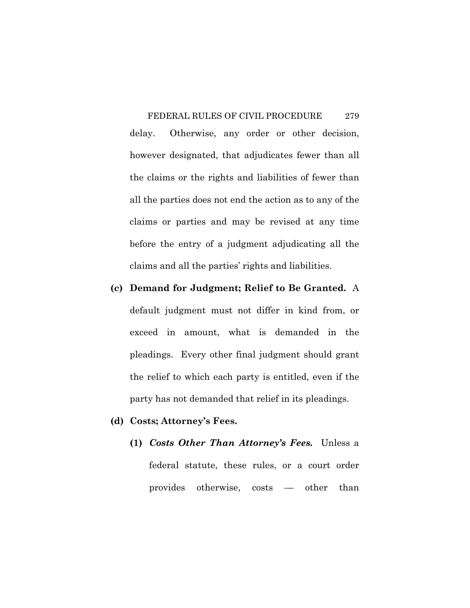FEDERAL RULES OF CIVIL PROCEDURE 279 delay. Otherwise, any order or other decision, however designated, that adjudicates fewer than all the claims or the rights and liabilities of fewer than all the parties does not end the action as to any of the claims or parties and may be revised at any time before the entry of a judgment adjudicating all the claims and all the parties' rights and liabilities.

- **(c) Demand for Judgment; Relief to Be Granted.** A default judgment must not differ in kind from, or exceed in amount, what is demanded in the pleadings. Every other final judgment should grant the relief to which each party is entitled, even if the party has not demanded that relief in its pleadings.
- **(d) Costs; Attorney's Fees.** 
	- **(1)** *Costs Other Than Attorney's Fees.* Unless a federal statute, these rules, or a court order provides otherwise, costs — other than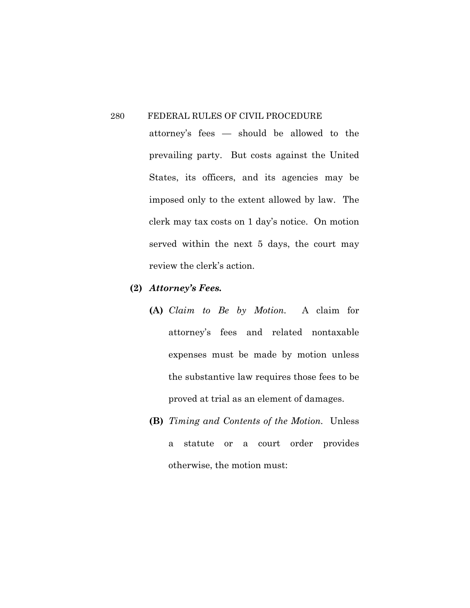attorney's fees — should be allowed to the prevailing party. But costs against the United States, its officers, and its agencies may be imposed only to the extent allowed by law. The clerk may tax costs on 1 day's notice. On motion served within the next 5 days, the court may review the clerk's action.

- **(2)** *Attorney's Fees.* 
	- **(A)** *Claim to Be by Motion.* A claim for attorney's fees and related nontaxable expenses must be made by motion unless the substantive law requires those fees to be proved at trial as an element of damages.
	- **(B)** *Timing and Contents of the Motion.* Unless a statute or a court order provides otherwise, the motion must: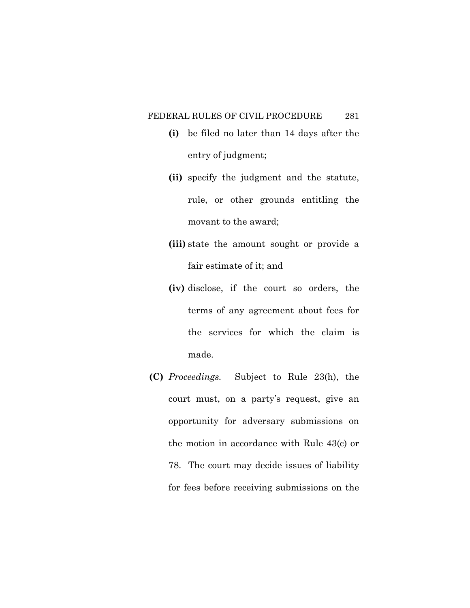- **(i)** be filed no later than 14 days after the entry of judgment;
- **(ii)** specify the judgment and the statute, rule, or other grounds entitling the movant to the award;
- **(iii)** state the amount sought or provide a fair estimate of it; and
- **(iv)** disclose, if the court so orders, the terms of any agreement about fees for the services for which the claim is made.
- **(C)** *Proceedings.* Subject to Rule 23(h), the court must, on a party's request, give an opportunity for adversary submissions on the motion in accordance with Rule 43(c) or 78. The court may decide issues of liability for fees before receiving submissions on the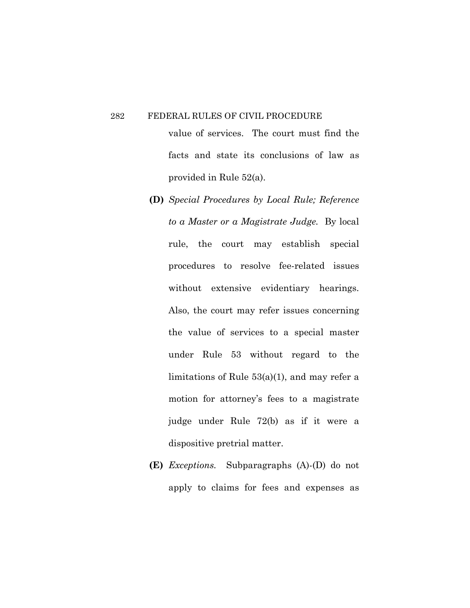value of services. The court must find the facts and state its conclusions of law as provided in Rule 52(a).

- **(D)** *Special Procedures by Local Rule; Reference to a Master or a Magistrate Judge.* By local rule, the court may establish special procedures to resolve fee-related issues without extensive evidentiary hearings. Also, the court may refer issues concerning the value of services to a special master under Rule 53 without regard to the limitations of Rule 53(a)(1), and may refer a motion for attorney's fees to a magistrate judge under Rule 72(b) as if it were a dispositive pretrial matter.
- **(E)** *Exceptions.* Subparagraphs (A)-(D) do not apply to claims for fees and expenses as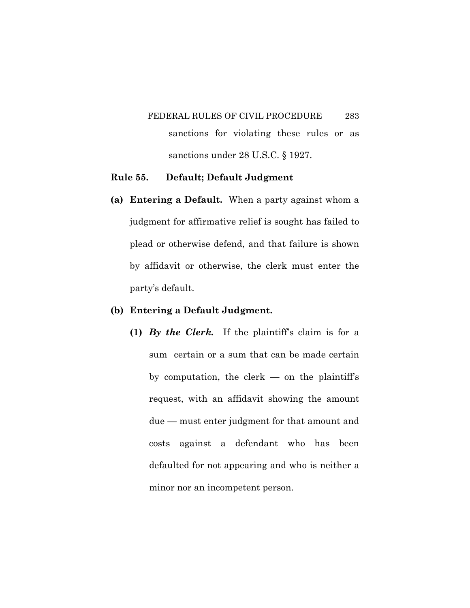## FEDERAL RULES OF CIVIL PROCEDURE 283 sanctions for violating these rules or as sanctions under 28 U.S.C. § 1927.

#### **Rule 55. Default; Default Judgment**

**(a) Entering a Default.** When a party against whom a judgment for affirmative relief is sought has failed to plead or otherwise defend, and that failure is shown by affidavit or otherwise, the clerk must enter the party's default.

#### **(b) Entering a Default Judgment.**

**(1)** *By the Clerk.* If the plaintiff's claim is for a sum certain or a sum that can be made certain by computation, the clerk  $-$  on the plaintiff's request, with an affidavit showing the amount due — must enter judgment for that amount and costs against a defendant who has been defaulted for not appearing and who is neither a minor nor an incompetent person.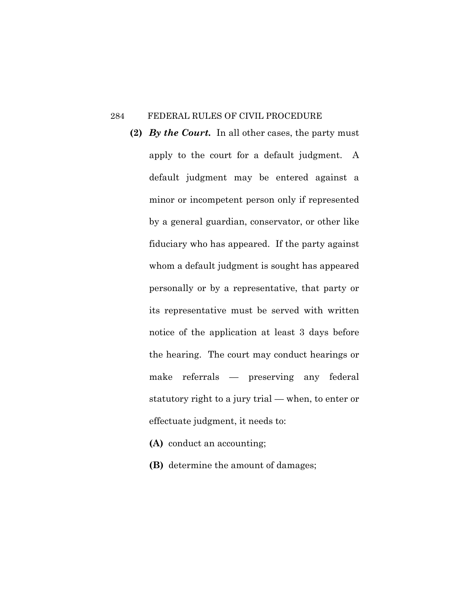**(2)** *By the Court.* In all other cases, the party must apply to the court for a default judgment. A default judgment may be entered against a minor or incompetent person only if represented by a general guardian, conservator, or other like fiduciary who has appeared. If the party against whom a default judgment is sought has appeared personally or by a representative, that party or its representative must be served with written notice of the application at least 3 days before the hearing. The court may conduct hearings or make referrals — preserving any federal statutory right to a jury trial — when, to enter or effectuate judgment, it needs to:

**(A)** conduct an accounting;

**(B)** determine the amount of damages;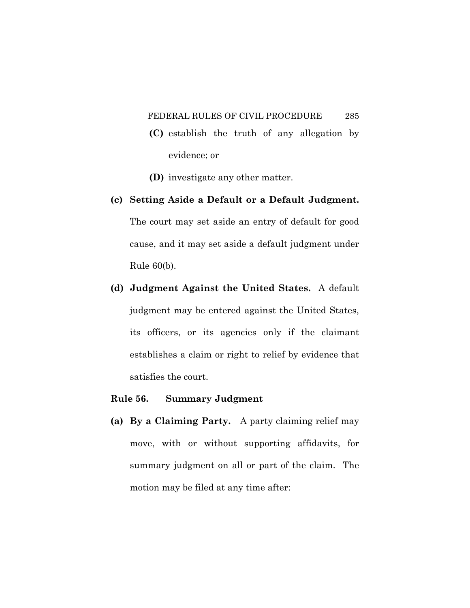- **(C)** establish the truth of any allegation by evidence; or
- **(D)** investigate any other matter.

## **(c) Setting Aside a Default or a Default Judgment.** The court may set aside an entry of default for good cause, and it may set aside a default judgment under Rule 60(b).

**(d) Judgment Against the United States.** A default judgment may be entered against the United States, its officers, or its agencies only if the claimant establishes a claim or right to relief by evidence that satisfies the court.

### **Rule 56. Summary Judgment**

**(a) By a Claiming Party.** A party claiming relief may move, with or without supporting affidavits, for summary judgment on all or part of the claim. The motion may be filed at any time after: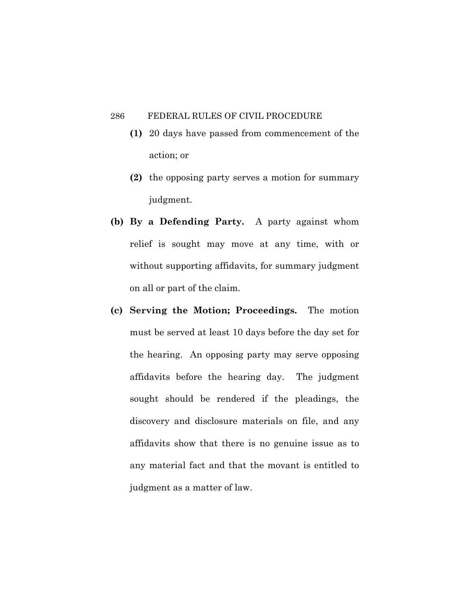- **(1)** 20 days have passed from commencement of the action; or
- **(2)** the opposing party serves a motion for summary judgment.
- **(b) By a Defending Party.** A party against whom relief is sought may move at any time, with or without supporting affidavits, for summary judgment on all or part of the claim.
- **(c) Serving the Motion; Proceedings.** The motion must be served at least 10 days before the day set for the hearing. An opposing party may serve opposing affidavits before the hearing day. The judgment sought should be rendered if the pleadings, the discovery and disclosure materials on file, and any affidavits show that there is no genuine issue as to any material fact and that the movant is entitled to judgment as a matter of law.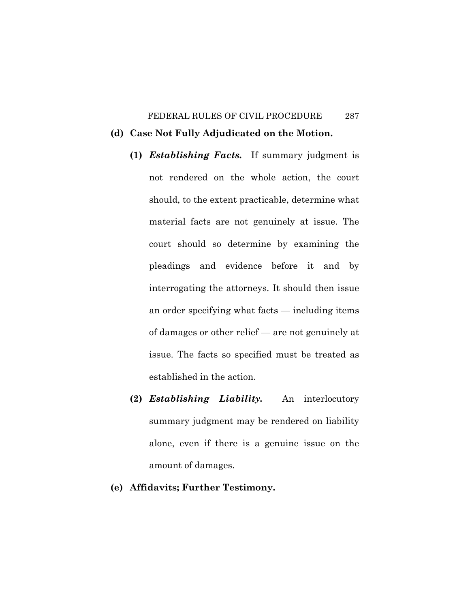### FEDERAL RULES OF CIVIL PROCEDURE 287 **(d) Case Not Fully Adjudicated on the Motion.**

- **(1)** *Establishing Facts.* If summary judgment is not rendered on the whole action, the court should, to the extent practicable, determine what material facts are not genuinely at issue. The court should so determine by examining the pleadings and evidence before it and by interrogating the attorneys. It should then issue an order specifying what facts — including items of damages or other relief — are not genuinely at issue. The facts so specified must be treated as established in the action.
- **(2)** *Establishing Liability.* An interlocutory summary judgment may be rendered on liability alone, even if there is a genuine issue on the amount of damages.
- **(e) Affidavits; Further Testimony.**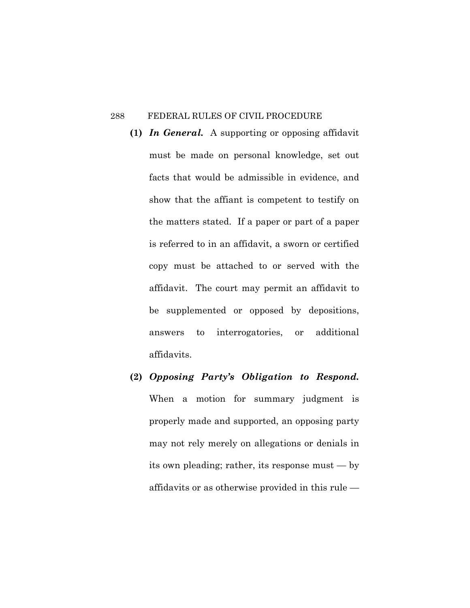- **(1)** *In General.* A supporting or opposing affidavit must be made on personal knowledge, set out facts that would be admissible in evidence, and show that the affiant is competent to testify on the matters stated. If a paper or part of a paper is referred to in an affidavit, a sworn or certified copy must be attached to or served with the affidavit. The court may permit an affidavit to be supplemented or opposed by depositions, answers to interrogatories, or additional affidavits.
- **(2)** *Opposing Party's Obligation to Respond.* When a motion for summary judgment is properly made and supported, an opposing party may not rely merely on allegations or denials in its own pleading; rather, its response must — by affidavits or as otherwise provided in this rule —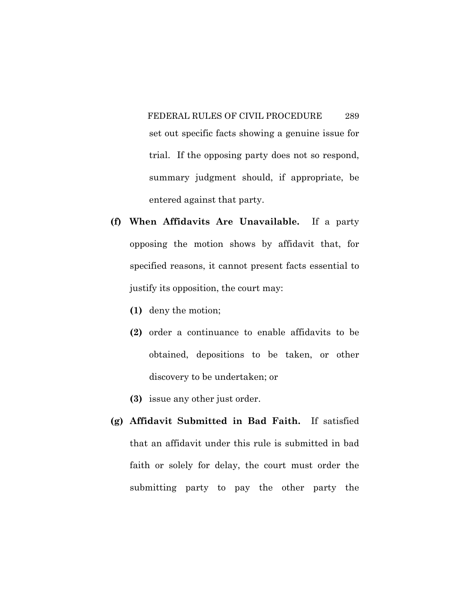FEDERAL RULES OF CIVIL PROCEDURE 289 set out specific facts showing a genuine issue for trial. If the opposing party does not so respond, summary judgment should, if appropriate, be entered against that party.

- **(f) When Affidavits Are Unavailable.** If a party opposing the motion shows by affidavit that, for specified reasons, it cannot present facts essential to justify its opposition, the court may:
	- **(1)** deny the motion;
	- **(2)** order a continuance to enable affidavits to be obtained, depositions to be taken, or other discovery to be undertaken; or
	- **(3)** issue any other just order.
- **(g) Affidavit Submitted in Bad Faith.** If satisfied that an affidavit under this rule is submitted in bad faith or solely for delay, the court must order the submitting party to pay the other party the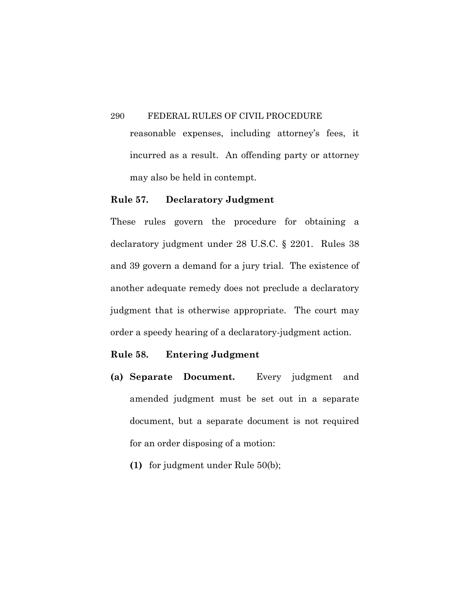reasonable expenses, including attorney's fees, it incurred as a result. An offending party or attorney may also be held in contempt.

### **Rule 57. Declaratory Judgment**

These rules govern the procedure for obtaining a declaratory judgment under 28 U.S.C. § 2201. Rules 38 and 39 govern a demand for a jury trial. The existence of another adequate remedy does not preclude a declaratory judgment that is otherwise appropriate. The court may order a speedy hearing of a declaratory-judgment action.

### **Rule 58. Entering Judgment**

- **(a) Separate Document.** Every judgment and amended judgment must be set out in a separate document, but a separate document is not required for an order disposing of a motion:
	- **(1)** for judgment under Rule 50(b);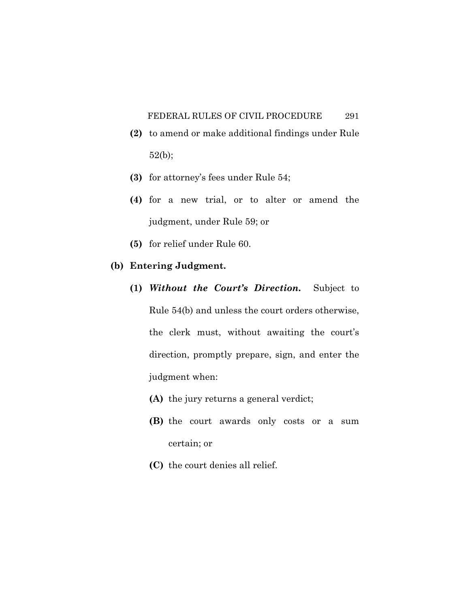- **(2)** to amend or make additional findings under Rule 52(b);
- **(3)** for attorney's fees under Rule 54;
- **(4)** for a new trial, or to alter or amend the judgment, under Rule 59; or
- **(5)** for relief under Rule 60.
- **(b) Entering Judgment.** 
	- **(1)** *Without the Court's Direction.* Subject to Rule 54(b) and unless the court orders otherwise, the clerk must, without awaiting the court's direction, promptly prepare, sign, and enter the judgment when:
		- **(A)** the jury returns a general verdict;
		- **(B)** the court awards only costs or a sum certain; or
		- **(C)** the court denies all relief.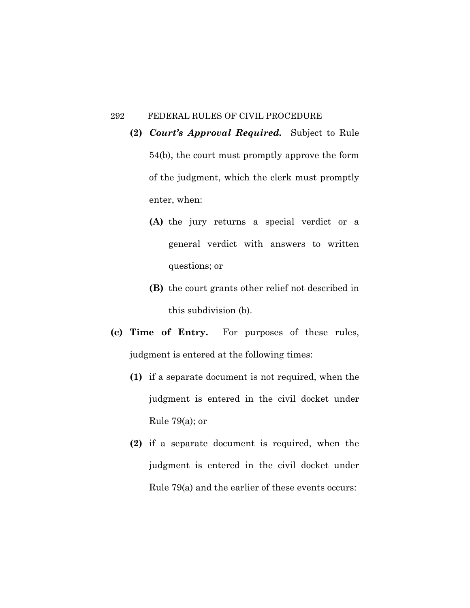- **(2)** *Court's Approval Required.* Subject to Rule 54(b), the court must promptly approve the form of the judgment, which the clerk must promptly enter, when:
	- **(A)** the jury returns a special verdict or a general verdict with answers to written questions; or
	- **(B)** the court grants other relief not described in this subdivision (b).
- **(c) Time of Entry.** For purposes of these rules, judgment is entered at the following times:
	- **(1)** if a separate document is not required, when the judgment is entered in the civil docket under Rule 79(a); or
	- **(2)** if a separate document is required, when the judgment is entered in the civil docket under Rule 79(a) and the earlier of these events occurs: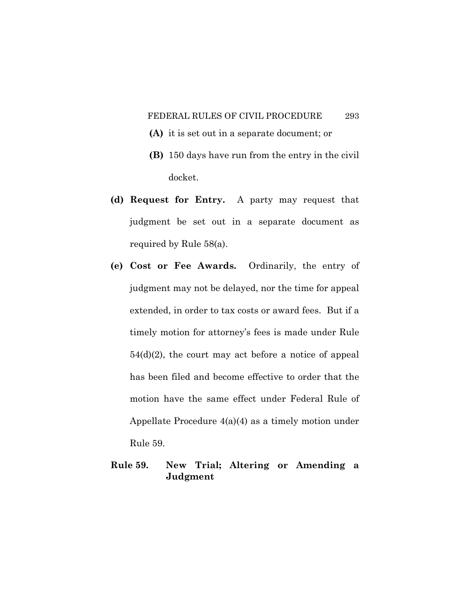- **(A)** it is set out in a separate document; or
- **(B)** 150 days have run from the entry in the civil docket.
- **(d) Request for Entry.** A party may request that judgment be set out in a separate document as required by Rule 58(a).
- **(e) Cost or Fee Awards.** Ordinarily, the entry of judgment may not be delayed, nor the time for appeal extended, in order to tax costs or award fees. But if a timely motion for attorney's fees is made under Rule 54(d)(2), the court may act before a notice of appeal has been filed and become effective to order that the motion have the same effect under Federal Rule of Appellate Procedure 4(a)(4) as a timely motion under Rule 59.
- **Rule 59. New Trial; Altering or Amending a Judgment**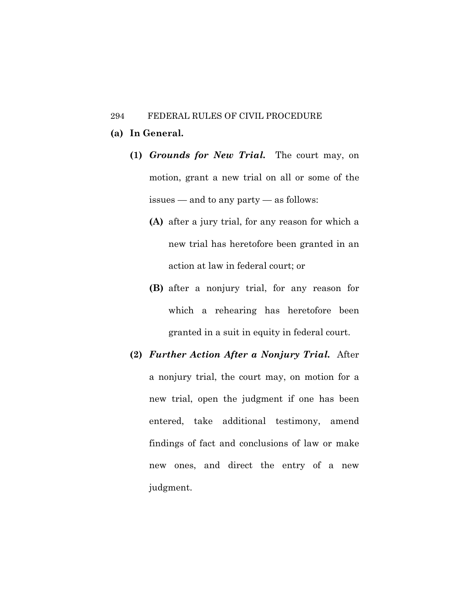- **(a) In General.** 
	- **(1)** *Grounds for New Trial.* The court may, on motion, grant a new trial on all or some of the issues — and to any party — as follows:
		- **(A)** after a jury trial, for any reason for which a new trial has heretofore been granted in an action at law in federal court; or
		- **(B)** after a nonjury trial, for any reason for which a rehearing has heretofore been granted in a suit in equity in federal court.
	- **(2)** *Further Action After a Nonjury Trial.* After a nonjury trial, the court may, on motion for a new trial, open the judgment if one has been entered, take additional testimony, amend findings of fact and conclusions of law or make new ones, and direct the entry of a new judgment.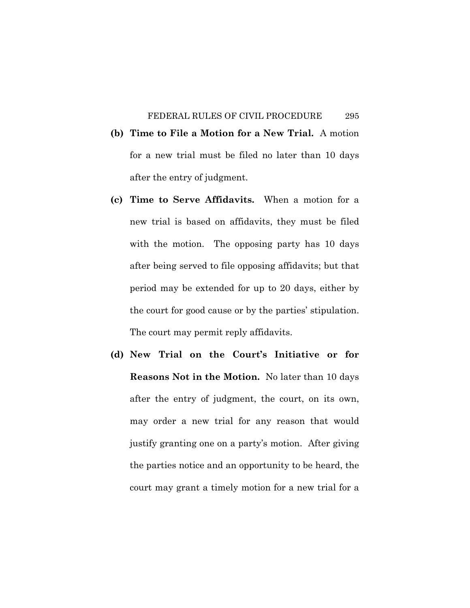- **(b) Time to File a Motion for a New Trial.** A motion for a new trial must be filed no later than 10 days after the entry of judgment.
- **(c) Time to Serve Affidavits.** When a motion for a new trial is based on affidavits, they must be filed with the motion. The opposing party has 10 days after being served to file opposing affidavits; but that period may be extended for up to 20 days, either by the court for good cause or by the parties' stipulation. The court may permit reply affidavits.
- **(d) New Trial on the Court's Initiative or for Reasons Not in the Motion.** No later than 10 days after the entry of judgment, the court, on its own, may order a new trial for any reason that would justify granting one on a party's motion. After giving the parties notice and an opportunity to be heard, the court may grant a timely motion for a new trial for a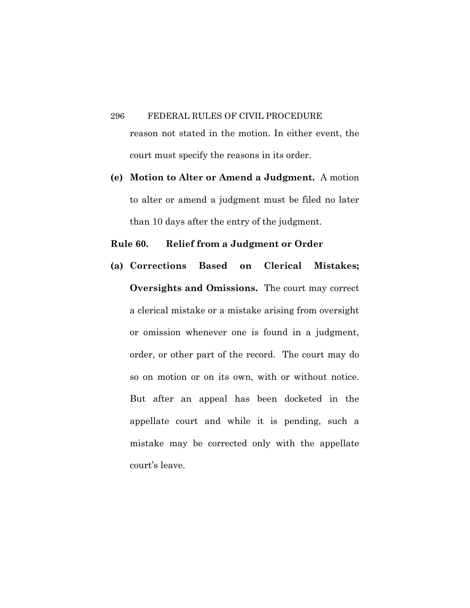## 296 FEDERAL RULES OF CIVIL PROCEDURE reason not stated in the motion. In either event, the court must specify the reasons in its order.

**(e) Motion to Alter or Amend a Judgment.** A motion to alter or amend a judgment must be filed no later than 10 days after the entry of the judgment.

**Rule 60. Relief from a Judgment or Order** 

**(a) Corrections Based on Clerical Mistakes; Oversights and Omissions.** The court may correct a clerical mistake or a mistake arising from oversight or omission whenever one is found in a judgment, order, or other part of the record. The court may do so on motion or on its own, with or without notice. But after an appeal has been docketed in the appellate court and while it is pending, such a mistake may be corrected only with the appellate court's leave.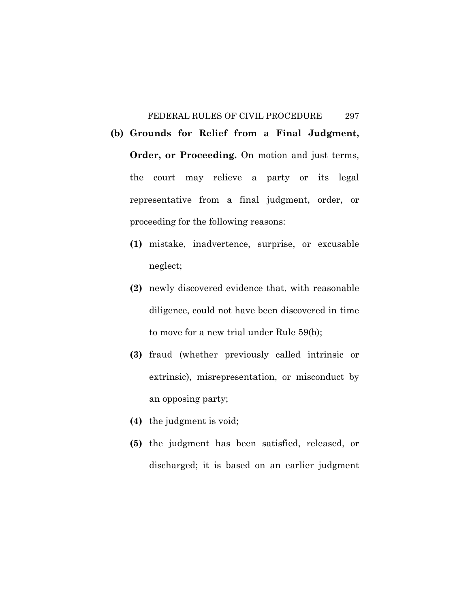- **(b) Grounds for Relief from a Final Judgment, Order, or Proceeding.** On motion and just terms, the court may relieve a party or its legal representative from a final judgment, order, or proceeding for the following reasons:
	- **(1)** mistake, inadvertence, surprise, or excusable neglect;
	- **(2)** newly discovered evidence that, with reasonable diligence, could not have been discovered in time to move for a new trial under Rule 59(b);
	- **(3)** fraud (whether previously called intrinsic or extrinsic), misrepresentation, or misconduct by an opposing party;
	- **(4)** the judgment is void;
	- **(5)** the judgment has been satisfied, released, or discharged; it is based on an earlier judgment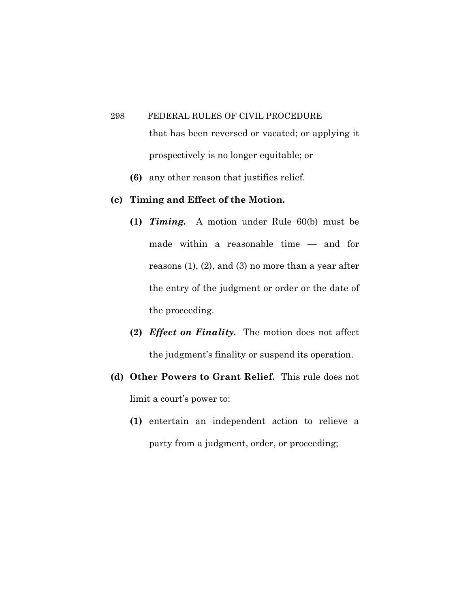## 298 FEDERAL RULES OF CIVIL PROCEDURE that has been reversed or vacated; or applying it prospectively is no longer equitable; or

- **(6)** any other reason that justifies relief.
- **(c) Timing and Effect of the Motion.** 
	- **(1)** *Timing.* A motion under Rule 60(b) must be made within a reasonable time — and for reasons (1), (2), and (3) no more than a year after the entry of the judgment or order or the date of the proceeding.
	- **(2)** *Effect on Finality.* The motion does not affect the judgment's finality or suspend its operation.
- **(d) Other Powers to Grant Relief.** This rule does not limit a court's power to:
	- **(1)** entertain an independent action to relieve a party from a judgment, order, or proceeding;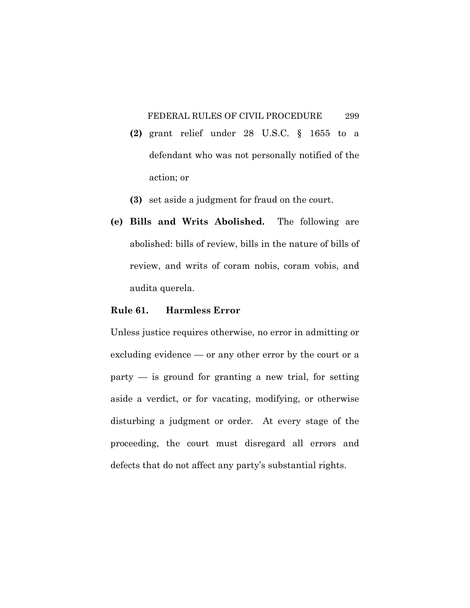- **(2)** grant relief under 28 U.S.C. § 1655 to a defendant who was not personally notified of the action; or
- **(3)** set aside a judgment for fraud on the court.
- **(e) Bills and Writs Abolished.** The following are abolished: bills of review, bills in the nature of bills of review, and writs of coram nobis, coram vobis, and audita querela.

### **Rule 61. Harmless Error**

Unless justice requires otherwise, no error in admitting or excluding evidence — or any other error by the court or a  $party$  — is ground for granting a new trial, for setting aside a verdict, or for vacating, modifying, or otherwise disturbing a judgment or order. At every stage of the proceeding, the court must disregard all errors and defects that do not affect any party's substantial rights.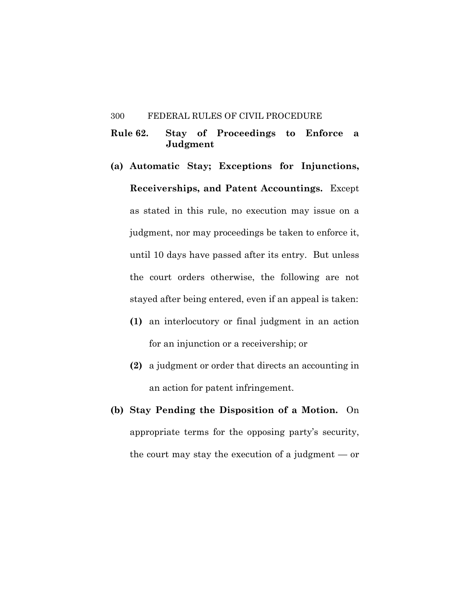- **Rule 62. Stay of Proceedings to Enforce a Judgment**
- **(a) Automatic Stay; Exceptions for Injunctions, Receiverships, and Patent Accountings.** Except as stated in this rule, no execution may issue on a judgment, nor may proceedings be taken to enforce it, until 10 days have passed after its entry. But unless the court orders otherwise, the following are not stayed after being entered, even if an appeal is taken:
	- **(1)** an interlocutory or final judgment in an action for an injunction or a receivership; or
	- **(2)** a judgment or order that directs an accounting in an action for patent infringement.
- **(b) Stay Pending the Disposition of a Motion.** On appropriate terms for the opposing party's security, the court may stay the execution of a judgment — or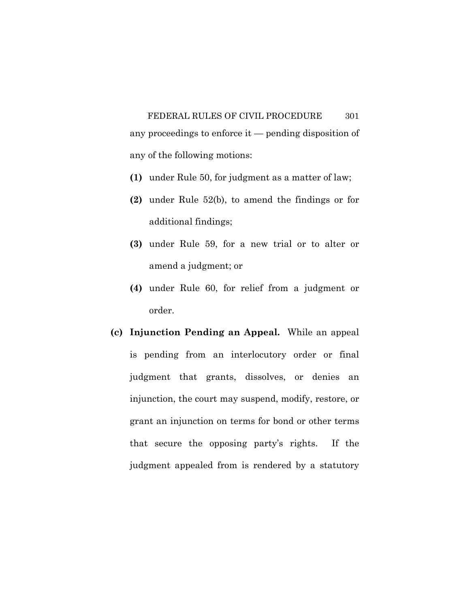FEDERAL RULES OF CIVIL PROCEDURE 301 any proceedings to enforce it — pending disposition of any of the following motions:

- **(1)** under Rule 50, for judgment as a matter of law;
- **(2)** under Rule 52(b), to amend the findings or for additional findings;
- **(3)** under Rule 59, for a new trial or to alter or amend a judgment; or
- **(4)** under Rule 60, for relief from a judgment or order.
- **(c) Injunction Pending an Appeal.** While an appeal is pending from an interlocutory order or final judgment that grants, dissolves, or denies an injunction, the court may suspend, modify, restore, or grant an injunction on terms for bond or other terms that secure the opposing party's rights. If the judgment appealed from is rendered by a statutory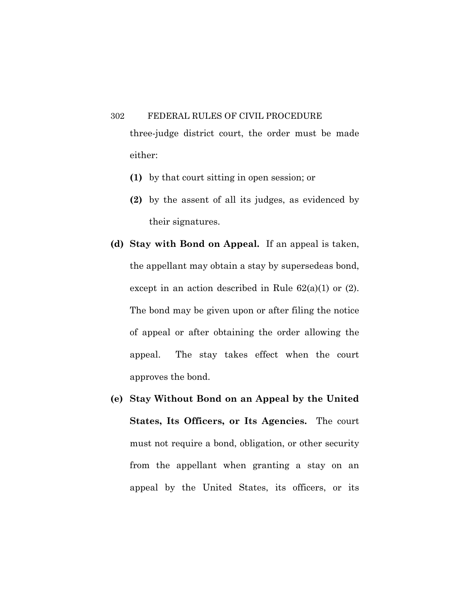## 302 FEDERAL RULES OF CIVIL PROCEDURE three-judge district court, the order must be made either:

- **(1)** by that court sitting in open session; or
- **(2)** by the assent of all its judges, as evidenced by their signatures.
- **(d) Stay with Bond on Appeal.** If an appeal is taken, the appellant may obtain a stay by supersedeas bond, except in an action described in Rule  $62(a)(1)$  or  $(2)$ . The bond may be given upon or after filing the notice of appeal or after obtaining the order allowing the appeal. The stay takes effect when the court approves the bond.
- **(e) Stay Without Bond on an Appeal by the United States, Its Officers, or Its Agencies.** The court must not require a bond, obligation, or other security from the appellant when granting a stay on an appeal by the United States, its officers, or its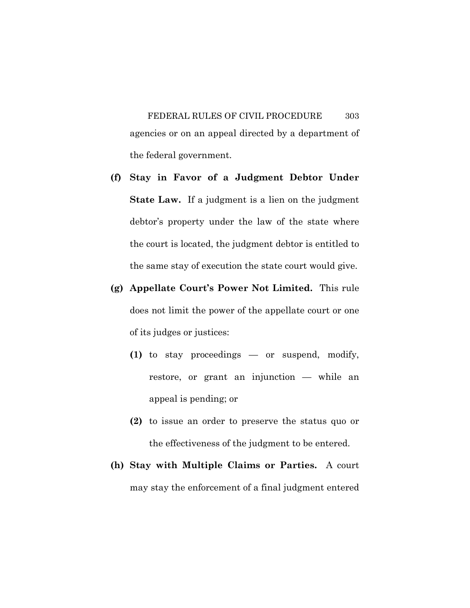FEDERAL RULES OF CIVIL PROCEDURE 303 agencies or on an appeal directed by a department of the federal government.

- **(f) Stay in Favor of a Judgment Debtor Under State Law.** If a judgment is a lien on the judgment debtor's property under the law of the state where the court is located, the judgment debtor is entitled to the same stay of execution the state court would give.
- **(g) Appellate Court's Power Not Limited.** This rule does not limit the power of the appellate court or one of its judges or justices:
	- **(1)** to stay proceedings or suspend, modify, restore, or grant an injunction — while an appeal is pending; or
	- **(2)** to issue an order to preserve the status quo or the effectiveness of the judgment to be entered.
- **(h) Stay with Multiple Claims or Parties.** A court may stay the enforcement of a final judgment entered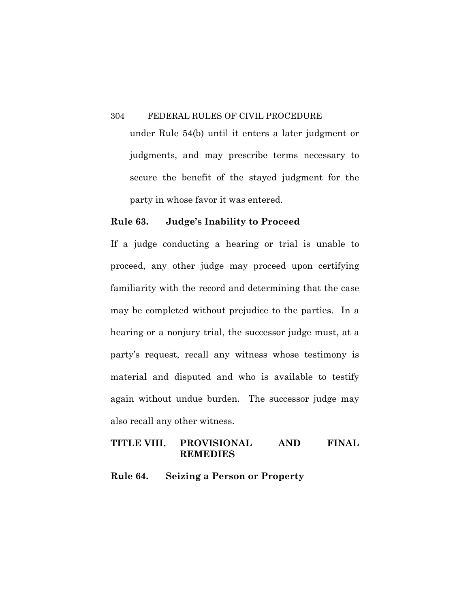under Rule 54(b) until it enters a later judgment or judgments, and may prescribe terms necessary to secure the benefit of the stayed judgment for the party in whose favor it was entered.

### **Rule 63. Judge's Inability to Proceed**

If a judge conducting a hearing or trial is unable to proceed, any other judge may proceed upon certifying familiarity with the record and determining that the case may be completed without prejudice to the parties. In a hearing or a nonjury trial, the successor judge must, at a party's request, recall any witness whose testimony is material and disputed and who is available to testify again without undue burden. The successor judge may also recall any other witness.

### **TITLE VIII. PROVISIONAL AND FINAL REMEDIES**

### **Rule 64. Seizing a Person or Property**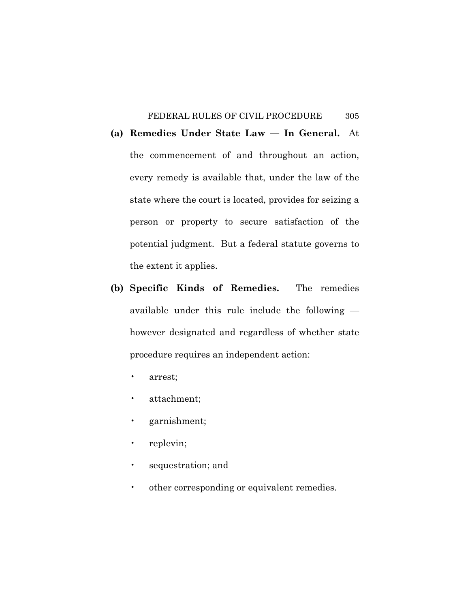- **(a) Remedies Under State Law In General.** At the commencement of and throughout an action, every remedy is available that, under the law of the state where the court is located, provides for seizing a person or property to secure satisfaction of the potential judgment. But a federal statute governs to the extent it applies.
- **(b) Specific Kinds of Remedies.** The remedies available under this rule include the following however designated and regardless of whether state procedure requires an independent action:
	- arrest;
	- attachment;
	- garnishment;
	- replevin;
	- sequestration; and
	- other corresponding or equivalent remedies.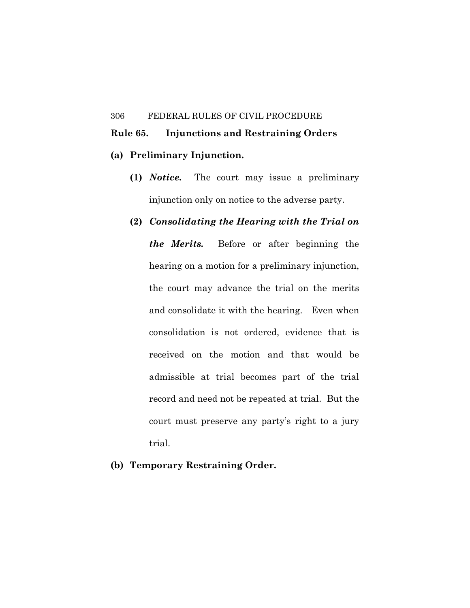## 306 FEDERAL RULES OF CIVIL PROCEDURE **Rule 65. Injunctions and Restraining Orders**

- **(a) Preliminary Injunction.** 
	- **(1)** *Notice.* The court may issue a preliminary injunction only on notice to the adverse party.

# **(2)** *Consolidating the Hearing with the Trial on the Merits.* Before or after beginning the hearing on a motion for a preliminary injunction, the court may advance the trial on the merits and consolidate it with the hearing. Even when consolidation is not ordered, evidence that is received on the motion and that would be admissible at trial becomes part of the trial record and need not be repeated at trial. But the court must preserve any party's right to a jury trial.

### **(b) Temporary Restraining Order.**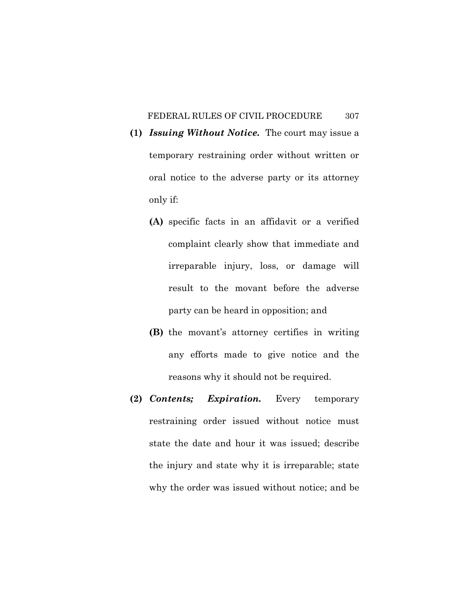- **(1)** *Issuing Without Notice.*The court may issue a temporary restraining order without written or oral notice to the adverse party or its attorney only if:
	- **(A)** specific facts in an affidavit or a verified complaint clearly show that immediate and irreparable injury, loss, or damage will result to the movant before the adverse party can be heard in opposition; and
	- **(B)** the movant's attorney certifies in writing any efforts made to give notice and the reasons why it should not be required.
- **(2)** *Contents; Expiration.* Every temporary restraining order issued without notice must state the date and hour it was issued; describe the injury and state why it is irreparable; state why the order was issued without notice; and be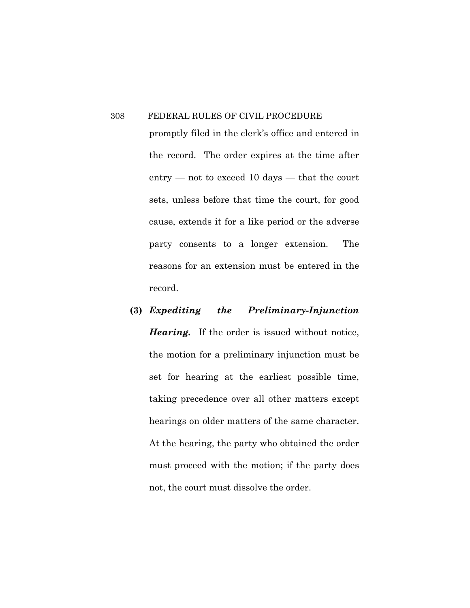# 308 FEDERAL RULES OF CIVIL PROCEDURE promptly filed in the clerk's office and entered in the record. The order expires at the time after entry — not to exceed 10 days — that the court sets, unless before that time the court, for good cause, extends it for a like period or the adverse party consents to a longer extension. The reasons for an extension must be entered in the record.

**(3)** *Expediting the Preliminary-Injunction Hearing.* If the order is issued without notice, the motion for a preliminary injunction must be set for hearing at the earliest possible time, taking precedence over all other matters except hearings on older matters of the same character. At the hearing, the party who obtained the order must proceed with the motion; if the party does not, the court must dissolve the order.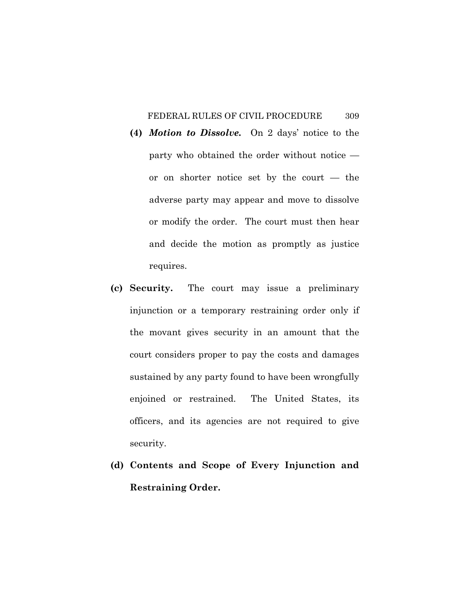- **(4)** *Motion to Dissolve.*On 2 days' notice to the party who obtained the order without notice or on shorter notice set by the court — the adverse party may appear and move to dissolve or modify the order. The court must then hear and decide the motion as promptly as justice requires.
- **(c) Security.** The court may issue a preliminary injunction or a temporary restraining order only if the movant gives security in an amount that the court considers proper to pay the costs and damages sustained by any party found to have been wrongfully enjoined or restrained. The United States, its officers, and its agencies are not required to give security.
- **(d) Contents and Scope of Every Injunction and Restraining Order.**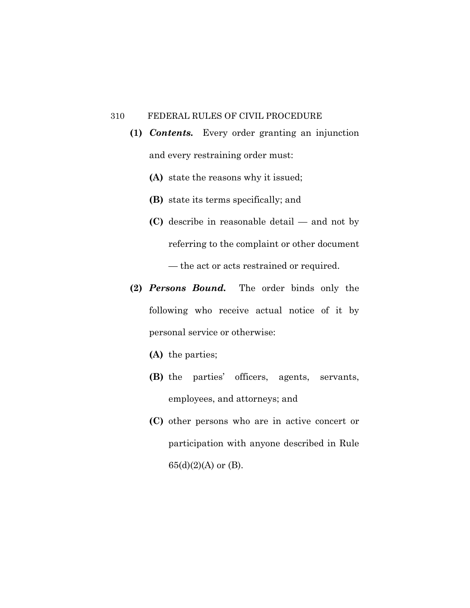- **(1)** *Contents.* Every order granting an injunction and every restraining order must:
	- **(A)** state the reasons why it issued;
	- **(B)** state its terms specifically; and
	- **(C)** describe in reasonable detail and not by referring to the complaint or other document — the act or acts restrained or required.
- **(2)** *Persons Bound.* The order binds only the following who receive actual notice of it by personal service or otherwise:
	- **(A)** the parties;
	- **(B)** the parties' officers, agents, servants, employees, and attorneys; and
	- **(C)** other persons who are in active concert or participation with anyone described in Rule  $65(d)(2)(A)$  or (B).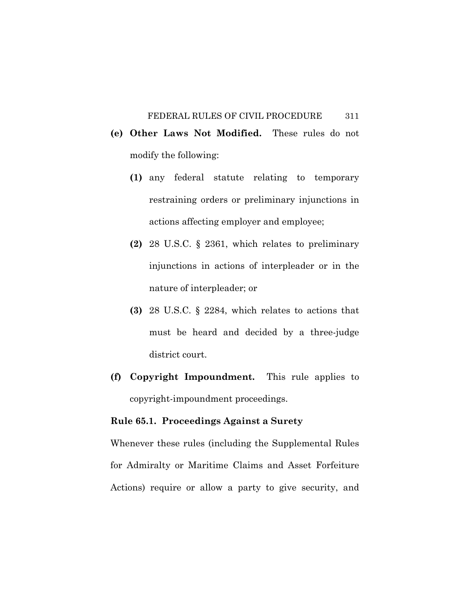- **(e) Other Laws Not Modified.** These rules do not modify the following:
	- **(1)** any federal statute relating to temporary restraining orders or preliminary injunctions in actions affecting employer and employee;
	- **(2)** 28 U.S.C. § 2361, which relates to preliminary injunctions in actions of interpleader or in the nature of interpleader; or
	- **(3)** 28 U.S.C. § 2284, which relates to actions that must be heard and decided by a three-judge district court.
- **(f) Copyright Impoundment.** This rule applies to copyright-impoundment proceedings.

### **Rule 65.1. Proceedings Against a Surety**

Whenever these rules (including the Supplemental Rules for Admiralty or Maritime Claims and Asset Forfeiture Actions) require or allow a party to give security, and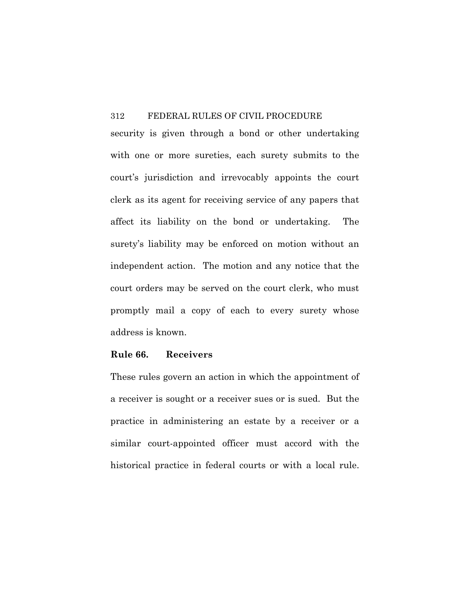security is given through a bond or other undertaking with one or more sureties, each surety submits to the court's jurisdiction and irrevocably appoints the court clerk as its agent for receiving service of any papers that affect its liability on the bond or undertaking. The surety's liability may be enforced on motion without an independent action. The motion and any notice that the court orders may be served on the court clerk, who must promptly mail a copy of each to every surety whose address is known.

### **Rule 66. Receivers**

These rules govern an action in which the appointment of a receiver is sought or a receiver sues or is sued. But the practice in administering an estate by a receiver or a similar court-appointed officer must accord with the historical practice in federal courts or with a local rule.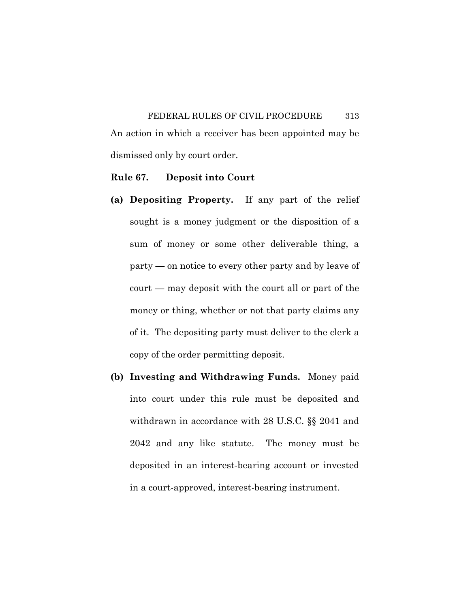An action in which a receiver has been appointed may be dismissed only by court order.

### **Rule 67. Deposit into Court**

- **(a) Depositing Property.** If any part of the relief sought is a money judgment or the disposition of a sum of money or some other deliverable thing, a party — on notice to every other party and by leave of court — may deposit with the court all or part of the money or thing, whether or not that party claims any of it. The depositing party must deliver to the clerk a copy of the order permitting deposit.
- **(b) Investing and Withdrawing Funds.** Money paid into court under this rule must be deposited and withdrawn in accordance with 28 U.S.C. §§ 2041 and 2042 and any like statute. The money must be deposited in an interest-bearing account or invested in a court-approved, interest-bearing instrument.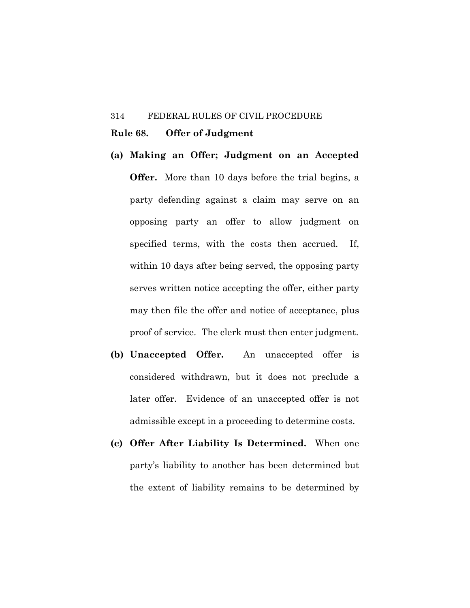### 314 FEDERAL RULES OF CIVIL PROCEDURE **Rule 68. Offer of Judgment**

- **(a) Making an Offer; Judgment on an Accepted Offer.** More than 10 days before the trial begins, a party defending against a claim may serve on an opposing party an offer to allow judgment on specified terms, with the costs then accrued. If, within 10 days after being served, the opposing party serves written notice accepting the offer, either party may then file the offer and notice of acceptance, plus proof of service. The clerk must then enter judgment.
- **(b) Unaccepted Offer.** An unaccepted offer is considered withdrawn, but it does not preclude a later offer. Evidence of an unaccepted offer is not admissible except in a proceeding to determine costs.
- **(c) Offer After Liability Is Determined.** When one party's liability to another has been determined but the extent of liability remains to be determined by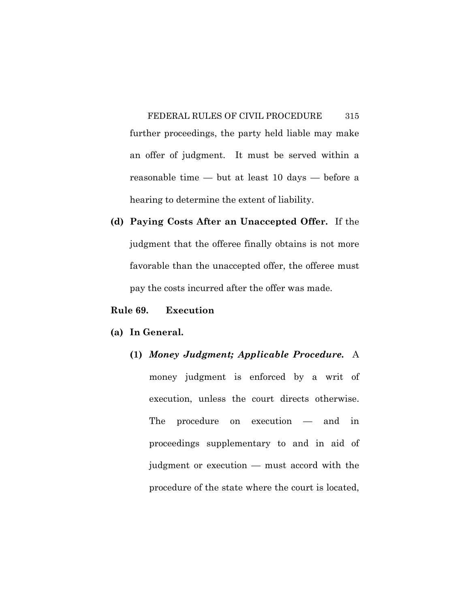FEDERAL RULES OF CIVIL PROCEDURE 315 further proceedings, the party held liable may make an offer of judgment. It must be served within a reasonable time — but at least 10 days — before a hearing to determine the extent of liability.

**(d) Paying Costs After an Unaccepted Offer.** If the judgment that the offeree finally obtains is not more favorable than the unaccepted offer, the offeree must pay the costs incurred after the offer was made.

### **Rule 69. Execution**

- **(a) In General.** 
	- **(1)** *Money Judgment; Applicable Procedure.* A money judgment is enforced by a writ of execution, unless the court directs otherwise. The procedure on execution — and in proceedings supplementary to and in aid of judgment or execution — must accord with the procedure of the state where the court is located,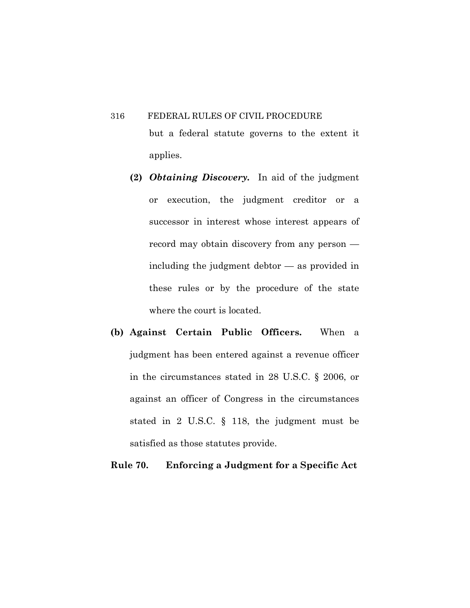## 316 FEDERAL RULES OF CIVIL PROCEDURE but a federal statute governs to the extent it applies.

- **(2)** *Obtaining Discovery.* In aid of the judgment or execution, the judgment creditor or a successor in interest whose interest appears of record may obtain discovery from any person including the judgment debtor — as provided in these rules or by the procedure of the state where the court is located.
- **(b) Against Certain Public Officers.** When a judgment has been entered against a revenue officer in the circumstances stated in 28 U.S.C. § 2006, or against an officer of Congress in the circumstances stated in 2 U.S.C. § 118, the judgment must be satisfied as those statutes provide.

### **Rule 70. Enforcing a Judgment for a Specific Act**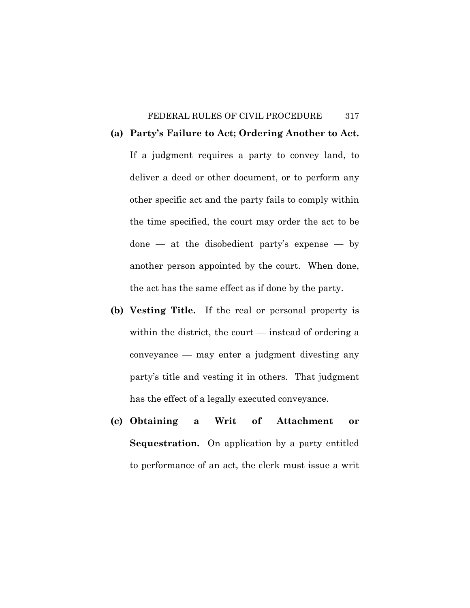### **(a) Party's Failure to Act; Ordering Another to Act.**

If a judgment requires a party to convey land, to deliver a deed or other document, or to perform any other specific act and the party fails to comply within the time specified, the court may order the act to be done — at the disobedient party's expense — by another person appointed by the court. When done, the act has the same effect as if done by the party.

- **(b) Vesting Title.** If the real or personal property is within the district, the court — instead of ordering a conveyance — may enter a judgment divesting any party's title and vesting it in others. That judgment has the effect of a legally executed conveyance.
- **(c) Obtaining a Writ of Attachment or Sequestration.** On application by a party entitled to performance of an act, the clerk must issue a writ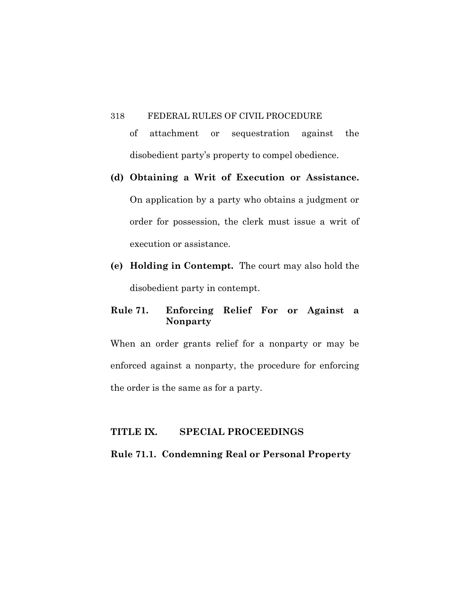of attachment or sequestration against the disobedient party's property to compel obedience.

- **(d) Obtaining a Writ of Execution or Assistance.** On application by a party who obtains a judgment or order for possession, the clerk must issue a writ of execution or assistance.
- **(e) Holding in Contempt.** The court may also hold the disobedient party in contempt.

### **Rule 71. Enforcing Relief For or Against a Nonparty**

When an order grants relief for a nonparty or may be enforced against a nonparty, the procedure for enforcing the order is the same as for a party.

### **TITLE IX. SPECIAL PROCEEDINGS**

**Rule 71.1. Condemning Real or Personal Property**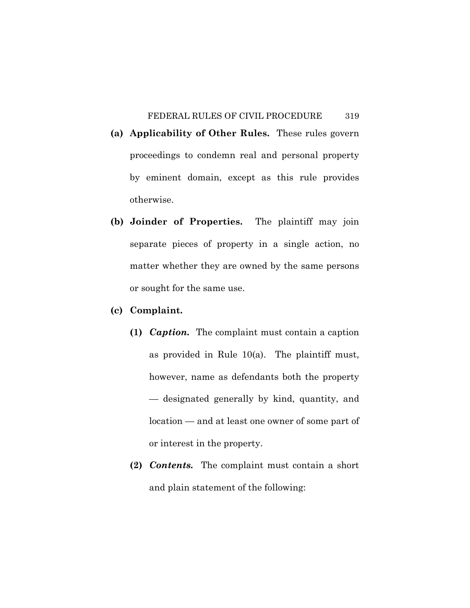- **(a) Applicability of Other Rules.** These rules govern proceedings to condemn real and personal property by eminent domain, except as this rule provides otherwise.
- **(b) Joinder of Properties.** The plaintiff may join separate pieces of property in a single action, no matter whether they are owned by the same persons or sought for the same use.
- **(c) Complaint.** 
	- **(1)** *Caption.* The complaint must contain a caption as provided in Rule  $10(a)$ . The plaintiff must, however, name as defendants both the property — designated generally by kind, quantity, and location — and at least one owner of some part of or interest in the property.
	- **(2)** *Contents.* The complaint must contain a short and plain statement of the following: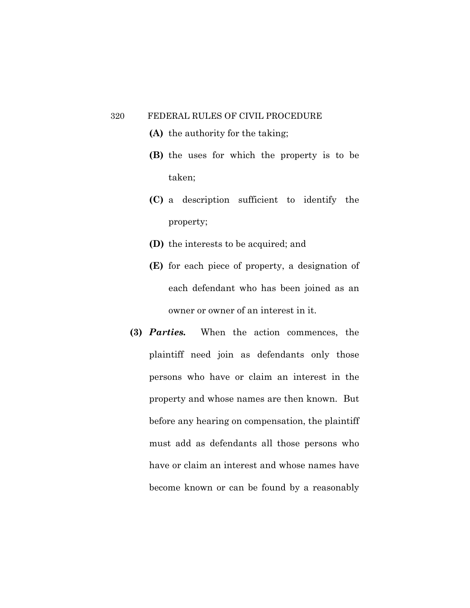- **(A)** the authority for the taking;
- **(B)** the uses for which the property is to be taken;
- **(C)** a description sufficient to identify the property;
- **(D)** the interests to be acquired; and
- **(E)** for each piece of property, a designation of each defendant who has been joined as an owner or owner of an interest in it.
- **(3)** *Parties.* When the action commences, the plaintiff need join as defendants only those persons who have or claim an interest in the property and whose names are then known. But before any hearing on compensation, the plaintiff must add as defendants all those persons who have or claim an interest and whose names have become known or can be found by a reasonably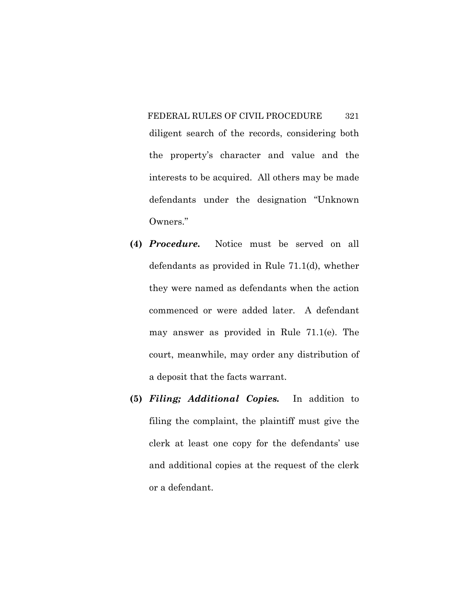FEDERAL RULES OF CIVIL PROCEDURE 321 diligent search of the records, considering both the property's character and value and the interests to be acquired. All others may be made defendants under the designation "Unknown Owners."

- **(4)** *Procedure.* Notice must be served on all defendants as provided in Rule 71.1(d), whether they were named as defendants when the action commenced or were added later. A defendant may answer as provided in Rule 71.1(e). The court, meanwhile, may order any distribution of a deposit that the facts warrant.
- **(5)** *Filing; Additional Copies.* In addition to filing the complaint, the plaintiff must give the clerk at least one copy for the defendants' use and additional copies at the request of the clerk or a defendant.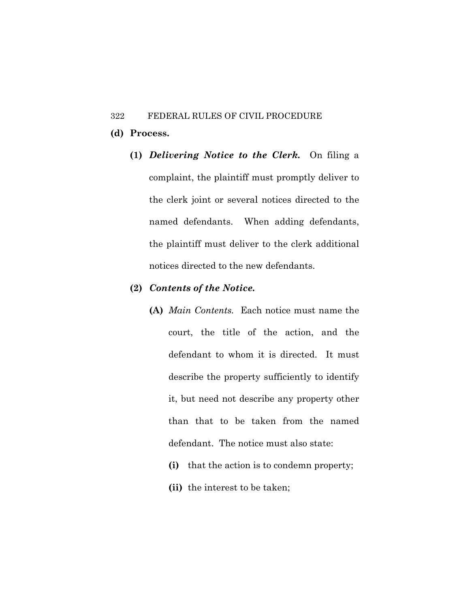- **(d) Process.** 
	- **(1)** *Delivering Notice to the Clerk.* On filing a complaint, the plaintiff must promptly deliver to the clerk joint or several notices directed to the named defendants. When adding defendants, the plaintiff must deliver to the clerk additional notices directed to the new defendants.
	- **(2)** *Contents of the Notice.* 
		- **(A)** *Main Contents.* Each notice must name the court, the title of the action, and the defendant to whom it is directed. It must describe the property sufficiently to identify it, but need not describe any property other than that to be taken from the named defendant. The notice must also state:
			- **(i)** that the action is to condemn property;
			- **(ii)** the interest to be taken;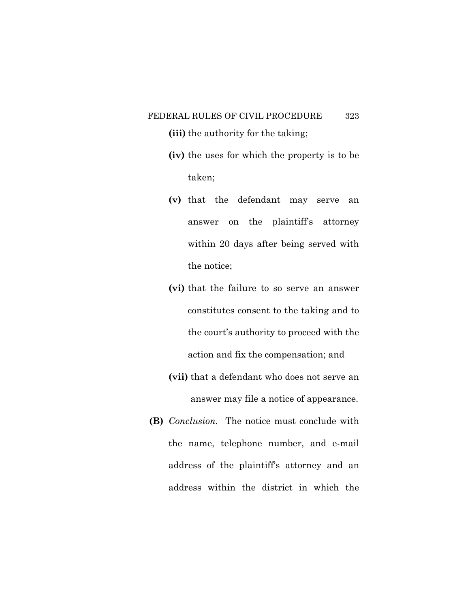**(iii)** the authority for the taking;

- **(iv)** the uses for which the property is to be
	- taken;
- **(v)** that the defendant may serve an answer on the plaintiff's attorney within 20 days after being served with the notice;
- **(vi)** that the failure to so serve an answer constitutes consent to the taking and to the court's authority to proceed with the action and fix the compensation; and
- **(vii)** that a defendant who does not serve an answer may file a notice of appearance.
- **(B)** *Conclusion.* The notice must conclude with the name, telephone number, and e-mail address of the plaintiff's attorney and an address within the district in which the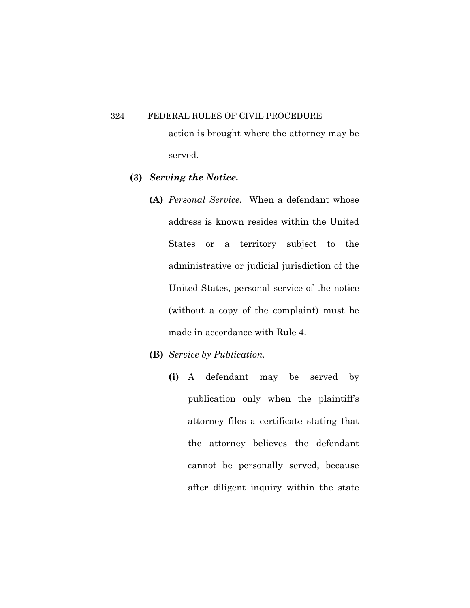action is brought where the attorney may be served.

- **(3)** *Serving the Notice.* 
	- **(A)** *Personal Service.* When a defendant whose address is known resides within the United States or a territory subject to the administrative or judicial jurisdiction of the United States, personal service of the notice (without a copy of the complaint) must be made in accordance with Rule 4.
	- **(B)** *Service by Publication.* 
		- **(i)** A defendant may be served by publication only when the plaintiff's attorney files a certificate stating that the attorney believes the defendant cannot be personally served, because after diligent inquiry within the state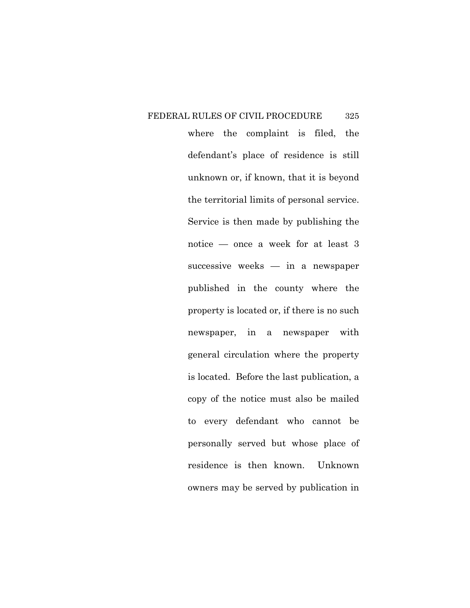where the complaint is filed, the defendant's place of residence is still unknown or, if known, that it is beyond the territorial limits of personal service. Service is then made by publishing the notice — once a week for at least 3 successive weeks — in a newspaper published in the county where the property is located or, if there is no such newspaper, in a newspaper with general circulation where the property is located. Before the last publication, a copy of the notice must also be mailed to every defendant who cannot be personally served but whose place of residence is then known. Unknown owners may be served by publication in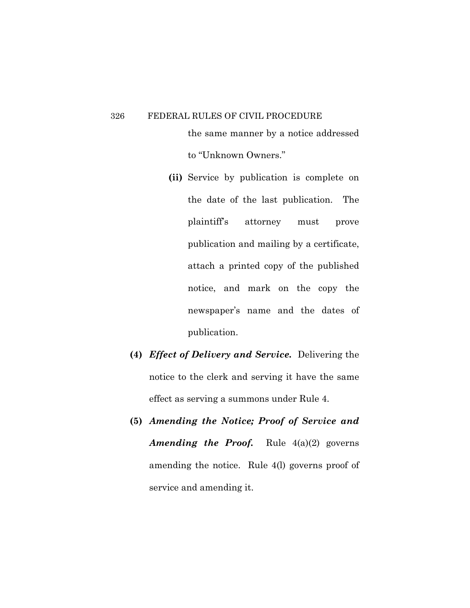the same manner by a notice addressed to "Unknown Owners."

- **(ii)** Service by publication is complete on the date of the last publication. The plaintiff's attorney must prove publication and mailing by a certificate, attach a printed copy of the published notice, and mark on the copy the newspaper's name and the dates of publication.
- **(4)** *Effect of Delivery and Service.* Delivering the notice to the clerk and serving it have the same effect as serving a summons under Rule 4.
- **(5)** *Amending the Notice; Proof of Service and Amending the Proof.* Rule 4(a)(2) governs amending the notice. Rule 4(l) governs proof of service and amending it.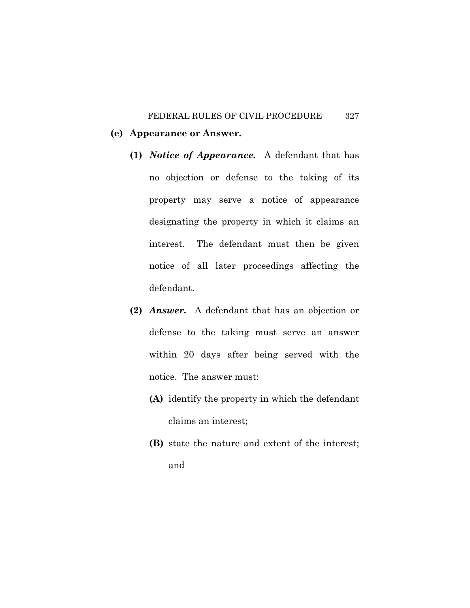- **(e) Appearance or Answer.** 
	- **(1)** *Notice of Appearance.* A defendant that has no objection or defense to the taking of its property may serve a notice of appearance designating the property in which it claims an interest. The defendant must then be given notice of all later proceedings affecting the defendant.
	- **(2)** *Answer.* A defendant that has an objection or defense to the taking must serve an answer within 20 days after being served with the notice. The answer must:
		- **(A)** identify the property in which the defendant claims an interest;
		- **(B)** state the nature and extent of the interest; and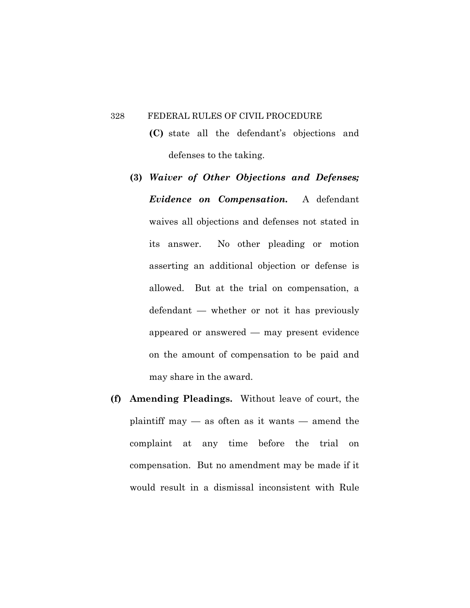- **(C)** state all the defendant's objections and defenses to the taking.
- **(3)** *Waiver of Other Objections and Defenses; Evidence on Compensation.* A defendant waives all objections and defenses not stated in its answer. No other pleading or motion asserting an additional objection or defense is allowed. But at the trial on compensation, a defendant — whether or not it has previously appeared or answered — may present evidence on the amount of compensation to be paid and may share in the award.
- **(f) Amending Pleadings.** Without leave of court, the plaintiff may — as often as it wants — amend the complaint at any time before the trial on compensation. But no amendment may be made if it would result in a dismissal inconsistent with Rule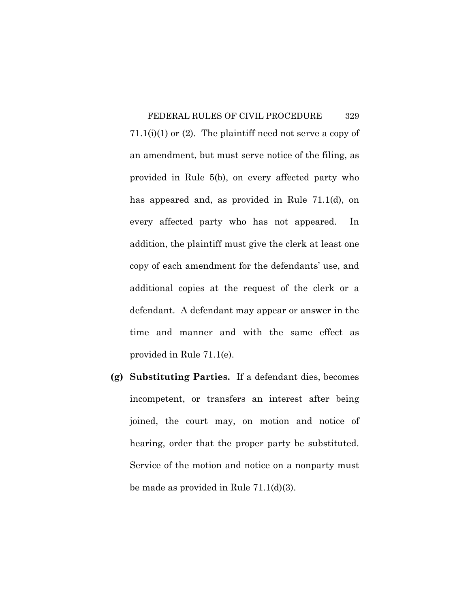FEDERAL RULES OF CIVIL PROCEDURE 329  $71.1(i)(1)$  or (2). The plaintiff need not serve a copy of an amendment, but must serve notice of the filing, as provided in Rule 5(b), on every affected party who has appeared and, as provided in Rule 71.1(d), on every affected party who has not appeared. In addition, the plaintiff must give the clerk at least one copy of each amendment for the defendants' use, and additional copies at the request of the clerk or a defendant. A defendant may appear or answer in the time and manner and with the same effect as provided in Rule 71.1(e).

**(g) Substituting Parties.** If a defendant dies, becomes incompetent, or transfers an interest after being joined, the court may, on motion and notice of hearing, order that the proper party be substituted. Service of the motion and notice on a nonparty must be made as provided in Rule 71.1(d)(3).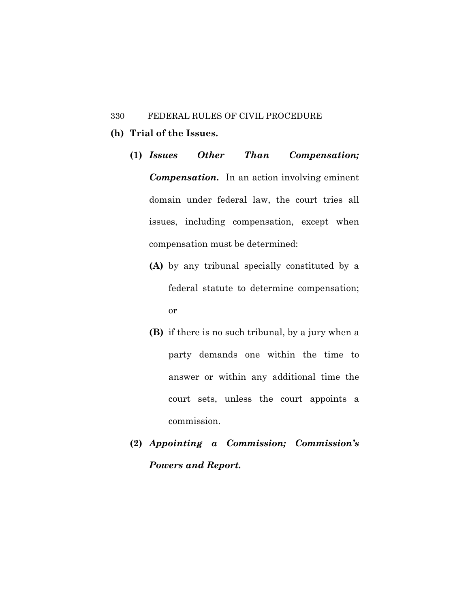- **(h) Trial of the Issues.** 
	- **(1)** *Issues Other Than Compensation; Compensation.* In an action involving eminent domain under federal law, the court tries all issues, including compensation, except when compensation must be determined:
		- **(A)** by any tribunal specially constituted by a federal statute to determine compensation; or
		- **(B)** if there is no such tribunal, by a jury when a party demands one within the time to answer or within any additional time the court sets, unless the court appoints a commission.
	- **(2)** *Appointing a Commission; Commission's Powers and Report.*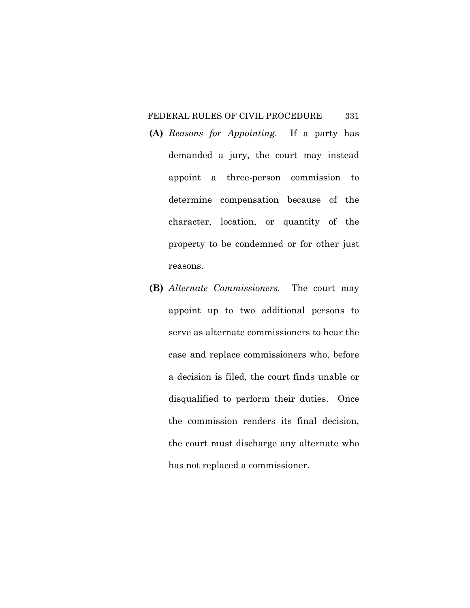- **(A)** *Reasons for Appointing.* If a party has demanded a jury, the court may instead appoint a three-person commission to determine compensation because of the character, location, or quantity of the property to be condemned or for other just reasons.
- **(B)** *Alternate Commissioners.* The court may appoint up to two additional persons to serve as alternate commissioners to hear the case and replace commissioners who, before a decision is filed, the court finds unable or disqualified to perform their duties. Once the commission renders its final decision, the court must discharge any alternate who has not replaced a commissioner.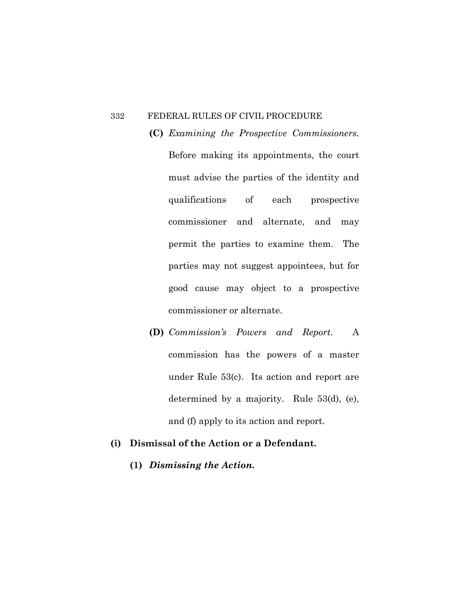- **(C)** *Examining the Prospective Commissioners.* Before making its appointments, the court must advise the parties of the identity and qualifications of each prospective commissioner and alternate, and may permit the parties to examine them. The parties may not suggest appointees, but for good cause may object to a prospective commissioner or alternate.
- **(D)** *Commission's Powers and Report.* A commission has the powers of a master under Rule 53(c). Its action and report are determined by a majority. Rule 53(d), (e), and (f) apply to its action and report.
- **(i) Dismissal of the Action or a Defendant.** 
	- **(1)** *Dismissing the Action.*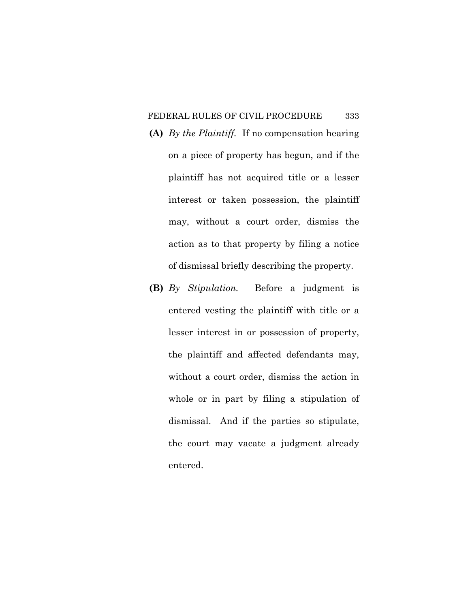- **(A)** *By the Plaintiff.* If no compensation hearing on a piece of property has begun, and if the plaintiff has not acquired title or a lesser interest or taken possession, the plaintiff may, without a court order, dismiss the action as to that property by filing a notice of dismissal briefly describing the property.
- **(B)** *By Stipulation.* Before a judgment is entered vesting the plaintiff with title or a lesser interest in or possession of property, the plaintiff and affected defendants may, without a court order, dismiss the action in whole or in part by filing a stipulation of dismissal. And if the parties so stipulate, the court may vacate a judgment already entered.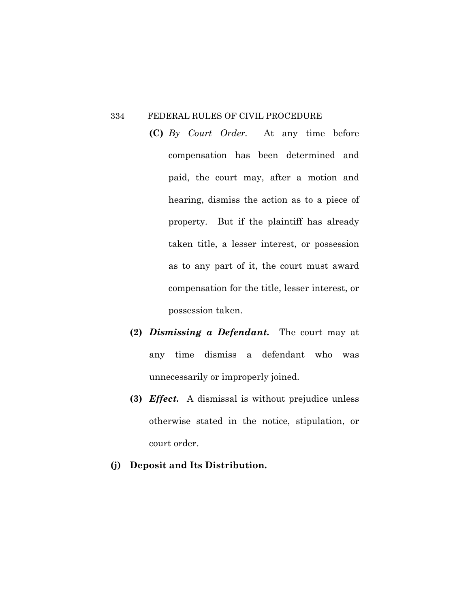- **(C)** *By Court Order.* At any time before compensation has been determined and paid, the court may, after a motion and hearing, dismiss the action as to a piece of property. But if the plaintiff has already taken title, a lesser interest, or possession as to any part of it, the court must award compensation for the title, lesser interest, or possession taken.
- **(2)** *Dismissing a Defendant.* The court may at any time dismiss a defendant who was unnecessarily or improperly joined.
- **(3)** *Effect.* A dismissal is without prejudice unless otherwise stated in the notice, stipulation, or court order.
- **(j) Deposit and Its Distribution.**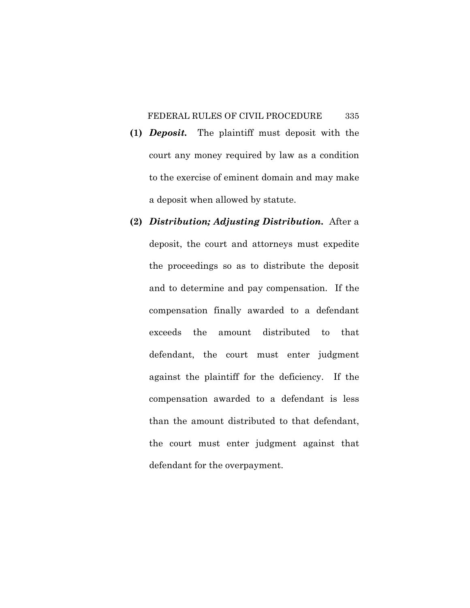- **(1)** *Deposit.* The plaintiff must deposit with the court any money required by law as a condition to the exercise of eminent domain and may make a deposit when allowed by statute.
- **(2)** *Distribution; Adjusting Distribution.* After a deposit, the court and attorneys must expedite the proceedings so as to distribute the deposit and to determine and pay compensation. If the compensation finally awarded to a defendant exceeds the amount distributed to that defendant, the court must enter judgment against the plaintiff for the deficiency. If the compensation awarded to a defendant is less than the amount distributed to that defendant, the court must enter judgment against that defendant for the overpayment.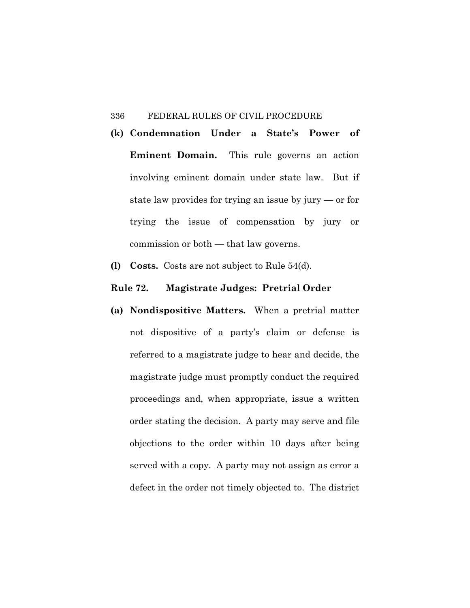- **(k) Condemnation Under a State's Power of Eminent Domain.** This rule governs an action involving eminent domain under state law. But if state law provides for trying an issue by jury — or for trying the issue of compensation by jury or commission or both — that law governs.
- **(l) Costs.** Costs are not subject to Rule 54(d).

#### **Rule 72. Magistrate Judges: Pretrial Order**

**(a) Nondispositive Matters.** When a pretrial matter not dispositive of a party's claim or defense is referred to a magistrate judge to hear and decide, the magistrate judge must promptly conduct the required proceedings and, when appropriate, issue a written order stating the decision. A party may serve and file objections to the order within 10 days after being served with a copy. A party may not assign as error a defect in the order not timely objected to. The district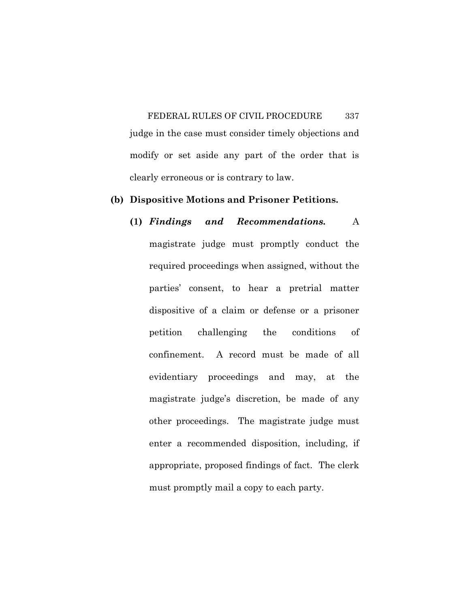FEDERAL RULES OF CIVIL PROCEDURE 337 judge in the case must consider timely objections and modify or set aside any part of the order that is clearly erroneous or is contrary to law.

### **(b) Dispositive Motions and Prisoner Petitions.**

**(1)** *Findings and Recommendations.* A magistrate judge must promptly conduct the required proceedings when assigned, without the parties' consent, to hear a pretrial matter dispositive of a claim or defense or a prisoner petition challenging the conditions of confinement. A record must be made of all evidentiary proceedings and may, at the magistrate judge's discretion, be made of any other proceedings. The magistrate judge must enter a recommended disposition, including, if appropriate, proposed findings of fact. The clerk must promptly mail a copy to each party.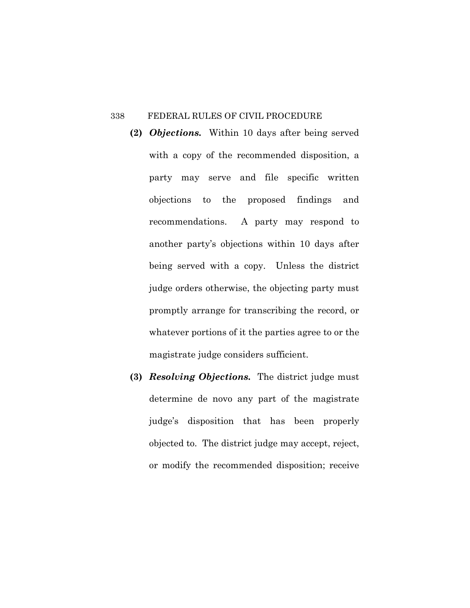- **(2)** *Objections.* Within 10 days after being served with a copy of the recommended disposition, a party may serve and file specific written objections to the proposed findings and recommendations. A party may respond to another party's objections within 10 days after being served with a copy. Unless the district judge orders otherwise, the objecting party must promptly arrange for transcribing the record, or whatever portions of it the parties agree to or the magistrate judge considers sufficient.
- **(3)** *Resolving Objections.* The district judge must determine de novo any part of the magistrate judge's disposition that has been properly objected to. The district judge may accept, reject, or modify the recommended disposition; receive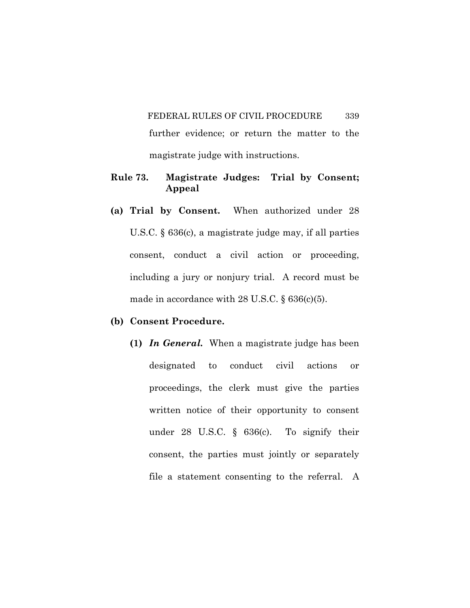# FEDERAL RULES OF CIVIL PROCEDURE 339 further evidence; or return the matter to the magistrate judge with instructions.

## **Rule 73. Magistrate Judges: Trial by Consent; Appeal**

**(a) Trial by Consent.** When authorized under 28 U.S.C. § 636(c), a magistrate judge may, if all parties consent, conduct a civil action or proceeding, including a jury or nonjury trial. A record must be made in accordance with 28 U.S.C.  $\S 636(c)(5)$ .

#### **(b) Consent Procedure.**

**(1)** *In General.* When a magistrate judge has been designated to conduct civil actions or proceedings, the clerk must give the parties written notice of their opportunity to consent under 28 U.S.C. § 636(c). To signify their consent, the parties must jointly or separately file a statement consenting to the referral. A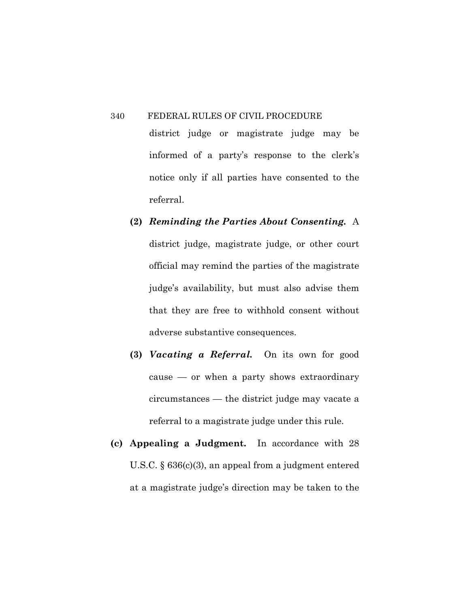district judge or magistrate judge may be informed of a party's response to the clerk's notice only if all parties have consented to the referral.

- **(2)** *Reminding the Parties About Consenting.* A district judge, magistrate judge, or other court official may remind the parties of the magistrate judge's availability, but must also advise them that they are free to withhold consent without adverse substantive consequences.
- **(3)** *Vacating a Referral.* On its own for good cause — or when a party shows extraordinary circumstances — the district judge may vacate a referral to a magistrate judge under this rule.
- **(c) Appealing a Judgment.** In accordance with 28 U.S.C. § 636(c)(3), an appeal from a judgment entered at a magistrate judge's direction may be taken to the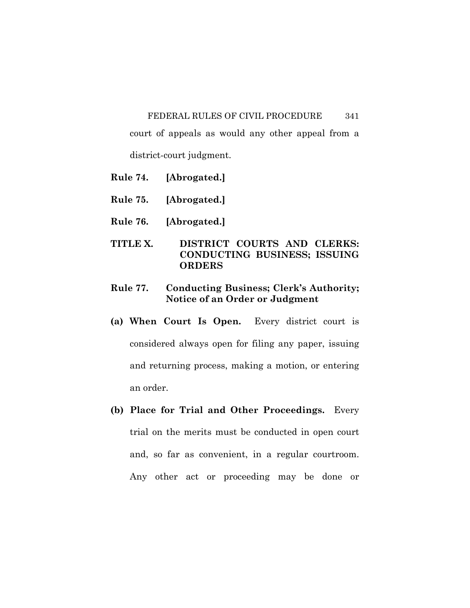court of appeals as would any other appeal from a

district-court judgment.

- **Rule 74. [Abrogated.]**
- **Rule 75. [Abrogated.]**
- **Rule 76. [Abrogated.]**
- **TITLE X. DISTRICT COURTS AND CLERKS: CONDUCTING BUSINESS; ISSUING ORDERS**
- **Rule 77. Conducting Business; Clerk's Authority; Notice of an Order or Judgment**
- **(a) When Court Is Open.** Every district court is considered always open for filing any paper, issuing and returning process, making a motion, or entering an order.
- **(b) Place for Trial and Other Proceedings.** Every trial on the merits must be conducted in open court and, so far as convenient, in a regular courtroom. Any other act or proceeding may be done or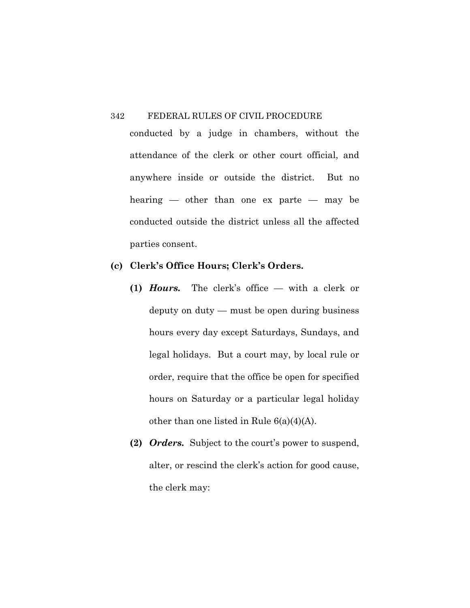conducted by a judge in chambers, without the attendance of the clerk or other court official, and anywhere inside or outside the district. But no hearing — other than one ex parte — may be conducted outside the district unless all the affected parties consent.

#### **(c) Clerk's Office Hours; Clerk's Orders.**

- **(1)** *Hours.* The clerk's office with a clerk or deputy on duty — must be open during business hours every day except Saturdays, Sundays, and legal holidays. But a court may, by local rule or order, require that the office be open for specified hours on Saturday or a particular legal holiday other than one listed in Rule  $6(a)(4)(A)$ .
- **(2)** *Orders.* Subject to the court's power to suspend, alter, or rescind the clerk's action for good cause, the clerk may: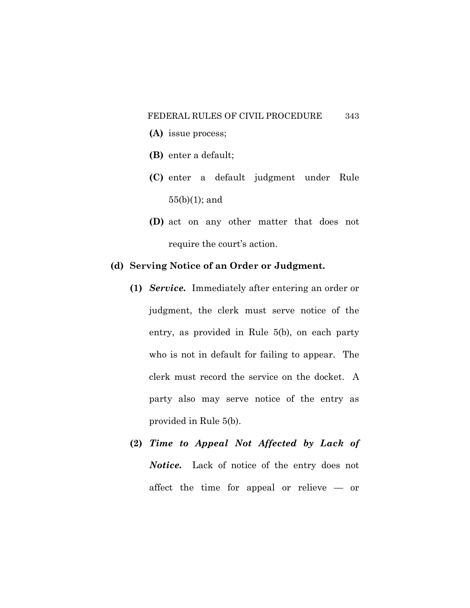- **(A)** issue process;
- **(B)** enter a default;
- **(C)** enter a default judgment under Rule 55(b)(1); and
- **(D)** act on any other matter that does not require the court's action.

#### **(d) Serving Notice of an Order or Judgment.**

- **(1)** *Service.* Immediately after entering an order or judgment, the clerk must serve notice of the entry, as provided in Rule 5(b), on each party who is not in default for failing to appear. The clerk must record the service on the docket. A party also may serve notice of the entry as provided in Rule 5(b).
- **(2)** *Time to Appeal Not Affected by Lack of Notice.* Lack of notice of the entry does not affect the time for appeal or relieve — or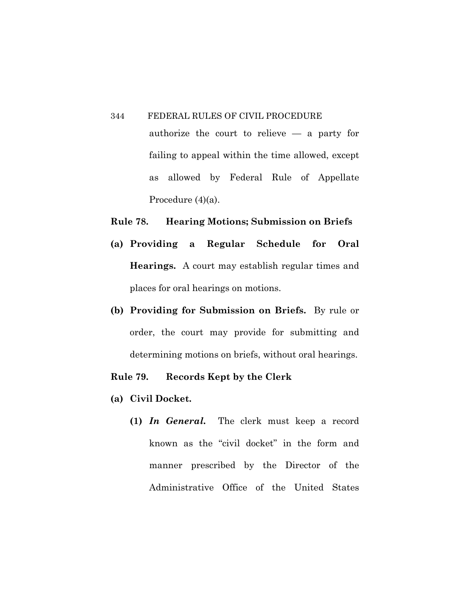# 344 FEDERAL RULES OF CIVIL PROCEDURE authorize the court to relieve — a party for failing to appeal within the time allowed, except as allowed by Federal Rule of Appellate Procedure (4)(a).

#### **Rule 78. Hearing Motions; Submission on Briefs**

- **(a) Providing a Regular Schedule for Oral Hearings.** A court may establish regular times and places for oral hearings on motions.
- **(b) Providing for Submission on Briefs.** By rule or order, the court may provide for submitting and determining motions on briefs, without oral hearings.

#### **Rule 79. Records Kept by the Clerk**

- **(a) Civil Docket.** 
	- **(1)** *In General.* The clerk must keep a record known as the "civil docket" in the form and manner prescribed by the Director of the Administrative Office of the United States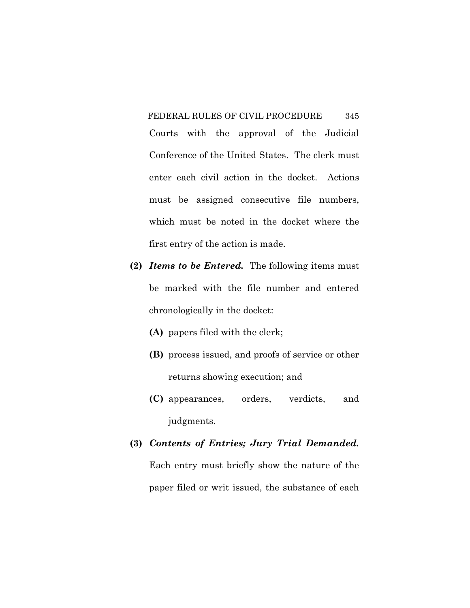FEDERAL RULES OF CIVIL PROCEDURE 345 Courts with the approval of the Judicial Conference of the United States. The clerk must enter each civil action in the docket. Actions must be assigned consecutive file numbers, which must be noted in the docket where the first entry of the action is made.

- **(2)** *Items to be Entered.* The following items must be marked with the file number and entered chronologically in the docket:
	- **(A)** papers filed with the clerk;
	- **(B)** process issued, and proofs of service or other returns showing execution; and
	- **(C)** appearances, orders, verdicts, and judgments.

# **(3)** *Contents of Entries; Jury Trial Demanded.* Each entry must briefly show the nature of the paper filed or writ issued, the substance of each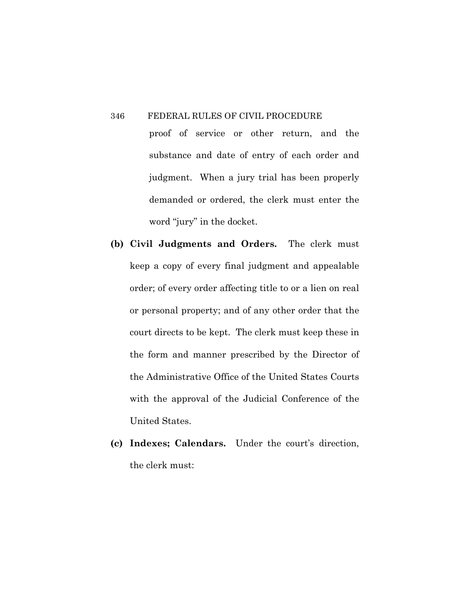proof of service or other return, and the substance and date of entry of each order and judgment. When a jury trial has been properly demanded or ordered, the clerk must enter the word "jury" in the docket.

- **(b) Civil Judgments and Orders.** The clerk must keep a copy of every final judgment and appealable order; of every order affecting title to or a lien on real or personal property; and of any other order that the court directs to be kept. The clerk must keep these in the form and manner prescribed by the Director of the Administrative Office of the United States Courts with the approval of the Judicial Conference of the United States.
- **(c) Indexes; Calendars.** Under the court's direction, the clerk must: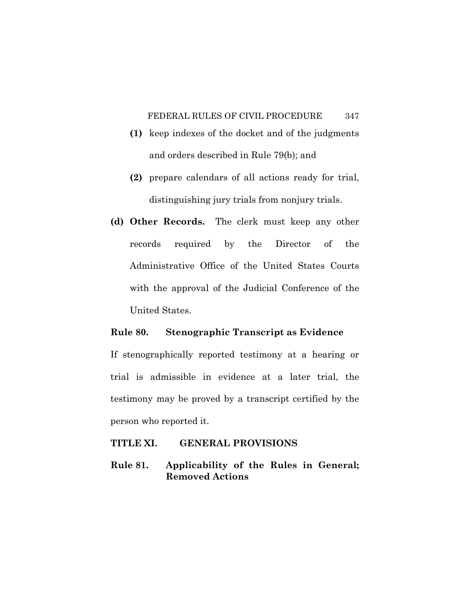- **(1)** keep indexes of the docket and of the judgments and orders described in Rule 79(b); and
- **(2)** prepare calendars of all actions ready for trial, distinguishing jury trials from nonjury trials.
- **(d) Other Records.** The clerk must keep any other records required by the Director of the Administrative Office of the United States Courts with the approval of the Judicial Conference of the United States.

#### **Rule 80. Stenographic Transcript as Evidence**

If stenographically reported testimony at a hearing or trial is admissible in evidence at a later trial, the testimony may be proved by a transcript certified by the person who reported it.

#### **TITLE XI. GENERAL PROVISIONS**

**Rule 81. Applicability of the Rules in General; Removed Actions**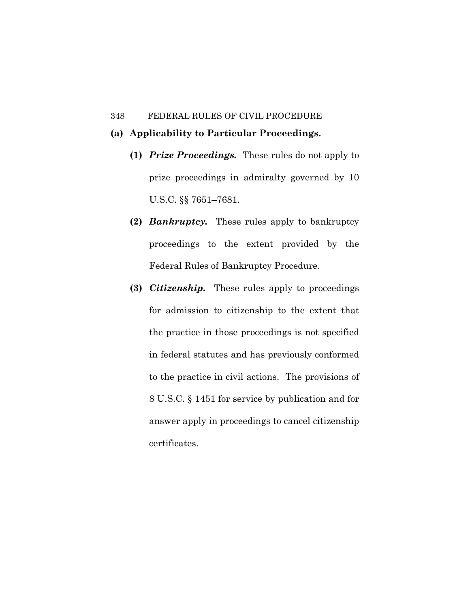#### **(a) Applicability to Particular Proceedings.**

- **(1)** *Prize Proceedings.* These rules do not apply to prize proceedings in admiralty governed by 10 U.S.C. §§ 7651–7681.
- **(2)** *Bankruptcy.* These rules apply to bankruptcy proceedings to the extent provided by the Federal Rules of Bankruptcy Procedure.
- **(3)** *Citizenship.* These rules apply to proceedings for admission to citizenship to the extent that the practice in those proceedings is not specified in federal statutes and has previously conformed to the practice in civil actions. The provisions of 8 U.S.C. § 1451 for service by publication and for answer apply in proceedings to cancel citizenship certificates.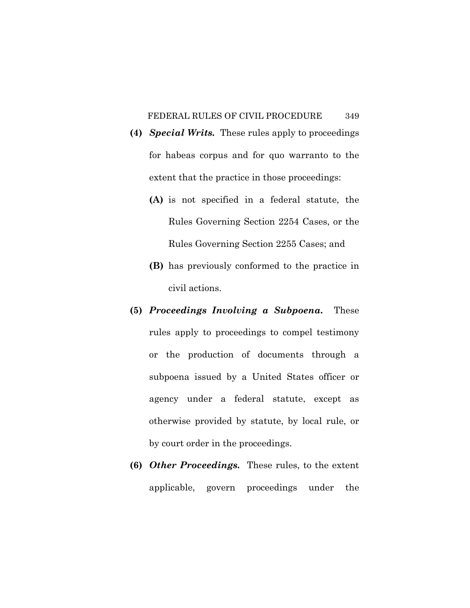- **(4)** *Special Writs.* These rules apply to proceedings for habeas corpus and for quo warranto to the extent that the practice in those proceedings:
	- **(A)** is not specified in a federal statute, the Rules Governing Section 2254 Cases, or the Rules Governing Section 2255 Cases; and
	- **(B)** has previously conformed to the practice in civil actions.
- **(5)** *Proceedings Involving a Subpoena.* These rules apply to proceedings to compel testimony or the production of documents through a subpoena issued by a United States officer or agency under a federal statute, except as otherwise provided by statute, by local rule, or by court order in the proceedings.
- **(6)** *Other Proceedings.* These rules, to the extent applicable, govern proceedings under the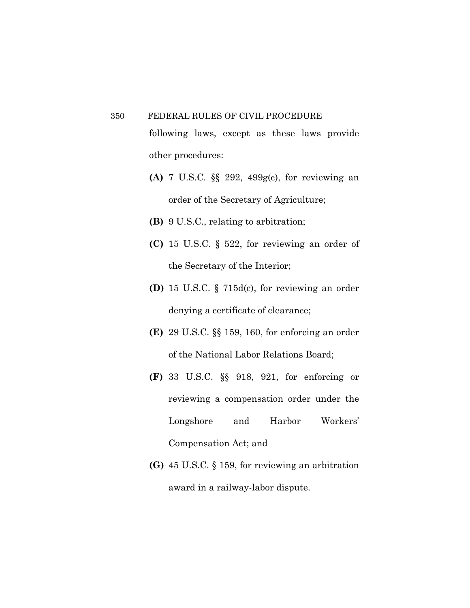# 350 FEDERAL RULES OF CIVIL PROCEDURE following laws, except as these laws provide other procedures:

- **(A)** 7 U.S.C. §§ 292, 499g(c), for reviewing an order of the Secretary of Agriculture;
- **(B)** 9 U.S.C., relating to arbitration;
- **(C)** 15 U.S.C. § 522, for reviewing an order of the Secretary of the Interior;
- **(D)** 15 U.S.C. § 715d(c), for reviewing an order denying a certificate of clearance;
- **(E)** 29 U.S.C. §§ 159, 160, for enforcing an order of the National Labor Relations Board;
- **(F)** 33 U.S.C. §§ 918, 921, for enforcing or reviewing a compensation order under the Longshore and Harbor Workers' Compensation Act; and
- **(G)** 45 U.S.C. § 159, for reviewing an arbitration award in a railway-labor dispute.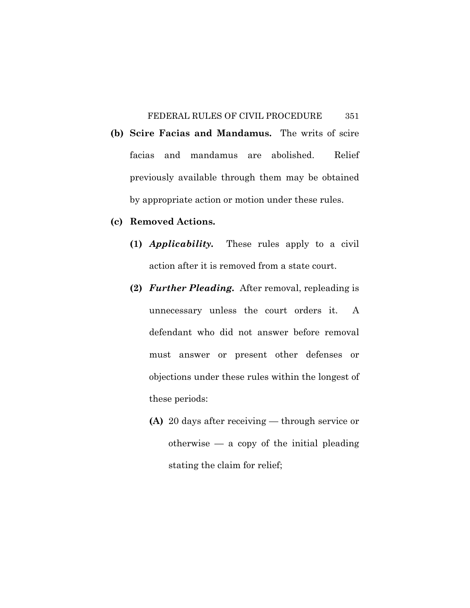- **(b) Scire Facias and Mandamus.** The writs of scire facias and mandamus are abolished. Relief previously available through them may be obtained by appropriate action or motion under these rules.
- **(c) Removed Actions.** 
	- **(1)** *Applicability.* These rules apply to a civil action after it is removed from a state court.
	- **(2)** *Further Pleading.* After removal, repleading is unnecessary unless the court orders it. A defendant who did not answer before removal must answer or present other defenses or objections under these rules within the longest of these periods:
		- **(A)** 20 days after receiving through service or otherwise — a copy of the initial pleading stating the claim for relief;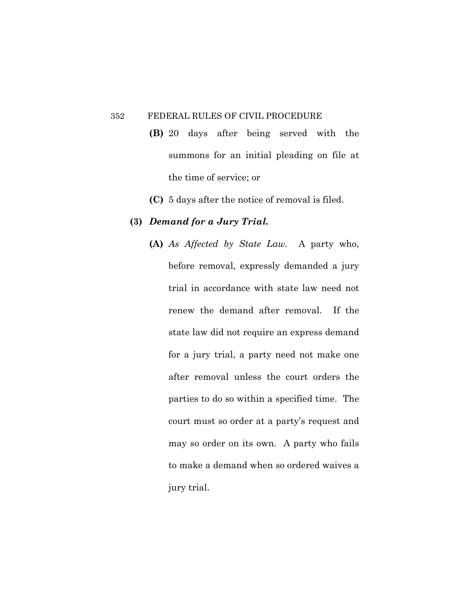- **(B)** 20 days after being served with the summons for an initial pleading on file at the time of service; or
- **(C)** 5 days after the notice of removal is filed.

#### **(3)** *Demand for a Jury Trial.*

**(A)** *As Affected by State Law.* A party who, before removal, expressly demanded a jury trial in accordance with state law need not renew the demand after removal. If the state law did not require an express demand for a jury trial, a party need not make one after removal unless the court orders the parties to do so within a specified time. The court must so order at a party's request and may so order on its own. A party who fails to make a demand when so ordered waives a jury trial.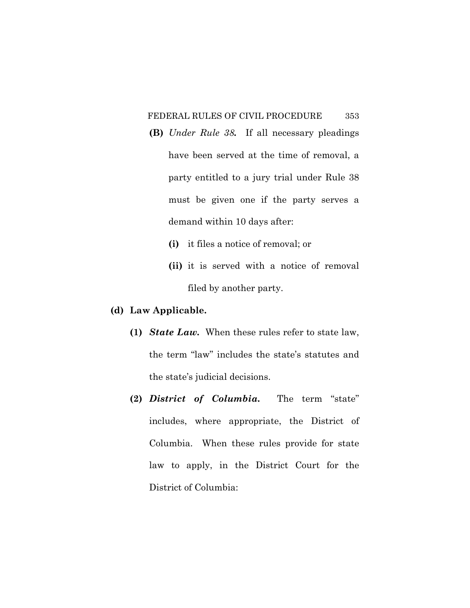- **(B)** *Under Rule 38.* If all necessary pleadings have been served at the time of removal, a party entitled to a jury trial under Rule 38 must be given one if the party serves a demand within 10 days after:
	- **(i)** it files a notice of removal; or
	- **(ii)** it is served with a notice of removal filed by another party.
- **(d) Law Applicable.** 
	- **(1)** *State Law.* When these rules refer to state law, the term "law" includes the state's statutes and the state's judicial decisions.
	- **(2)** *District of Columbia.* The term "state" includes, where appropriate, the District of Columbia. When these rules provide for state law to apply, in the District Court for the District of Columbia: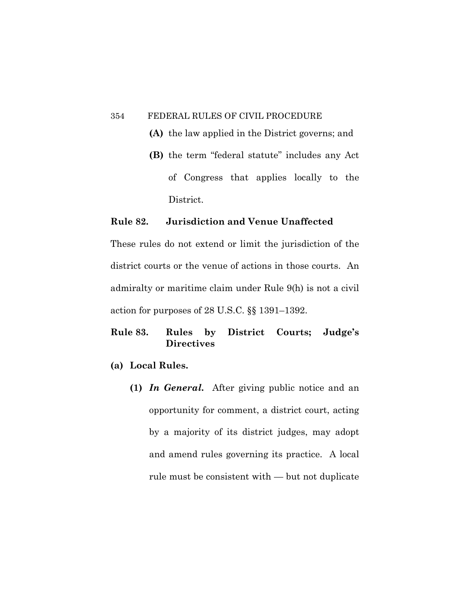- **(A)** the law applied in the District governs; and
- **(B)** the term "federal statute" includes any Act of Congress that applies locally to the District.

### **Rule 82. Jurisdiction and Venue Unaffected**

These rules do not extend or limit the jurisdiction of the district courts or the venue of actions in those courts. An admiralty or maritime claim under Rule 9(h) is not a civil action for purposes of 28 U.S.C. §§ 1391–1392.

### **Rule 83. Rules by District Courts; Judge's Directives**

- **(a) Local Rules.** 
	- **(1)** *In General.* After giving public notice and an opportunity for comment, a district court, acting by a majority of its district judges, may adopt and amend rules governing its practice. A local rule must be consistent with — but not duplicate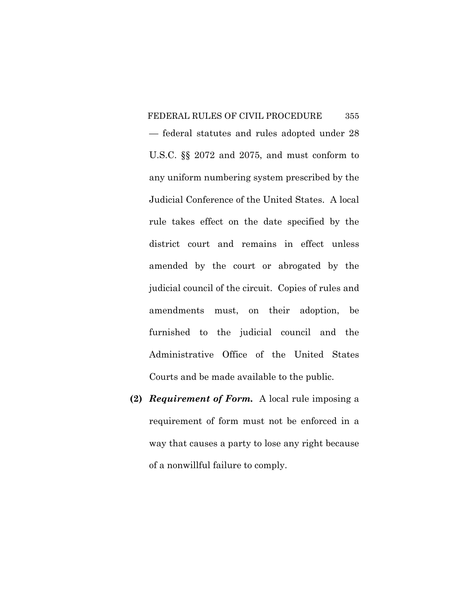— federal statutes and rules adopted under 28 U.S.C. §§ 2072 and 2075, and must conform to any uniform numbering system prescribed by the Judicial Conference of the United States. A local rule takes effect on the date specified by the district court and remains in effect unless amended by the court or abrogated by the judicial council of the circuit. Copies of rules and amendments must, on their adoption, be furnished to the judicial council and the Administrative Office of the United States Courts and be made available to the public.

**(2)** *Requirement of Form.* A local rule imposing a requirement of form must not be enforced in a way that causes a party to lose any right because of a nonwillful failure to comply.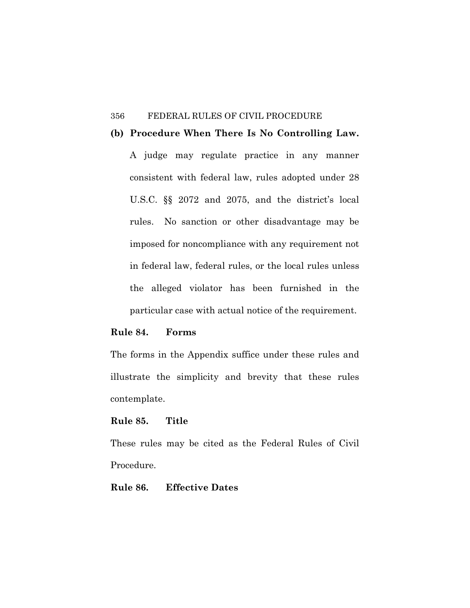#### **(b) Procedure When There Is No Controlling Law.**

A judge may regulate practice in any manner consistent with federal law, rules adopted under 28 U.S.C. §§ 2072 and 2075, and the district's local rules. No sanction or other disadvantage may be imposed for noncompliance with any requirement not in federal law, federal rules, or the local rules unless the alleged violator has been furnished in the particular case with actual notice of the requirement.

#### **Rule 84. Forms**

The forms in the Appendix suffice under these rules and illustrate the simplicity and brevity that these rules contemplate.

#### **Rule 85. Title**

These rules may be cited as the Federal Rules of Civil Procedure.

### **Rule 86. Effective Dates**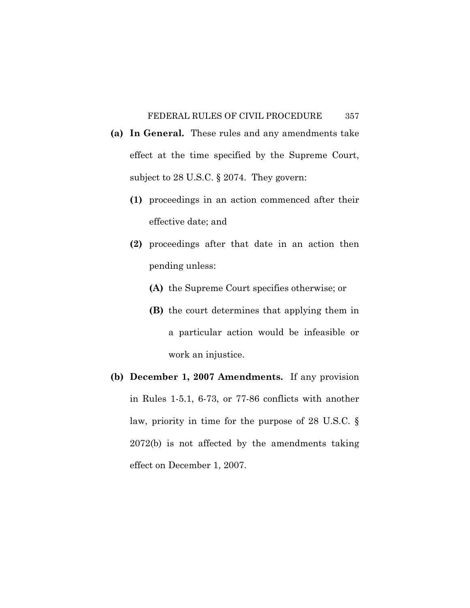- **(a) In General.** These rules and any amendments take effect at the time specified by the Supreme Court, subject to 28 U.S.C. § 2074. They govern:
	- **(1)** proceedings in an action commenced after their effective date; and
	- **(2)** proceedings after that date in an action then pending unless:
		- **(A)** the Supreme Court specifies otherwise; or
		- **(B)** the court determines that applying them in a particular action would be infeasible or work an injustice.
- **(b) December 1, 2007 Amendments.** If any provision in Rules 1-5.1, 6-73, or 77-86 conflicts with another law, priority in time for the purpose of 28 U.S.C. § 2072(b) is not affected by the amendments taking effect on December 1, 2007.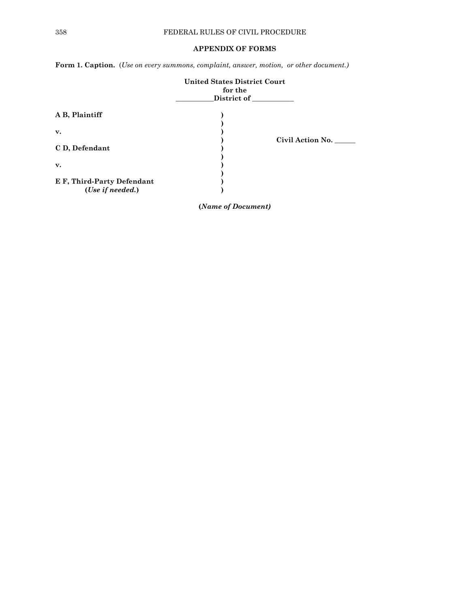# **APPENDIX OF FORMS**

**Form 1. Caption.** (*Use on every summons, complaint, answer, motion, or other document.)* 

|                                                | <b>United States District Court</b><br>for the<br>District of |                  |
|------------------------------------------------|---------------------------------------------------------------|------------------|
| A B, Plaintiff                                 |                                                               |                  |
| v.                                             |                                                               | Civil Action No. |
| C D, Defendant                                 |                                                               |                  |
| v.                                             |                                                               |                  |
| E F, Third-Party Defendant<br>(Use if needed.) |                                                               |                  |

**(***Name of Document)*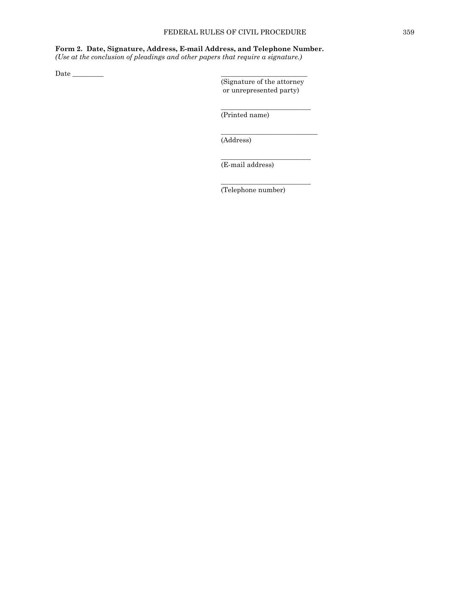## FEDERAL RULES OF CIVIL PROCEDURE 359

**Form 2. Date, Signature, Address, E-mail Address, and Telephone Number.**  *(Use at the conclusion of pleadings and other papers that require a signature.)* 

 $\mathcal{L}_\text{max}$  and  $\mathcal{L}_\text{max}$  and  $\mathcal{L}_\text{max}$  and  $\mathcal{L}_\text{max}$  and  $\mathcal{L}_\text{max}$ 

 $\mathcal{L}_\text{max}$  and  $\mathcal{L}_\text{max}$  and  $\mathcal{L}_\text{max}$  and  $\mathcal{L}_\text{max}$  and  $\mathcal{L}_\text{max}$ 

 $\mathcal{L}_\text{max}$  and  $\mathcal{L}_\text{max}$  and  $\mathcal{L}_\text{max}$  and  $\mathcal{L}_\text{max}$  and  $\mathcal{L}_\text{max}$ 

Date \_\_\_\_\_\_\_\_\_ \_\_\_\_\_\_\_\_\_\_\_\_\_\_\_\_\_\_\_\_\_\_\_\_\_

 (Signature of the attorney or unrepresented party)

\_\_\_\_\_\_\_\_\_\_\_\_\_\_\_\_\_\_\_\_\_\_\_\_\_\_\_\_

(Printed name)

(Address)

(E-mail address)

(Telephone number)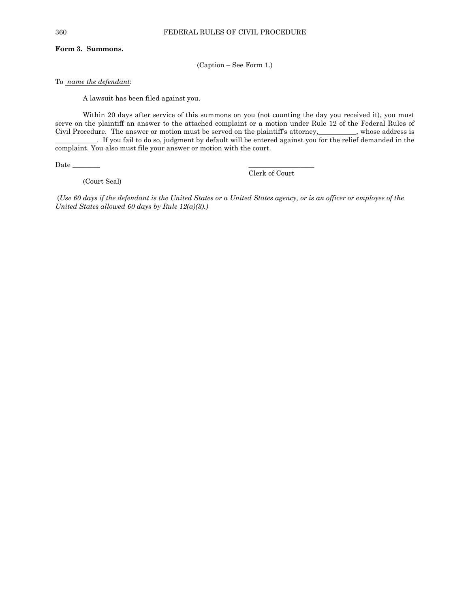## **Form 3. Summons.**

 $(Caption - See Form 1.)$ 

To *name the defendant*:

A lawsuit has been filed against you.

Within 20 days after service of this summons on you (not counting the day you received it), you must serve on the plaintiff an answer to the attached complaint or a motion under Rule 12 of the Federal Rules of Civil Procedure. The answer or motion must be served on the plaintiff's attorney, whose address is \_\_\_\_\_\_\_\_\_\_\_\_. If you fail to do so, judgment by default will be entered against you for the relief demanded in the complaint. You also must file your answer or motion with the court.

Date \_\_\_\_\_\_\_\_ \_\_\_\_\_\_\_\_\_\_\_\_\_\_\_\_\_\_\_

(Court Seal)

Clerk of Court

 (*Use 60 days if the defendant is the United States or a United States agency, or is an officer or employee of the United States allowed 60 days by Rule 12(a)(3).)*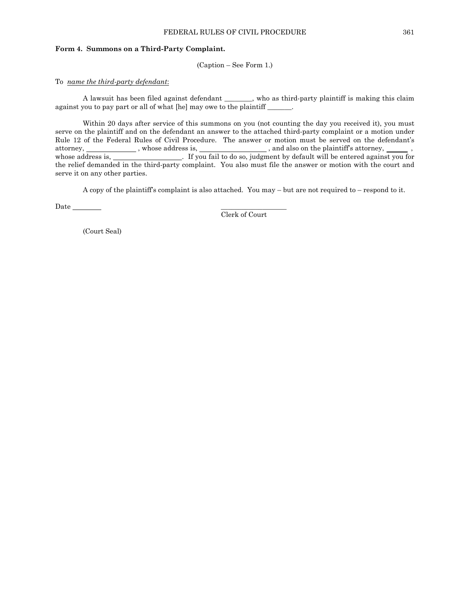### **Form 4. Summons on a Third-Party Complaint.**

 $(Caption - See Form 1.)$ 

## To *name the third-party defendant*:

A lawsuit has been filed against defendant \_\_\_\_\_\_\_\_, who as third-party plaintiff is making this claim against you to pay part or all of what [he] may owe to the plaintiff \_\_\_\_\_\_.

Within 20 days after service of this summons on you (not counting the day you received it), you must serve on the plaintiff and on the defendant an answer to the attached third-party complaint or a motion under Rule 12 of the Federal Rules of Civil Procedure. The answer or motion must be served on the defendantís attorney, , whose address is, , and also on the plaintiff's attorney, , , , whose address is, \_\_\_\_\_\_\_\_\_\_\_\_\_\_\_\_\_\_\_\_\_\_. If you fail to do so, judgment by default will be entered against you for the relief demanded in the third-party complaint. You also must file the answer or motion with the court and serve it on any other parties.

A copy of the plaintiff's complaint is also attached. You may  $-$  but are not required to  $-$  respond to it.

Date \_\_\_\_\_\_\_\_\_\_\_\_\_\_\_\_\_\_\_

Clerk of Court

(Court Seal)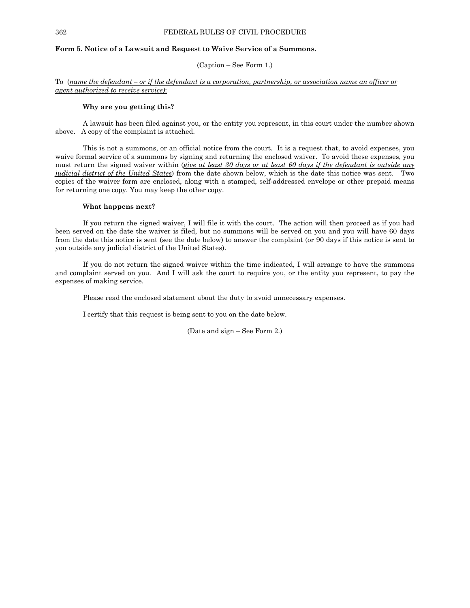## 362 FEDERAL RULES OF CIVIL PROCEDURE

#### **Form 5. Notice of a Lawsuit and Request to Waive Service of a Summons.**

#### $(Caption - See Form 1.)$

To (*name the defendant – or if the defendant is a corporation, partnership, or association name an officer or agent authorized to receive service)*:

#### **Why are you getting this?**

 A lawsuit has been filed against you, or the entity you represent, in this court under the number shown above. A copy of the complaint is attached.

 This is not a summons, or an official notice from the court. It is a request that, to avoid expenses, you waive formal service of a summons by signing and returning the enclosed waiver. To avoid these expenses, you must return the signed waiver within (*give at least 30 days or at least 60 days if the defendant is outside any judicial district of the United States*) from the date shown below, which is the date this notice was sent. Two copies of the waiver form are enclosed, along with a stamped, self-addressed envelope or other prepaid means for returning one copy. You may keep the other copy.

## **What happens next?**

 If you return the signed waiver, I will file it with the court. The action will then proceed as if you had been served on the date the waiver is filed, but no summons will be served on you and you will have 60 days from the date this notice is sent (see the date below) to answer the complaint (or 90 days if this notice is sent to you outside any judicial district of the United States).

 If you do not return the signed waiver within the time indicated, I will arrange to have the summons and complaint served on you. And I will ask the court to require you, or the entity you represent, to pay the expenses of making service.

Please read the enclosed statement about the duty to avoid unnecessary expenses.

I certify that this request is being sent to you on the date below.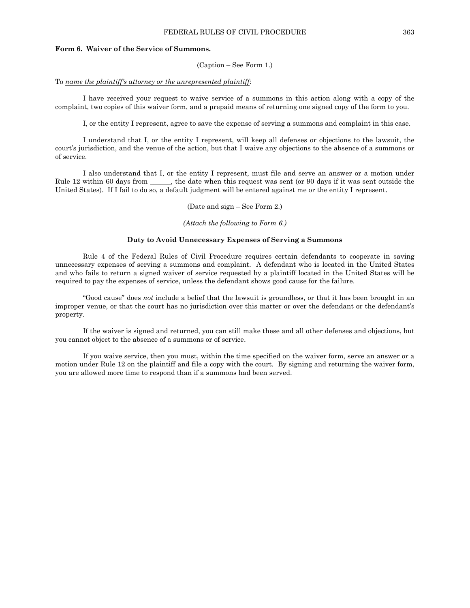#### **Form 6. Waiver of the Service of Summons.**

#### $(Caption - See Form 1.)$

#### To *name the plaintiffís attorney or the unrepresented plaintiff*:

 I have received your request to waive service of a summons in this action along with a copy of the complaint, two copies of this waiver form, and a prepaid means of returning one signed copy of the form to you.

I, or the entity I represent, agree to save the expense of serving a summons and complaint in this case.

 I understand that I, or the entity I represent, will keep all defenses or objections to the lawsuit, the courtís jurisdiction, and the venue of the action, but that I waive any objections to the absence of a summons or of service.

 I also understand that I, or the entity I represent, must file and serve an answer or a motion under Rule 12 within 60 days from \_\_\_\_\_\_, the date when this request was sent (or 90 days if it was sent outside the United States). If I fail to do so, a default judgment will be entered against me or the entity I represent.

#### (Date and sign  $-$  See Form 2.)

## *(Attach the following to Form 6.)*

#### **Duty to Avoid Unnecessary Expenses of Serving a Summons**

 Rule 4 of the Federal Rules of Civil Procedure requires certain defendants to cooperate in saving unnecessary expenses of serving a summons and complaint. A defendant who is located in the United States and who fails to return a signed waiver of service requested by a plaintiff located in the United States will be required to pay the expenses of service, unless the defendant shows good cause for the failure.

 ìGood causeî does *not* include a belief that the lawsuit is groundless, or that it has been brought in an improper venue, or that the court has no jurisdiction over this matter or over the defendant or the defendant's property.

If the waiver is signed and returned, you can still make these and all other defenses and objections, but you cannot object to the absence of a summons or of service.

 If you waive service, then you must, within the time specified on the waiver form, serve an answer or a motion under Rule 12 on the plaintiff and file a copy with the court. By signing and returning the waiver form, you are allowed more time to respond than if a summons had been served.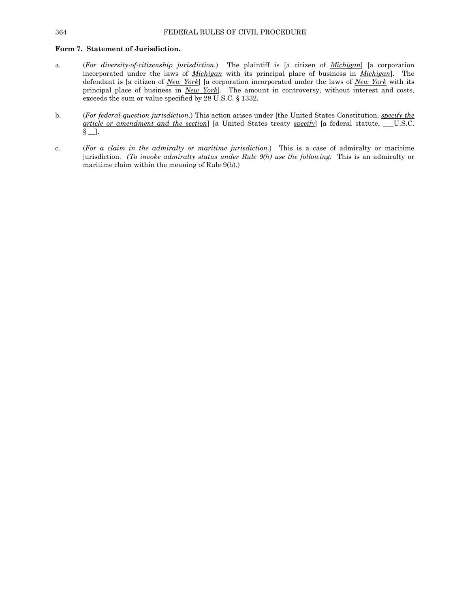# **Form 7. Statement of Jurisdiction.**

- a*.* (*For diversity-of-citizenship jurisdiction.*) The plaintiff is [a citizen of *Michigan*] [a corporation incorporated under the laws of *Michigan* with its principal place of business in *Michigan*]. The defendant is [a citizen of *New York*] [a corporation incorporated under the laws of *New York* with its principal place of business in *New York*]. The amount in controversy, without interest and costs, exceeds the sum or value specified by 28 U.S.C. ß 1332.
- b. (*For federal-question jurisdiction.*) This action arises under [the United States Constitution, *specify the article or amendment and the section*] [a United States treaty *specify*] [a federal statute, \_\_\_U.S.C.  $\S$  \_\_].
- c. (*For a claim in the admiralty or maritime jurisdiction.*) This is a case of admiralty or maritime jurisdiction. *(To invoke admiralty status under Rule 9(h) use the following:* This is an admiralty or maritime claim within the meaning of Rule 9(h).)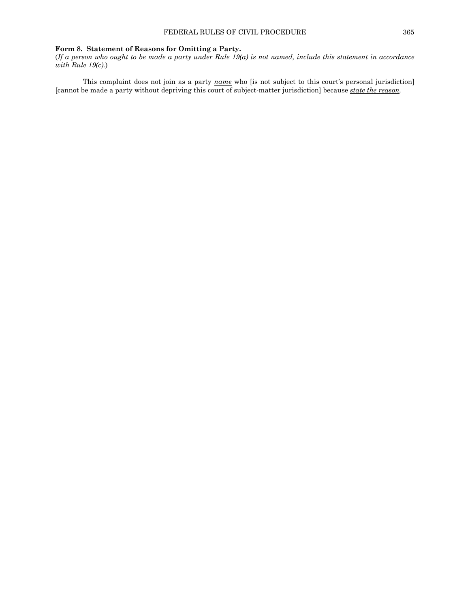# **Form 8. Statement of Reasons for Omitting a Party.**

(*If a person who ought to be made a party under Rule 19(a) is not named, include this statement in accordance with Rule 19(c).*)

This complaint does not join as a party *name* who [is not subject to this court's personal jurisdiction] [cannot be made a party without depriving this court of subject-matter jurisdiction] because *state the reason.*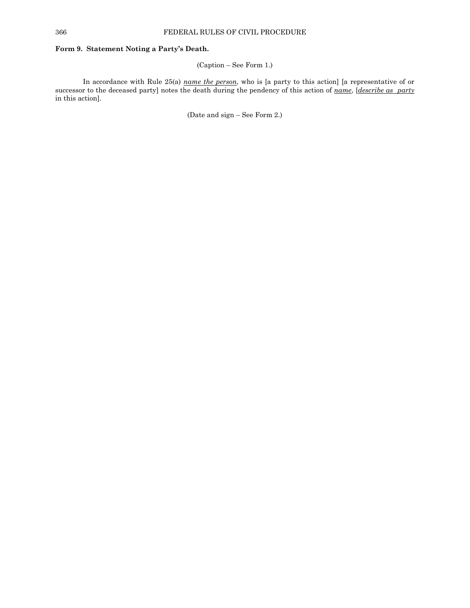# **Form 9. Statement Noting a Partyís Death.**

# $(Caption - See Form 1.)$

In accordance with Rule 25(a) *name the person,* who is [a party to this action] [a representative of or successor to the deceased party] notes the death during the pendency of this action of *name*, [*describe as party* in this action].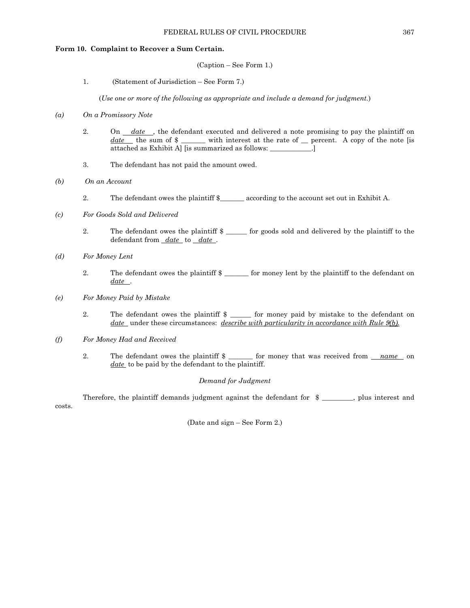## **Form 10. Complaint to Recover a Sum Certain.**

#### $(Caption - See Form 1.)$

1. (Statement of Jurisdiction  $-$  See Form 7.)

(*Use one or more of the following as appropriate and include a demand for judgment.*)

## *(a) On a Promissory Note*

- 2. On *date*, the defendant executed and delivered a note promising to pay the plaintiff on date the sum of \$ \_\_\_\_\_\_ with interest at the rate of \_ percent. A copy of the note [is attached as Exhibit A] [is summarized as follows: \_\_\_\_\_\_\_\_\_\_\_\_.]
- 3. The defendant has not paid the amount owed.
- *(b) On an Account* 
	- 2. The defendant owes the plaintiff  $\frac{1}{2}$  according to the account set out in Exhibit A.
- *(c) For Goods Sold and Delivered* 
	- 2. The defendant owes the plaintiff  $\frac{1}{2}$  for goods sold and delivered by the plaintiff to the defendant from *date* to *date* .
- *(d) For Money Lent* 
	- 2. The defendant owes the plaintiff  $\frac{1}{2}$  for money lent by the plaintiff to the defendant on *date* .
- *(e) For Money Paid by Mistake* 
	- 2. The defendant owes the plaintiff \$  $\qquad$  for money paid by mistake to the defendant on *date* under these circumstances: *describe with particularity in accordance with Rule 9(b).*
- *(f) For Money Had and Received* 
	- 2. The defendant owes the plaintiff \$ \_\_\_\_\_\_\_ for money that was received from *name* on *date* to be paid by the defendant to the plaintiff.

#### *Demand for Judgment*

 Therefore, the plaintiff demands judgment against the defendant for \$ \_\_\_\_\_\_\_\_\_, plus interest and costs.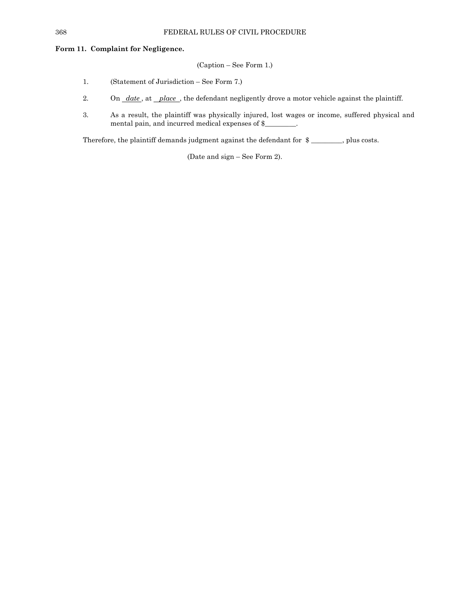# **Form 11. Complaint for Negligence.**

 $(Caption - See Form 1.)$ 

- 1. (Statement of Jurisdiction  $-$  See Form 7.)
- 2. On *date*, at *place*, the defendant negligently drove a motor vehicle against the plaintiff.
- 3. As a result, the plaintiff was physically injured, lost wages or income, suffered physical and mental pain, and incurred medical expenses of \$\_\_\_\_\_\_\_\_\_.

Therefore, the plaintiff demands judgment against the defendant for  $\frac{1}{2}$ , plus costs.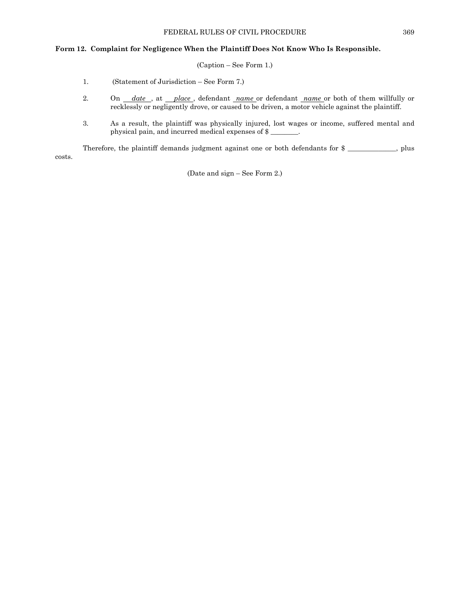## **Form 12. Complaint for Negligence When the Plaintiff Does Not Know Who Is Responsible.**

 $(Caption - See Form 1.)$ 

- 1. (Statement of Jurisdiction  $-$  See Form 7.)
- 2. On *date* , at *place* , defendant *name* or defendant *name* or both of them willfully or recklessly or negligently drove, or caused to be driven, a motor vehicle against the plaintiff.
- 3. As a result, the plaintiff was physically injured, lost wages or income, suffered mental and physical pain, and incurred medical expenses of \$ \_\_\_\_\_\_\_\_.

Therefore, the plaintiff demands judgment against one or both defendants for  $\frac{1}{2}$  \_\_\_\_\_\_\_\_\_\_\_\_, plus costs.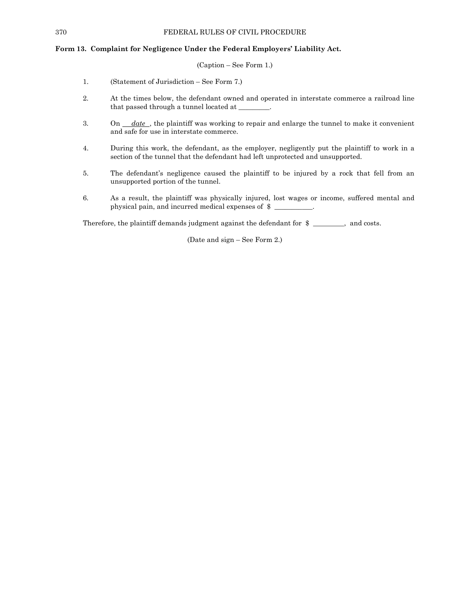# Form 13. Complaint for Negligence Under the Federal Employers' Liability Act.

 $(Caption - See Form 1.)$ 

- 1. (Statement of Jurisdiction  $-$  See Form 7.)
- 2. At the times below, the defendant owned and operated in interstate commerce a railroad line that passed through a tunnel located at \_\_\_\_\_\_\_\_\_.
- 3. On *date* , the plaintiff was working to repair and enlarge the tunnel to make it convenient and safe for use in interstate commerce.
- 4. During this work, the defendant, as the employer, negligently put the plaintiff to work in a section of the tunnel that the defendant had left unprotected and unsupported.
- 5. The defendantís negligence caused the plaintiff to be injured by a rock that fell from an unsupported portion of the tunnel.
- 6. As a result, the plaintiff was physically injured, lost wages or income, suffered mental and physical pain, and incurred medical expenses of \$ \_\_\_\_\_\_\_\_\_\_\_.

Therefore, the plaintiff demands judgment against the defendant for  $\quad \overline{\hspace{1.5cm}}$  and costs.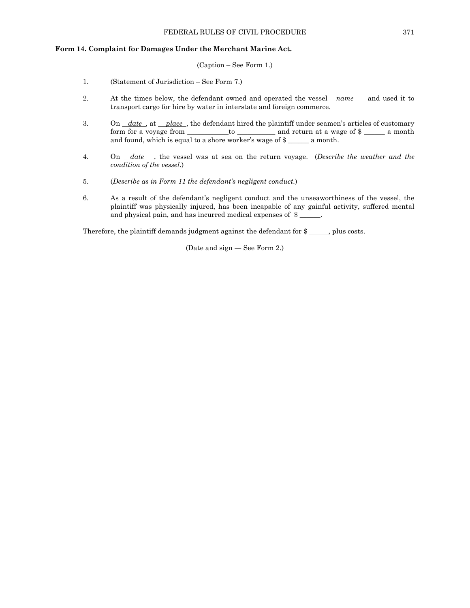#### **Form 14. Complaint for Damages Under the Merchant Marine Act.**

 $(Caption - See Form 1.)$ 

- 1. (Statement of Jurisdiction  $-$  See Form 7.)
- 2. At the times below, the defendant owned and operated the vessel *name* and used it to transport cargo for hire by water in interstate and foreign commerce.
- 3. On *date* , at *place* , the defendant hired the plaintiff under seamenís articles of customary form for a voyage from \_\_\_\_\_\_\_\_\_\_\_\_to \_\_\_\_\_\_\_\_\_\_\_ and return at a wage of \$ \_\_\_\_\_\_ a month and found, which is equal to a shore worker's wage of \$ \_\_\_\_\_\_ a month.
- 4. On *date* , the vessel was at sea on the return voyage. (*Describe the weather and the condition of the vessel*.)
- 5. (*Describe as in Form 11 the defendantís negligent conduct.*)
- 6. As a result of the defendantís negligent conduct and the unseaworthiness of the vessel, the plaintiff was physically injured, has been incapable of any gainful activity, suffered mental and physical pain, and has incurred medical expenses of  $\;$  \$

Therefore, the plaintiff demands judgment against the defendant for  $\frac{1}{2}$ , plus costs.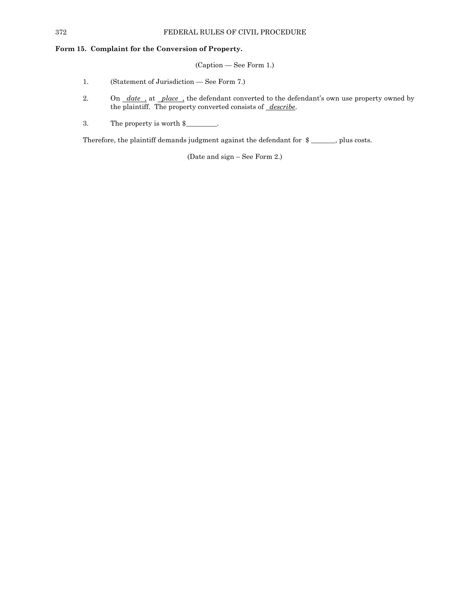# **Form 15. Complaint for the Conversion of Property.**

 $(Caption - See Form 1.)$ 

- 1. (Statement of Jurisdiction  $-$  See Form 7.)
- 2. On *date*, at *place*, the defendant converted to the defendant's own use property owned by the plaintiff. The property converted consists of *describe*.
- 3. The property is worth \$\_\_\_\_\_\_\_.

Therefore, the plaintiff demands judgment against the defendant for  $\quad \overline{\hspace{1.5mm}}$ , plus costs.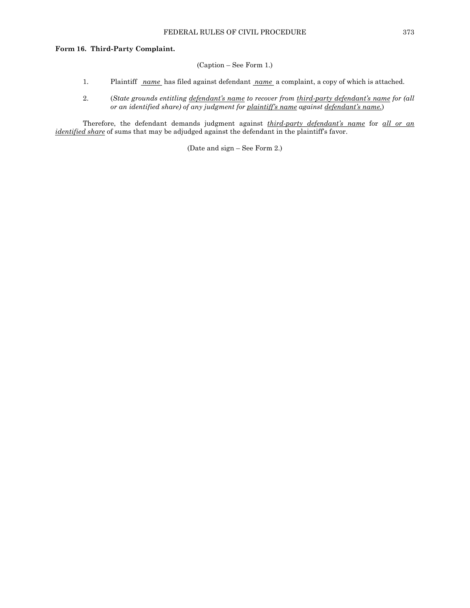#### **Form 16. Third-Party Complaint.**

 $(Caption - See Form 1.)$ 

- 1. Plaintiff *name* has filed against defendant *name* a complaint, a copy of which is attached.
- 2. (*State grounds entitling defendantís name to recover from third-party defendantís name for (all or an identified share) of any judgment for plaintiff's name against defendant's name.*)

Therefore, the defendant demands judgment against *third-party defendant's name* for all or an *identified share* of sums that may be adjudged against the defendant in the plaintiff's favor.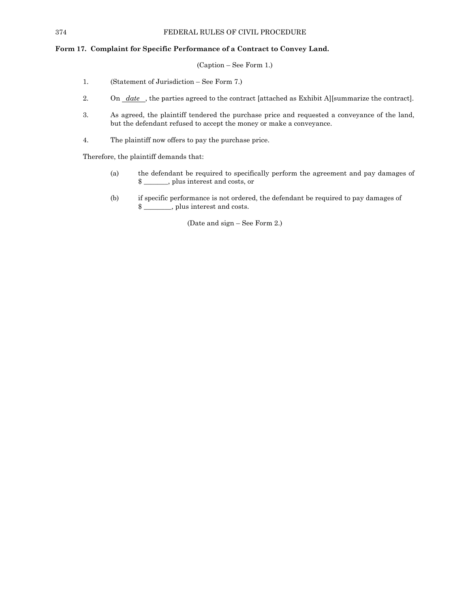## **Form 17. Complaint for Specific Performance of a Contract to Convey Land.**

 $(Caption - See Form 1.)$ 

- 1. (Statement of Jurisdiction  $-$  See Form 7.)
- 2. On *date* , the parties agreed to the contract [attached as Exhibit A][summarize the contract].
- 3. As agreed, the plaintiff tendered the purchase price and requested a conveyance of the land, but the defendant refused to accept the money or make a conveyance.
- 4. The plaintiff now offers to pay the purchase price.

Therefore, the plaintiff demands that:

- (a) the defendant be required to specifically perform the agreement and pay damages of \$ \_\_\_\_\_\_\_, plus interest and costs, or
- (b) if specific performance is not ordered, the defendant be required to pay damages of \$ \_\_\_\_\_\_\_\_, plus interest and costs.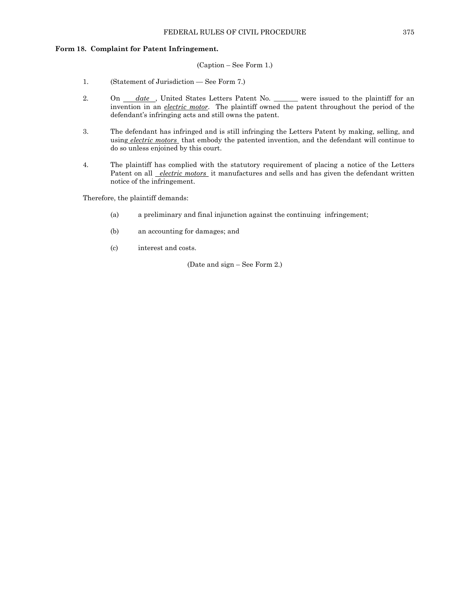## **Form 18. Complaint for Patent Infringement.**

 $(Caption - See Form 1.)$ 

- 1. (Statement of Jurisdiction  $-$  See Form 7.)
- 2. On *date*, United States Letters Patent No. were issued to the plaintiff for an invention in an *electric motor*. The plaintiff owned the patent throughout the period of the defendant's infringing acts and still owns the patent.
- 3. The defendant has infringed and is still infringing the Letters Patent by making, selling, and using *electric motors* that embody the patented invention, and the defendant will continue to do so unless enjoined by this court.
- 4. The plaintiff has complied with the statutory requirement of placing a notice of the Letters Patent on all *electric motors* it manufactures and sells and has given the defendant written notice of the infringement.

Therefore, the plaintiff demands:

- (a) a preliminary and final injunction against the continuing infringement;
- (b) an accounting for damages; and
- (c) interest and costs.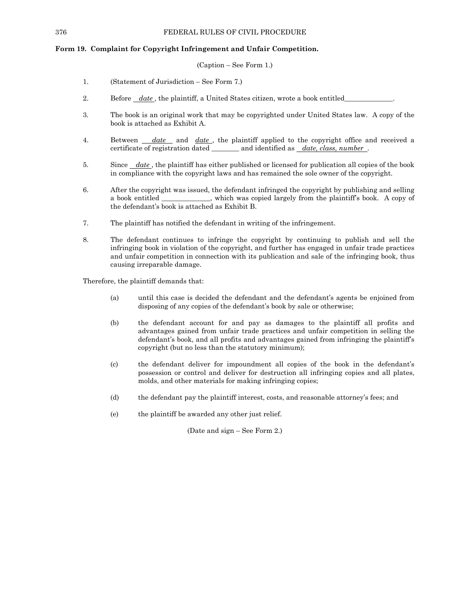# **Form 19. Complaint for Copyright Infringement and Unfair Competition.**

 $(Caption - See Form 1.)$ 

- 1. (Statement of Jurisdiction  $-$  See Form 7.)
- 2. Before *date*, the plaintiff, a United States citizen, wrote a book entitled
- 3. The book is an original work that may be copyrighted under United States law. A copy of the book is attached as Exhibit A.
- 4. Between *date* and *date* , the plaintiff applied to the copyright office and received a certificate of registration dated \_\_\_\_\_\_\_\_ and identified as *date, class, number* .
- 5. Since *date* , the plaintiff has either published or licensed for publication all copies of the book in compliance with the copyright laws and has remained the sole owner of the copyright.
- 6. After the copyright was issued, the defendant infringed the copyright by publishing and selling a book entitled \_\_\_\_\_\_\_\_\_\_, which was copied largely from the plaintiff's book. A copy of the defendant's book is attached as Exhibit B.
- 7. The plaintiff has notified the defendant in writing of the infringement.
- 8. The defendant continues to infringe the copyright by continuing to publish and sell the infringing book in violation of the copyright, and further has engaged in unfair trade practices and unfair competition in connection with its publication and sale of the infringing book, thus causing irreparable damage.

Therefore, the plaintiff demands that:

- (a) until this case is decided the defendant and the defendant's agents be enjoined from disposing of any copies of the defendant's book by sale or otherwise;
- (b) the defendant account for and pay as damages to the plaintiff all profits and advantages gained from unfair trade practices and unfair competition in selling the defendant's book, and all profits and advantages gained from infringing the plaintiff's copyright (but no less than the statutory minimum);
- (c) the defendant deliver for impoundment all copies of the book in the defendantís possession or control and deliver for destruction all infringing copies and all plates, molds, and other materials for making infringing copies;
- (d) the defendant pay the plaintiff interest, costs, and reasonable attorneyís fees; and
- (e) the plaintiff be awarded any other just relief.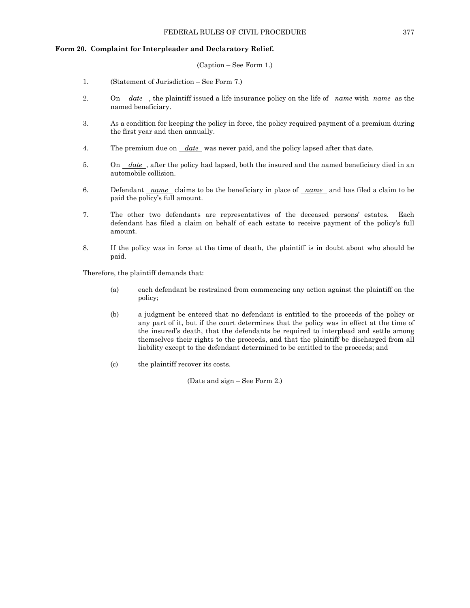#### **Form 20. Complaint for Interpleader and Declaratory Relief.**

 $(Caption - See Form 1.)$ 

- 1. (Statement of Jurisdiction  $-$  See Form 7.)
- 2. On *date* , the plaintiff issued a life insurance policy on the life of *name* with *name* as the named beneficiary.
- 3. As a condition for keeping the policy in force, the policy required payment of a premium during the first year and then annually.
- 4. The premium due on *date* was never paid, and the policy lapsed after that date.
- 5. On *date* , after the policy had lapsed, both the insured and the named beneficiary died in an automobile collision.
- 6. Defendant *name* claims to be the beneficiary in place of *name* and has filed a claim to be paid the policy's full amount.
- 7. The other two defendants are representatives of the deceased personsí estates. Each defendant has filed a claim on behalf of each estate to receive payment of the policyís full amount.
- 8. If the policy was in force at the time of death, the plaintiff is in doubt about who should be paid.

Therefore, the plaintiff demands that:

- (a) each defendant be restrained from commencing any action against the plaintiff on the policy;
- (b) a judgment be entered that no defendant is entitled to the proceeds of the policy or any part of it, but if the court determines that the policy was in effect at the time of the insuredís death, that the defendants be required to interplead and settle among themselves their rights to the proceeds, and that the plaintiff be discharged from all liability except to the defendant determined to be entitled to the proceeds; and
- (c) the plaintiff recover its costs.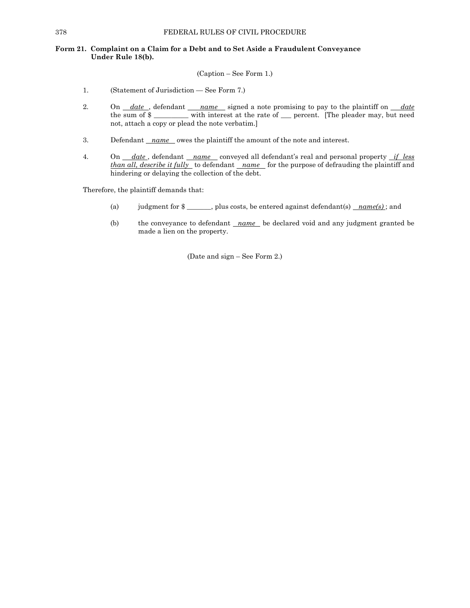#### **Form 21. Complaint on a Claim for a Debt and to Set Aside a Fraudulent Conveyance Under Rule 18(b).**

## $(Caption - See Form 1.)$

- 1. (Statement of Jurisdiction  $\sim$  See Form 7.)
- 2. On <u>date</u>, defendant <u>name</u> signed a note promising to pay to the plaintiff on <u>date</u> the sum of \$ not, attach a copy or plead the note verbatim.]
- 3. Defendant *name* owes the plaintiff the amount of the note and interest.
- 4. On *date* , defendant *name* conveyed all defendantís real and personal property *if less than all, describe it fully* to defendant *name* for the purpose of defrauding the plaintiff and hindering or delaying the collection of the debt.

Therefore, the plaintiff demands that:

- (a) judgment for \$ \_\_\_\_\_\_\_, plus costs, be entered against defendant(s) *name(s)* ; and
- (b) the conveyance to defendant *name* be declared void and any judgment granted be made a lien on the property.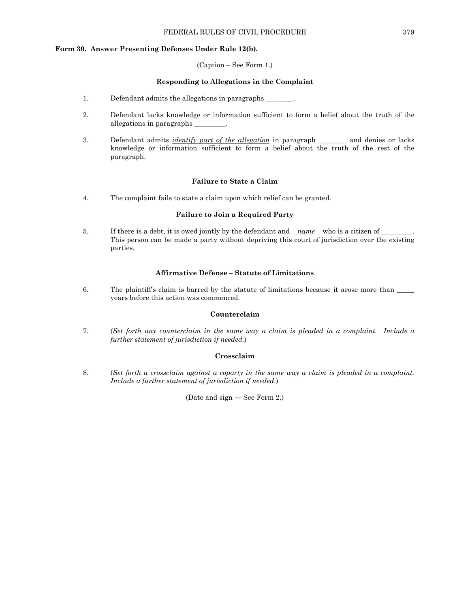## **Form 30. Answer Presenting Defenses Under Rule 12(b).**

#### $(Caption - See Form 1.)$

#### **Responding to Allegations in the Complaint**

- 1. Defendant admits the allegations in paragraphs  $\blacksquare$ .
- 2. Defendant lacks knowledge or information sufficient to form a belief about the truth of the allegations in paragraphs \_\_\_\_\_\_\_\_\_.
- 3. Defendant admits *identify part of the allegation* in paragraph \_\_\_\_\_\_\_\_ and denies or lacks knowledge or information sufficient to form a belief about the truth of the rest of the paragraph.

## **Failure to State a Claim**

4. The complaint fails to state a claim upon which relief can be granted.

## **Failure to Join a Required Party**

5. If there is a debt, it is owed jointly by the defendant and *name* who is a citizen of This person can be made a party without depriving this court of jurisdiction over the existing parties.

## **Affirmative Defense - Statute of Limitations**

6. The plaintiff's claim is barred by the statute of limitations because it arose more than  $\equiv$ years before this action was commenced.

#### **Counterclaim**

7. (*Set forth any counterclaim in the same way a claim is pleaded in a complaint. Include a further statement of jurisdiction if needed.*)

## **Crossclaim**

8. (*Set forth a crossclaim against a coparty in the same way a claim is pleaded in a complaint. Include a further statement of jurisdiction if needed*.)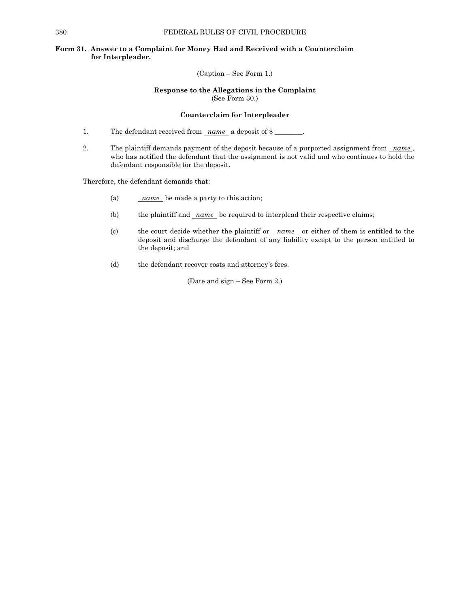#### **Form 31. Answer to a Complaint for Money Had and Received with a Counterclaim for Interpleader.**

## $(Caption - See Form 1.)$

#### **Response to the Allegations in the Complaint**  (See Form 30.)

#### **Counterclaim for Interpleader**

- 1. The defendant received from *name* a deposit of \$
- 2. The plaintiff demands payment of the deposit because of a purported assignment from *name* , who has notified the defendant that the assignment is not valid and who continues to hold the defendant responsible for the deposit.

Therefore, the defendant demands that:

- (a) *name* be made a party to this action;
- (b) the plaintiff and *name* be required to interplead their respective claims;
- (c) the court decide whether the plaintiff or *name* or either of them is entitled to the deposit and discharge the defendant of any liability except to the person entitled to the deposit; and
- (d) the defendant recover costs and attorney's fees.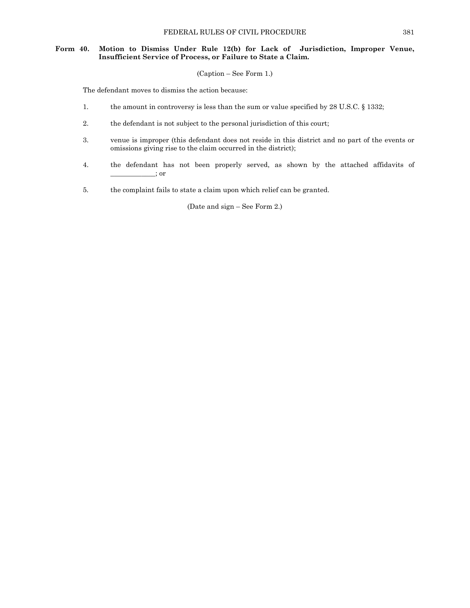## **Form 40. Motion to Dismiss Under Rule 12(b) for Lack of Jurisdiction, Improper Venue, Insufficient Service of Process, or Failure to State a Claim.**

#### $(Caption - See Form 1.)$

The defendant moves to dismiss the action because:

- 1. the amount in controversy is less than the sum or value specified by 28 U.S.C. ß 1332;
- 2. the defendant is not subject to the personal jurisdiction of this court;
- 3. venue is improper (this defendant does not reside in this district and no part of the events or omissions giving rise to the claim occurred in the district);
- 4. the defendant has not been properly served, as shown by the attached affidavits of \_\_\_\_\_\_\_\_\_\_\_\_\_; or
- 5. the complaint fails to state a claim upon which relief can be granted.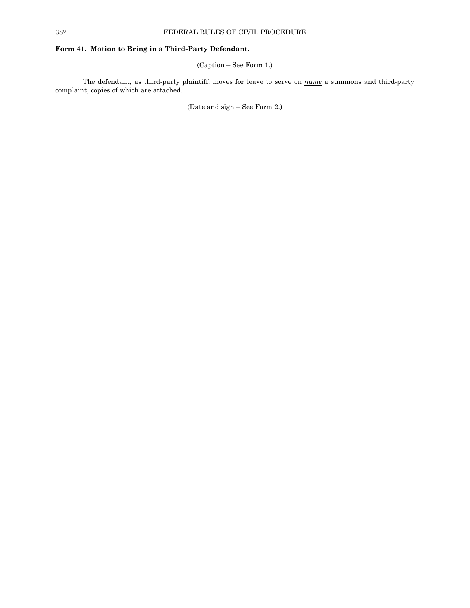# **Form 41. Motion to Bring in a Third-Party Defendant.**

# $(Caption - See Form 1.)$

 The defendant, as third-party plaintiff, moves for leave to serve on *name* a summons and third-party complaint, copies of which are attached.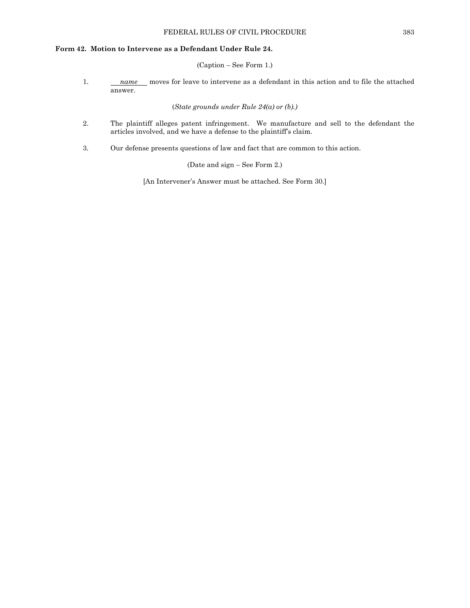### **Form 42. Motion to Intervene as a Defendant Under Rule 24.**

 $(Caption - See Form 1.)$ 

1. *name* moves for leave to intervene as a defendant in this action and to file the attached answer.

(*State grounds under Rule 24(a) or (b).)* 

- 2. The plaintiff alleges patent infringement. We manufacture and sell to the defendant the articles involved, and we have a defense to the plaintiffís claim.
- 3. Our defense presents questions of law and fact that are common to this action.

(Date and sign  $-$  See Form 2.)

[An Intervenerís Answer must be attached. See Form 30.]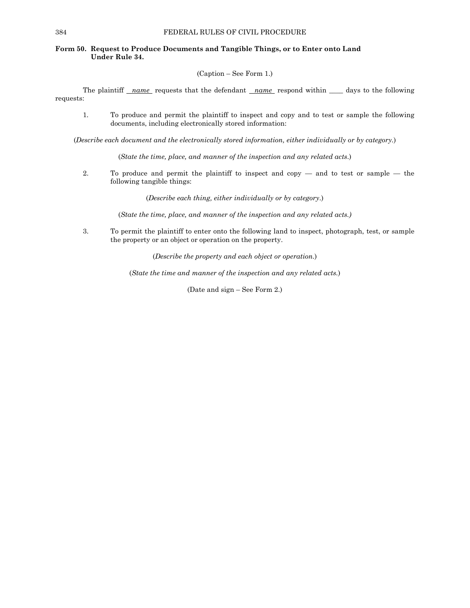## **Form 50. Request to Produce Documents and Tangible Things, or to Enter onto Land Under Rule 34.**

 $(Caption - See Form 1.)$ 

The plaintiff *name* requests that the defendant *name* respond within says to the following requests:

1. To produce and permit the plaintiff to inspect and copy and to test or sample the following documents, including electronically stored information:

(*Describe each document and the electronically stored information, either individually or by category.*)

(*State the time, place, and manner of the inspection and any related acts*.)

2. To produce and permit the plaintiff to inspect and copy  $-$  and to test or sample  $-$  the following tangible things:

(*Describe each thing, either individually or by category*.)

(*State the time, place, and manner of the inspection and any related acts.)* 

3. To permit the plaintiff to enter onto the following land to inspect, photograph, test, or sample the property or an object or operation on the property.

(*Describe the property and each object or operation.*)

(*State the time and manner of the inspection and any related acts.*)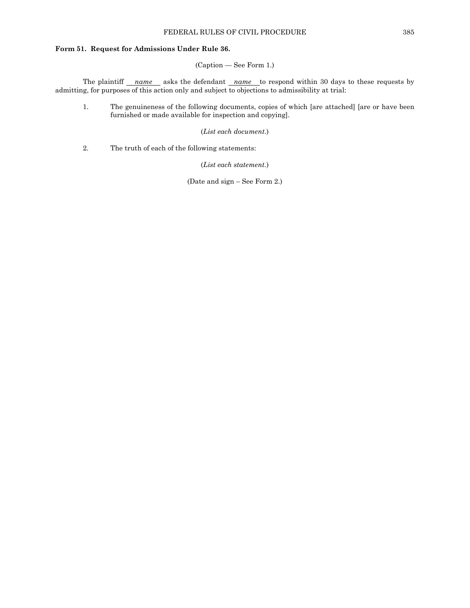## **Form 51. Request for Admissions Under Rule 36.**

 $(Caption - See Form 1.)$ 

The plaintiff *name* asks the defendant *name* to respond within 30 days to these requests by admitting, for purposes of this action only and subject to objections to admissibility at trial:

1. The genuineness of the following documents, copies of which [are attached] [are or have been furnished or made available for inspection and copying].

(*List each document*.)

2. The truth of each of the following statements:

(*List each statement.*)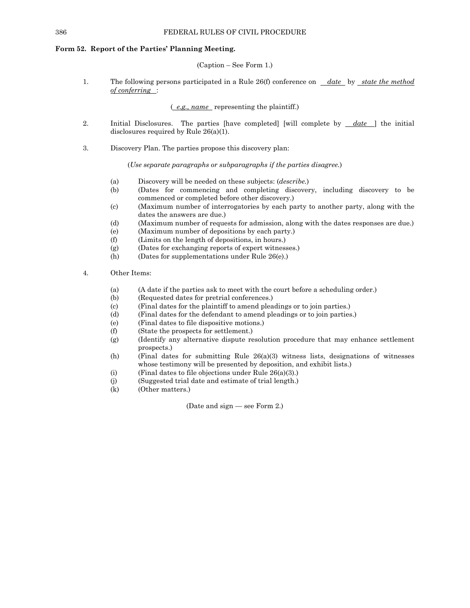## Form 52. Report of the Parties' Planning Meeting.

#### $(Caption - See Form 1.)$

1. The following persons participated in a Rule 26(f) conference on *date* by *state the method of conferring* :

( *e.g., name* representing the plaintiff.)

- 2. Initial Disclosures. The parties [have completed] [will complete by *date* ] the initial disclosures required by Rule 26(a)(1).
- 3. Discovery Plan. The parties propose this discovery plan:

(*Use separate paragraphs or subparagraphs if the parties disagree.*)

- (a) Discovery will be needed on these subjects: (*describe.*)
- (b) (Dates for commencing and completing discovery, including discovery to be commenced or completed before other discovery.)
- (c) (Maximum number of interrogatories by each party to another party, along with the dates the answers are due.)
- (d) (Maximum number of requests for admission, along with the dates responses are due.)
- (e) (Maximum number of depositions by each party.)
- (f) (Limits on the length of depositions, in hours.)
- (g) (Dates for exchanging reports of expert witnesses.)
- (h) (Dates for supplementations under Rule 26(e).)
- 4. Other Items:
	- (a) (A date if the parties ask to meet with the court before a scheduling order.)
	- (b) (Requested dates for pretrial conferences.)
	- (c) (Final dates for the plaintiff to amend pleadings or to join parties.)
	- (d) (Final dates for the defendant to amend pleadings or to join parties.)
	- (e) (Final dates to file dispositive motions.)
	- (f) (State the prospects for settlement.)
	- (g) (Identify any alternative dispute resolution procedure that may enhance settlement prospects.)
	- (h) (Final dates for submitting Rule 26(a)(3) witness lists, designations of witnesses whose testimony will be presented by deposition, and exhibit lists.)
	- (i) (Final dates to file objections under Rule  $26(a)(3)$ .)
	- (j) (Suggested trial date and estimate of trial length.)
	- (k) (Other matters.)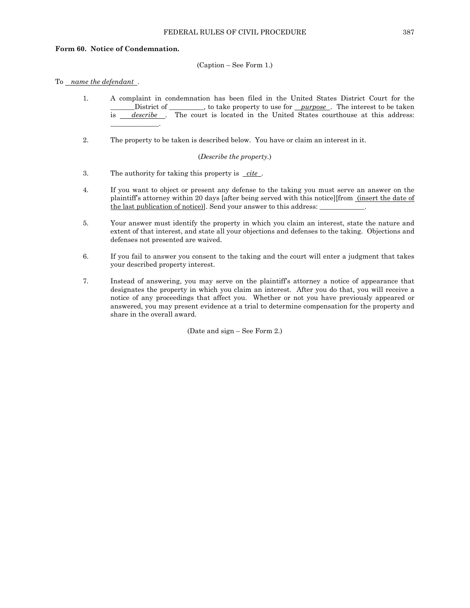#### **Form 60. Notice of Condemnation.**

#### $(Caption - See Form 1.)$

## To *name the defendant* .

- 1. A complaint in condemnation has been filed in the United States District Court for the District of \_\_\_\_\_\_\_\_, to take property to use for *\_purpose* . The interest to be taken is *describe* . The court is located in the United States courthouse at this address: \_\_\_\_\_\_\_\_\_\_\_\_\_\_.
- 2. The property to be taken is described below. You have or claim an interest in it.

# (*Describe the property.*)

- 3. The authority for taking this property is *cite* .
- 4. If you want to object or present any defense to the taking you must serve an answer on the plaintiffís attorney within 20 days [after being served with this notice][from (insert the date of the last publication of notice)]. Send your answer to this address:
- 5. Your answer must identify the property in which you claim an interest, state the nature and extent of that interest, and state all your objections and defenses to the taking. Objections and defenses not presented are waived.
- 6. If you fail to answer you consent to the taking and the court will enter a judgment that takes your described property interest.
- 7. Instead of answering, you may serve on the plaintiffís attorney a notice of appearance that designates the property in which you claim an interest. After you do that, you will receive a notice of any proceedings that affect you. Whether or not you have previously appeared or answered, you may present evidence at a trial to determine compensation for the property and share in the overall award.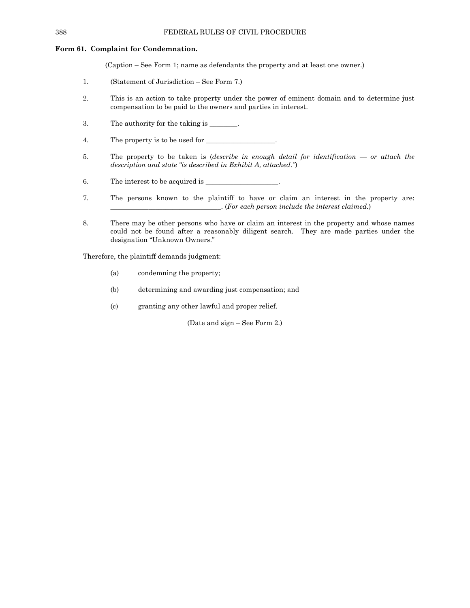# **Form 61. Complaint for Condemnation.**

(Caption – See Form 1; name as defendants the property and at least one owner.)

- 1. (Statement of Jurisdiction  $-$  See Form 7.)
- 2. This is an action to take property under the power of eminent domain and to determine just compensation to be paid to the owners and parties in interest.
- 3. The authority for the taking is \_\_\_\_\_\_.
- 4. The property is to be used for  $\Box$
- 5. The property to be taken is (*describe in enough detail for identification* or attach the *description and state "is described in Exhibit A, attached."*)
- 6. The interest to be acquired is \_\_\_\_\_\_\_\_\_\_\_\_\_\_\_\_\_.
- 7. The persons known to the plaintiff to have or claim an interest in the property are: \_\_\_\_\_\_\_\_\_\_\_\_\_\_\_\_\_\_\_\_\_\_\_\_\_\_\_\_\_\_\_\_. (*For each person include the interest claimed.*)
- 8. There may be other persons who have or claim an interest in the property and whose names could not be found after a reasonably diligent search. They are made parties under the designation "Unknown Owners."

Therefore, the plaintiff demands judgment:

- (a) condemning the property;
- (b) determining and awarding just compensation; and
- (c) granting any other lawful and proper relief.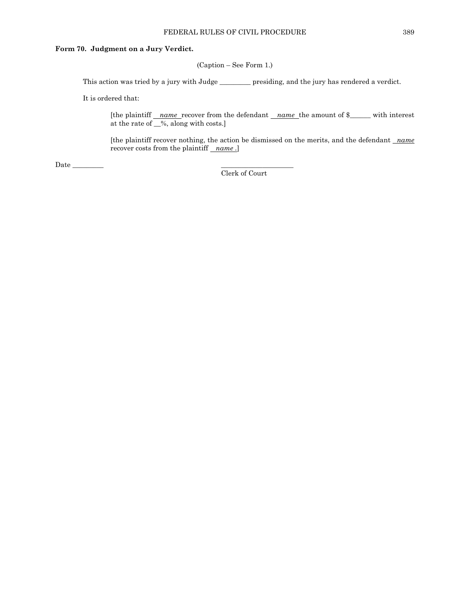# **Form 70. Judgment on a Jury Verdict.**

 $(Caption - See Form 1.)$ 

This action was tried by a jury with Judge \_\_\_\_\_\_\_\_\_ presiding, and the jury has rendered a verdict.

It is ordered that:

 [the plaintiff *name* recover from the defendant *name* the amount of \$\_\_\_\_\_\_ with interest at the rate of \_\_%, along with costs.]

 [the plaintiff recover nothing, the action be dismissed on the merits, and the defendant *name*  recover costs from the plaintiff *name*.

Date \_\_\_\_\_\_\_\_\_ \_\_\_\_\_\_\_\_\_\_\_\_\_\_\_\_\_\_\_\_\_

Clerk of Court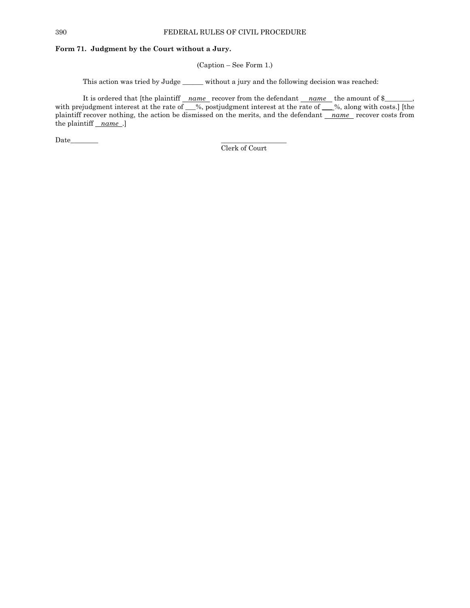## **Form 71. Judgment by the Court without a Jury.**

 $(Caption - See Form 1.)$ 

This action was tried by Judge \_\_\_\_\_\_ without a jury and the following decision was reached:

It is ordered that [the plaintiff *name* recover from the defendant *name* the amount of \$\_\_\_\_\_, with prejudgment interest at the rate of  $\_\%$ , postjudgment interest at the rate of  $\_\%$ , along with costs.] [the plaintiff recover nothing, the action be dismissed on the merits, and the defendant *name* recover costs from the plaintiff *name* .]

 $\text{Date}\_\_$ 

Clerk of Court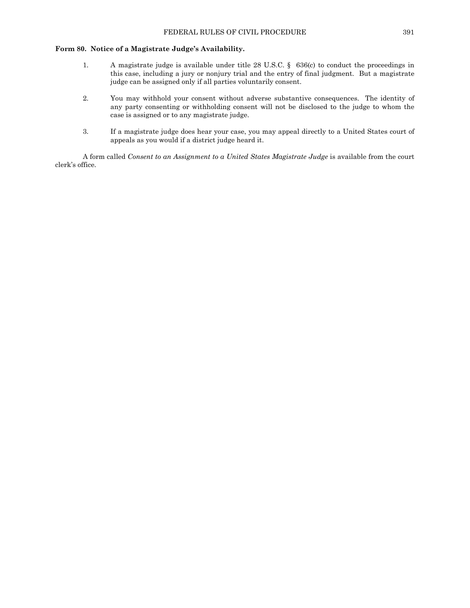## Form 80. Notice of a Magistrate Judge's Availability.

- 1. A magistrate judge is available under title 28 U.S.C. ß 636(c) to conduct the proceedings in this case, including a jury or nonjury trial and the entry of final judgment. But a magistrate judge can be assigned only if all parties voluntarily consent.
- 2. You may withhold your consent without adverse substantive consequences. The identity of any party consenting or withholding consent will not be disclosed to the judge to whom the case is assigned or to any magistrate judge.
- 3. If a magistrate judge does hear your case, you may appeal directly to a United States court of appeals as you would if a district judge heard it.

 A form called *Consent to an Assignment to a United States Magistrate Judge* is available from the court clerk's office.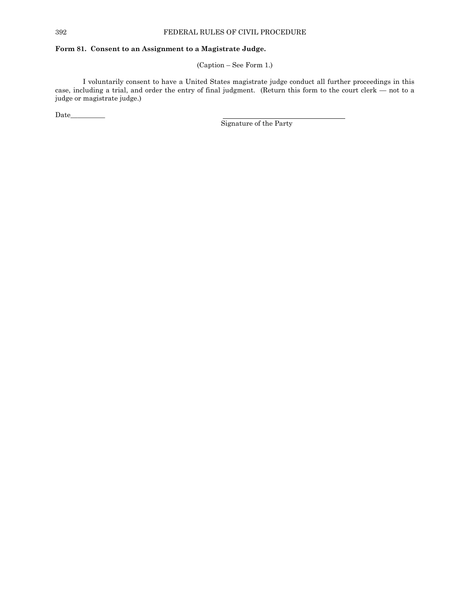# **Form 81. Consent to an Assignment to a Magistrate Judge.**

 $(Caption - See Form 1.)$ 

 I voluntarily consent to have a United States magistrate judge conduct all further proceedings in this case, including a trial, and order the entry of final judgment. (Return this form to the court clerk  $-$  not to a judge or magistrate judge.)

 ${\it Date} \underline{\hspace{1cm}}$ 

Signature of the Party